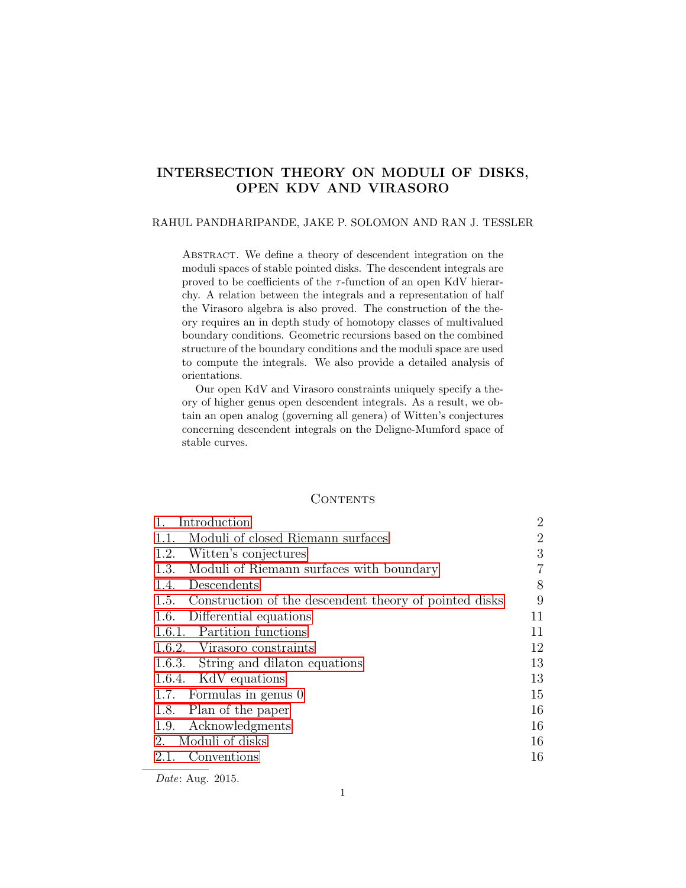# INTERSECTION THEORY ON MODULI OF DISKS, OPEN KDV AND VIRASORO

## RAHUL PANDHARIPANDE, JAKE P. SOLOMON AND RAN J. TESSLER

ABSTRACT. We define a theory of descendent integration on the moduli spaces of stable pointed disks. The descendent integrals are proved to be coefficients of the  $\tau$ -function of an open KdV hierarchy. A relation between the integrals and a representation of half the Virasoro algebra is also proved. The construction of the theory requires an in depth study of homotopy classes of multivalued boundary conditions. Geometric recursions based on the combined structure of the boundary conditions and the moduli space are used to compute the integrals. We also provide a detailed analysis of orientations.

Our open KdV and Virasoro constraints uniquely specify a theory of higher genus open descendent integrals. As a result, we obtain an open analog (governing all genera) of Witten's conjectures concerning descendent integrals on the Deligne-Mumford space of stable curves.

## **CONTENTS**

| Introduction                                                | $\overline{2}$ |
|-------------------------------------------------------------|----------------|
| 1.1. Moduli of closed Riemann surfaces                      | $\overline{2}$ |
| 1.2. Witten's conjectures                                   | 3              |
| 1.3. Moduli of Riemann surfaces with boundary               | 7              |
| 1.4. Descendents                                            | 8              |
| 1.5. Construction of the descendent theory of pointed disks | 9              |
| Differential equations<br>1.6.                              | 11             |
| 1.6.1. Partition functions                                  | 11             |
| 1.6.2. Virasoro constraints                                 | 12             |
| 1.6.3. String and dilaton equations                         | 13             |
| 1.6.4. KdV equations                                        | 13             |
| 1.7. Formulas in genus 0                                    | 15             |
| 1.8. Plan of the paper                                      | 16             |
| 1.9. Acknowledgments                                        | 16             |
| 2. Moduli of disks                                          | 16             |
| Conventions<br>2.1.                                         | 16             |
|                                                             |                |

Date: Aug. 2015.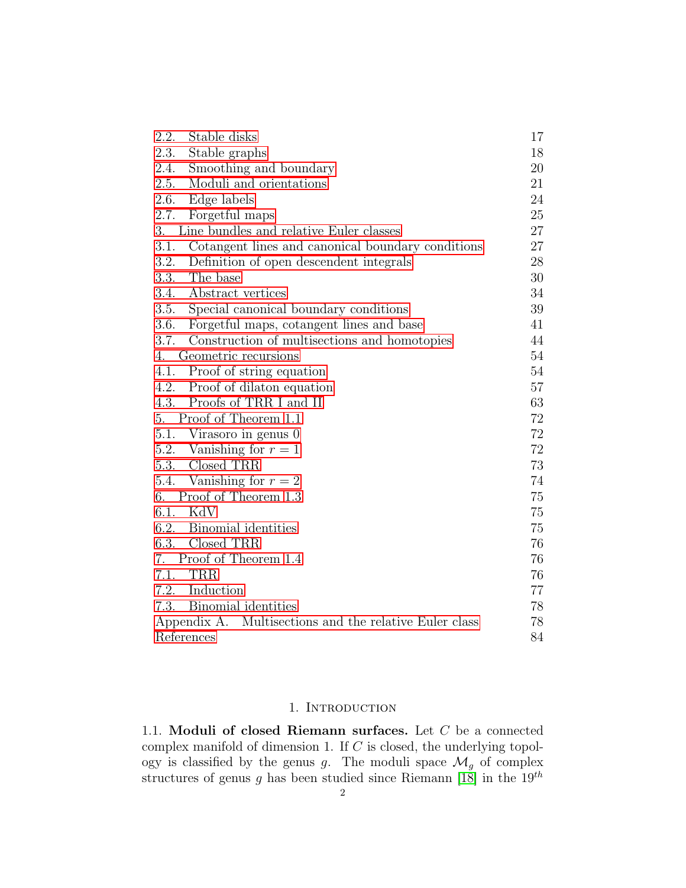| Stable disks<br>2.2.                                      | 17 |
|-----------------------------------------------------------|----|
| 2.3.<br>Stable graphs                                     | 18 |
| 2.4.<br>Smoothing and boundary                            | 20 |
| Moduli and orientations<br>2.5.                           | 21 |
| 2.6.<br>Edge labels                                       | 24 |
| 2.7.<br>Forgetful maps                                    | 25 |
| Line bundles and relative Euler classes<br>3.             | 27 |
| 3.1.<br>Cotangent lines and canonical boundary conditions | 27 |
| 3.2.<br>Definition of open descendent integrals           | 28 |
| 3.3.<br>The base                                          | 30 |
| Abstract vertices<br>3.4.                                 | 34 |
| 3.5.<br>Special canonical boundary conditions             | 39 |
| 3.6.<br>Forgetful maps, cotangent lines and base          | 41 |
| 3.7.<br>Construction of multisections and homotopies      | 44 |
| Geometric recursions<br>4.                                | 54 |
| Proof of string equation<br>4.1.                          | 54 |
| 4.2. Proof of dilaton equation                            | 57 |
| 4.3. Proofs of TRR I and II                               | 63 |
| 5. Proof of Theorem 1.1                                   | 72 |
| 5.1. Virasoro in genus 0                                  | 72 |
| 5.2. Vanishing for $r = 1$                                | 72 |
| 5.3. Closed TRR                                           | 73 |
| 5.4. Vanishing for $r = 2$                                | 74 |
| Proof of Theorem 1.3<br>6.                                | 75 |
| 6.1. KdV                                                  | 75 |
| 6.2. Binomial identities                                  | 75 |
| Closed TRR<br>6.3.                                        | 76 |
| Proof of Theorem 1.4<br>7.                                | 76 |
| 7.1.<br><b>TRR</b>                                        | 76 |
| 7.2. Induction                                            | 77 |
| 7.3.<br>Binomial identities                               | 78 |
| Appendix A. Multisections and the relative Euler class    | 78 |
| References                                                | 84 |

## 1. INTRODUCTION

<span id="page-1-1"></span><span id="page-1-0"></span>1.1. Moduli of closed Riemann surfaces. Let C be a connected complex manifold of dimension 1. If  $C$  is closed, the underlying topology is classified by the genus g. The moduli space  $\mathcal{M}_g$  of complex structures of genus g has been studied since Riemann [\[18\]](#page-84-0) in the  $19^{th}$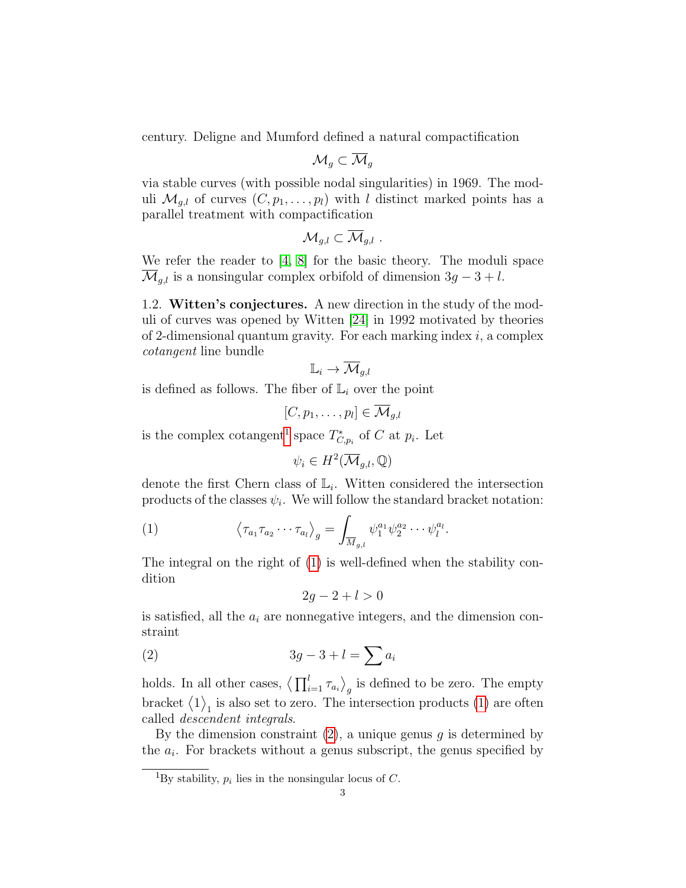century. Deligne and Mumford defined a natural compactification

$$
\mathcal{M}_g \subset \overline{\mathcal{M}}_g
$$

via stable curves (with possible nodal singularities) in 1969. The moduli  $\mathcal{M}_{q,l}$  of curves  $(C, p_1, \ldots, p_l)$  with l distinct marked points has a parallel treatment with compactification

$$
\mathcal{M}_{g,l}\subset \overline{\mathcal{M}}_{g,l}.
$$

We refer the reader to [\[4,](#page-83-1) [8\]](#page-83-2) for the basic theory. The moduli space  $\overline{\mathcal{M}}_{q,l}$  is a nonsingular complex orbifold of dimension  $3g - 3 + l$ .

<span id="page-2-0"></span>1.2. Witten's conjectures. A new direction in the study of the moduli of curves was opened by Witten [\[24\]](#page-84-1) in 1992 motivated by theories of 2-dimensional quantum gravity. For each marking index  $i$ , a complex cotangent line bundle

$$
\mathbb{L}_i \to \overline{\mathcal{M}}_{g,l}
$$

is defined as follows. The fiber of  $\mathbb{L}_i$  over the point

$$
[C, p_1, \ldots, p_l] \in \overline{\mathcal{M}}_{g,l}
$$

is the complex cotangent<sup>[1](#page-2-1)</sup> space  $T^*_{C,p_i}$  of C at  $p_i$ . Let

<span id="page-2-2"></span> $\psi_i \in H^2(\overline{\mathcal{M}}_{g,l}, \mathbb{Q})$ 

denote the first Chern class of  $\mathbb{L}_i$ . Witten considered the intersection products of the classes  $\psi_i$ . We will follow the standard bracket notation:

(1) 
$$
\left\langle \tau_{a_1} \tau_{a_2} \cdots \tau_{a_l} \right\rangle_g = \int_{\overline{M}_{g,l}} \psi_1^{a_1} \psi_2^{a_2} \cdots \psi_l^{a_l}.
$$

The integral on the right of [\(1\)](#page-2-2) is well-defined when the stability condition

<span id="page-2-3"></span>
$$
2g - 2 + l > 0
$$

is satisfied, all the  $a_i$  are nonnegative integers, and the dimension constraint

$$
(2) \t 3g-3+l=\sum a_i
$$

holds. In all other cases,  $\left\langle \prod_{i=1}^{l} \tau_{a_i} \right\rangle_g$  is defined to be zero. The empty bracket  $\langle 1 \rangle_1$  is also set to zero. The intersection products [\(1\)](#page-2-2) are often called descendent integrals.

By the dimension constraint  $(2)$ , a unique genus q is determined by the  $a_i$ . For brackets without a genus subscript, the genus specified by

<span id="page-2-1"></span><sup>&</sup>lt;sup>1</sup>By stability,  $p_i$  lies in the nonsingular locus of C.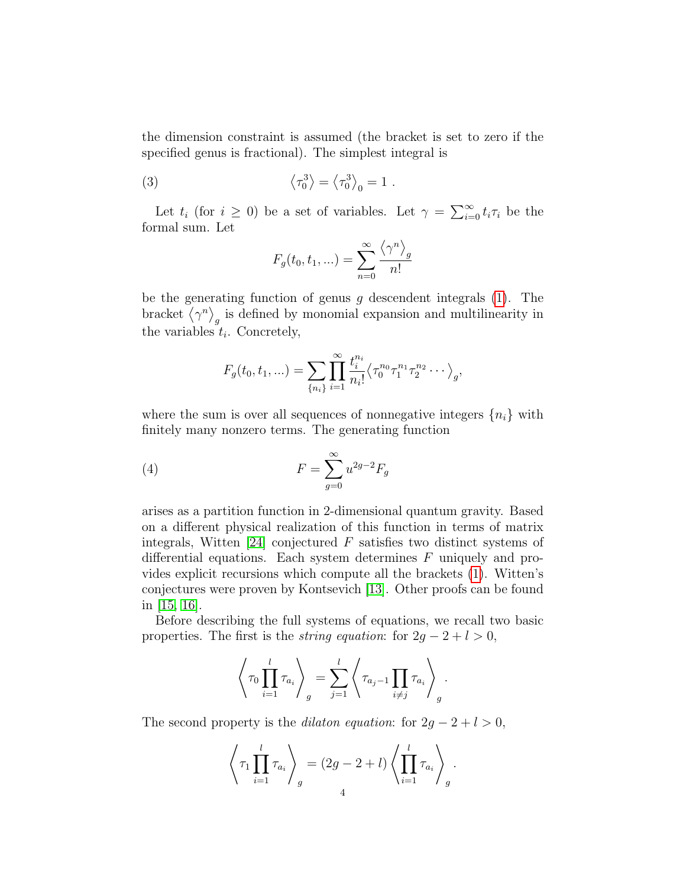the dimension constraint is assumed (the bracket is set to zero if the specified genus is fractional). The simplest integral is

(3) 
$$
\left\langle \tau_0^3 \right\rangle = \left\langle \tau_0^3 \right\rangle_0 = 1.
$$

Let  $t_i$  (for  $i \geq 0$ ) be a set of variables. Let  $\gamma = \sum_{i=0}^{\infty} t_i \tau_i$  be the formal sum. Let

<span id="page-3-0"></span>
$$
F_g(t_0, t_1, \ldots) = \sum_{n=0}^{\infty} \frac{\langle \gamma^n \rangle_g}{n!}
$$

be the generating function of genus  $g$  descendent integrals [\(1\)](#page-2-2). The bracket  $\langle \gamma^n \rangle_g$  is defined by monomial expansion and multilinearity in the variables  $t_i$ . Concretely,

<span id="page-3-1"></span>
$$
F_g(t_0, t_1, \ldots) = \sum_{\{n_i\}} \prod_{i=1}^{\infty} \frac{t_i^{n_i}}{n_i!} \langle \tau_0^{n_0} \tau_1^{n_1} \tau_2^{n_2} \cdots \rangle_g,
$$

where the sum is over all sequences of nonnegative integers  $\{n_i\}$  with finitely many nonzero terms. The generating function

$$
(4) \t\t\t F = \sum_{g=0}^{\infty} u^{2g-2} F_g
$$

arises as a partition function in 2-dimensional quantum gravity. Based on a different physical realization of this function in terms of matrix integrals, Witten [\[24\]](#page-84-1) conjectured  $F$  satisfies two distinct systems of differential equations. Each system determines F uniquely and provides explicit recursions which compute all the brackets [\(1\)](#page-2-2). Witten's conjectures were proven by Kontsevich [\[13\]](#page-83-3). Other proofs can be found in [\[15,](#page-83-4) [16\]](#page-84-2).

Before describing the full systems of equations, we recall two basic properties. The first is the *string equation*: for  $2g - 2 + l > 0$ ,

$$
\left\langle \tau_0 \prod_{i=1}^l \tau_{a_i} \right\rangle_g = \sum_{j=1}^l \left\langle \tau_{a_j-1} \prod_{i \neq j} \tau_{a_i} \right\rangle_g.
$$

The second property is the *dilaton equation*: for  $2g - 2 + l > 0$ ,

$$
\left\langle \tau_1 \prod_{i=1}^l \tau_{a_i} \right\rangle_g = (2g - 2 + l) \left\langle \prod_{i=1}^l \tau_{a_i} \right\rangle_g.
$$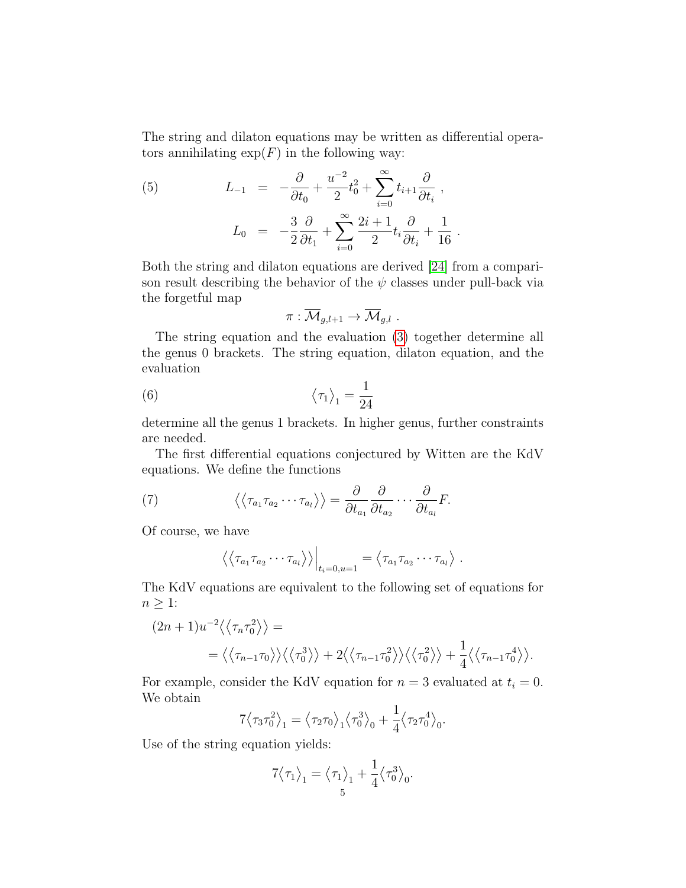The string and dilaton equations may be written as differential operators annihilating  $\exp(F)$  in the following way:

<span id="page-4-1"></span>(5) 
$$
L_{-1} = -\frac{\partial}{\partial t_0} + \frac{u^{-2}}{2}t_0^2 + \sum_{i=0}^{\infty} t_{i+1} \frac{\partial}{\partial t_i},
$$

$$
L_0 = -\frac{3}{2} \frac{\partial}{\partial t_1} + \sum_{i=0}^{\infty} \frac{2i+1}{2} t_i \frac{\partial}{\partial t_i} + \frac{1}{16}
$$

Both the string and dilaton equations are derived [\[24\]](#page-84-1) from a comparison result describing the behavior of the  $\psi$  classes under pull-back via the forgetful map

.

<span id="page-4-0"></span>
$$
\pi:\overline{\mathcal{M}}_{g,l+1}\to\overline{\mathcal{M}}_{g,l}.
$$

The string equation and the evaluation [\(3\)](#page-3-0) together determine all the genus 0 brackets. The string equation, dilaton equation, and the evaluation

(6) 
$$
\left\langle \tau_1 \right\rangle_1 = \frac{1}{24}
$$

determine all the genus 1 brackets. In higher genus, further constraints are needed.

The first differential equations conjectured by Witten are the KdV equations. We define the functions

(7) 
$$
\langle \langle \tau_{a_1} \tau_{a_2} \cdots \tau_{a_l} \rangle \rangle = \frac{\partial}{\partial t_{a_1}} \frac{\partial}{\partial t_{a_2}} \cdots \frac{\partial}{\partial t_{a_l}} F.
$$

Of course, we have

<span id="page-4-2"></span>
$$
\left\langle \left\langle \tau_{a_1} \tau_{a_2} \cdots \tau_{a_l} \right\rangle \right\rangle \Big|_{t_i=0, u=1} = \left\langle \tau_{a_1} \tau_{a_2} \cdots \tau_{a_l} \right\rangle.
$$

The KdV equations are equivalent to the following set of equations for  $n \geq 1$ :

$$
(2n+1)u^{-2}\langle\langle\tau_n\tau_0^2\rangle\rangle =
$$
  
=  $\langle\langle\tau_{n-1}\tau_0\rangle\rangle\langle\langle\tau_0^3\rangle\rangle + 2\langle\langle\tau_{n-1}\tau_0^2\rangle\rangle\langle\langle\tau_0^2\rangle\rangle + \frac{1}{4}\langle\langle\tau_{n-1}\tau_0^4\rangle\rangle.$ 

For example, consider the KdV equation for  $n = 3$  evaluated at  $t_i = 0$ . We obtain

$$
7\langle \tau_3 \tau_0^2 \rangle_1 = \langle \tau_2 \tau_0 \rangle_1 \langle \tau_0^3 \rangle_0 + \frac{1}{4} \langle \tau_2 \tau_0^4 \rangle_0.
$$

Use of the string equation yields:

$$
7\langle \tau_1\rangle_1=\big\langle \tau_1\big\rangle_1+\frac{1}{4}\big\langle \tau_0^3\big\rangle_0.
$$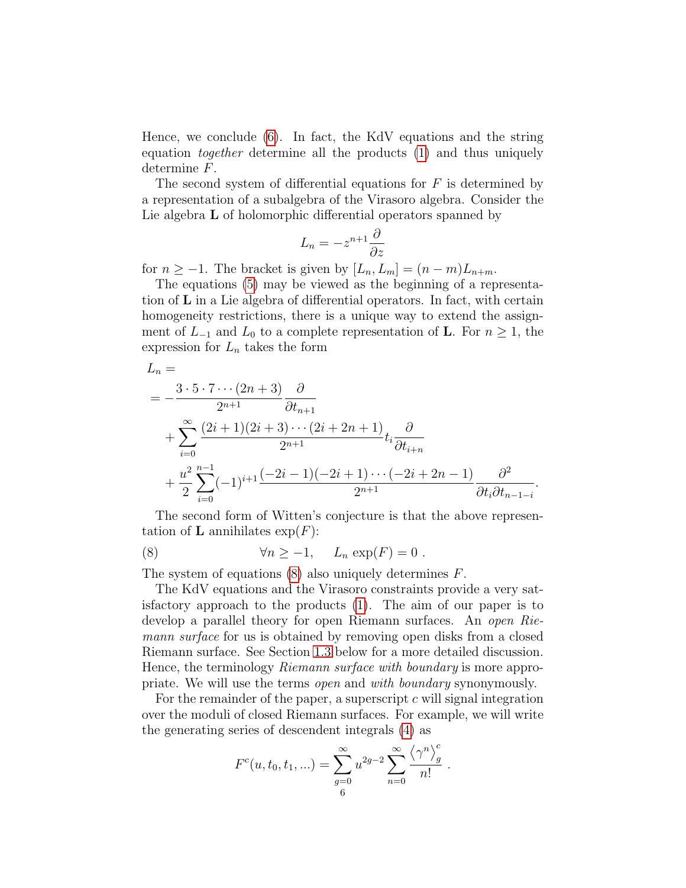Hence, we conclude [\(6\)](#page-4-0). In fact, the KdV equations and the string equation together determine all the products [\(1\)](#page-2-2) and thus uniquely determine F.

The second system of differential equations for  $F$  is determined by a representation of a subalgebra of the Virasoro algebra. Consider the Lie algebra **L** of holomorphic differential operators spanned by

$$
L_n = -z^{n+1} \frac{\partial}{\partial z}
$$

for  $n \geq -1$ . The bracket is given by  $[L_n, L_m] = (n-m)L_{n+m}$ .

The equations [\(5\)](#page-4-1) may be viewed as the beginning of a representation of L in a Lie algebra of differential operators. In fact, with certain homogeneity restrictions, there is a unique way to extend the assignment of  $L_{-1}$  and  $L_0$  to a complete representation of **L**. For  $n \geq 1$ , the expression for  $L_n$  takes the form

$$
L_n =
$$
  
=  $-\frac{3 \cdot 5 \cdot 7 \cdots (2n+3)}{2^{n+1}} \frac{\partial}{\partial t_{n+1}}$   
+  $\sum_{i=0}^{\infty} \frac{(2i+1)(2i+3)\cdots (2i+2n+1)}{2^{n+1}} t_i \frac{\partial}{\partial t_{i+n}}$   
+  $\frac{u^2}{2} \sum_{i=0}^{n-1} (-1)^{i+1} \frac{(-2i-1)(-2i+1)\cdots (-2i+2n-1)}{2^{n+1}} \frac{\partial^2}{\partial t_i \partial t_{n-1-i}}.$ 

The second form of Witten's conjecture is that the above representation of **L** annihilates  $\exp(F)$ :

<span id="page-5-0"></span>(8) 
$$
\forall n \ge -1, \quad L_n \exp(F) = 0.
$$

The system of equations  $(8)$  also uniquely determines  $F$ .

The KdV equations and the Virasoro constraints provide a very satisfactory approach to the products [\(1\)](#page-2-2). The aim of our paper is to develop a parallel theory for open Riemann surfaces. An *open Rie*mann surface for us is obtained by removing open disks from a closed Riemann surface. See Section [1.3](#page-6-0) below for a more detailed discussion. Hence, the terminology Riemann surface with boundary is more appropriate. We will use the terms open and with boundary synonymously.

For the remainder of the paper, a superscript  $c$  will signal integration over the moduli of closed Riemann surfaces. For example, we will write the generating series of descendent integrals [\(4\)](#page-3-1) as

$$
F^{c}(u, t_{0}, t_{1}, ...)=\sum_{g=0}^{\infty} u^{2g-2} \sum_{n=0}^{\infty} \frac{\langle \gamma^{n} \rangle_{g}^{c}}{n!}.
$$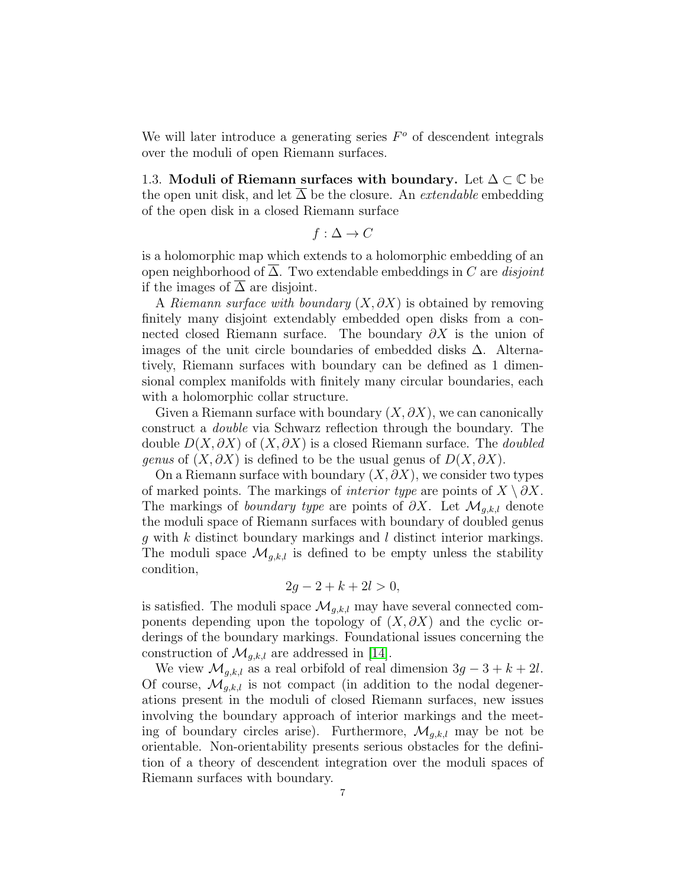We will later introduce a generating series  $F<sup>o</sup>$  of descendent integrals over the moduli of open Riemann surfaces.

<span id="page-6-0"></span>1.3. Moduli of Riemann surfaces with boundary. Let  $\Delta \subset \mathbb{C}$  be the open unit disk, and let  $\Delta$  be the closure. An *extendable* embedding of the open disk in a closed Riemann surface

$$
f: \Delta \to C
$$

is a holomorphic map which extends to a holomorphic embedding of an open neighborhood of  $\overline{\Delta}$ . Two extendable embeddings in C are *disjoint* if the images of  $\Delta$  are disjoint.

A Riemann surface with boundary  $(X, \partial X)$  is obtained by removing finitely many disjoint extendably embedded open disks from a connected closed Riemann surface. The boundary  $\partial X$  is the union of images of the unit circle boundaries of embedded disks ∆. Alternatively, Riemann surfaces with boundary can be defined as 1 dimensional complex manifolds with finitely many circular boundaries, each with a holomorphic collar structure.

Given a Riemann surface with boundary  $(X, \partial X)$ , we can canonically construct a double via Schwarz reflection through the boundary. The double  $D(X, \partial X)$  of  $(X, \partial X)$  is a closed Riemann surface. The *doubled genus* of  $(X, \partial X)$  is defined to be the usual genus of  $D(X, \partial X)$ .

On a Riemann surface with boundary  $(X, \partial X)$ , we consider two types of marked points. The markings of *interior type* are points of  $X \setminus \partial X$ . The markings of *boundary type* are points of  $\partial X$ . Let  $\mathcal{M}_{q,k,l}$  denote the moduli space of Riemann surfaces with boundary of doubled genus  $g$  with  $k$  distinct boundary markings and  $l$  distinct interior markings. The moduli space  $\mathcal{M}_{g,k,l}$  is defined to be empty unless the stability condition,

$$
2g - 2 + k + 2l > 0,
$$

is satisfied. The moduli space  $\mathcal{M}_{g,k,l}$  may have several connected components depending upon the topology of  $(X, \partial X)$  and the cyclic orderings of the boundary markings. Foundational issues concerning the construction of  $\mathcal{M}_{q,k,l}$  are addressed in [\[14\]](#page-83-5).

We view  $\mathcal{M}_{g,k,l}$  as a real orbifold of real dimension  $3g - 3 + k + 2l$ . Of course,  $\mathcal{M}_{q,k,l}$  is not compact (in addition to the nodal degenerations present in the moduli of closed Riemann surfaces, new issues involving the boundary approach of interior markings and the meeting of boundary circles arise). Furthermore,  $\mathcal{M}_{g,k,l}$  may be not be orientable. Non-orientability presents serious obstacles for the definition of a theory of descendent integration over the moduli spaces of Riemann surfaces with boundary.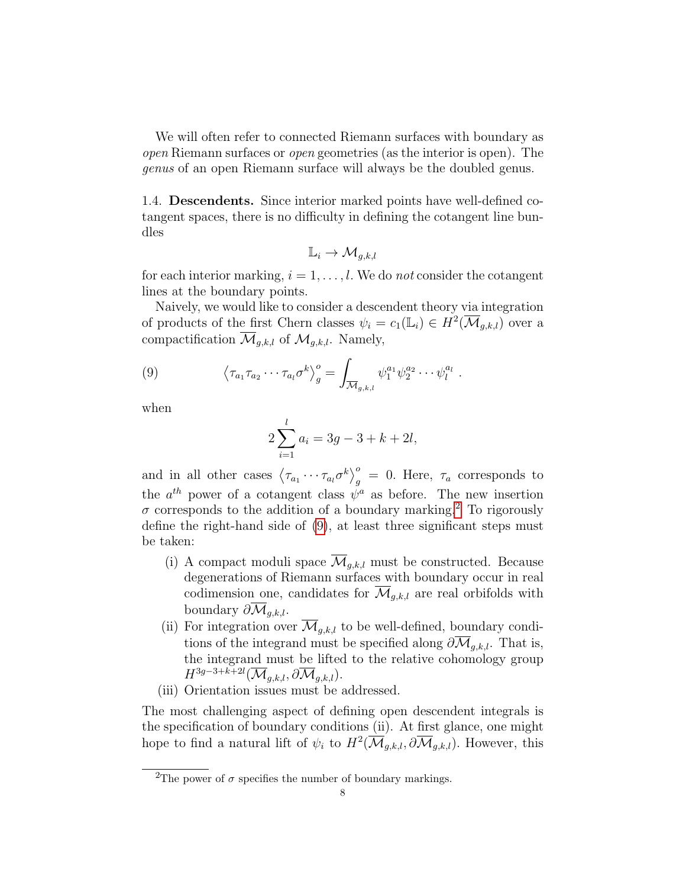We will often refer to connected Riemann surfaces with boundary as open Riemann surfaces or open geometries (as the interior is open). The genus of an open Riemann surface will always be the doubled genus.

<span id="page-7-0"></span>1.4. Descendents. Since interior marked points have well-defined cotangent spaces, there is no difficulty in defining the cotangent line bundles

$$
\mathbb{L}_i \to \mathcal{M}_{g,k,l}
$$

for each interior marking,  $i = 1, \ldots, l$ . We do not consider the cotangent lines at the boundary points.

Naively, we would like to consider a descendent theory via integration of products of the first Chern classes  $\psi_i = c_1(\mathbb{L}_i) \in H^2(\overline{\mathcal{M}}_{g,k,l})$  over a compactification  $\overline{\mathcal{M}}_{q,k,l}$  of  $\mathcal{M}_{q,k,l}$ . Namely,

(9) 
$$
\left\langle \tau_{a_1} \tau_{a_2} \cdots \tau_{a_l} \sigma^k \right\rangle_g^o = \int_{\overline{\mathcal{M}}_{g,k,l}} \psi_1^{a_1} \psi_2^{a_2} \cdots \psi_l^{a_l}.
$$

when

<span id="page-7-2"></span>
$$
2\sum_{i=1}^{l} a_i = 3g - 3 + k + 2l,
$$

and in all other cases  $\langle \tau_{a_1} \cdots \tau_{a_l} \sigma^k \rangle_g^{\circ} = 0$ . Here,  $\tau_a$  corresponds to the  $a^{th}$  power of a cotangent class  $\psi^a$  as before. The new insertion  $\sigma$  corresponds to the addition of a boundary marking.<sup>[2](#page-7-1)</sup> To rigorously define the right-hand side of [\(9\)](#page-7-2), at least three significant steps must be taken:

- (i) A compact moduli space  $\overline{\mathcal{M}}_{q,k,l}$  must be constructed. Because degenerations of Riemann surfaces with boundary occur in real codimension one, candidates for  $\overline{\mathcal{M}}_{q,k,l}$  are real orbifolds with boundary  $\partial \overline{\mathcal{M}}_{a,k,l}$ .
- (ii) For integration over  $\overline{\mathcal{M}}_{g,k,l}$  to be well-defined, boundary conditions of the integrand must be specified along  $\partial \overline{\mathcal{M}}_{q,k,l}$ . That is, the integrand must be lifted to the relative cohomology group  $H^{3g-3+k+2l}(\overline{\mathcal{M}}_{g,k,l},\partial\overline{\mathcal{M}}_{g,k,l}).$
- (iii) Orientation issues must be addressed.

The most challenging aspect of defining open descendent integrals is the specification of boundary conditions (ii). At first glance, one might hope to find a natural lift of  $\psi_i$  to  $H^2(\overline{\mathcal{M}}_{g,k,l}, \partial \overline{\mathcal{M}}_{g,k,l})$ . However, this

<span id="page-7-1"></span><sup>&</sup>lt;sup>2</sup>The power of  $\sigma$  specifies the number of boundary markings.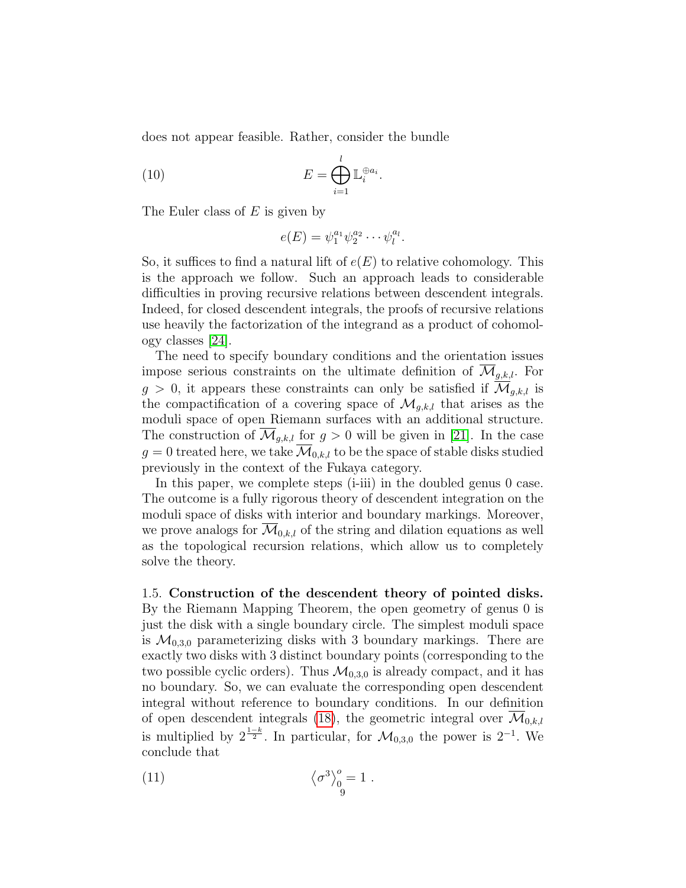does not appear feasible. Rather, consider the bundle

(10) 
$$
E = \bigoplus_{i=1}^{l} \mathbb{L}_i^{\oplus a_i}
$$

The Euler class of  $E$  is given by

<span id="page-8-1"></span>
$$
e(E) = \psi_1^{a_1} \psi_2^{a_2} \cdots \psi_l^{a_l}.
$$

.

So, it suffices to find a natural lift of  $e(E)$  to relative cohomology. This is the approach we follow. Such an approach leads to considerable difficulties in proving recursive relations between descendent integrals. Indeed, for closed descendent integrals, the proofs of recursive relations use heavily the factorization of the integrand as a product of cohomology classes [\[24\]](#page-84-1).

The need to specify boundary conditions and the orientation issues impose serious constraints on the ultimate definition of  $\overline{\mathcal{M}}_{q,k,l}$ . For  $g > 0$ , it appears these constraints can only be satisfied if  $\mathcal{M}_{q,k,l}$  is the compactification of a covering space of  $\mathcal{M}_{q,k,l}$  that arises as the moduli space of open Riemann surfaces with an additional structure. The construction of  $\mathcal{M}_{q,k,l}$  for  $g > 0$  will be given in [\[21\]](#page-84-3). In the case  $g = 0$  treated here, we take  $\overline{\mathcal{M}}_{0,k,l}$  to be the space of stable disks studied previously in the context of the Fukaya category.

In this paper, we complete steps (i-iii) in the doubled genus 0 case. The outcome is a fully rigorous theory of descendent integration on the moduli space of disks with interior and boundary markings. Moreover, we prove analogs for  $\overline{\mathcal{M}}_{0,k,l}$  of the string and dilation equations as well as the topological recursion relations, which allow us to completely solve the theory.

<span id="page-8-0"></span>1.5. Construction of the descendent theory of pointed disks. By the Riemann Mapping Theorem, the open geometry of genus 0 is just the disk with a single boundary circle. The simplest moduli space is  $\mathcal{M}_{0,3,0}$  parameterizing disks with 3 boundary markings. There are exactly two disks with 3 distinct boundary points (corresponding to the two possible cyclic orders). Thus  $\mathcal{M}_{0,3,0}$  is already compact, and it has no boundary. So, we can evaluate the corresponding open descendent integral without reference to boundary conditions. In our definition of open descendent integrals [\(18\)](#page-28-0), the geometric integral over  $\overline{\mathcal{M}}_{0,k,l}$ is multiplied by  $2^{\frac{1-k}{2}}$ . In particular, for  $\mathcal{M}_{0,3,0}$  the power is  $2^{-1}$ . We conclude that

<span id="page-8-2"></span>(11) 
$$
\left\langle \sigma^3 \right\rangle_0^o = 1.
$$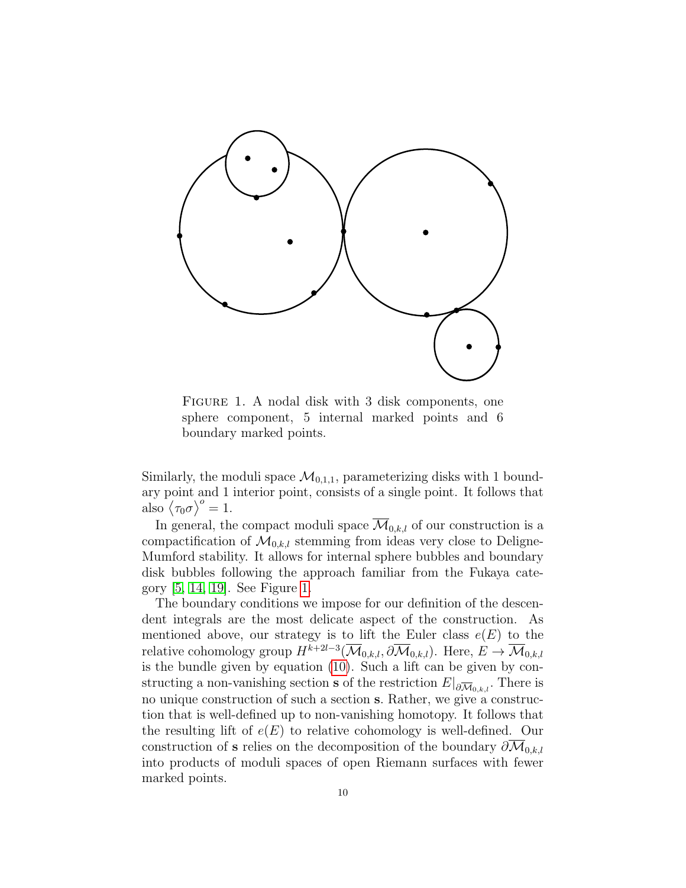

<span id="page-9-0"></span>FIGURE 1. A nodal disk with 3 disk components, one sphere component, 5 internal marked points and 6 boundary marked points.

Similarly, the moduli space  $\mathcal{M}_{0,1,1}$ , parameterizing disks with 1 boundary point and 1 interior point, consists of a single point. It follows that also  $\langle \tau_0 \sigma \rangle^o = 1$ .

In general, the compact moduli space  $\overline{\mathcal{M}}_{0,k,l}$  of our construction is a compactification of  $\mathcal{M}_{0,k,l}$  stemming from ideas very close to Deligne-Mumford stability. It allows for internal sphere bubbles and boundary disk bubbles following the approach familiar from the Fukaya category [\[5,](#page-83-6) [14,](#page-83-5) [19\]](#page-84-4). See Figure [1.](#page-9-0)

The boundary conditions we impose for our definition of the descendent integrals are the most delicate aspect of the construction. As mentioned above, our strategy is to lift the Euler class  $e(E)$  to the relative cohomology group  $H^{k+2l-3}(\overline{\mathcal{M}}_{0,k,l}, \partial \overline{\mathcal{M}}_{0,k,l})$ . Here,  $E \to \overline{\mathcal{M}}_{0,k,l}$ is the bundle given by equation [\(10\)](#page-8-1). Such a lift can be given by constructing a non-vanishing section **s** of the restriction  $E|_{\partial \overline{\mathcal{M}}_{0,k,l}}$ . There is no unique construction of such a section s. Rather, we give a construction that is well-defined up to non-vanishing homotopy. It follows that the resulting lift of  $e(E)$  to relative cohomology is well-defined. Our construction of s relies on the decomposition of the boundary  $\partial \overline{M}_{0,k,l}$ into products of moduli spaces of open Riemann surfaces with fewer marked points.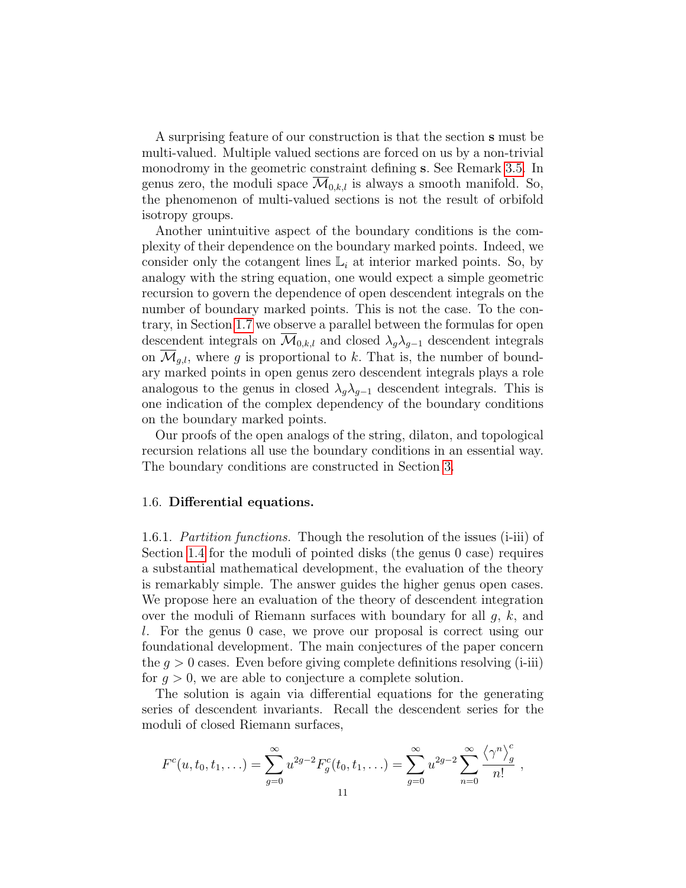A surprising feature of our construction is that the section s must be multi-valued. Multiple valued sections are forced on us by a non-trivial monodromy in the geometric constraint defining s. See Remark [3.5.](#page-28-1) In genus zero, the moduli space  $\mathcal{M}_{0,k,l}$  is always a smooth manifold. So, the phenomenon of multi-valued sections is not the result of orbifold isotropy groups.

Another unintuitive aspect of the boundary conditions is the complexity of their dependence on the boundary marked points. Indeed, we consider only the cotangent lines  $\mathbb{L}_i$  at interior marked points. So, by analogy with the string equation, one would expect a simple geometric recursion to govern the dependence of open descendent integrals on the number of boundary marked points. This is not the case. To the contrary, in Section [1.7](#page-14-0) we observe a parallel between the formulas for open descendent integrals on  $\mathcal{M}_{0,k,l}$  and closed  $\lambda_q \lambda_{q-1}$  descendent integrals on  $\mathcal{M}_{q,l}$ , where g is proportional to k. That is, the number of boundary marked points in open genus zero descendent integrals plays a role analogous to the genus in closed  $\lambda_q \lambda_{q-1}$  descendent integrals. This is one indication of the complex dependency of the boundary conditions on the boundary marked points.

Our proofs of the open analogs of the string, dilaton, and topological recursion relations all use the boundary conditions in an essential way. The boundary conditions are constructed in Section [3.](#page-26-0)

#### <span id="page-10-0"></span>1.6. Differential equations.

<span id="page-10-1"></span>1.6.1. Partition functions. Though the resolution of the issues (i-iii) of Section [1.4](#page-7-0) for the moduli of pointed disks (the genus 0 case) requires a substantial mathematical development, the evaluation of the theory is remarkably simple. The answer guides the higher genus open cases. We propose here an evaluation of the theory of descendent integration over the moduli of Riemann surfaces with boundary for all  $g, k$ , and l. For the genus 0 case, we prove our proposal is correct using our foundational development. The main conjectures of the paper concern the  $q > 0$  cases. Even before giving complete definitions resolving (i-iii) for  $g > 0$ , we are able to conjecture a complete solution.

The solution is again via differential equations for the generating series of descendent invariants. Recall the descendent series for the moduli of closed Riemann surfaces,

$$
F^{c}(u, t_{0}, t_{1}, \ldots) = \sum_{g=0}^{\infty} u^{2g-2} F_{g}^{c}(t_{0}, t_{1}, \ldots) = \sum_{g=0}^{\infty} u^{2g-2} \sum_{n=0}^{\infty} \frac{\langle \gamma^{n} \rangle_{g}^{c}}{n!},
$$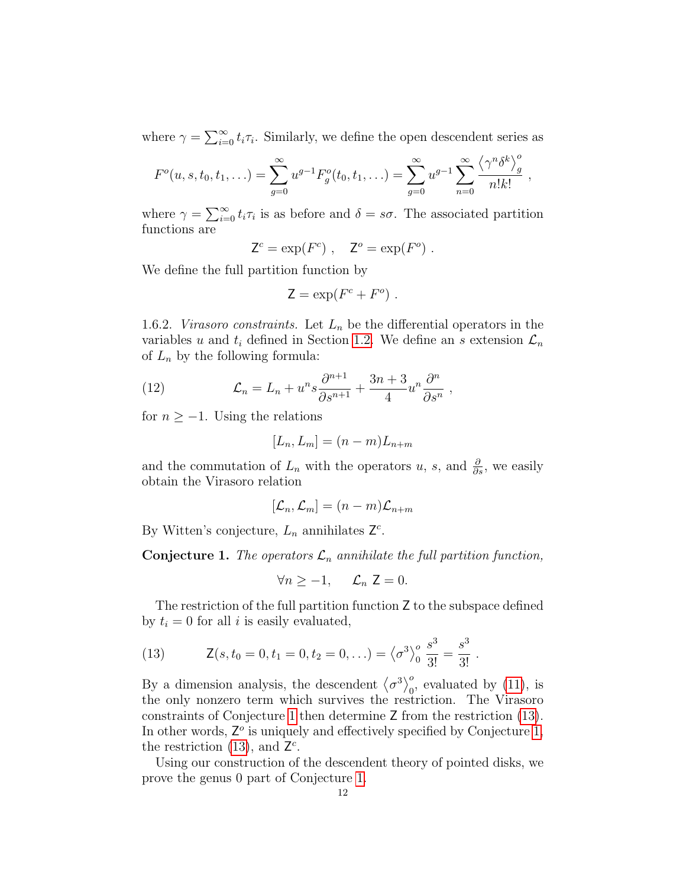where  $\gamma = \sum_{i=0}^{\infty} t_i \tau_i$ . Similarly, we define the open descendent series as

$$
F^{o}(u, s, t_0, t_1, \ldots) = \sum_{g=0}^{\infty} u^{g-1} F^{o}(t_0, t_1, \ldots) = \sum_{g=0}^{\infty} u^{g-1} \sum_{n=0}^{\infty} \frac{\langle \gamma^n \delta^k \rangle_g^o}{n! k!},
$$

where  $\gamma = \sum_{i=0}^{\infty} t_i \tau_i$  is as before and  $\delta = s\sigma$ . The associated partition functions are

 $\mathsf{Z}^c = \exp(F^c)$ ,  $\mathsf{Z}^o = \exp(F^o)$ .

We define the full partition function by

$$
\mathsf{Z} = \exp(F^c + F^o) \; .
$$

<span id="page-11-0"></span>1.6.2. Virasoro constraints. Let  $L_n$  be the differential operators in the variables u and  $t_i$  defined in Section [1.2.](#page-2-0) We define an s extension  $\mathcal{L}_n$ of  $L_n$  by the following formula:

(12) 
$$
\mathcal{L}_n = L_n + u^n s \frac{\partial^{n+1}}{\partial s^{n+1}} + \frac{3n+3}{4} u^n \frac{\partial^n}{\partial s^n} ,
$$

for  $n \geq -1$ . Using the relations

$$
[L_n, L_m] = (n-m)L_{n+m}
$$

and the commutation of  $L_n$  with the operators u, s, and  $\frac{\partial}{\partial s}$ , we easily obtain the Virasoro relation

$$
[\mathcal{L}_n,\mathcal{L}_m]=(n-m)\mathcal{L}_{n+m}
$$

By Witten's conjecture,  $L_n$  annihilates  $\mathsf{Z}^c$ .

<span id="page-11-1"></span>**Conjecture 1.** The operators  $\mathcal{L}_n$  annihilate the full partition function,

$$
\forall n \ge -1, \quad \mathcal{L}_n \mathsf{Z} = 0.
$$

The restriction of the full partition function Z to the subspace defined by  $t_i = 0$  for all i is easily evaluated,

<span id="page-11-2"></span>(13) 
$$
\mathsf{Z}(s,t_0=0,t_1=0,t_2=0,\ldots)=\left\langle \sigma^3 \right\rangle_0^o \frac{s^3}{3!}=\frac{s^3}{3!}.
$$

By a dimension analysis, the descendent  $\langle \sigma^3 \rangle_0^o$ , evaluated by [\(11\)](#page-8-2), is the only nonzero term which survives the restriction. The Virasoro constraints of Conjecture [1](#page-11-1) then determine Z from the restriction [\(13\)](#page-11-2). In other words,  $Z^o$  is uniquely and effectively specified by Conjecture [1,](#page-11-1) the restriction [\(13\)](#page-11-2), and  $\mathsf{Z}^c$ .

Using our construction of the descendent theory of pointed disks, we prove the genus 0 part of Conjecture [1.](#page-11-1)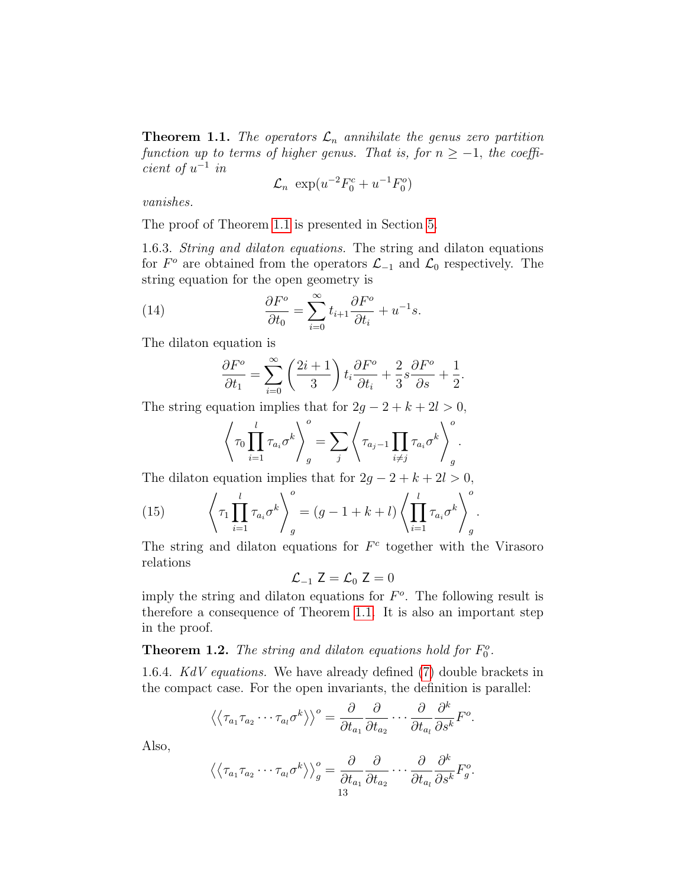<span id="page-12-2"></span>**Theorem 1.1.** The operators  $\mathcal{L}_n$  annihilate the genus zero partition function up to terms of higher genus. That is, for  $n \geq -1$ , the coeffi $cient of u^{-1}$  in

$$
\mathcal{L}_n \exp(u^{-2}F_0^c + u^{-1}F_0^o)
$$

vanishes.

The proof of Theorem [1.1](#page-12-2) is presented in Section [5.](#page-71-0)

<span id="page-12-0"></span>1.6.3. String and dilaton equations. The string and dilaton equations for  $F^o$  are obtained from the operators  $\mathcal{L}_{-1}$  and  $\mathcal{L}_0$  respectively. The string equation for the open geometry is

(14) 
$$
\frac{\partial F^o}{\partial t_0} = \sum_{i=0}^{\infty} t_{i+1} \frac{\partial F^o}{\partial t_i} + u^{-1} s.
$$

The dilaton equation is

<span id="page-12-3"></span>
$$
\frac{\partial F^o}{\partial t_1} = \sum_{i=0}^{\infty} \left( \frac{2i+1}{3} \right) t_i \frac{\partial F^o}{\partial t_i} + \frac{2}{3} s \frac{\partial F^o}{\partial s} + \frac{1}{2}.
$$

The string equation implies that for  $2g - 2 + k + 2l > 0$ ,

$$
\left\langle \tau_0 \prod_{i=1}^l \tau_{a_i} \sigma^k \right\rangle_g^o = \sum_j \left\langle \tau_{a_j-1} \prod_{i \neq j} \tau_{a_i} \sigma^k \right\rangle_g^o.
$$

The dilaton equation implies that for  $2g - 2 + k + 2l > 0$ ,

(15) 
$$
\left\langle \tau_1 \prod_{i=1}^l \tau_{a_i} \sigma^k \right\rangle_g^o = (g - 1 + k + l) \left\langle \prod_{i=1}^l \tau_{a_i} \sigma^k \right\rangle_g^o.
$$

The string and dilaton equations for  $F<sup>c</sup>$  together with the Virasoro relations

$$
\mathcal{L}_{-1} Z = \mathcal{L}_0 Z = 0
$$

imply the string and dilaton equations for  $F<sup>o</sup>$ . The following result is therefore a consequence of Theorem [1.1.](#page-12-2) It is also an important step in the proof.

<span id="page-12-4"></span>**Theorem 1.2.** The string and dilaton equations hold for  $F_0^o$ .

<span id="page-12-1"></span>1.6.4. KdV equations. We have already defined [\(7\)](#page-4-2) double brackets in the compact case. For the open invariants, the definition is parallel:

$$
\langle \langle \tau_{a_1} \tau_{a_2} \cdots \tau_{a_l} \sigma^k \rangle \rangle^o = \frac{\partial}{\partial t_{a_1}} \frac{\partial}{\partial t_{a_2}} \cdots \frac{\partial}{\partial t_{a_l}} \frac{\partial^k}{\partial s^k} F^o.
$$

Also,

$$
\left\langle \left\langle \tau_{a_1} \tau_{a_2} \cdots \tau_{a_l} \sigma^k \right\rangle \right\rangle_g^o = \frac{\partial}{\partial t_{a_1}} \frac{\partial}{\partial t_{a_2}} \cdots \frac{\partial}{\partial t_{a_l}} \frac{\partial^k}{\partial s^k} F_g^o.
$$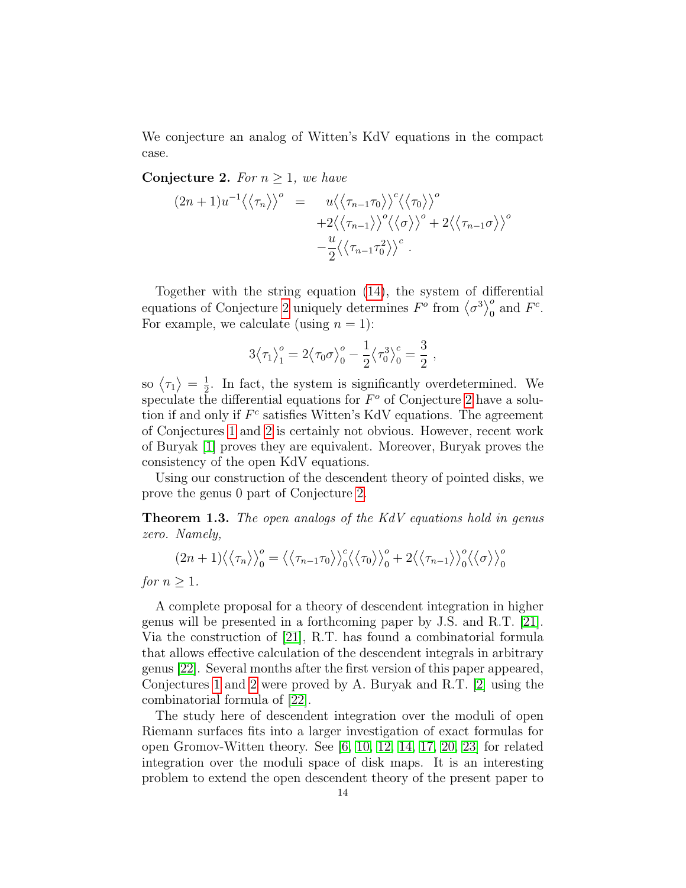We conjecture an analog of Witten's KdV equations in the compact case.

<span id="page-13-1"></span>Conjecture 2. For  $n \geq 1$ , we have

$$
(2n+1)u^{-1}\langle\langle\tau_n\rangle\rangle^o = u\langle\langle\tau_{n-1}\tau_0\rangle\rangle^c \langle\langle\tau_0\rangle\rangle^o
$$
  
 
$$
+2\langle\langle\tau_{n-1}\rangle\rangle^o \langle\langle\sigma\rangle\rangle^o + 2\langle\langle\tau_{n-1}\sigma\rangle\rangle^o
$$
  
 
$$
-\frac{u}{2}\langle\langle\tau_{n-1}\tau_0^2\rangle\rangle^c.
$$

Together with the string equation [\(14\)](#page-12-3), the system of differential equations of Conjecture [2](#page-13-1) uniquely determines  $F^{\sigma}$  from  $\langle \sigma^3 \rangle_0^{\sigma}$  and  $F^c$ . For example, we calculate (using  $n = 1$ ):

$$
3\langle \tau_1 \rangle_1^o = 2\langle \tau_0 \sigma \rangle_0^o - \frac{1}{2} \langle \tau_0^3 \rangle_0^c = \frac{3}{2} ,
$$

so  $\langle \tau_1 \rangle = \frac{1}{2}$  $\frac{1}{2}$ . In fact, the system is significantly overdetermined. We speculate the differential equations for  $F^o$  of Conjecture [2](#page-13-1) have a solution if and only if  $F<sup>c</sup>$  satisfies Witten's KdV equations. The agreement of Conjectures [1](#page-11-1) and [2](#page-13-1) is certainly not obvious. However, recent work of Buryak [\[1\]](#page-83-7) proves they are equivalent. Moreover, Buryak proves the consistency of the open KdV equations.

Using our construction of the descendent theory of pointed disks, we prove the genus 0 part of Conjecture [2.](#page-13-1)

<span id="page-13-0"></span>Theorem 1.3. The open analogs of the KdV equations hold in genus zero. Namely,

$$
(2n+1)\langle\langle\tau_n\rangle\rangle_0^o = \langle\langle\tau_{n-1}\tau_0\rangle\rangle_0^c \langle\langle\tau_0\rangle\rangle_0^o + 2\langle\langle\tau_{n-1}\rangle\rangle_0^o \langle\langle\sigma\rangle\rangle_0^o
$$

for  $n > 1$ .

A complete proposal for a theory of descendent integration in higher genus will be presented in a forthcoming paper by J.S. and R.T. [\[21\]](#page-84-3). Via the construction of [\[21\]](#page-84-3), R.T. has found a combinatorial formula that allows effective calculation of the descendent integrals in arbitrary genus [\[22\]](#page-84-5). Several months after the first version of this paper appeared, Conjectures [1](#page-11-1) and [2](#page-13-1) were proved by A. Buryak and R.T. [\[2\]](#page-83-8) using the combinatorial formula of [\[22\]](#page-84-5).

The study here of descendent integration over the moduli of open Riemann surfaces fits into a larger investigation of exact formulas for open Gromov-Witten theory. See [\[6,](#page-83-9) [10,](#page-83-10) [12,](#page-83-11) [14,](#page-83-5) [17,](#page-84-6) [20,](#page-84-7) [23\]](#page-84-8) for related integration over the moduli space of disk maps. It is an interesting problem to extend the open descendent theory of the present paper to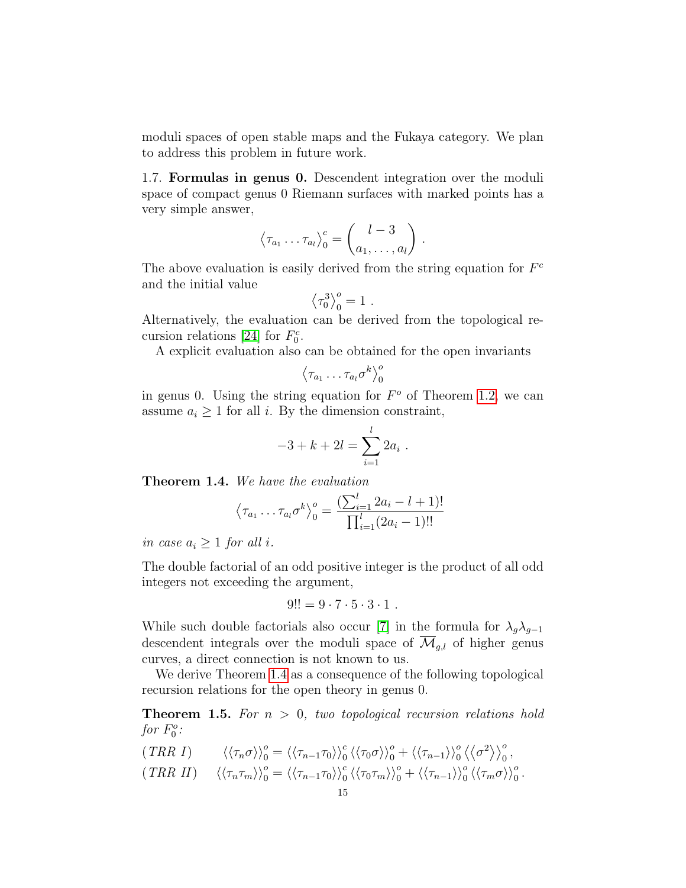moduli spaces of open stable maps and the Fukaya category. We plan to address this problem in future work.

<span id="page-14-0"></span>1.7. Formulas in genus 0. Descendent integration over the moduli space of compact genus 0 Riemann surfaces with marked points has a very simple answer,

$$
\langle \tau_{a_1} \dots \tau_{a_l} \rangle_0^c = \begin{pmatrix} l-3 \\ a_1, \dots, a_l \end{pmatrix}.
$$

The above evaluation is easily derived from the string equation for  $F<sup>c</sup>$ and the initial value

$$
\left\langle \tau _{0}^{3}\right\rangle _{0}^{o}=1\ .
$$

Alternatively, the evaluation can be derived from the topological re-cursion relations [\[24\]](#page-84-1) for  $F_0^c$ .

A explicit evaluation also can be obtained for the open invariants

$$
\left\langle \tau_{a_1} \ldots \tau_{a_l} \sigma^k \right\rangle_0^o
$$

in genus 0. Using the string equation for  $F^{\circ}$  of Theorem [1.2,](#page-12-4) we can assume  $a_i \geq 1$  for all i. By the dimension constraint,

$$
-3 + k + 2l = \sum_{i=1}^{l} 2a_i.
$$

<span id="page-14-1"></span>Theorem 1.4. We have the evaluation

$$
\langle \tau_{a_1} \dots \tau_{a_l} \sigma^k \rangle_0^o = \frac{\left( \sum_{i=1}^l 2a_i - l + 1 \right)!}{\prod_{i=1}^l (2a_i - 1)!!}
$$

in case  $a_i \geq 1$  for all i.

The double factorial of an odd positive integer is the product of all odd integers not exceeding the argument,

$$
9!! = 9 \cdot 7 \cdot 5 \cdot 3 \cdot 1.
$$

While such double factorials also occur [\[7\]](#page-83-12) in the formula for  $\lambda_g \lambda_{g-1}$ descendent integrals over the moduli space of  $\mathcal{M}_{q,l}$  of higher genus curves, a direct connection is not known to us.

We derive Theorem [1.4](#page-14-1) as a consequence of the following topological recursion relations for the open theory in genus 0.

**Theorem 1.5.** For  $n > 0$ , two topological recursion relations hold for  $F_0^o$ :

$$
(TRR I) \qquad \langle \langle \tau_n \sigma \rangle \rangle_0^o = \langle \langle \tau_{n-1} \tau_0 \rangle \rangle_0^c \langle \langle \tau_0 \sigma \rangle \rangle_0^o + \langle \langle \tau_{n-1} \rangle \rangle_0^o \langle \langle \sigma^2 \rangle \rangle_0^o,
$$
  

$$
(TRR II) \qquad \langle \langle \tau_n \tau_m \rangle \rangle_0^o = \langle \langle \tau_{n-1} \tau_0 \rangle \rangle_0^c \langle \langle \tau_0 \tau_m \rangle \rangle_0^o + \langle \langle \tau_{n-1} \rangle \rangle_0^o \langle \langle \tau_m \sigma \rangle \rangle_0^o.
$$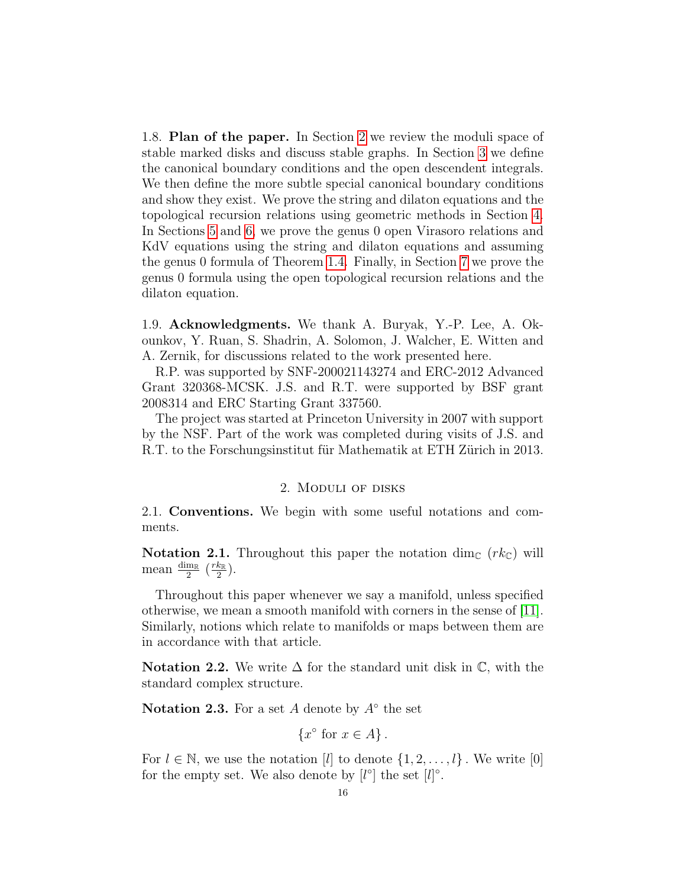<span id="page-15-0"></span>1.8. Plan of the paper. In Section [2](#page-15-2) we review the moduli space of stable marked disks and discuss stable graphs. In Section [3](#page-26-0) we define the canonical boundary conditions and the open descendent integrals. We then define the more subtle special canonical boundary conditions and show they exist. We prove the string and dilaton equations and the topological recursion relations using geometric methods in Section [4.](#page-53-0) In Sections [5](#page-71-0) and [6,](#page-74-0) we prove the genus 0 open Virasoro relations and KdV equations using the string and dilaton equations and assuming the genus 0 formula of Theorem [1.4.](#page-14-1) Finally, in Section [7](#page-75-1) we prove the genus 0 formula using the open topological recursion relations and the dilaton equation.

<span id="page-15-1"></span>1.9. Acknowledgments. We thank A. Buryak, Y.-P. Lee, A. Okounkov, Y. Ruan, S. Shadrin, A. Solomon, J. Walcher, E. Witten and A. Zernik, for discussions related to the work presented here.

R.P. was supported by SNF-200021143274 and ERC-2012 Advanced Grant 320368-MCSK. J.S. and R.T. were supported by BSF grant 2008314 and ERC Starting Grant 337560.

The project was started at Princeton University in 2007 with support by the NSF. Part of the work was completed during visits of J.S. and R.T. to the Forschungsinstitut für Mathematik at ETH Zürich in 2013.

#### 2. Moduli of disks

<span id="page-15-3"></span><span id="page-15-2"></span>2.1. Conventions. We begin with some useful notations and comments.

**Notation 2.1.** Throughout this paper the notation dim<sub>C</sub>  $(rk<sub>C</sub>)$  will mean  $\frac{\dim_{\mathbb{R}}}{2}$   $(\frac{rk_{\mathbb{R}}}{2})$  $\frac{k_{\mathbb{R}}}{2}\big).$ 

Throughout this paper whenever we say a manifold, unless specified otherwise, we mean a smooth manifold with corners in the sense of [\[11\]](#page-83-13). Similarly, notions which relate to manifolds or maps between them are in accordance with that article.

Notation 2.2. We write  $\Delta$  for the standard unit disk in  $\mathbb{C}$ , with the standard complex structure.

Notation 2.3. For a set  $A$  denote by  $A^{\circ}$  the set

 ${x^{\circ}$  for  $x \in A}.$ 

For  $l \in \mathbb{N}$ , we use the notation [l] to denote  $\{1, 2, \ldots, l\}$ . We write [0] for the empty set. We also denote by  $[l^{\circ}]$  the set  $[l]^{\circ}$ .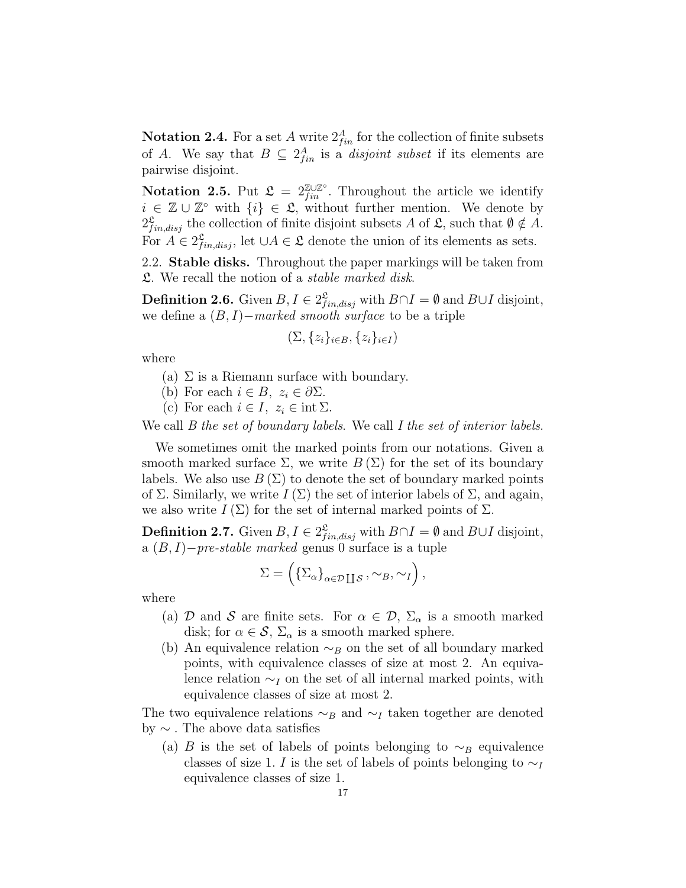**Notation 2.4.** For a set A write  $2_{fin}^A$  for the collection of finite subsets of A. We say that  $B \subseteq 2^A_{fin}$  is a *disjoint subset* if its elements are pairwise disjoint.

Notation 2.5. Put  $\mathfrak{L} = 2^{\mathbb{Z} \cup \mathbb{Z}^{\circ}}_{fin}$ . Throughout the article we identify  $i \in \mathbb{Z} \cup \mathbb{Z}^{\circ}$  with  $\{i\} \in \mathcal{L}$ , without further mention. We denote by  $2_{fin,disj}^{\mathfrak{L}}$  the collection of finite disjoint subsets A of  $\mathfrak{L}$ , such that  $\emptyset \notin A$ . For  $A \in 2^{\mathfrak{L}}_{fin,disj}$ , let  $\cup A \in \mathfrak{L}$  denote the union of its elements as sets.

<span id="page-16-0"></span>2.2. Stable disks. Throughout the paper markings will be taken from L. We recall the notion of a stable marked disk.

**Definition 2.6.** Given  $B, I \in 2^{\mathfrak{L}}_{fin,disj}$  with  $B \cap I = \emptyset$  and  $B \cup I$  disjoint, we define a  $(B, I)$ −marked smooth surface to be a triple

$$
(\Sigma, \{z_i\}_{i \in B}, \{z_i\}_{i \in I})
$$

where

- (a)  $\Sigma$  is a Riemann surface with boundary.
- (b) For each  $i \in B$ ,  $z_i \in \partial \Sigma$ .
- (c) For each  $i \in I$ ,  $z_i \in \text{int } \Sigma$ .

We call *B* the set of boundary labels. We call *I* the set of interior labels.

We sometimes omit the marked points from our notations. Given a smooth marked surface  $\Sigma$ , we write  $B(\Sigma)$  for the set of its boundary labels. We also use  $B(\Sigma)$  to denote the set of boundary marked points of  $\Sigma$ . Similarly, we write  $I(\Sigma)$  the set of interior labels of  $\Sigma$ , and again, we also write  $I(\Sigma)$  for the set of internal marked points of  $\Sigma$ .

<span id="page-16-1"></span>**Definition 2.7.** Given  $B, I \in 2^{\mathfrak{L}}_{fin,disj}$  with  $B \cap I = \emptyset$  and  $B \cup I$  disjoint, a  $(B, I)-pre-stable$  marked genus 0 surface is a tuple

$$
\Sigma = \left( \{ \Sigma_{\alpha} \}_{\alpha \in \mathcal{D} \coprod \mathcal{S}}, \sim_B, \sim_I \right),
$$

where

- (a) D and S are finite sets. For  $\alpha \in \mathcal{D}$ ,  $\Sigma_{\alpha}$  is a smooth marked disk; for  $\alpha \in \mathcal{S}$ ,  $\Sigma_{\alpha}$  is a smooth marked sphere.
- (b) An equivalence relation  $\sim_B$  on the set of all boundary marked points, with equivalence classes of size at most 2. An equivalence relation  $\sim_I$  on the set of all internal marked points, with equivalence classes of size at most 2.

The two equivalence relations  $\sim_B$  and  $\sim_I$  taken together are denoted by ∼ . The above data satisfies

(a) B is the set of labels of points belonging to  $\sim_B$  equivalence classes of size 1. I is the set of labels of points belonging to  $\sim_I$ equivalence classes of size 1.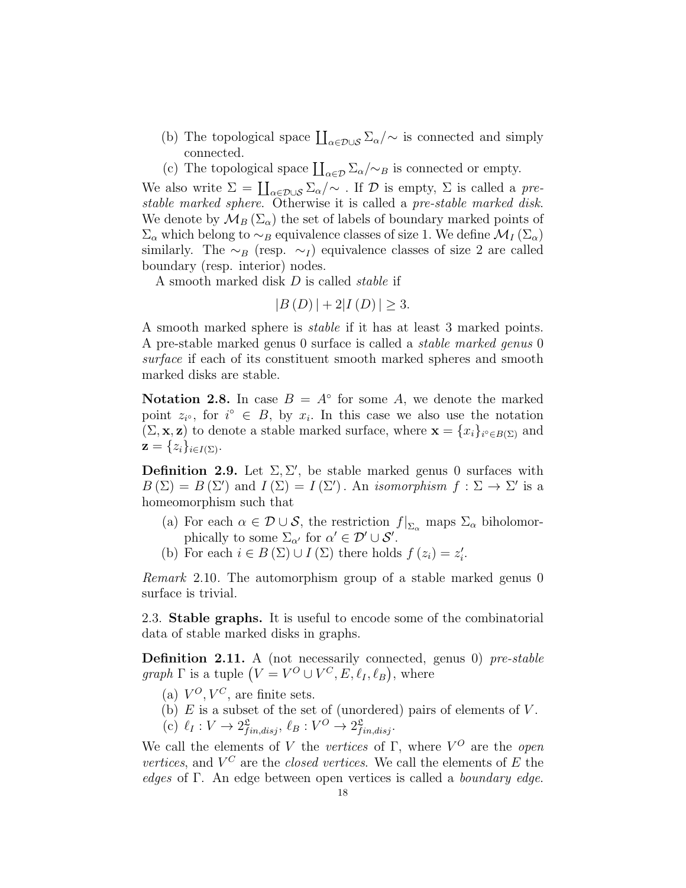- (b) The topological space  $\prod_{\alpha \in \mathcal{D} \cup \mathcal{S}} \Sigma_{\alpha}/\sim$  is connected and simply connected.
- <span id="page-17-1"></span>(c) The topological space  $\prod_{\alpha \in \mathcal{D}} \sum_{\alpha} / {\sim_B}$  is connected or empty.

We also write  $\Sigma = \coprod_{\alpha \in \mathcal{D} \cup \mathcal{S}} \Sigma_{\alpha}/\sim$  . If  $\mathcal D$  is empty,  $\Sigma$  is called a prestable marked sphere. Otherwise it is called a pre-stable marked disk. We denote by  $\mathcal{M}_B(\Sigma_\alpha)$  the set of labels of boundary marked points of  $\Sigma_{\alpha}$  which belong to ~<sub>B</sub> equivalence classes of size 1. We define  $\mathcal{M}_I(\Sigma_{\alpha})$ similarly. The  $\sim_B$  (resp.  $\sim_I$ ) equivalence classes of size 2 are called boundary (resp. interior) nodes.

A smooth marked disk D is called stable if

$$
|B(D)| + 2|I(D)| \ge 3.
$$

A smooth marked sphere is stable if it has at least 3 marked points. A pre-stable marked genus 0 surface is called a stable marked genus 0 surface if each of its constituent smooth marked spheres and smooth marked disks are stable.

Notation 2.8. In case  $B = A^{\circ}$  for some A, we denote the marked point  $z_i$ , for  $i^{\circ} \in B$ , by  $x_i$ . In this case we also use the notation  $(\Sigma, \mathbf{x}, \mathbf{z})$  to denote a stable marked surface, where  $\mathbf{x} = \{x_i\}_{i \in B(\Sigma)}$  and  $\mathbf{z} = \{z_i\}_{i \in I(\Sigma)}.$ 

**Definition 2.9.** Let  $\Sigma, \Sigma'$ , be stable marked genus 0 surfaces with  $B(\Sigma) = B(\Sigma')$  and  $I(\Sigma) = I(\Sigma')$ . An isomorphism  $f : \Sigma \to \Sigma'$  is a homeomorphism such that

- (a) For each  $\alpha \in \mathcal{D} \cup \mathcal{S}$ , the restriction  $f|_{\Sigma_{\alpha}}$  maps  $\Sigma_{\alpha}$  biholomorphically to some  $\Sigma_{\alpha'}$  for  $\alpha' \in \mathcal{D}' \cup \mathcal{S}'$ .
- (b) For each  $i \in B(\Sigma) \cup I(\Sigma)$  there holds  $f(z_i) = z'_i$ .

Remark 2.10. The automorphism group of a stable marked genus 0 surface is trivial.

<span id="page-17-0"></span>2.3. Stable graphs. It is useful to encode some of the combinatorial data of stable marked disks in graphs.

<span id="page-17-2"></span>Definition 2.11. A (not necessarily connected, genus 0) pre-stable graph  $\Gamma$  is a tuple  $(V = V^O \cup V^C, E, \ell_I, \ell_B)$ , where

- (a)  $V^O, V^C$ , are finite sets.
- (b)  $E$  is a subset of the set of (unordered) pairs of elements of  $V$ .

(c)  $\ell_I : V \to 2^{\mathfrak{L}}_{fin,disj}, \ell_B : V^O \to 2^{\mathfrak{L}}_{fin,disj}.$ 

We call the elements of V the vertices of  $\Gamma$ , where  $V^O$  are the open vertices, and  $V^C$  are the closed vertices. We call the elements of E the edges of Γ. An edge between open vertices is called a boundary edge.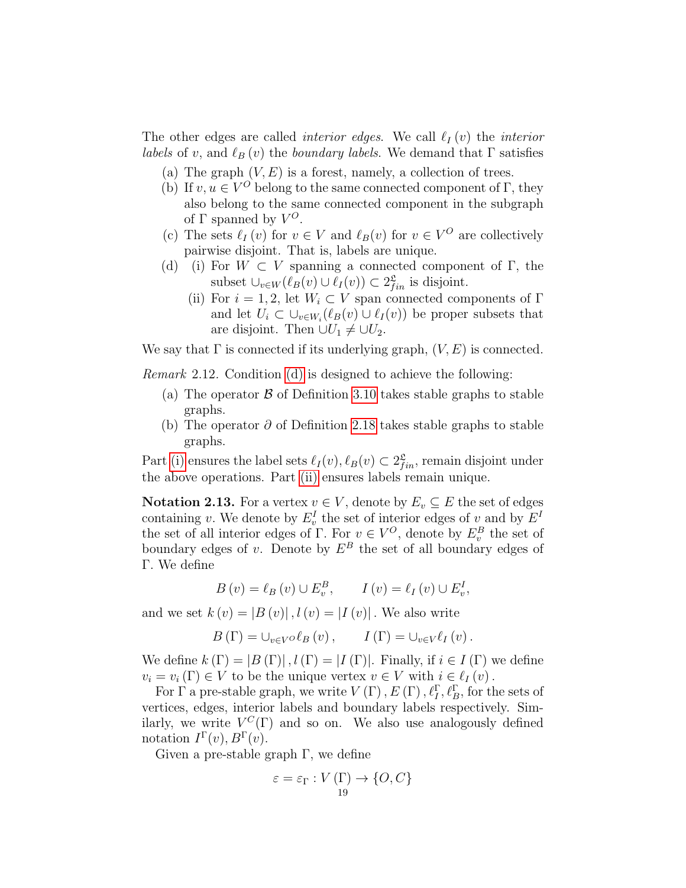The other edges are called *interior edges*. We call  $\ell_I (v)$  the *interior labels* of v, and  $\ell_B (v)$  the *boundary labels*. We demand that  $\Gamma$  satisfies

- (a) The graph  $(V, E)$  is a forest, namely, a collection of trees.
- <span id="page-18-2"></span>(b) If  $v, u \in V^O$  belong to the same connected component of  $\Gamma$ , they also belong to the same connected component in the subgraph of  $\Gamma$  spanned by  $V^O$ .
- (c) The sets  $\ell_I (v)$  for  $v \in V$  and  $\ell_B (v)$  for  $v \in V^O$  are collectively pairwise disjoint. That is, labels are unique.
- <span id="page-18-1"></span><span id="page-18-0"></span>(d) (i) For  $W \subset V$  spanning a connected component of Γ, the subset  $\cup_{v \in W} (\ell_B(v) \cup \ell_I(v)) \subset 2_{fin}^{\mathfrak{L}}$  is disjoint.
	- (ii) For  $i = 1, 2$ , let  $W_i \subset V$  span connected components of  $\Gamma$ and let  $U_i \subset \bigcup_{v \in W_i} (\ell_B(v) \cup \ell_I(v))$  be proper subsets that are disjoint. Then  $\cup U_1 \neq \cup U_2$ .

We say that  $\Gamma$  is connected if its underlying graph,  $(V, E)$  is connected.

Remark 2.12. Condition [\(d\)](#page-18-0) is designed to achieve the following:

- (a) The operator  $\beta$  of Definition [3.10](#page-30-0) takes stable graphs to stable graphs.
- (b) The operator  $\partial$  of Definition [2.18](#page-20-1) takes stable graphs to stable graphs.

Part [\(i\)](#page-18-0) ensures the label sets  $\ell_I(v), \ell_B(v) \subset 2_{fin}^{\mathfrak{L}}$ , remain disjoint under the above operations. Part [\(ii\)](#page-18-1) ensures labels remain unique.

**Notation 2.13.** For a vertex  $v \in V$ , denote by  $E_v \subseteq E$  the set of edges containing v. We denote by  $E_v^I$  the set of interior edges of v and by  $E^I$ the set of all interior edges of Γ. For  $v \in V^O$ , denote by  $E_v^B$  the set of boundary edges of v. Denote by  $E^B$  the set of all boundary edges of Γ. We define

$$
B(v) = \ell_B(v) \cup E_v^B, \qquad I(v) = \ell_I(v) \cup E_v^I,
$$

and we set  $k(v) = |B(v)|$ ,  $l(v) = |I(v)|$ . We also write

$$
B(\Gamma) = \bigcup_{v \in V} \mathcal{O}\ell_B(v), \qquad I(\Gamma) = \bigcup_{v \in V} \ell_I(v).
$$

We define  $k(\Gamma) = |B(\Gamma)|$ ,  $l(\Gamma) = |I(\Gamma)|$ . Finally, if  $i \in I(\Gamma)$  we define  $v_i = v_i (\Gamma) \in V$  to be the unique vertex  $v \in V$  with  $i \in \ell_I (v)$ .

For  $\Gamma$  a pre-stable graph, we write  $V(\Gamma)$ ,  $E(\Gamma)$ ,  $\ell_I^{\Gamma}$ ,  $\ell_B^{\Gamma}$ , for the sets of vertices, edges, interior labels and boundary labels respectively. Similarly, we write  $V^C(\Gamma)$  and so on. We also use analogously defined notation  $I^{\Gamma}(v)$ ,  $B^{\Gamma}(v)$ .

Given a pre-stable graph  $\Gamma$ , we define

$$
\varepsilon = \varepsilon_{\Gamma}: V(\Gamma) \to \{O, C\}
$$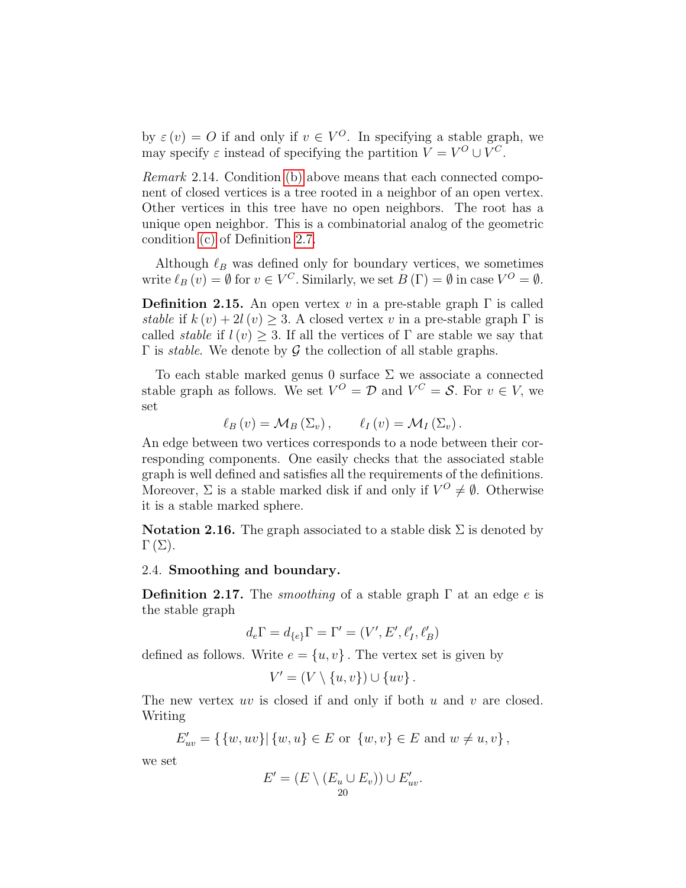by  $\varepsilon(v) = O$  if and only if  $v \in V^O$ . In specifying a stable graph, we may specify  $\varepsilon$  instead of specifying the partition  $V = V^O \cup V^C$ .

Remark 2.14. Condition [\(b\)](#page-18-2) above means that each connected component of closed vertices is a tree rooted in a neighbor of an open vertex. Other vertices in this tree have no open neighbors. The root has a unique open neighbor. This is a combinatorial analog of the geometric condition [\(c\)](#page-17-1) of Definition [2.7.](#page-16-1)

Although  $\ell_B$  was defined only for boundary vertices, we sometimes write  $\ell_B(v) = \emptyset$  for  $v \in V^C$ . Similarly, we set  $B(\Gamma) = \emptyset$  in case  $V^O = \emptyset$ .

**Definition 2.15.** An open vertex v in a pre-stable graph  $\Gamma$  is called stable if  $k(v) + 2l(v) \geq 3$ . A closed vertex v in a pre-stable graph  $\Gamma$  is called *stable* if  $l(v) \geq 3$ . If all the vertices of  $\Gamma$  are stable we say that Γ is *stable*. We denote by  $G$  the collection of all stable graphs.

To each stable marked genus 0 surface  $\Sigma$  we associate a connected stable graph as follows. We set  $V^O = \mathcal{D}$  and  $V^C = \mathcal{S}$ . For  $v \in V$ , we set

$$
\ell_B(v) = \mathcal{M}_B(\Sigma_v), \qquad \ell_I(v) = \mathcal{M}_I(\Sigma_v).
$$

An edge between two vertices corresponds to a node between their corresponding components. One easily checks that the associated stable graph is well defined and satisfies all the requirements of the definitions. Moreover,  $\Sigma$  is a stable marked disk if and only if  $V^O \neq \emptyset$ . Otherwise it is a stable marked sphere.

**Notation 2.16.** The graph associated to a stable disk  $\Sigma$  is denoted by  $\Gamma(\Sigma)$ .

## <span id="page-19-0"></span>2.4. Smoothing and boundary.

<span id="page-19-1"></span>**Definition 2.17.** The *smoothing* of a stable graph  $\Gamma$  at an edge e is the stable graph

$$
d_e\Gamma=d_{\{e\}}\Gamma=\Gamma'=(V',E',\ell'_I,\ell'_B)
$$

defined as follows. Write  $e = \{u, v\}$ . The vertex set is given by

$$
V'=(V\setminus\{u,v\})\cup\{uv\}\,.
$$

The new vertex uv is closed if and only if both u and v are closed. Writing

$$
E'_{uv} = \{ \{w, uv\} | \{w, u\} \in E \text{ or } \{w, v\} \in E \text{ and } w \neq u, v \},
$$

we set

$$
E' = (E \setminus (E_u \cup E_v)) \cup E'_{uv}.
$$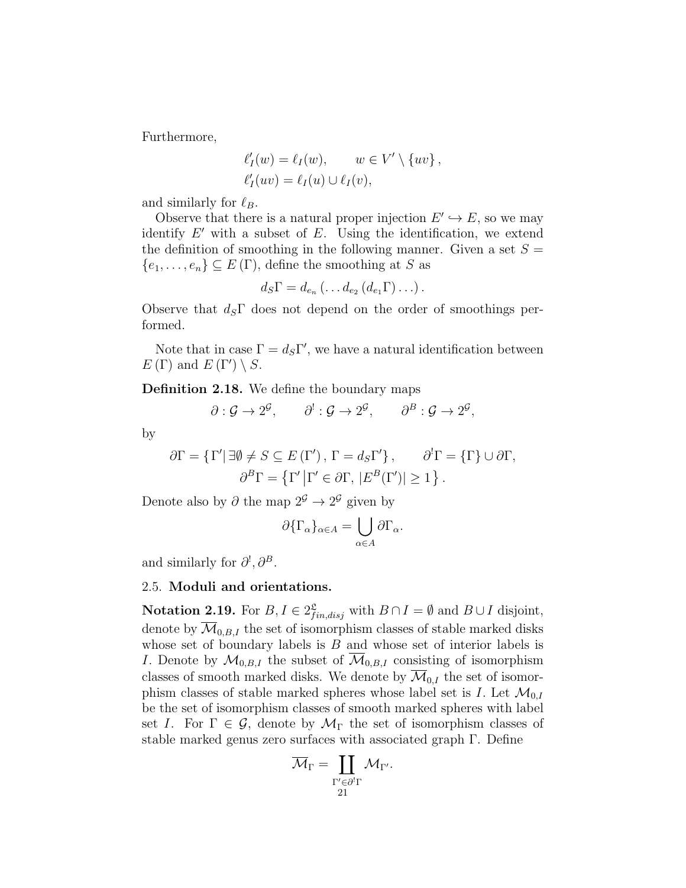Furthermore,

$$
\ell'_I(w) = \ell_I(w), \qquad w \in V' \setminus \{uv\},
$$
  

$$
\ell'_I(uv) = \ell_I(u) \cup \ell_I(v),
$$

and similarly for  $\ell_B$ .

Observe that there is a natural proper injection  $E' \hookrightarrow E$ , so we may identify  $E'$  with a subset of  $E$ . Using the identification, we extend the definition of smoothing in the following manner. Given a set  $S =$  ${e_1, \ldots, e_n} \subseteq E(\Gamma)$ , define the smoothing at S as

$$
d_S\Gamma = d_{e_n}\left(\ldots d_{e_2}\left(d_{e_1}\Gamma\right)\ldots\right).
$$

Observe that  $d_s\Gamma$  does not depend on the order of smoothings performed.

Note that in case  $\Gamma = d_S \Gamma'$ , we have a natural identification between  $E(\Gamma)$  and  $E(\Gamma') \setminus S$ .

<span id="page-20-1"></span>Definition 2.18. We define the boundary maps

$$
\partial: \mathcal{G} \to 2^{\mathcal{G}}, \qquad \partial^!: \mathcal{G} \to 2^{\mathcal{G}}, \qquad \partial^B: \mathcal{G} \to 2^{\mathcal{G}},
$$

by

$$
\partial \Gamma = \{\Gamma' | \exists \emptyset \neq S \subseteq E(\Gamma'), \Gamma = d_S \Gamma' \}, \qquad \partial^l \Gamma = \{\Gamma\} \cup \partial \Gamma,
$$

$$
\partial^B \Gamma = \{\Gamma' | \Gamma' \in \partial \Gamma, |E^B(\Gamma')| \ge 1 \}.
$$

Denote also by  $\partial$  the map  $2^{\mathcal{G}} \to 2^{\mathcal{G}}$  given by

$$
\partial {\{\Gamma_{\alpha}\}}_{\alpha \in A} = \bigcup_{\alpha \in A} \partial {\Gamma_{\alpha}}.
$$

and similarly for  $\partial^{\scriptscriptstyle{\mathrm{I}}}, \partial^{\scriptscriptstyle{\mathrm{B}}}.$ 

# <span id="page-20-0"></span>2.5. Moduli and orientations.

**Notation 2.19.** For  $B, I \in 2^{\mathcal{L}}_{fin,disj}$  with  $B \cap I = \emptyset$  and  $B \cup I$  disjoint, denote by  $\overline{\mathcal{M}}_{0,B,I}$  the set of isomorphism classes of stable marked disks whose set of boundary labels is  $B$  and whose set of interior labels is *I*. Denote by  $\mathcal{M}_{0,B,I}$  the subset of  $\overline{\mathcal{M}}_{0,B,I}$  consisting of isomorphism classes of smooth marked disks. We denote by  $\overline{\mathcal{M}}_{0,I}$  the set of isomorphism classes of stable marked spheres whose label set is I. Let  $\mathcal{M}_{0,I}$ be the set of isomorphism classes of smooth marked spheres with label set I. For  $\Gamma \in \mathcal{G}$ , denote by  $\mathcal{M}_{\Gamma}$  the set of isomorphism classes of stable marked genus zero surfaces with associated graph Γ. Define

$$
\overline{\mathcal{M}}_{\Gamma} = \coprod_{\substack{\Gamma' \in \partial^! \Gamma \\ 21}} \mathcal{M}_{\Gamma'}.
$$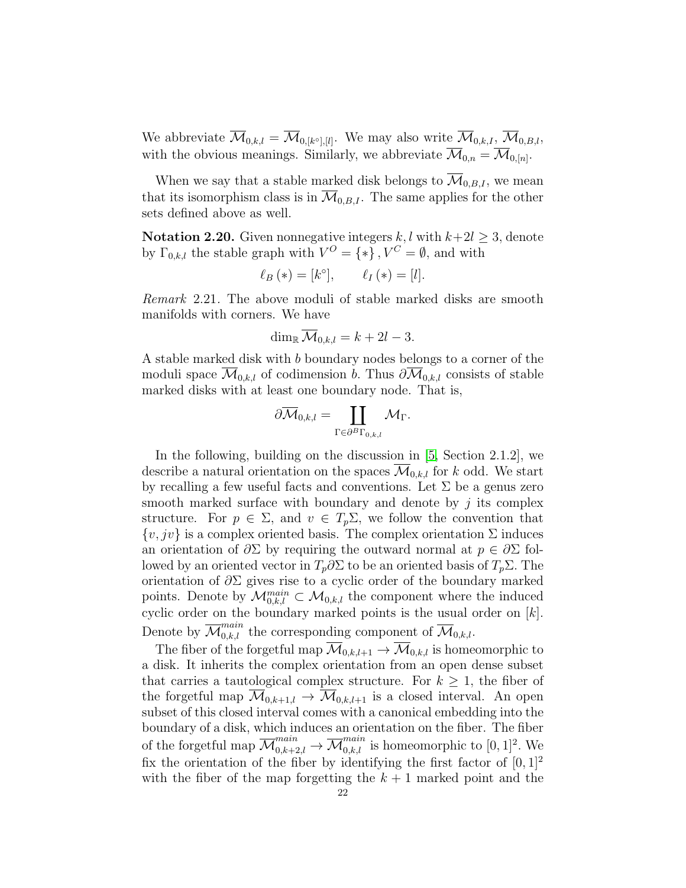We abbreviate  $\mathcal{M}_{0,k,l} = \mathcal{M}_{0,[k^{\circ}], [l]}$ . We may also write  $\mathcal{M}_{0,k,l}, \mathcal{M}_{0,B,l}$ , with the obvious meanings. Similarly, we abbreviate  $\mathcal{M}_{0,n} = \mathcal{M}_{0,[n]}$ .

When we say that a stable marked disk belongs to  $\overline{\mathcal{M}}_{0,B,I}$ , we mean that its isomorphism class is in  $\mathcal{M}_{0,B,I}$ . The same applies for the other sets defined above as well.

**Notation 2.20.** Given nonnegative integers k, l with  $k+2l \geq 3$ , denote by  $\Gamma_{0,k,l}$  the stable graph with  $V^O = \{ * \}$ ,  $V^C = \emptyset$ , and with

$$
\ell_B(\ast) = [k^\circ], \qquad \ell_I(\ast) = [l].
$$

Remark 2.21. The above moduli of stable marked disks are smooth manifolds with corners. We have

$$
\dim_{\mathbb{R}}\overline{\mathcal{M}}_{0,k,l}=k+2l-3.
$$

A stable marked disk with b boundary nodes belongs to a corner of the moduli space  $\mathcal{M}_{0,k,l}$  of codimension b. Thus  $\partial \mathcal{M}_{0,k,l}$  consists of stable marked disks with at least one boundary node. That is,

$$
\partial \overline{\mathcal{M}}_{0,k,l} = \coprod_{\Gamma \in \partial^B \Gamma_{0,k,l}} \mathcal{M}_{\Gamma}.
$$

In the following, building on the discussion in [\[5,](#page-83-6) Section 2.1.2], we describe a natural orientation on the spaces  $\mathcal{M}_{0,k,l}$  for k odd. We start by recalling a few useful facts and conventions. Let  $\Sigma$  be a genus zero smooth marked surface with boundary and denote by  $j$  its complex structure. For  $p \in \Sigma$ , and  $v \in T_p\Sigma$ , we follow the convention that  $\{v, jv\}$  is a complex oriented basis. The complex orientation  $\Sigma$  induces an orientation of  $\partial \Sigma$  by requiring the outward normal at  $p \in \partial \Sigma$  followed by an oriented vector in  $T_p \partial \Sigma$  to be an oriented basis of  $T_p \Sigma$ . The orientation of  $\partial \Sigma$  gives rise to a cyclic order of the boundary marked points. Denote by  $\mathcal{M}_{0,k,l}^{main} \subset \mathcal{M}_{0,k,l}$  the component where the induced cyclic order on the boundary marked points is the usual order on  $[k]$ . Denote by  $\overline{\mathcal{M}}_{0,k,l}^{main}$  the corresponding component of  $\overline{\mathcal{M}}_{0,k,l}$ .

The fiber of the forgetful map  $\overline{\mathcal{M}}_{0,k,l+1} \to \overline{\mathcal{M}}_{0,k,l}$  is homeomorphic to a disk. It inherits the complex orientation from an open dense subset that carries a tautological complex structure. For  $k \geq 1$ , the fiber of the forgetful map  $\overline{\mathcal{M}}_{0,k+1,l} \to \overline{\mathcal{M}}_{0,k,l+1}$  is a closed interval. An open subset of this closed interval comes with a canonical embedding into the boundary of a disk, which induces an orientation on the fiber. The fiber of the forgetful map  $\overline{\mathcal{M}}_{0,k+2,l}^{main} \to \overline{\mathcal{M}}_{0,k,l}^{main}$  is homeomorphic to  $[0,1]^2$ . We fix the orientation of the fiber by identifying the first factor of  $[0, 1]^2$ with the fiber of the map forgetting the  $k + 1$  marked point and the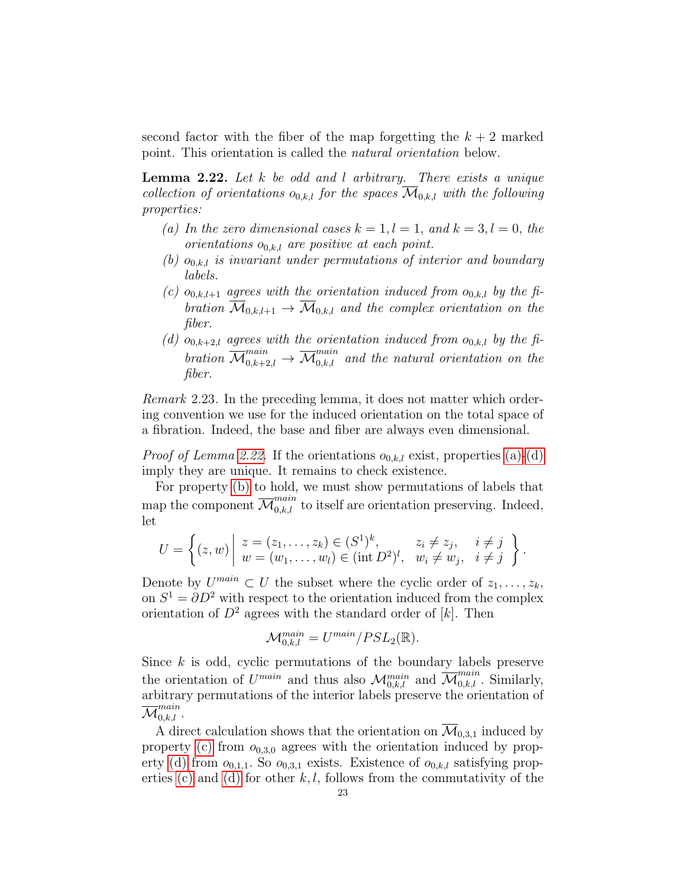second factor with the fiber of the map forgetting the  $k + 2$  marked point. This orientation is called the natural orientation below.

<span id="page-22-0"></span>**Lemma 2.22.** Let  $k$  be odd and  $l$  arbitrary. There exists a unique collection of orientations  $o_{0,k,l}$  for the spaces  $\overline{\mathcal{M}}_{0,k,l}$  with the following properties:

- <span id="page-22-1"></span>(a) In the zero dimensional cases  $k = 1, l = 1,$  and  $k = 3, l = 0,$  the orientations  $o_{0,k,l}$  are positive at each point.
- <span id="page-22-3"></span>(b)  $o_{0,k,l}$  is invariant under permutations of interior and boundary labels.
- <span id="page-22-4"></span>(c)  $o_{0,k,l+1}$  agrees with the orientation induced from  $o_{0,k,l}$  by the fibration  $\overline{\mathcal{M}}_{0,k,l+1} \to \overline{\mathcal{M}}_{0,k,l}$  and the complex orientation on the fiber.
- <span id="page-22-2"></span>(d)  $o_{0,k+2,l}$  agrees with the orientation induced from  $o_{0,k,l}$  by the fibration  $\overline{\mathcal{M}}_{0,k+2,l}^{main}$   $\rightarrow$   $\overline{\mathcal{M}}_{0,k,l}^{main}$  and the natural orientation on the fiber.

Remark 2.23. In the preceding lemma, it does not matter which ordering convention we use for the induced orientation on the total space of a fibration. Indeed, the base and fiber are always even dimensional.

*Proof of Lemma [2.22.](#page-22-0)* If the orientations  $o_{0,k,l}$  exist, properties [\(a\)-](#page-22-1)[\(d\)](#page-22-2) imply they are unique. It remains to check existence.

For property [\(b\)](#page-22-3) to hold, we must show permutations of labels that map the component  $\overline{\mathcal{M}}^{main}_{0,k,l}$  to itself are orientation preserving. Indeed, let

$$
U = \left\{ (z, w) \middle| \begin{array}{l} z = (z_1, \dots, z_k) \in (S^1)^k, & z_i \neq z_j, & i \neq j \\ w = (w_1, \dots, w_l) \in (\text{int } D^2)^l, & w_i \neq w_j, & i \neq j \end{array} \right\}.
$$

Denote by  $U^{main} \subset U$  the subset where the cyclic order of  $z_1, \ldots, z_k$ , on  $S^1 = \partial D^2$  with respect to the orientation induced from the complex orientation of  $D^2$  agrees with the standard order of [k]. Then

$$
\mathcal{M}^{main}_{0,k,l}=U^{main}/PSL_2(\mathbb{R}).
$$

Since  $k$  is odd, cyclic permutations of the boundary labels preserve the orientation of  $U^{main}$  and thus also  $\mathcal{M}_{0,k,l}^{main}$  and  $\overline{\mathcal{M}}_{0,k,l}^{main}$ . Similarly, arbitrary permutations of the interior labels preserve the orientation of  $\overline{\mathcal M}_{0,k,l}^{main}$  .

A direct calculation shows that the orientation on  $\mathcal{M}_{0,3,1}$  induced by property [\(c\)](#page-22-4) from  $o_{0,3,0}$  agrees with the orientation induced by prop-erty [\(d\)](#page-22-2) from  $o_{0,1,1}$ . So  $o_{0,3,1}$  exists. Existence of  $o_{0,k,l}$  satisfying prop-erties [\(c\)](#page-22-4) and [\(d\)](#page-22-2) for other k, l, follows from the commutativity of the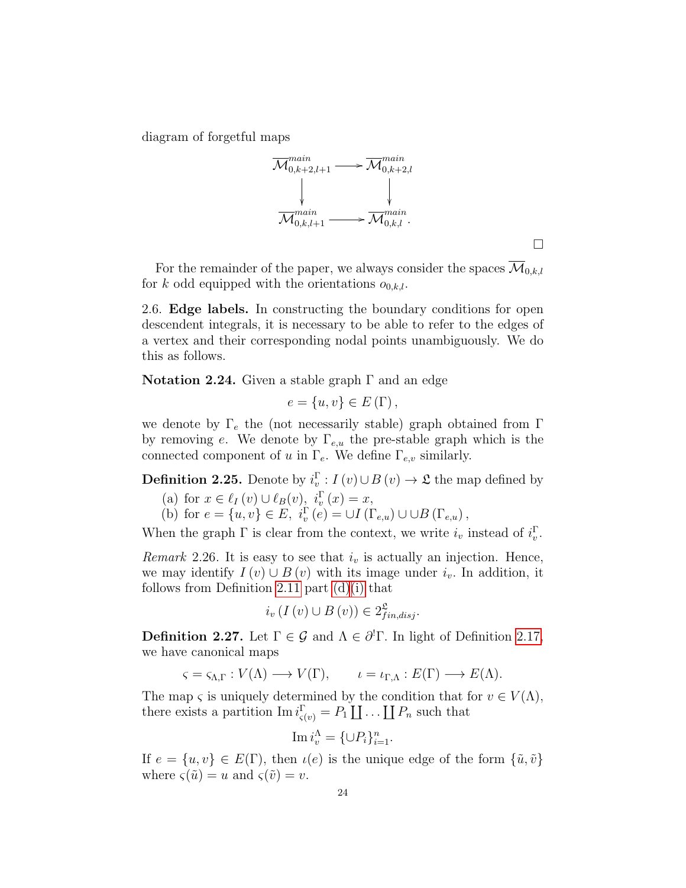diagram of forgetful maps



 $\Box$ 

For the remainder of the paper, we always consider the spaces  $\overline{\mathcal{M}}_{0,k,l}$ for k odd equipped with the orientations  $o_{0,k,l}$ .

<span id="page-23-0"></span>2.6. Edge labels. In constructing the boundary conditions for open descendent integrals, it is necessary to be able to refer to the edges of a vertex and their corresponding nodal points unambiguously. We do this as follows.

Notation 2.24. Given a stable graph  $\Gamma$  and an edge

$$
e = \{u, v\} \in E(\Gamma),
$$

we denote by  $\Gamma_e$  the (not necessarily stable) graph obtained from  $\Gamma$ by removing e. We denote by  $\Gamma_{e,u}$  the pre-stable graph which is the connected component of u in  $\Gamma_e$ . We define  $\Gamma_{e,v}$  similarly.

<span id="page-23-2"></span>**Definition 2.25.** Denote by  $i_v^{\Gamma}$ :  $I(v) \cup B(v) \rightarrow \mathfrak{L}$  the map defined by

(a) for  $x \in \ell_I(v) \cup \ell_B(v)$ ,  $i_v^{\Gamma}(x) = x$ ,

(b) for  $e = \{u, v\} \in E$ ,  $i_v^{\Gamma}(e) = \cup I(\Gamma_{e,u}) \cup \cup B(\Gamma_{e,u})$ ,

When the graph  $\Gamma$  is clear from the context, we write  $i_v$  instead of  $i_v^{\Gamma}$ .

Remark 2.26. It is easy to see that  $i<sub>v</sub>$  is actually an injection. Hence, we may identify  $I(v) \cup B(v)$  with its image under  $i_v$ . In addition, it follows from Definition [2.11](#page-17-2) part  $(d)(i)$  that

$$
i_{v}(I(v) \cup B(v)) \in 2_{fin,disj}^{\mathfrak{L}}.
$$

<span id="page-23-1"></span>**Definition 2.27.** Let  $\Gamma \in \mathcal{G}$  and  $\Lambda \in \partial^1 \Gamma$ . In light of Definition [2.17,](#page-19-1) we have canonical maps

$$
\varsigma = \varsigma_{\Lambda,\Gamma}: V(\Lambda) \longrightarrow V(\Gamma), \qquad \iota = \iota_{\Gamma,\Lambda}: E(\Gamma) \longrightarrow E(\Lambda).
$$

The map  $\varsigma$  is uniquely determined by the condition that for  $v \in V(\Lambda)$ , there exists a partition  $\text{Im } i_{\varsigma(v)}^{\Gamma} = P_1 \coprod \dots \coprod P_n$  such that

$$
\operatorname{Im} i_v^{\Lambda} = \{ \cup P_i \}_{i=1}^n.
$$

If  $e = \{u, v\} \in E(\Gamma)$ , then  $u(e)$  is the unique edge of the form  $\{\tilde{u}, \tilde{v}\}$ where  $\varsigma(\tilde{u}) = u$  and  $\varsigma(\tilde{v}) = v$ .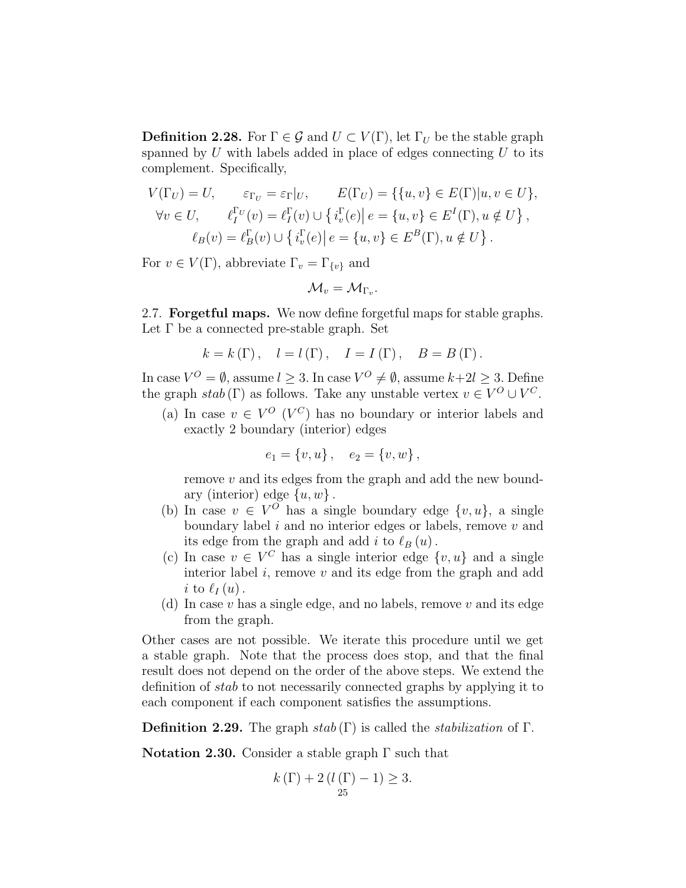<span id="page-24-1"></span>**Definition 2.28.** For  $\Gamma \in \mathcal{G}$  and  $U \subset V(\Gamma)$ , let  $\Gamma_U$  be the stable graph spanned by  $U$  with labels added in place of edges connecting  $U$  to its complement. Specifically,

$$
V(\Gamma_U) = U, \qquad \varepsilon_{\Gamma_U} = \varepsilon_{\Gamma}|_U, \qquad E(\Gamma_U) = \{ \{u, v\} \in E(\Gamma)|u, v \in U \},
$$
  

$$
\forall v \in U, \qquad \ell_I^{\Gamma_U}(v) = \ell_I^{\Gamma}(v) \cup \{ i_v^{\Gamma}(e) | e = \{u, v\} \in E^I(\Gamma), u \notin U \},
$$
  

$$
\ell_B(v) = \ell_B^{\Gamma}(v) \cup \{ i_v^{\Gamma}(e) | e = \{u, v\} \in E^B(\Gamma), u \notin U \}.
$$

For  $v \in V(\Gamma)$ , abbreviate  $\Gamma_v = \Gamma_{\{v\}}$  and

$$
\mathcal{M}_v = \mathcal{M}_{\Gamma_v}.
$$

<span id="page-24-0"></span>2.7. **Forgetful maps.** We now define forgetful maps for stable graphs. Let  $\Gamma$  be a connected pre-stable graph. Set

$$
k = k(\Gamma), \quad l = l(\Gamma), \quad I = I(\Gamma), \quad B = B(\Gamma).
$$

In case  $V^{O} = \emptyset$ , assume  $l \geq 3$ . In case  $V^{O} \neq \emptyset$ , assume  $k+2l \geq 3$ . Define the graph  $stab(\Gamma)$  as follows. Take any unstable vertex  $v \in V^O \cup V^C$ .

(a) In case  $v \in V^O$  ( $V^C$ ) has no boundary or interior labels and exactly 2 boundary (interior) edges

$$
e_1 = \{v, u\} \,, \quad e_2 = \{v, w\} \,,
$$

remove v and its edges from the graph and add the new boundary (interior) edge  $\{u, w\}$ .

- (b) In case  $v \in V^O$  has a single boundary edge  $\{v, u\}$ , a single boundary label  $i$  and no interior edges or labels, remove  $v$  and its edge from the graph and add i to  $\ell_B (u)$ .
- (c) In case  $v \in V^C$  has a single interior edge  $\{v, u\}$  and a single interior label  $i$ , remove  $v$  and its edge from the graph and add i to  $\ell_I(u)$ .
- (d) In case  $v$  has a single edge, and no labels, remove  $v$  and its edge from the graph.

Other cases are not possible. We iterate this procedure until we get a stable graph. Note that the process does stop, and that the final result does not depend on the order of the above steps. We extend the definition of stab to not necessarily connected graphs by applying it to each component if each component satisfies the assumptions.

**Definition 2.29.** The graph  $stab(\Gamma)$  is called the *stabilization* of  $\Gamma$ .

Notation 2.30. Consider a stable graph  $\Gamma$  such that

$$
k(\Gamma) + 2(l(\Gamma) - 1) \ge 3.
$$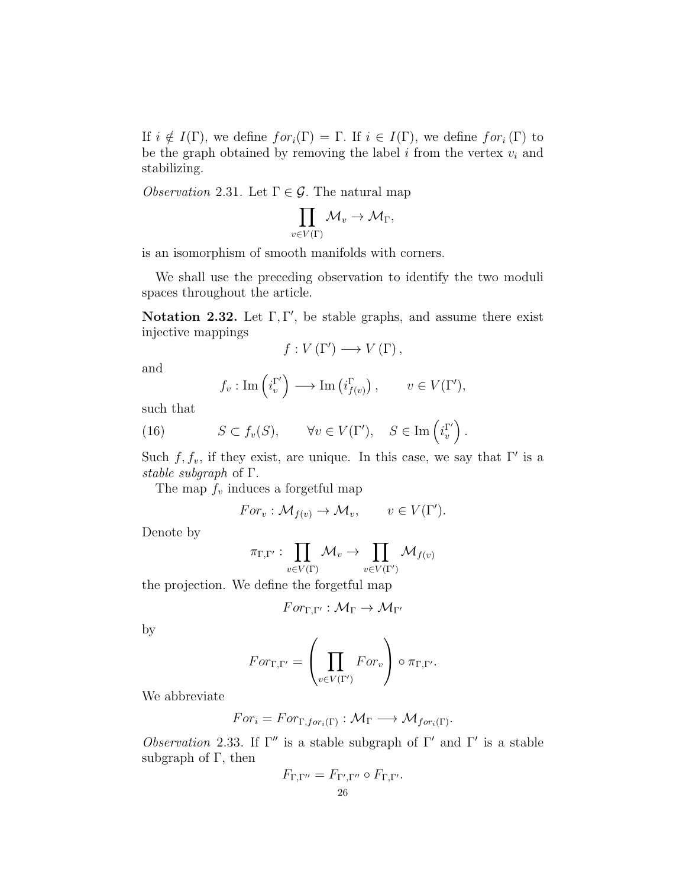If  $i \notin I(\Gamma)$ , we define  $for_i(\Gamma) = \Gamma$ . If  $i \in I(\Gamma)$ , we define  $for_i(\Gamma)$  to be the graph obtained by removing the label  $i$  from the vertex  $v_i$  and stabilizing.

<span id="page-25-0"></span>*Observation* 2.31. Let  $\Gamma \in \mathcal{G}$ . The natural map

$$
\prod_{v\in V(\Gamma)}\mathcal{M}_v\to \mathcal{M}_\Gamma,
$$

is an isomorphism of smooth manifolds with corners.

We shall use the preceding observation to identify the two moduli spaces throughout the article.

Notation 2.32. Let  $\Gamma, \Gamma'$ , be stable graphs, and assume there exist injective mappings

$$
f:V\left( \Gamma^{\prime}\right) \longrightarrow V\left( \Gamma\right) ,
$$

and

$$
f_v: \text{Im}\left(i_v^{\Gamma'}\right) \longrightarrow \text{Im}\left(i_{f(v)}^{\Gamma}\right), \qquad v \in V(\Gamma'),
$$

such that

(16) 
$$
S \subset f_v(S), \qquad \forall v \in V(\Gamma'), \quad S \in \text{Im}\left(i_v^{\Gamma'}\right).
$$

Such  $f, f_v$ , if they exist, are unique. In this case, we say that  $\Gamma'$  is a stable subgraph of Γ.

The map  $f_v$  induces a forgetful map

$$
For_v: \mathcal{M}_{f(v)} \to \mathcal{M}_v, \qquad v \in V(\Gamma').
$$

Denote by

$$
\pi_{\Gamma,\Gamma'}: \prod_{v\in V(\Gamma)} \mathcal{M}_v \to \prod_{v\in V(\Gamma')} \mathcal{M}_{f(v)}
$$

the projection. We define the forgetful map

$$
For_{\Gamma,\Gamma'}: \mathcal{M}_{\Gamma} \to \mathcal{M}_{\Gamma'}
$$

by

$$
For_{\Gamma,\Gamma'} = \left(\prod_{v \in V(\Gamma')} For_v\right) \circ \pi_{\Gamma,\Gamma'}.
$$

We abbreviate

$$
For_i = For_{\Gamma, for_i(\Gamma)} : \mathcal{M}_{\Gamma} \longrightarrow \mathcal{M}_{for_i(\Gamma)}.
$$

*Observation* 2.33. If  $\Gamma''$  is a stable subgraph of  $\Gamma'$  and  $\Gamma'$  is a stable subgraph of  $\Gamma$ , then

$$
F_{\Gamma,\Gamma''} = F_{\Gamma',\Gamma''} \circ F_{\Gamma,\Gamma'}.
$$
  
26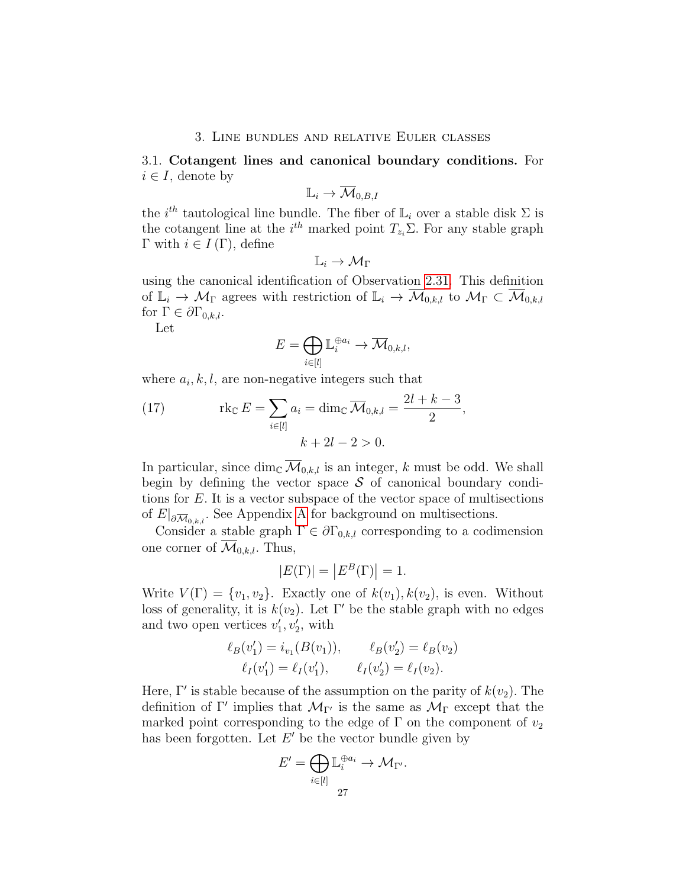#### 3. Line bundles and relative Euler classes

# <span id="page-26-1"></span><span id="page-26-0"></span>3.1. Cotangent lines and canonical boundary conditions. For  $i \in I$ , denote by

$$
\mathbb{L}_i \to \overline{\mathcal{M}}_{0,B,I}
$$

the  $i^{th}$  tautological line bundle. The fiber of  $\mathbb{L}_i$  over a stable disk  $\Sigma$  is the cotangent line at the  $i^{th}$  marked point  $T_{z_i} \Sigma$ . For any stable graph Γ with  $i \in I(\Gamma)$ , define

$$
\mathbb{L}_i \to \mathcal{M}_\Gamma
$$

using the canonical identification of Observation [2.31.](#page-25-0) This definition of  $\mathbb{L}_i \to \mathcal{M}_\Gamma$  agrees with restriction of  $\mathbb{L}_i \to \overline{\mathcal{M}}_{0,k,l}$  to  $\mathcal{M}_\Gamma \subset \overline{\mathcal{M}}_{0,k,l}$ for  $\Gamma \in \partial \Gamma_{0,k,l}$ .

Let

$$
E = \bigoplus_{i \in [l]} \mathbb{L}_i^{\oplus a_i} \to \overline{\mathcal{M}}_{0,k,l},
$$

where  $a_i, k, l$ , are non-negative integers such that

<span id="page-26-2"></span>(17) 
$$
\operatorname{rk}_{\mathbb{C}} E = \sum_{i \in [l]} a_i = \dim_{\mathbb{C}} \overline{\mathcal{M}}_{0,k,l} = \frac{2l+k-3}{2},
$$

$$
k + 2l - 2 > 0.
$$

In particular, since dim<sub>C</sub>  $\overline{\mathcal{M}}_{0,k,l}$  is an integer, k must be odd. We shall begin by defining the vector space  $\mathcal S$  of canonical boundary conditions for E. It is a vector subspace of the vector space of multisections of  $E|_{\partial \overline{\mathcal{M}}_{0,k,l}}$ . See [A](#page-77-1)ppendix A for background on multisections.

Consider a stable graph  $\Gamma \in \partial \Gamma_{0,k,l}$  corresponding to a codimension one corner of  $\mathcal{M}_{0,k,l}$ . Thus,

$$
|E(\Gamma)| = |E^B(\Gamma)| = 1.
$$

Write  $V(\Gamma) = \{v_1, v_2\}$ . Exactly one of  $k(v_1)$ ,  $k(v_2)$ , is even. Without loss of generality, it is  $k(v_2)$ . Let Γ' be the stable graph with no edges and two open vertices  $v'_1, v'_2$ , with

$$
\ell_B(v'_1) = i_{v_1}(B(v_1)), \qquad \ell_B(v'_2) = \ell_B(v_2)
$$
  

$$
\ell_I(v'_1) = \ell_I(v'_1), \qquad \ell_I(v'_2) = \ell_I(v_2).
$$

Here,  $\Gamma'$  is stable because of the assumption on the parity of  $k(v_2)$ . The definition of  $\Gamma'$  implies that  $\mathcal{M}_{\Gamma'}$  is the same as  $\mathcal{M}_{\Gamma}$  except that the marked point corresponding to the edge of  $\Gamma$  on the component of  $v_2$ has been forgotten. Let  $E'$  be the vector bundle given by

$$
E' = \bigoplus_{i \in [l]} \mathbb{L}_i^{\oplus a_i} \to \mathcal{M}_{\Gamma'}.
$$
  
27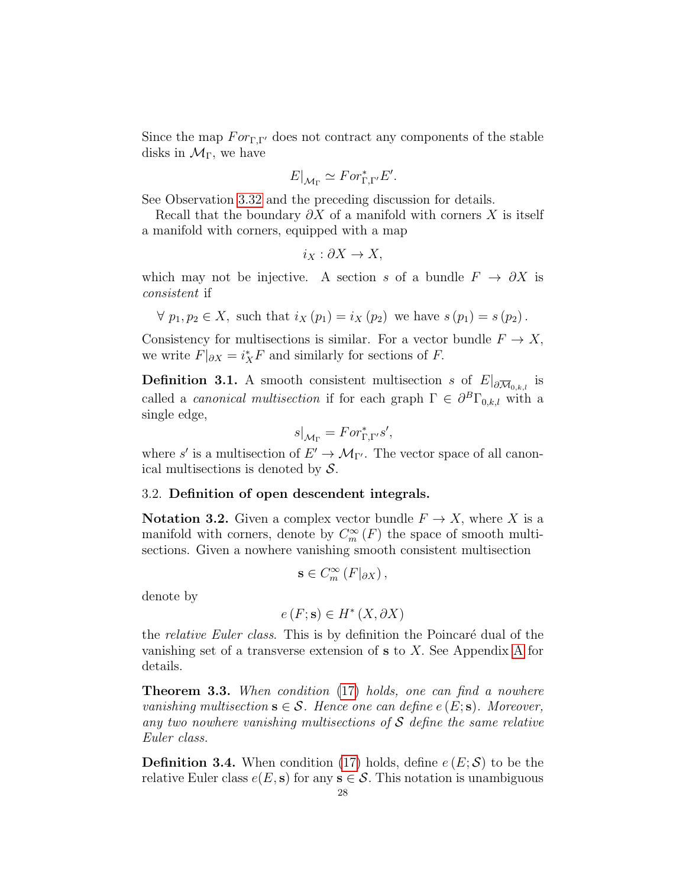Since the map  $For_{\Gamma,\Gamma'}$  does not contract any components of the stable disks in  $\mathcal{M}_{\Gamma}$ , we have

$$
E|_{\mathcal{M}_{\Gamma}} \simeq For_{\Gamma,\Gamma}^* E'.
$$

See Observation [3.32](#page-38-1) and the preceding discussion for details.

Recall that the boundary  $\partial X$  of a manifold with corners X is itself a manifold with corners, equipped with a map

$$
i_X : \partial X \to X,
$$

which may not be injective. A section s of a bundle  $F \to \partial X$  is consistent if

$$
\forall p_1, p_2 \in X
$$
, such that  $i_X(p_1) = i_X(p_2)$  we have  $s(p_1) = s(p_2)$ .

Consistency for multisections is similar. For a vector bundle  $F \to X$ , we write  $F|_{\partial X} = i_X^* F$  and similarly for sections of F.

**Definition 3.1.** A smooth consistent multisection s of  $E|_{\partial \overline{\mathcal{M}}_{0,k,l}}$  is called a *canonical multisection* if for each graph  $\Gamma \in \partial^B \Gamma_{0,k,l}$  with a single edge,

$$
s|_{\mathcal{M}_{\Gamma}} = For^*_{\Gamma,\Gamma'}s',
$$

where s' is a multisection of  $E' \to \mathcal{M}_{\Gamma'}$ . The vector space of all canonical multisections is denoted by  $S$ .

#### <span id="page-27-0"></span>3.2. Definition of open descendent integrals.

**Notation 3.2.** Given a complex vector bundle  $F \to X$ , where X is a manifold with corners, denote by  $C_m^{\infty}(F)$  the space of smooth multisections. Given a nowhere vanishing smooth consistent multisection

$$
\mathbf{s}\in C_m^{\infty}\left(F|_{\partial X}\right),\,
$$

denote by

$$
e(F; \mathbf{s}) \in H^*(X, \partial X)
$$

the *relative Euler class*. This is by definition the Poincaré dual of the vanishing set of a transverse extension of s to X. See Appendix [A](#page-77-1) for details.

<span id="page-27-1"></span>**Theorem 3.3.** When condition [\(17\)](#page-26-2) holds, one can find a nowhere vanishing multisection  $\mathbf{s} \in \mathcal{S}$ . Hence one can define  $e(E; \mathbf{s})$ . Moreover, any two nowhere vanishing multisections of  $S$  define the same relative Euler class.

**Definition 3.4.** When condition [\(17\)](#page-26-2) holds, define  $e(E; \mathcal{S})$  to be the relative Euler class  $e(E, s)$  for any  $s \in \mathcal{S}$ . This notation is unambiguous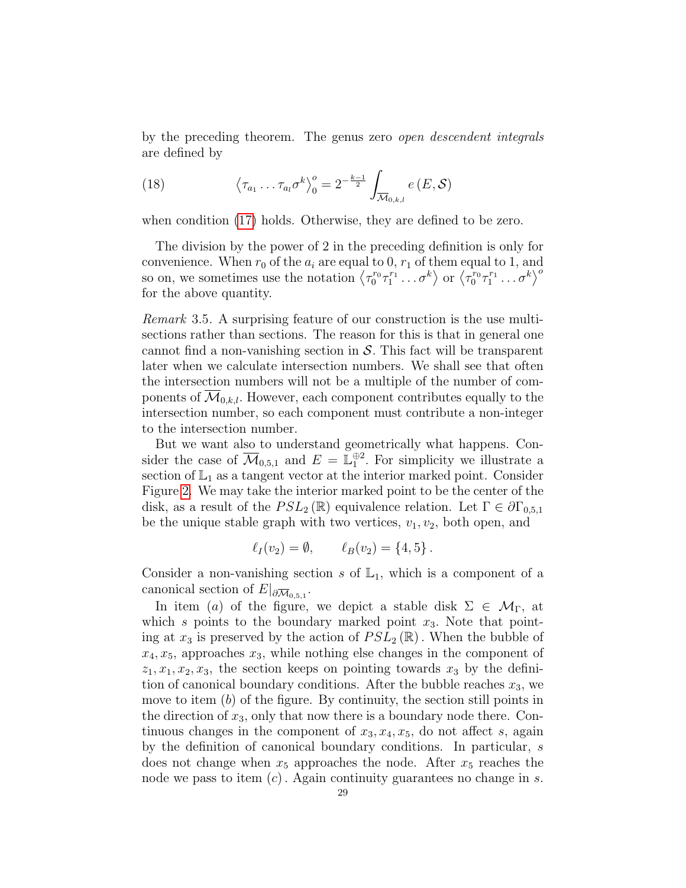by the preceding theorem. The genus zero open descendent integrals are defined by

<span id="page-28-0"></span>(18) 
$$
\left\langle \tau_{a_1} \dots \tau_{a_l} \sigma^k \right\rangle_0^o = 2^{-\frac{k-1}{2}} \int_{\overline{\mathcal{M}}_{0,k,l}} e(E,\mathcal{S})
$$

when condition [\(17\)](#page-26-2) holds. Otherwise, they are defined to be zero.

The division by the power of 2 in the preceding definition is only for convenience. When  $r_0$  of the  $a_i$  are equal to 0,  $r_1$  of them equal to 1, and so on, we sometimes use the notation  $\langle \tau_0^{r_0} \tau_1^{r_1} \dots \sigma^k \rangle$  or  $\langle \tau_0^{r_0} \tau_1^{r_1} \dots \sigma^k \rangle^{\sigma}$ for the above quantity.

<span id="page-28-1"></span>Remark 3.5. A surprising feature of our construction is the use multisections rather than sections. The reason for this is that in general one cannot find a non-vanishing section in  $S$ . This fact will be transparent later when we calculate intersection numbers. We shall see that often the intersection numbers will not be a multiple of the number of components of  $\mathcal{M}_{0,k,l}$ . However, each component contributes equally to the intersection number, so each component must contribute a non-integer to the intersection number.

But we want also to understand geometrically what happens. Consider the case of  $\overline{\mathcal{M}}_{0,5,1}$  and  $E = \mathbb{L}^{\oplus 2}_1$ . For simplicity we illustrate a section of  $\mathbb{L}_1$  as a tangent vector at the interior marked point. Consider Figure [2.](#page-29-1) We may take the interior marked point to be the center of the disk, as a result of the  $PSL_2(\mathbb{R})$  equivalence relation. Let  $\Gamma \in \partial \Gamma_{0,5,1}$ be the unique stable graph with two vertices,  $v_1, v_2$ , both open, and

$$
\ell_I(v_2) = \emptyset, \qquad \ell_B(v_2) = \{4, 5\}.
$$

Consider a non-vanishing section s of  $\mathbb{L}_1$ , which is a component of a canonical section of  $E|_{\partial \overline{\mathcal{M}}_{0,5,1}}$ .

In item (a) of the figure, we depict a stable disk  $\Sigma \in \mathcal{M}_{\Gamma}$ , at which s points to the boundary marked point  $x_3$ . Note that pointing at  $x_3$  is preserved by the action of  $PSL_2(\mathbb{R})$ . When the bubble of  $x_4, x_5$ , approaches  $x_3$ , while nothing else changes in the component of  $z_1, x_1, x_2, x_3$ , the section keeps on pointing towards  $x_3$  by the definition of canonical boundary conditions. After the bubble reaches  $x_3$ , we move to item  $(b)$  of the figure. By continuity, the section still points in the direction of  $x_3$ , only that now there is a boundary node there. Continuous changes in the component of  $x_3, x_4, x_5$ , do not affect s, again by the definition of canonical boundary conditions. In particular, s does not change when  $x_5$  approaches the node. After  $x_5$  reaches the node we pass to item  $(c)$ . Again continuity guarantees no change in s.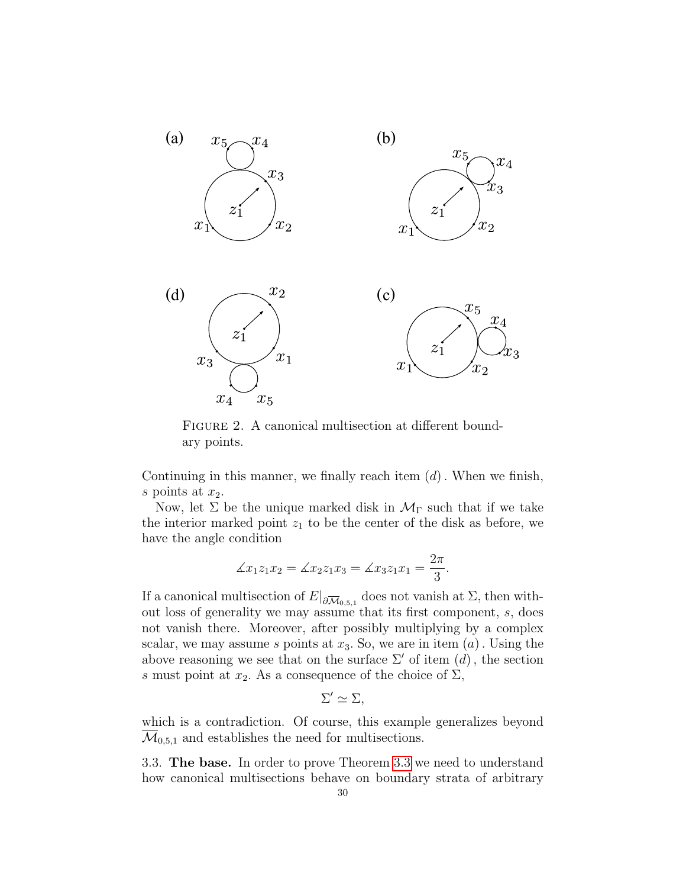

<span id="page-29-1"></span>FIGURE 2. A canonical multisection at different boundary points.

Continuing in this manner, we finally reach item  $(d)$ . When we finish, s points at  $x_2$ .

Now, let  $\Sigma$  be the unique marked disk in  $\mathcal{M}_{\Gamma}$  such that if we take the interior marked point  $z_1$  to be the center of the disk as before, we have the angle condition

$$
\measuredangle x_1 z_1 x_2 = \measuredangle x_2 z_1 x_3 = \measuredangle x_3 z_1 x_1 = \frac{2\pi}{3}.
$$

If a canonical multisection of  $E|_{\partial \overline{\mathcal{M}}_{0,5,1}}$  does not vanish at  $\Sigma$ , then without loss of generality we may assume that its first component, s, does not vanish there. Moreover, after possibly multiplying by a complex scalar, we may assume s points at  $x_3$ . So, we are in item  $(a)$ . Using the above reasoning we see that on the surface  $\Sigma'$  of item  $(d)$ , the section s must point at  $x_2$ . As a consequence of the choice of  $\Sigma$ ,

 $\Sigma' \simeq \Sigma,$ 

which is a contradiction. Of course, this example generalizes beyond  $\mathcal{M}_{0,5,1}$  and establishes the need for multisections.

<span id="page-29-0"></span>3.3. The base. In order to prove Theorem [3.3](#page-27-1) we need to understand how canonical multisections behave on boundary strata of arbitrary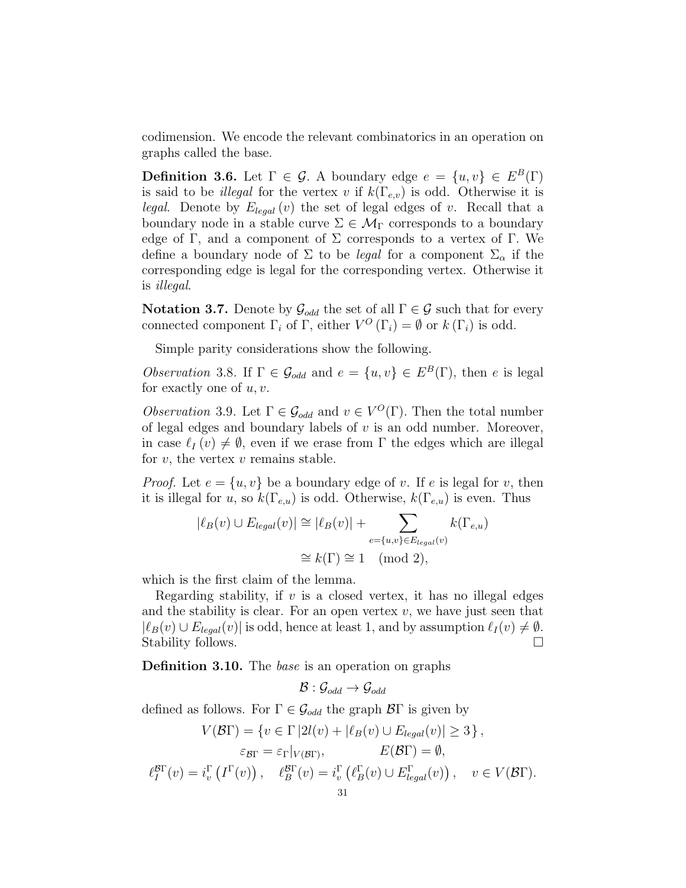codimension. We encode the relevant combinatorics in an operation on graphs called the base.

**Definition 3.6.** Let  $\Gamma \in \mathcal{G}$ . A boundary edge  $e = \{u, v\} \in E^B(\Gamma)$ is said to be *illegal* for the vertex v if  $k(\Gamma_{e,v})$  is odd. Otherwise it is *legal.* Denote by  $E_{lead}(v)$  the set of legal edges of v. Recall that a boundary node in a stable curve  $\Sigma \in \mathcal{M}_{\Gamma}$  corresponds to a boundary edge of Γ, and a component of Σ corresponds to a vertex of Γ. We define a boundary node of  $\Sigma$  to be *legal* for a component  $\Sigma_{\alpha}$  if the corresponding edge is legal for the corresponding vertex. Otherwise it is illegal.

Notation 3.7. Denote by  $\mathcal{G}_{odd}$  the set of all  $\Gamma \in \mathcal{G}$  such that for every connected component  $\Gamma_i$  of  $\Gamma$ , either  $V^O(\Gamma_i) = \emptyset$  or  $k(\Gamma_i)$  is odd.

Simple parity considerations show the following.

*Observation* 3.8. If  $\Gamma \in \mathcal{G}_{odd}$  and  $e = \{u, v\} \in E^B(\Gamma)$ , then e is legal for exactly one of  $u, v$ .

<span id="page-30-1"></span>*Observation* 3.9. Let  $\Gamma \in \mathcal{G}_{odd}$  and  $v \in V^O(\Gamma)$ . Then the total number of legal edges and boundary labels of  $v$  is an odd number. Moreover, in case  $\ell_I (v) \neq \emptyset$ , even if we erase from Γ the edges which are illegal for  $v$ , the vertex  $v$  remains stable.

*Proof.* Let  $e = \{u, v\}$  be a boundary edge of v. If e is legal for v, then it is illegal for u, so  $k(\Gamma_{e,u})$  is odd. Otherwise,  $k(\Gamma_{e,u})$  is even. Thus

$$
|\ell_B(v) \cup E_{legal}(v)| \cong |\ell_B(v)| + \sum_{e = \{u,v\} \in E_{legal}(v)} k(\Gamma_{e,u})
$$
  

$$
\cong k(\Gamma) \cong 1 \pmod{2},
$$

which is the first claim of the lemma.

Regarding stability, if  $v$  is a closed vertex, it has no illegal edges and the stability is clear. For an open vertex  $v$ , we have just seen that  $|\ell_B(v) \cup E_{legal}(v)|$  is odd, hence at least 1, and by assumption  $\ell_I (v) \neq \emptyset$ . Stability follows.

<span id="page-30-0"></span>Definition 3.10. The base is an operation on graphs

$$
\mathcal{B}:\mathcal{G}_{odd}\rightarrow \mathcal{G}_{odd}
$$

defined as follows. For  $\Gamma \in \mathcal{G}_{odd}$  the graph  $\mathcal{B}\Gamma$  is given by

$$
V(\mathcal{B}\Gamma) = \{v \in \Gamma \left| 2l(v) + |\ell_B(v) \cup E_{legal}(v)| \ge 3\right\},\
$$

$$
\varepsilon_{\mathcal{B}\Gamma} = \varepsilon_{\Gamma}|_{V(\mathcal{B}\Gamma)}, \qquad E(\mathcal{B}\Gamma) = \emptyset,
$$

$$
\ell_I^{\mathcal{B}\Gamma}(v) = i_v^{\Gamma}(I^{\Gamma}(v)), \quad \ell_B^{\mathcal{B}\Gamma}(v) = i_v^{\Gamma}(\ell_B^{\Gamma}(v) \cup E_{legal}^{\Gamma}(v)), \quad v \in V(\mathcal{B}\Gamma).
$$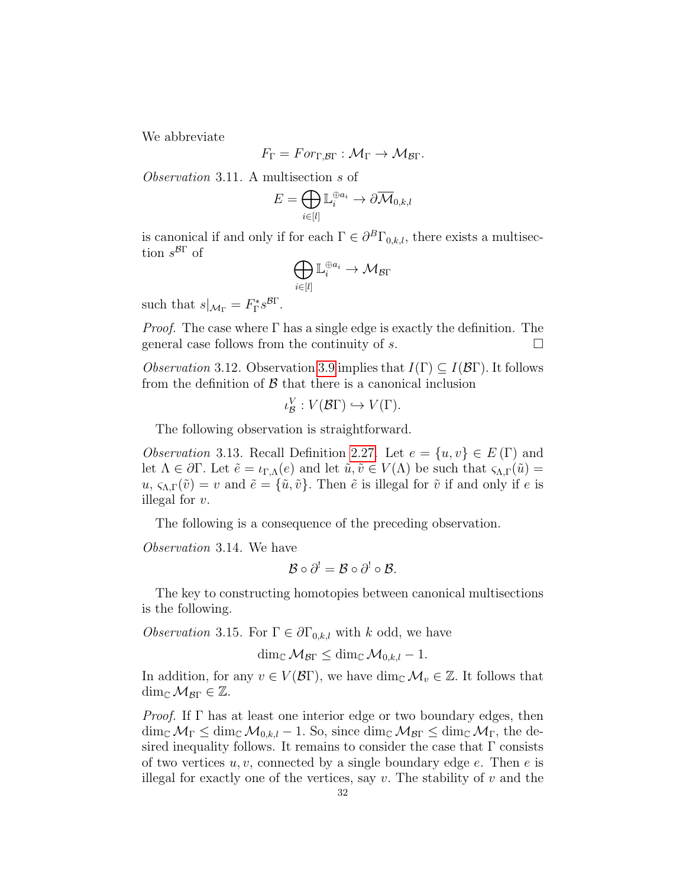We abbreviate

$$
F_{\Gamma} = For_{\Gamma, \mathcal{B}\Gamma} : \mathcal{M}_{\Gamma} \to \mathcal{M}_{\mathcal{B}\Gamma}.
$$

Observation 3.11. A multisection s of

$$
E=\bigoplus_{i\in[l]}\mathbb{L}_i^{\oplus a_i}\to \partial\overline{\mathcal{M}}_{0,k,l}
$$

is canonical if and only if for each  $\Gamma \in \partial^B \Gamma_{0,k,l}$ , there exists a multisection  $s^{B\Gamma}$  of

$$
\bigoplus_{i\in[l]}\mathbb{L}_i^{\oplus a_i}\to \mathcal{M}_{\mathcal{B}\Gamma}
$$

such that  $s|_{\mathcal{M}_{\Gamma}} = F_{\Gamma}^* s^{\mathcal{B}\Gamma}$ .

*Proof.* The case where  $\Gamma$  has a single edge is exactly the definition. The general case follows from the continuity of s.  $\Box$ 

<span id="page-31-0"></span>*Observation* 3.12. Observation [3.9](#page-30-1) implies that  $I(\Gamma) \subseteq I(\mathcal{B}\Gamma)$ . It follows from the definition of  $\beta$  that there is a canonical inclusion

$$
\iota_{\mathcal{B}}^V : V(\mathcal{B}\Gamma) \hookrightarrow V(\Gamma).
$$

The following observation is straightforward.

<span id="page-31-1"></span>*Observation* 3.13. Recall Definition [2.27.](#page-23-1) Let  $e = \{u, v\} \in E(\Gamma)$  and let  $\Lambda \in \partial \Gamma$ . Let  $\tilde{e} = \iota_{\Gamma,\Lambda}(e)$  and let  $\tilde{u}, \tilde{v} \in V(\Lambda)$  be such that  $\varsigma_{\Lambda,\Gamma}(\tilde{u}) =$  $u, \varsigma_{\Lambda,\Gamma}(\tilde{v}) = v$  and  $\tilde{e} = {\tilde{u}, \tilde{v}}$ . Then  $\tilde{e}$  is illegal for  $\tilde{v}$  if and only if e is illegal for v.

The following is a consequence of the preceding observation.

Observation 3.14. We have

$$
\mathcal{B}\circ\partial^!=\mathcal{B}\circ\partial^!\circ\mathcal{B}.
$$

The key to constructing homotopies between canonical multisections is the following.

*Observation* 3.15. For  $\Gamma \in \partial \Gamma_{0,k,l}$  with k odd, we have

$$
\dim_{\mathbb{C}}\mathcal{M}_{\mathcal{B}\Gamma}\leq \dim_{\mathbb{C}}\mathcal{M}_{0,k,l}-1.
$$

In addition, for any  $v \in V(\mathcal{B}\Gamma)$ , we have  $\dim_{\mathbb{C}} \mathcal{M}_v \in \mathbb{Z}$ . It follows that dim<sub>C</sub>  $M_{\mathcal{B}\Gamma} \in \mathbb{Z}$ .

*Proof.* If  $\Gamma$  has at least one interior edge or two boundary edges, then  $\dim_{\mathbb{C}}\mathcal{M}_{\Gamma} \leq \dim_{\mathbb{C}}\mathcal{M}_{0,k,l} - 1$ . So, since  $\dim_{\mathbb{C}}\mathcal{M}_{\mathcal{B}\Gamma} \leq \dim_{\mathbb{C}}\mathcal{M}_{\Gamma}$ , the desired inequality follows. It remains to consider the case that  $\Gamma$  consists of two vertices  $u, v$ , connected by a single boundary edge  $e$ . Then  $e$  is illegal for exactly one of the vertices, say v. The stability of v and the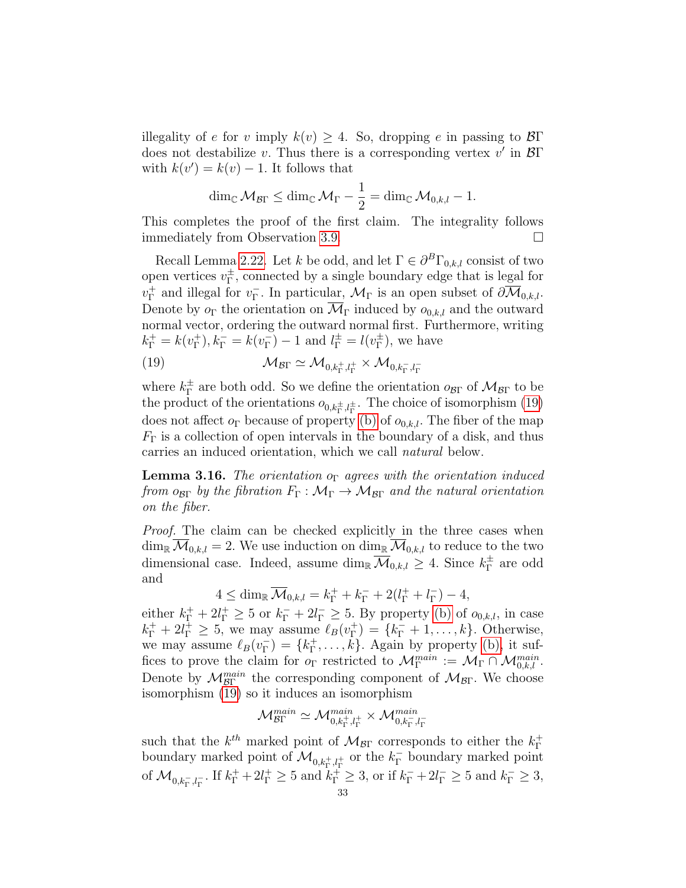illegality of e for v imply  $k(v) \geq 4$ . So, dropping e in passing to  $\mathcal{B}\Gamma$ does not destabilize v. Thus there is a corresponding vertex  $v'$  in  $\mathcal{B}\Gamma$ with  $k(v') = k(v) - 1$ . It follows that

$$
\dim_{\mathbb{C}}\mathcal{M}_{\mathcal{B}\Gamma}\leq \dim_{\mathbb{C}}\mathcal{M}_{\Gamma}-\frac{1}{2}=\dim_{\mathbb{C}}\mathcal{M}_{0,k,l}-1.
$$

This completes the proof of the first claim. The integrality follows immediately from Observation [3.9.](#page-30-1)

Recall Lemma [2.22.](#page-22-0) Let k be odd, and let  $\Gamma \in \partial^B \Gamma_{0,k,l}$  consist of two open vertices  $v_{\Gamma}^{\pm}$  $_{\Gamma}^{\pm}$ , connected by a single boundary edge that is legal for  $v_{\Gamma}^+$  $_{\Gamma}^+$  and illegal for  $v_\Gamma^ _{\Gamma}^{-}$ . In particular,  $\mathcal{M}_{\Gamma}$  is an open subset of  $\partial \mathcal{M}_{0,k,l}$ . Denote by  $o_{\Gamma}$  the orientation on  $\overline{\mathcal{M}}_{\Gamma}$  induced by  $o_{0,k,l}$  and the outward normal vector, ordering the outward normal first. Furthermore, writing  $k_{\Gamma}^+ = k(v_{\Gamma}^+)$  $_{\Gamma}^{+}$ ),  $k_{\Gamma}^{-} = k(v_{\Gamma}^{-})$  $\binom{1}{\Gamma} - 1$  and  $l_{\Gamma}^{\pm} = l(v_{\Gamma}^{\pm})$  $_{\Gamma}^{\pm}$ ), we have

<span id="page-32-0"></span>(19) 
$$
\mathcal{M}_{\mathcal{B}\Gamma} \simeq \mathcal{M}_{0,k_{\Gamma}^+,l_{\Gamma}^+} \times \mathcal{M}_{0,k_{\Gamma}^-,l_{\Gamma}^-}
$$

where  $k_{\Gamma}^{\pm}$  $_{\Gamma}^{\pm}$  are both odd. So we define the orientation  $\rho_{\beta\Gamma}$  of  $\mathcal{M}_{\beta\Gamma}$  to be the product of the orientations  $o_{0,k_{\Gamma}^{\pm},l_{\Gamma}^{\pm}}$ . The choice of isomorphism [\(19\)](#page-32-0) does not affect  $o_{\Gamma}$  because of property [\(b\)](#page-22-3) of  $o_{0,k,l}$ . The fiber of the map  $F_{\Gamma}$  is a collection of open intervals in the boundary of a disk, and thus carries an induced orientation, which we call natural below.

**Lemma 3.16.** The orientation o<sub>Γ</sub> agrees with the orientation induced from  $o_{\text{BT}}$  by the fibration  $F_{\Gamma}: \mathcal{M}_{\Gamma} \to \mathcal{M}_{\mathcal{B}\Gamma}$  and the natural orientation on the fiber.

Proof. The claim can be checked explicitly in the three cases when  $\dim_{\mathbb{R}} \overline{\mathcal{M}}_{0,k,l} = 2$ . We use induction on  $\dim_{\mathbb{R}} \overline{\mathcal{M}}_{0,k,l}$  to reduce to the two dimensional case. Indeed, assume  $\dim_{\mathbb{R}} \overline{\mathcal{M}}_{0,k,l} \geq 4$ . Since  $k_{\Gamma}^{\pm}$  $_{\Gamma}^{\pm}$  are odd and

$$
4 \le \dim_{\mathbb{R}} \overline{\mathcal{M}}_{0,k,l} = k_{\Gamma}^+ + k_{\Gamma}^- + 2(l_{\Gamma}^+ + l_{\Gamma}^-) - 4,
$$

either  $k_{\Gamma}^+ + 2l_{\Gamma}^+ \geq 5$  or  $k_{\Gamma}^- + 2l_{\Gamma}^- \geq 5$ . By property [\(b\)](#page-22-3) of  $o_{0,k,l}$ , in case  $k_{\Gamma}^+ + 2l_{\Gamma}^+ \geq 5$ , we may assume  $\ell_B(v_{\Gamma}^+)$  $F_{\Gamma}^{+}$ ) = { $k_{\Gamma}^{-}$  + 1, ..., k}. Otherwise, we may assume  $\ell_B(v_\Gamma^-)$  $_{\Gamma}^{-}$ ) = { $k_{\Gamma}^{+}$  $^+_{\Gamma}, \ldots, k$ . Again by property [\(b\),](#page-22-3) it suffices to prove the claim for  $o_{\Gamma}$  restricted to  $\mathcal{M}_{\Gamma}^{main} := \mathcal{M}_{\Gamma} \cap \mathcal{M}_{0,k,l}^{main}$ . Denote by  $\mathcal{M}_{\beta\Gamma}^{main}$  the corresponding component of  $\mathcal{M}_{\beta\Gamma}$ . We choose isomorphism [\(19\)](#page-32-0) so it induces an isomorphism

$$
\mathcal{M}^{main}_{\mathcal{B}\Gamma}\simeq\mathcal{M}^{main}_{0,k_{\Gamma}^+,l_{\Gamma}^+}\times\mathcal{M}^{main}_{0,k_{\Gamma}^-,l_{\Gamma}^-}
$$

such that the  $k^{th}$  marked point of  $\mathcal{M}_{\mathcal{B}\Gamma}$  corresponds to either the  $k_{\Gamma}^+$ Γ boundary marked point of  $\mathcal{M}_{0,k_\Gamma^+,l_\Gamma^+}$  or the  $k_\Gamma^-$  boundary marked point of  $\mathcal{M}_{0,k_{\Gamma}^-,l_{\Gamma}^-}$ . If  $k_{\Gamma}^+ + 2l_{\Gamma}^+ \geq 5$  and  $k_{\Gamma}^+ \geq 3$ , or if  $k_{\Gamma}^- + 2l_{\Gamma}^- \geq 5$  and  $k_{\Gamma}^- \geq 3$ ,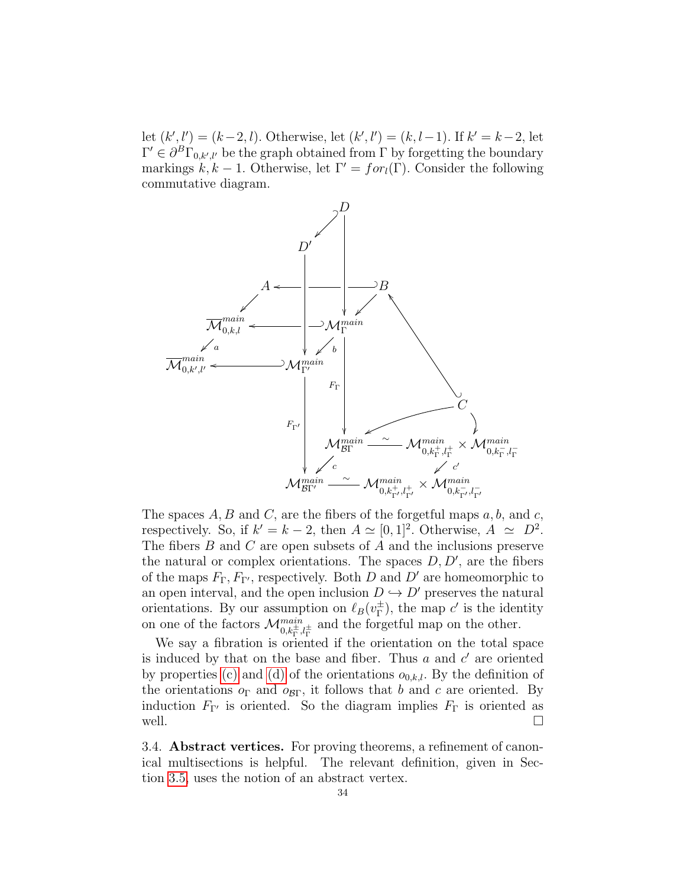let  $(k', l') = (k-2, l)$ . Otherwise, let  $(k', l') = (k, l-1)$ . If  $k' = k-2$ , let  $\Gamma' \in \partial^B \Gamma_{0,k',l'}$  be the graph obtained from  $\Gamma$  by forgetting the boundary markings  $k, k - 1$ . Otherwise, let  $\Gamma' = for_l(\Gamma)$ . Consider the following commutative diagram.



The spaces  $A, B$  and  $C$ , are the fibers of the forgetful maps  $a, b$ , and  $c$ , respectively. So, if  $k' = k - 2$ , then  $A \simeq [0, 1]^2$ . Otherwise,  $A \simeq D^2$ . The fibers  $B$  and  $C$  are open subsets of  $A$  and the inclusions preserve the natural or complex orientations. The spaces  $D, D'$ , are the fibers of the maps  $F_{\Gamma}$ ,  $F_{\Gamma'}$ , respectively. Both D and D' are homeomorphic to an open interval, and the open inclusion  $D \leftrightarrow D'$  preserves the natural orientations. By our assumption on  $\ell_B(v_\Gamma^\pm)$  $_{\Gamma}^{\pm}$ ), the map c' is the identity on one of the factors  $\mathcal{M}^{main}_{0,k_{\Gamma}^{\pm},l_{\Gamma}^{\pm}}$  and the forgetful map on the other.

We say a fibration is oriented if the orientation on the total space is induced by that on the base and fiber. Thus  $a$  and  $c'$  are oriented by properties [\(c\)](#page-22-4) and [\(d\)](#page-22-2) of the orientations  $o_{0,k,l}$ . By the definition of the orientations  $o_{\Gamma}$  and  $o_{\beta\Gamma}$ , it follows that b and c are oriented. By induction  $F_{\Gamma'}$  is oriented. So the diagram implies  $F_{\Gamma}$  is oriented as well.  $\Box$ 

<span id="page-33-0"></span>3.4. Abstract vertices. For proving theorems, a refinement of canonical multisections is helpful. The relevant definition, given in Section [3.5,](#page-38-0) uses the notion of an abstract vertex.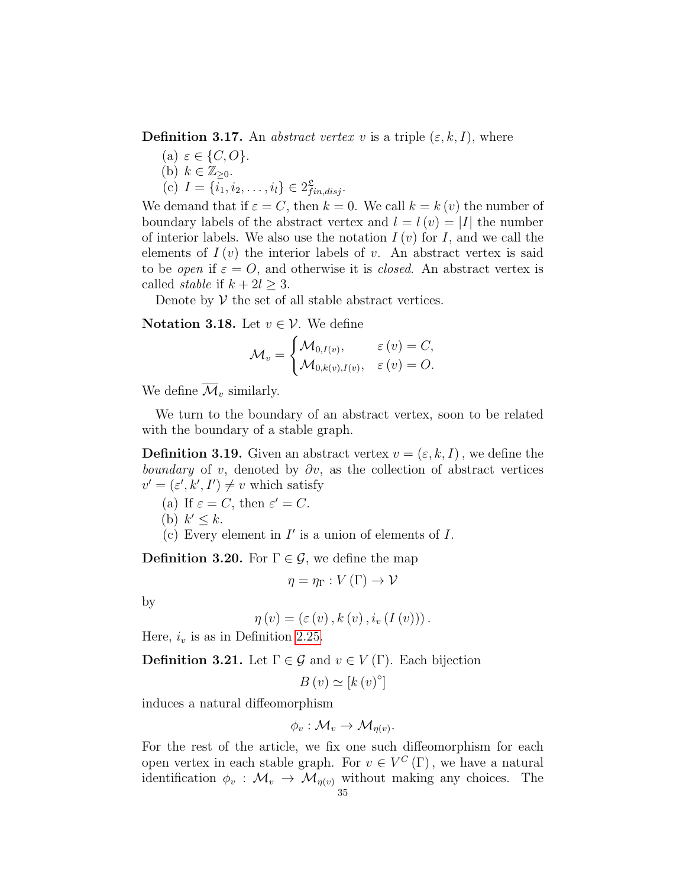**Definition 3.17.** An *abstract vertex v* is a triple  $(\varepsilon, k, I)$ , where

(a)  $\varepsilon \in \{C, O\}.$ (b)  $k \in \mathbb{Z}_{\geq 0}$ . (c)  $I = \{i_1, i_2, \ldots, i_l\} \in 2_{fin, disj}^{\mathfrak{L}}$ .

We demand that if  $\varepsilon = C$ , then  $k = 0$ . We call  $k = k(v)$  the number of boundary labels of the abstract vertex and  $l = l(v) = |I|$  the number of interior labels. We also use the notation  $I(v)$  for I, and we call the elements of  $I(v)$  the interior labels of v. An abstract vertex is said to be *open* if  $\varepsilon = O$ , and otherwise it is *closed*. An abstract vertex is called *stable* if  $k + 2l > 3$ .

Denote by  $V$  the set of all stable abstract vertices.

Notation 3.18. Let  $v \in \mathcal{V}$ . We define

$$
\mathcal{M}_v = \begin{cases} \mathcal{M}_{0,I(v)}, & \varepsilon(v) = C, \\ \mathcal{M}_{0,k(v),I(v)}, & \varepsilon(v) = O. \end{cases}
$$

We define  $\overline{\mathcal{M}}_v$  similarly.

We turn to the boundary of an abstract vertex, soon to be related with the boundary of a stable graph.

**Definition 3.19.** Given an abstract vertex  $v = (\varepsilon, k, I)$ , we define the boundary of v, denoted by  $\partial v$ , as the collection of abstract vertices  $v' = (\varepsilon', k', I') \neq v$  which satisfy

- (a) If  $\varepsilon = C$ , then  $\varepsilon' = C$ .
- (b)  $k' \leq k$ .
- (c) Every element in  $I'$  is a union of elements of  $I$ .

**Definition 3.20.** For  $\Gamma \in \mathcal{G}$ , we define the map

$$
\eta=\eta_{\Gamma}:V\left(\Gamma\right)\to\mathcal{V}
$$

by

$$
\eta(v) = (\varepsilon(v), k(v), i_v(I(v))).
$$

Here,  $i_v$  is as in Definition [2.25.](#page-23-2)

**Definition 3.21.** Let  $\Gamma \in \mathcal{G}$  and  $v \in V(\Gamma)$ . Each bijection

$$
B\left(v\right) \simeq \left[k\left(v\right)^{\circ}\right]
$$

induces a natural diffeomorphism

$$
\phi_v: \mathcal{M}_v \to \mathcal{M}_{\eta(v)}.
$$

For the rest of the article, we fix one such diffeomorphism for each open vertex in each stable graph. For  $v \in V^C(\Gamma)$ , we have a natural identification  $\phi_v : \mathcal{M}_v \to \mathcal{M}_{\eta(v)}$  without making any choices. The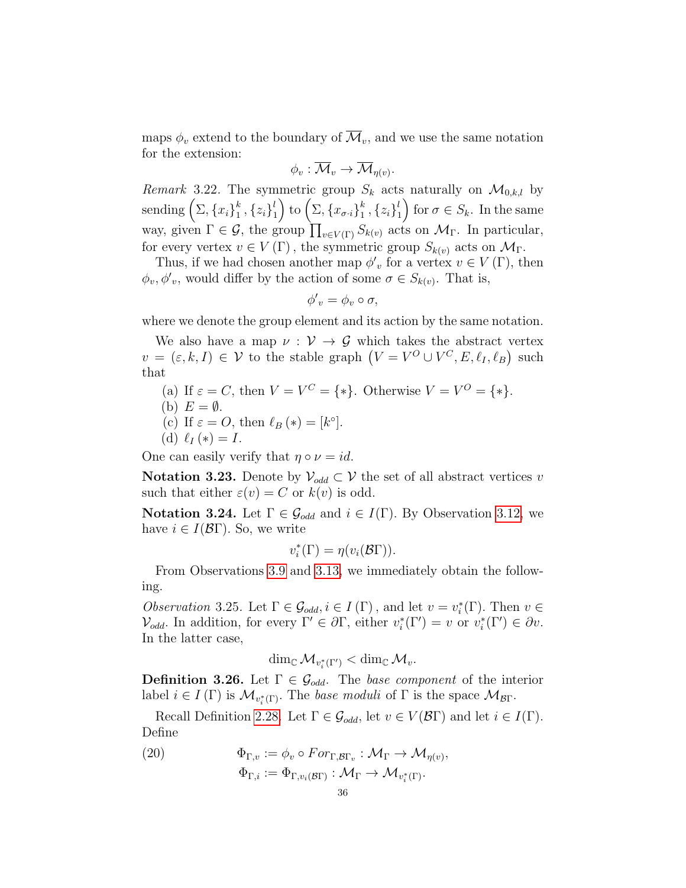maps  $\phi_v$  extend to the boundary of  $\mathcal{M}_v$ , and we use the same notation for the extension:

$$
\phi_v: \overline{\mathcal{M}}_v \to \overline{\mathcal{M}}_{\eta(v)}.
$$

*Remark* 3.22. The symmetric group  $S_k$  acts naturally on  $\mathcal{M}_{0,k,l}$  by sending  $(\Sigma, \{x_i\}_1^k)$  $_{1}^{k}$  ,  $\left\{ z_{i}\right\} _{1}^{l}$  $\binom{l}{1}$  to  $\left(\Sigma,\{x_{\sigma\cdot i}\}_{1}^{k}\right)$  $_{1}^{k}$  ,  $\left\{ z_{i}\right\} _{1}^{l}$  $\binom{l}{1}$  for  $\sigma \in S_k$ . In the same way, given  $\Gamma \in \mathcal{G}$ , the group  $\prod_{v \in V(\Gamma)} S_{k(v)}$  acts on  $\mathcal{M}_{\Gamma}$ . In particular, for every vertex  $v \in V(\Gamma)$ , the symmetric group  $S_{k(v)}$  acts on  $\mathcal{M}_{\Gamma}$ .

Thus, if we had chosen another map  $\phi'_v$  for a vertex  $v \in V(\Gamma)$ , then  $\phi_v, \phi'_v$ , would differ by the action of some  $\sigma \in S_{k(v)}$ . That is,

$$
\phi'_{v} = \phi_{v} \circ \sigma,
$$

where we denote the group element and its action by the same notation.

We also have a map  $\nu : \mathcal{V} \to \mathcal{G}$  which takes the abstract vertex  $v = (\varepsilon, k, I) \in \mathcal{V}$  to the stable graph  $(V = V^O \cup V^C, E, \ell_I, \ell_B)$  such that

- (a) If  $\varepsilon = C$ , then  $V = V^C = \{ * \}$ . Otherwise  $V = V^O = \{ * \}$ .
- (b)  $E = \emptyset$ .
- (c) If  $\varepsilon = O$ , then  $\ell_B (*) = [k^\circ].$
- (d)  $\ell_I (*) = I$ .

One can easily verify that  $\eta \circ \nu = id$ .

Notation 3.23. Denote by  $\mathcal{V}_{odd} \subset \mathcal{V}$  the set of all abstract vertices v such that either  $\varepsilon(v) = C$  or  $k(v)$  is odd.

**Notation 3.24.** Let  $\Gamma \in \mathcal{G}_{odd}$  and  $i \in I(\Gamma)$ . By Observation [3.12,](#page-31-0) we have  $i \in I(\mathcal{B}\Gamma)$ . So, we write

$$
v_i^*(\Gamma) = \eta(v_i(\mathcal{B}\Gamma)).
$$

From Observations [3.9](#page-30-1) and [3.13,](#page-31-1) we immediately obtain the following.

Observation 3.25. Let  $\Gamma \in \mathcal{G}_{odd}$ ,  $i \in I(\Gamma)$ , and let  $v = v_i^*(\Gamma)$ . Then  $v \in$  $\mathcal{V}_{odd}$ . In addition, for every  $\Gamma' \in \partial \Gamma$ , either  $v_i^*(\Gamma') = v$  or  $v_i^*(\Gamma') \in \partial v$ . In the latter case,

$$
\dim_{\mathbb{C}}\mathcal{M}_{v_i^*(\Gamma')} < \dim_{\mathbb{C}}\mathcal{M}_v.
$$

**Definition 3.26.** Let  $\Gamma \in \mathcal{G}_{odd}$ . The base component of the interior label  $i \in I(\Gamma)$  is  $\mathcal{M}_{v_i^*(\Gamma)}$ . The base moduli of  $\Gamma$  is the space  $\mathcal{M}_{\mathcal{B}\Gamma}$ .

Recall Definition [2.28.](#page-24-1) Let  $\Gamma \in \mathcal{G}_{odd}$ , let  $v \in V(\mathcal{B}\Gamma)$  and let  $i \in I(\Gamma)$ . Define

(20)  $\Phi_{\Gamma,v} := \phi_v \circ For_{\Gamma,\mathcal{B}\Gamma_v} : \mathcal{M}_{\Gamma} \to \mathcal{M}_{\eta(v)},$  $\Phi_{\Gamma,i}:=\Phi_{\Gamma,v_i(\mathcal{B}\Gamma)}:\mathcal{M}_{\Gamma}\to \mathcal{M}_{v_i^*(\Gamma)}.$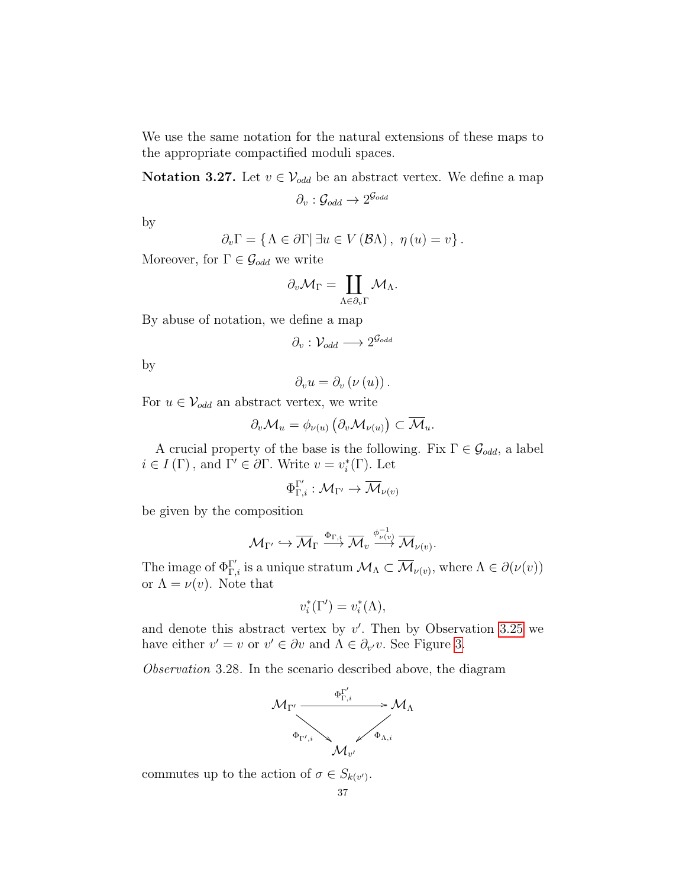We use the same notation for the natural extensions of these maps to the appropriate compactified moduli spaces.

**Notation 3.27.** Let  $v \in V_{odd}$  be an abstract vertex. We define a map

 $\partial_v:{\cal G}_{odd}\to 2^{{\cal G}_{odd}}$ 

by

$$
\partial_v \Gamma = \{ \Lambda \in \partial \Gamma | \exists u \in V(\mathcal{B}\Lambda), \ \eta(u) = v \}.
$$

Moreover, for  $\Gamma \in \mathcal{G}_{odd}$  we write

$$
\partial_v \mathcal{M}_\Gamma = \coprod_{\Lambda \in \partial_v \Gamma} \mathcal{M}_\Lambda.
$$

By abuse of notation, we define a map

$$
\partial_v: \mathcal{V}_{odd} \longrightarrow 2^{\mathcal{G}_{odd}}
$$

by

$$
\partial_{v}u=\partial_{v}\left( \nu\left( u\right) \right) .
$$

For  $u \in V_{odd}$  an abstract vertex, we write

$$
\partial_v \mathcal{M}_u = \phi_{\nu(u)} \left( \partial_v \mathcal{M}_{\nu(u)} \right) \subset \overline{\mathcal{M}}_u.
$$

A crucial property of the base is the following. Fix  $\Gamma \in \mathcal{G}_{odd}$ , a label  $i \in I(\Gamma)$ , and  $\Gamma' \in \partial \Gamma$ . Write  $v = v_i^*(\Gamma)$ . Let

$$
\Phi_{\Gamma,i}^{\Gamma'}: \mathcal{M}_{\Gamma'} \to \overline{\mathcal{M}}_{\nu(v)}
$$

be given by the composition

$$
\mathcal{M}_{\Gamma'} \hookrightarrow \overline{\mathcal{M}}_{\Gamma} \xrightarrow{\Phi_{\Gamma,i}} \overline{\mathcal{M}}_{v} \xrightarrow{\phi_{\nu(v)}^{-1}} \overline{\mathcal{M}}_{\nu(v)}.
$$

The image of  $\Phi_{\Gamma,i}^{\Gamma'}$  is a unique stratum  $\mathcal{M}_{\Lambda} \subset \overline{\mathcal{M}}_{\nu(v)},$  where  $\Lambda \in \partial(\nu(v))$ or  $\Lambda = \nu(v)$ . Note that

$$
v_i^*(\Gamma') = v_i^*(\Lambda),
$$

and denote this abstract vertex by  $v'$ . Then by Observation [3.25](#page-35-0) we have either  $v' = v$  or  $v' \in \partial v$  and  $\Lambda \in \partial_{v'}v$ . See Figure [3.](#page-37-0)

<span id="page-36-0"></span>Observation 3.28. In the scenario described above, the diagram



commutes up to the action of  $\sigma \in S_{k(v')}$ .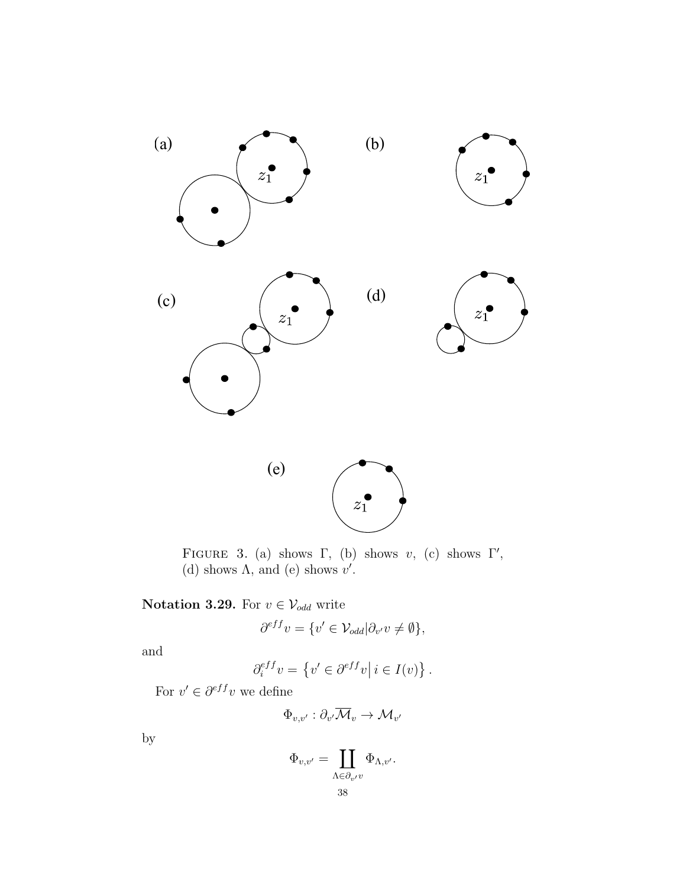

<span id="page-37-0"></span>FIGURE 3. (a) shows  $\Gamma$ , (b) shows v, (c) shows  $\Gamma'$ , (d) shows  $\Lambda$ , and (e) shows  $v'$ .

## Notation 3.29. For  $v \in \mathcal{V}_{odd}$  write

$$
\partial^{eff} v = \{v' \in \mathcal{V}_{odd} | \partial_{v'} v \neq \emptyset\},\
$$

and

$$
\partial_i^{eff} v = \left\{ v' \in \partial^{eff} v \middle| i \in I(v) \right\}.
$$

For  $v' \in \partial^{eff}v$  we define

$$
\Phi_{v,v'}:\partial_{v'}\overline{\mathcal{M}}_{v}\to \mathcal{M}_{v'}
$$

by

$$
\Phi_{v,v'} = \coprod_{\Lambda \in \partial_{v'}v} \Phi_{\Lambda,v'}.
$$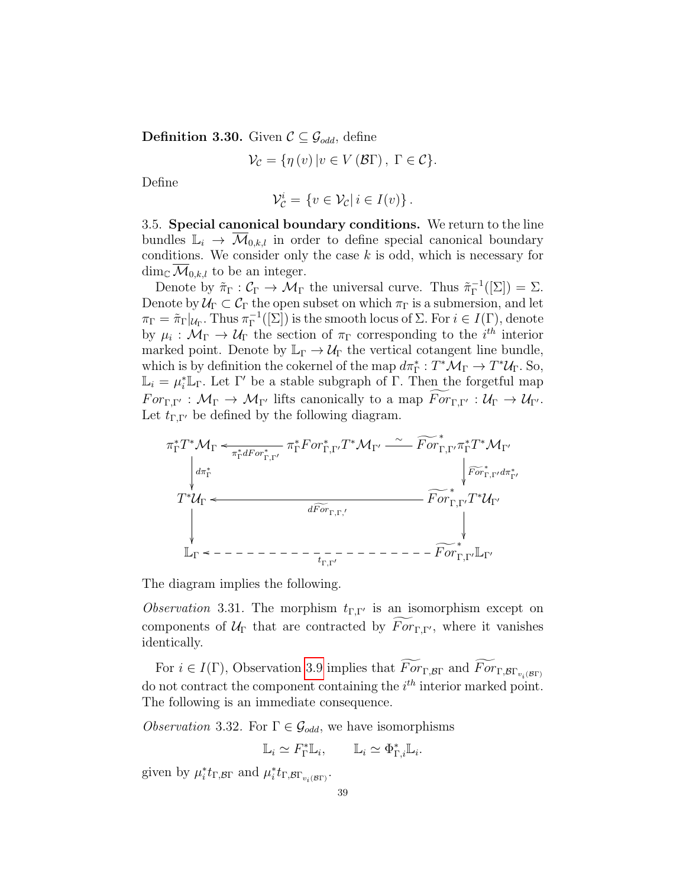**Definition 3.30.** Given  $\mathcal{C} \subseteq \mathcal{G}_{odd}$ , define

$$
\mathcal{V}_{\mathcal{C}} = \{ \eta(v) \, | v \in V(\mathcal{B}\Gamma) \, , \, \Gamma \in \mathcal{C} \}.
$$

Define

$$
\mathcal{V}_{\mathcal{C}}^i = \{ v \in \mathcal{V}_{\mathcal{C}} | i \in I(v) \}.
$$

3.5. Special canonical boundary conditions. We return to the line bundles  $\mathbb{L}_i \to \overline{\mathcal{M}}_{0,k,l}$  in order to define special canonical boundary conditions. We consider only the case  $k$  is odd, which is necessary for  $\dim_{\mathbb{C}} \mathcal{M}_{0,k,l}$  to be an integer.

Denote by  $\tilde{\pi}_{\Gamma}: \mathcal{C}_{\Gamma} \to \mathcal{M}_{\Gamma}$  the universal curve. Thus  $\tilde{\pi}_{\Gamma}^{-1}$  $\Gamma^{-1}([\Sigma]) = \Sigma.$ Denote by  $\mathcal{U}_{\Gamma} \subset \mathcal{C}_{\Gamma}$  the open subset on which  $\pi_{\Gamma}$  is a submersion, and let  $\pi_{\Gamma} = \tilde{\pi}_{\Gamma} |_{\mathcal{U}_{\Gamma}}$ . Thus  $\pi_{\Gamma}^{-1}$  $\Gamma^{-1}([\Sigma])$  is the smooth locus of  $\Sigma$ . For  $i \in I(\Gamma)$ , denote by  $\mu_i: \mathcal{M}_{\Gamma} \to \mathcal{U}_{\Gamma}$  the section of  $\pi_{\Gamma}$  corresponding to the *i*<sup>th</sup> interior marked point. Denote by  $\mathbb{L}_{\Gamma} \to \mathcal{U}_{\Gamma}$  the vertical cotangent line bundle, which is by definition the cokernel of the map  $d\pi_{\Gamma}^*: T^*\mathcal{M}_{\Gamma} \to T^*\mathcal{U}_{\Gamma}$ . So,  $\mathbb{L}_i = \mu_i^* \mathbb{L}_{\Gamma}$ . Let  $\Gamma'$  be a stable subgraph of  $\Gamma$ . Then the forgetful map  $For_{\Gamma,\Gamma'} : \mathcal{M}_{\Gamma} \to \mathcal{M}_{\Gamma'}$  lifts canonically to a map  $For_{\Gamma,\Gamma'} : \mathcal{U}_{\Gamma} \to \mathcal{U}_{\Gamma'}$ . Let  $t_{\Gamma,\Gamma'}$  be defined by the following diagram.



The diagram implies the following.

<span id="page-38-1"></span>*Observation* 3.31. The morphism  $t_{\Gamma,\Gamma'}$  is an isomorphism except on components of  $U_{\Gamma}$  that are contracted by  $\widetilde{For}_{\Gamma,\Gamma}$ , where it vanishes identically.

For  $i \in I(\Gamma)$ , Observation [3.9](#page-30-0) implies that  $For_{\Gamma,\mathcal{B}\Gamma}$  and  $For_{\Gamma,\mathcal{B}\Gamma_{v_i(\mathcal{B}\Gamma)}}$ do not contract the component containing the  $i<sup>th</sup>$  interior marked point. The following is an immediate consequence.

<span id="page-38-0"></span>*Observation* 3.32. For  $\Gamma \in \mathcal{G}_{odd}$ , we have isomorphisms

$$
\mathbb{L}_i \simeq F_{\Gamma}^* \mathbb{L}_i, \qquad \mathbb{L}_i \simeq \Phi_{\Gamma,i}^* \mathbb{L}_i.
$$

given by  $\mu_i^* t_{\Gamma, \mathcal{B}\Gamma}$  and  $\mu_i^* t_{\Gamma, \mathcal{B}\Gamma_{v_i(\mathcal{B}\Gamma)}}$ .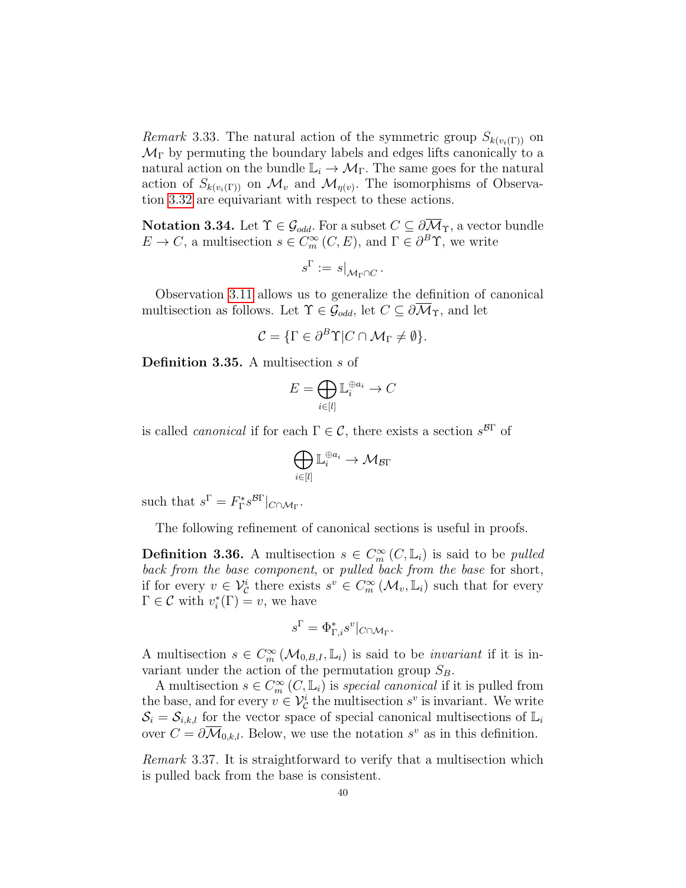<span id="page-39-0"></span>*Remark* 3.33. The natural action of the symmetric group  $S_{k(v_i(\Gamma))}$  on  $\mathcal{M}_{\Gamma}$  by permuting the boundary labels and edges lifts canonically to a natural action on the bundle  $\mathbb{L}_i \to \mathcal{M}_{\Gamma}$ . The same goes for the natural action of  $S_{k(v_i(\Gamma))}$  on  $\mathcal{M}_v$  and  $\mathcal{M}_{\eta(v)}$ . The isomorphisms of Observation [3.32](#page-38-0) are equivariant with respect to these actions.

**Notation 3.34.** Let  $\Upsilon \in \mathcal{G}_{odd}$ . For a subset  $C \subseteq \partial \overline{\mathcal{M}}_{\Upsilon}$ , a vector bundle  $E \to C$ , a multisection  $s \in C_m^{\infty}(C, E)$ , and  $\Gamma \in \partial^B \Upsilon$ , we write

$$
s^{\Gamma}:=s|_{\mathcal{M}_{\Gamma}\cap C}.
$$

Observation [3.11](#page-31-0) allows us to generalize the definition of canonical multisection as follows. Let  $\Upsilon \in \mathcal{G}_{odd}$ , let  $C \subseteq \partial \overline{\mathcal{M}}_{\Upsilon}$ , and let

$$
\mathcal{C} = \{ \Gamma \in \partial^B \Upsilon | C \cap \mathcal{M}_{\Gamma} \neq \emptyset \}.
$$

Definition 3.35. A multisection s of

$$
E=\bigoplus_{i\in [l]}\mathbb{L}_i^{\oplus a_i}\to C
$$

is called *canonical* if for each  $\Gamma \in \mathcal{C}$ , there exists a section  $s^{\beta\Gamma}$  of

$$
\bigoplus_{i\in[l]}\mathbb{L}_i^{\oplus a_i}\to \mathcal{M}_{\mathcal{B}\Gamma}
$$

such that  $s^{\Gamma} = F_{\Gamma}^* s^{\mathcal{B}\Gamma} |_{C \cap \mathcal{M}_{\Gamma}}$ .

The following refinement of canonical sections is useful in proofs.

**Definition 3.36.** A multisection  $s \in C_m^{\infty}(C, \mathbb{L}_i)$  is said to be *pulled* back from the base component, or pulled back from the base for short, if for every  $v \in \mathcal{V}_{\mathcal{C}}^i$  there exists  $s^v \in C_m^{\infty}(\mathcal{M}_v, \mathbb{L}_i)$  such that for every  $\Gamma \in \mathcal{C}$  with  $v_i^*(\Gamma) = v$ , we have

$$
s^{\Gamma} = \Phi_{\Gamma,i}^{*} s^{v}|_{C \cap \mathcal{M}_{\Gamma}}.
$$

A multisection  $s \in C_m^{\infty}(\mathcal{M}_{0,B,I}, \mathbb{L}_i)$  is said to be *invariant* if it is invariant under the action of the permutation group  $S_B$ .

A multisection  $s \in C_m^{\infty}(C, \mathbb{L}_i)$  is special canonical if it is pulled from the base, and for every  $v \in V^i_{\mathcal{C}}$  the multisection  $s^v$  is invariant. We write  $S_i = S_{i,k,l}$  for the vector space of special canonical multisections of  $\mathbb{L}_i$ over  $C = \partial \overline{\mathcal{M}}_{0,k,l}$ . Below, we use the notation  $s^v$  as in this definition.

<span id="page-39-1"></span>Remark 3.37. It is straightforward to verify that a multisection which is pulled back from the base is consistent.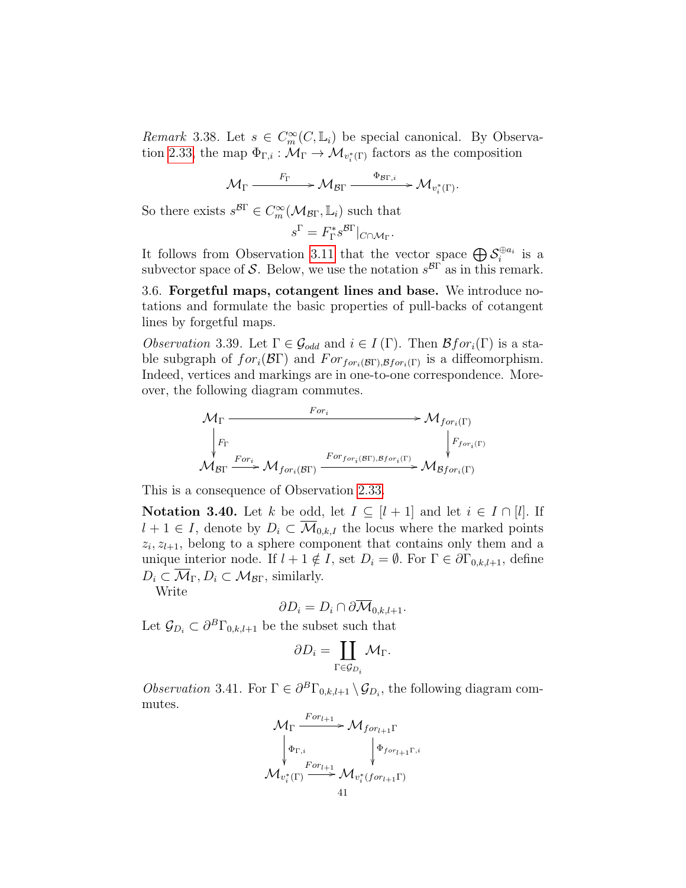<span id="page-40-2"></span>Remark 3.38. Let  $s \in C_m^{\infty}(C, \mathbb{L}_i)$  be special canonical. By Observa-tion [2.33,](#page-25-0) the map  $\Phi_{\Gamma,i}: \mathcal{M}_{\Gamma} \to \mathcal{M}_{v_i^*(\Gamma)}$  factors as the composition

$$
\mathcal{M}_{\Gamma} \xrightarrow{\qquad F_{\Gamma}} \mathcal{M}_{\mathcal{B}\Gamma} \xrightarrow{\qquad \Phi_{\mathcal{B}\Gamma,i}} \mathcal{M}_{v_i^*(\Gamma)}.
$$

So there exists  $s^{\mathcal{B}\Gamma} \in C_m^{\infty}(\mathcal{M}_{\mathcal{B}\Gamma}, \mathbb{L}_i)$  such that

$$
s^{\Gamma} = F_{\Gamma}^* s^{\mathcal{B}\Gamma} |_{C \cap \mathcal{M}_{\Gamma}}.
$$

It follows from Observation [3.11](#page-31-0) that the vector space  $\bigoplus \mathcal{S}_i^{\oplus a_i}$  is a subvector space of S. Below, we use the notation  $s^{B\Gamma}$  as in this remark.

3.6. Forgetful maps, cotangent lines and base. We introduce notations and formulate the basic properties of pull-backs of cotangent lines by forgetful maps.

<span id="page-40-0"></span>*Observation* 3.39. Let  $\Gamma \in \mathcal{G}_{odd}$  and  $i \in I(\Gamma)$ . Then  $\mathcal{B}$ *for*<sub>*i*</sub>( $\Gamma$ ) is a stable subgraph of  $for_i(\mathcal{B}\Gamma)$  and  $For_{for_i(\mathcal{B}\Gamma),\mathcal{B} for_i(\Gamma)}$  is a diffeomorphism. Indeed, vertices and markings are in one-to-one correspondence. Moreover, the following diagram commutes.

$$
\mathcal{M}_{\Gamma} \longrightarrow \mathcal{M}_{for_i(\Gamma)} \n\downarrow F_{\Gamma} \qquad \qquad \downarrow F_{for_i(\Gamma)} \n\mathcal{M}_{\text{BT}} \xrightarrow{For_{for_i(\mathcal{B}\Gamma),\mathcal{B}for_i(\Gamma)}} \mathcal{M}_{\text{BT}} \xrightarrow{For_{for_i(\Gamma)}} \mathcal{M}_{\text{BT}}.
$$

This is a consequence of Observation [2.33.](#page-25-0)

<span id="page-40-3"></span>**Notation 3.40.** Let k be odd, let  $I \subseteq [l+1]$  and let  $i \in I \cap [l]$ . If  $l + 1 \in I$ , denote by  $D_i \subset \overline{\mathcal{M}}_{0,k,I}$  the locus where the marked points  $z_i, z_{l+1}$ , belong to a sphere component that contains only them and a unique interior node. If  $l + 1 \notin I$ , set  $D_i = \emptyset$ . For  $\Gamma \in \partial \Gamma_{0,k,l+1}$ , define  $D_i \subset \overline{\mathcal{M}}_{\Gamma}, D_i \subset \mathcal{M}_{\mathcal{B}\Gamma}$ , similarly.

Write

$$
\partial D_i = D_i \cap \partial \overline{\mathcal{M}}_{0,k,l+1}.
$$

Let  $\mathcal{G}_{D_i} \subset \partial^B \Gamma_{0,k,l+1}$  be the subset such that

$$
\partial D_i = \coprod_{\Gamma \in \mathcal{G}_{D_i}} \mathcal{M}_{\Gamma}.
$$

<span id="page-40-1"></span>Observation 3.41. For  $\Gamma \in \partial^B \Gamma_{0,k,l+1} \setminus \mathcal{G}_{D_i}$ , the following diagram commutes.

$$
\mathcal{M}_{\Gamma} \xrightarrow{For_{l+1}} \mathcal{M}_{for_{l+1}\Gamma}
$$
\n
$$
\downarrow \Phi_{\Gamma,i} \qquad \qquad \downarrow \Phi_{for_{l+1}\Gamma,i}
$$
\n
$$
\mathcal{M}_{v_i^*(\Gamma)} \xrightarrow{For_{l+1}} \mathcal{M}_{v_i^*(for_{l+1}\Gamma)}
$$
\n
$$
41
$$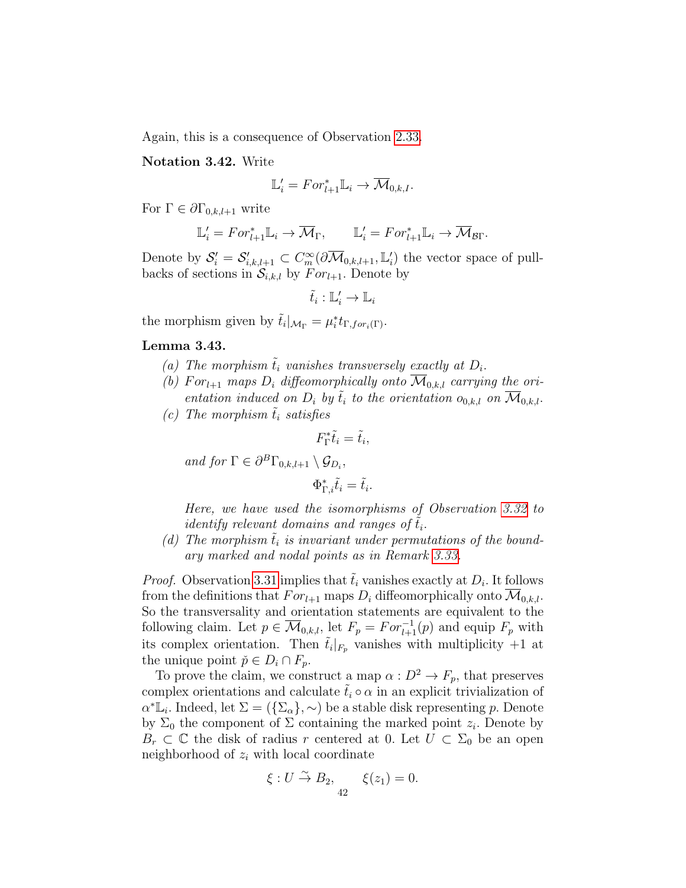Again, this is a consequence of Observation [2.33.](#page-25-0)

Notation 3.42. Write

$$
\mathbb{L}'_i = For^*_{l+1} \mathbb{L}_i \to \overline{\mathcal{M}}_{0,k,l}.
$$

For  $\Gamma \in \partial \Gamma_{0,k,l+1}$  write

$$
\mathbb{L}'_i = For^*_{l+1} \mathbb{L}_i \to \overline{\mathcal{M}}_{\Gamma}, \qquad \mathbb{L}'_i = For^*_{l+1} \mathbb{L}_i \to \overline{\mathcal{M}}_{\mathcal{B}\Gamma}.
$$

Denote by  $S_i' = S_{i,k,l+1}' \subset C_m^{\infty}(\partial \overline{\mathcal{M}}_{0,k,l+1}, \mathbb{L}_i')$  the vector space of pullbacks of sections in  $S_{i,k,l}$  by  $For_{l+1}$ . Denote by

$$
\tilde{t}_i:\mathbb{L}'_i\to\mathbb{L}_i
$$

the morphism given by  $\tilde{t}_i|_{\mathcal{M}_{\Gamma}} = \mu_i^* t_{\Gamma, \text{for}_i(\Gamma)}$ .

#### <span id="page-41-4"></span><span id="page-41-0"></span>Lemma 3.43.

- (a) The morphism  $\tilde{t}_i$  vanishes transversely exactly at  $D_i$ .
- <span id="page-41-1"></span>(b) For<sub>l+1</sub> maps  $D_i$  diffeomorphically onto  $\mathcal{M}_{0,k,l}$  carrying the orientation induced on  $D_i$  by  $\tilde{t}_i$  to the orientation  $o_{0,k,l}$  on  $\mathcal{M}_{0,k,l}$ .
- <span id="page-41-2"></span>(c) The morphism  $\tilde{t}_i$  satisfies

$$
F_{\Gamma}^* \tilde{t}_i = \tilde{t}_i,
$$

and for  $\Gamma \in \partial^B \Gamma_{0,k,l+1} \setminus \mathcal{G}_{D_i}$ ,

$$
\Phi_{\Gamma,i}^* \tilde{t}_i = \tilde{t}_i.
$$

Here, we have used the isomorphisms of Observation [3.32](#page-38-0) to identify relevant domains and ranges of  $\tilde{t}_i$ .

<span id="page-41-3"></span>(d) The morphism  $t_i$  is invariant under permutations of the boundary marked and nodal points as in Remark [3.33.](#page-39-0)

*Proof.* Observation [3.31](#page-38-1) implies that  $\tilde{t}_i$  vanishes exactly at  $D_i$ . It follows from the definitions that  $For_{l+1}$  maps  $D_i$  diffeomorphically onto  $\mathcal{M}_{0,k,l}$ . So the transversality and orientation statements are equivalent to the following claim. Let  $p \in \overline{\mathcal{M}}_{0,k,l}$ , let  $F_p = For_{l+1}^{-1}(p)$  and equip  $F_p$  with its complex orientation. Then  $\tilde{t}_i|_{F_p}$  vanishes with multiplicity  $+1$  at the unique point  $\check{p} \in D_i \cap F_p$ .

To prove the claim, we construct a map  $\alpha : D^2 \to F_p$ , that preserves complex orientations and calculate  $\tilde{t}_i \circ \alpha$  in an explicit trivialization of  $\alpha^* \overline{\mathbb{L}_i}$ . Indeed, let  $\Sigma = (\{\Sigma_\alpha\}, \sim)$  be a stable disk representing p. Denote by  $\Sigma_0$  the component of  $\Sigma$  containing the marked point  $z_i$ . Denote by  $B_r \subset \mathbb{C}$  the disk of radius r centered at 0. Let  $U \subset \Sigma_0$  be an open neighborhood of  $z_i$  with local coordinate

$$
\xi: U \stackrel{\sim}{\to} B_2, \qquad \xi(z_1) = 0.
$$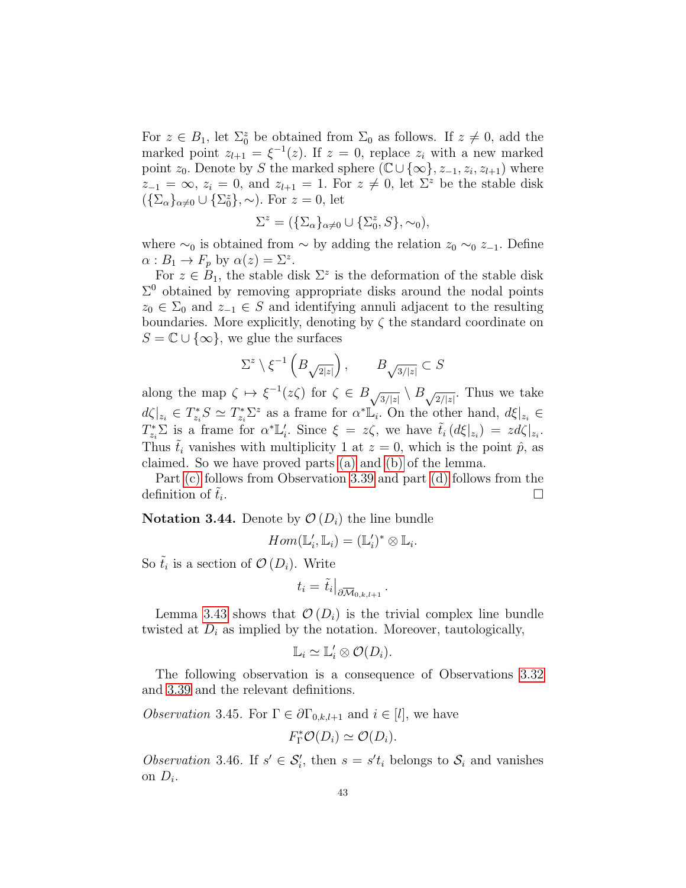For  $z \in B_1$ , let  $\Sigma_0^z$  be obtained from  $\Sigma_0$  as follows. If  $z \neq 0$ , add the marked point  $z_{l+1} = \xi^{-1}(z)$ . If  $z = 0$ , replace  $z_i$  with a new marked point  $z_0$ . Denote by S the marked sphere  $(\mathbb{C}\cup\{\infty\}, z_{-1}, z_i, z_{l+1})$  where  $z_{-1} = \infty$ ,  $z_i = 0$ , and  $z_{i+1} = 1$ . For  $z \neq 0$ , let  $\Sigma^z$  be the stable disk  $({\{\Sigma_{\alpha}\}}_{\alpha\neq0}\cup{\{\Sigma^z_{0}\}},\sim)$ . For  $z=0$ , let

$$
\Sigma^{z} = (\{\Sigma_{\alpha}\}_{\alpha \neq 0} \cup \{\Sigma_{0}^{z}, S\}, \sim_{0}),
$$

where  $\sim_0$  is obtained from  $\sim$  by adding the relation  $z_0 \sim_0 z_{-1}$ . Define  $\alpha: B_1 \to F_p$  by  $\alpha(z) = \Sigma^z$ .

For  $z \in B_1$ , the stable disk  $\Sigma^z$  is the deformation of the stable disk  $\Sigma^0$  obtained by removing appropriate disks around the nodal points  $z_0 \in \Sigma_0$  and  $z_{-1} \in S$  and identifying annuli adjacent to the resulting boundaries. More explicitly, denoting by  $\zeta$  the standard coordinate on  $S = \mathbb{C} \cup \{\infty\}$ , we glue the surfaces

$$
\Sigma^z \setminus \xi^{-1} \left( B_{\sqrt{2|z|}} \right), \qquad B_{\sqrt{3/|z|}} \subset S
$$

along the map  $\zeta \mapsto \xi^{-1}(z\zeta)$  for  $\zeta \in B_{\sqrt{3/|z|}} \setminus B_{\sqrt{2/|z|}}$ . Thus we take  $d\zeta|_{z_i} \in T^*_{z_i}S \simeq T^*_{z_i}\Sigma^z$  as a frame for  $\alpha^* \mathbb{L}_i$ . On the other hand,  $d\xi|_{z_i} \in$  $T_{z_i}^* \Sigma$  is a frame for  $\alpha^* \mathbb{L}'_i$ . Since  $\xi = z \zeta$ , we have  $\tilde{t}_i (d\xi |_{z_i}) = zd\zeta |_{z_i}$ . Thus  $\tilde{t}_i$  vanishes with multiplicity 1 at  $z = 0$ , which is the point  $\hat{p}$ , as claimed. So we have proved parts [\(a\)](#page-41-0) and [\(b\)](#page-41-1) of the lemma.

Part [\(c\)](#page-41-2) follows from Observation [3.39](#page-40-0) and part [\(d\)](#page-41-3) follows from the definition of  $t_i$ . . В последните поставите на селото на селото на селото на селото на селото на селото на селото на селото на се<br>Селото на селото на селото на селото на селото на селото на селото на селото на селото на селото на селото на

<span id="page-42-1"></span>**Notation 3.44.** Denote by  $\mathcal{O}(D_i)$  the line bundle

$$
Hom(\mathbb{L}'_i,\mathbb{L}_i)=(\mathbb{L}'_i)^*\otimes \mathbb{L}_i.
$$

So  $\tilde{t}_i$  is a section of  $\mathcal{O}(D_i)$ . Write

$$
t_i = \tilde{t}_i\big|_{\partial \overline{\mathcal{M}}_{0,k,l+1}}
$$

.

Lemma [3.43](#page-41-4) shows that  $\mathcal{O}(D_i)$  is the trivial complex line bundle twisted at  $D_i$  as implied by the notation. Moreover, tautologically,

$$
\mathbb{L}_i \simeq \mathbb{L}'_i \otimes \mathcal{O}(D_i).
$$

The following observation is a consequence of Observations [3.32](#page-38-0) and [3.39](#page-40-0) and the relevant definitions.

*Observation* 3.45. For  $\Gamma \in \partial \Gamma_{0,k,l+1}$  and  $i \in [l]$ , we have

$$
F_{\Gamma}^* \mathcal{O}(D_i) \simeq \mathcal{O}(D_i).
$$

<span id="page-42-0"></span>Observation 3.46. If  $s' \in \mathcal{S}'_i$ , then  $s = s't_i$  belongs to  $\mathcal{S}_i$  and vanishes on  $D_i$ .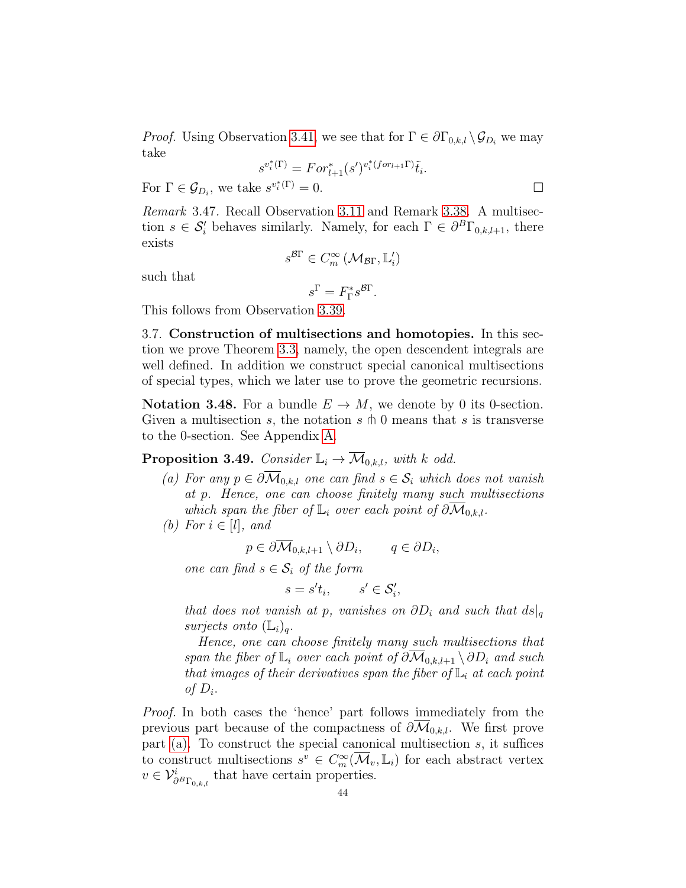*Proof.* Using Observation [3.41,](#page-40-1) we see that for  $\Gamma \in \partial \Gamma_{0,k,l} \backslash \mathcal{G}_{D_i}$  we may take

$$
s^{v_i^*(\Gamma)} = For_{l+1}^*(s')^{v_i^*(for_{l+1}\Gamma)}\tilde{t}_i.
$$

For  $\Gamma \in \mathcal{G}_{D_i}$ , we take  $s^{v_i^*(\Gamma)} = 0$ .

<span id="page-43-3"></span>Remark 3.47. Recall Observation [3.11](#page-31-0) and Remark [3.38.](#page-40-2) A multisection  $s \in \mathcal{S}'_i$  behaves similarly. Namely, for each  $\Gamma \in \partial^B \Gamma_{0,k,l+1}$ , there exists

$$
s^{\mathcal{B}\Gamma}\in C^\infty_m\left(\mathcal{M}_{\mathcal{B}\Gamma}, \mathbb{L}'_i\right)
$$

such that

$$
s^{\Gamma} = F_{\Gamma}^* s^{\mathcal{B}\Gamma}.
$$

This follows from Observation [3.39.](#page-40-0)

3.7. Construction of multisections and homotopies. In this section we prove Theorem [3.3,](#page-27-0) namely, the open descendent integrals are well defined. In addition we construct special canonical multisections of special types, which we later use to prove the geometric recursions.

Notation 3.48. For a bundle  $E \to M$ , we denote by 0 its 0-section. Given a multisection s, the notation  $s \uparrow 0$  means that s is transverse to the 0-section. See Appendix [A.](#page-77-0)

<span id="page-43-2"></span>**Proposition 3.49.** Consider  $\mathbb{L}_i \to \overline{\mathcal{M}}_{0,k,l}$ , with k odd.

- <span id="page-43-0"></span>(a) For any  $p \in \partial \overline{\mathcal{M}}_{0,k,l}$  one can find  $s \in \mathcal{S}_i$  which does not vanish at p. Hence, one can choose finitely many such multisections which span the fiber of  $\mathbb{L}_i$  over each point of  $\partial \mathcal{M}_{0,k,l}$ .
- <span id="page-43-1"></span>(b) For  $i \in [l]$ , and

$$
p \in \partial M_{0,k,l+1} \setminus \partial D_i, \qquad q \in \partial D_i,
$$

one can find  $s \in \mathcal{S}_i$  of the form

$$
s = s't_i, \qquad s' \in \mathcal{S}'_i,
$$

that does not vanish at p, vanishes on  $\partial D_i$  and such that  $ds|_q$ surjects onto  $(\mathbb{L}_i)_a$ .

Hence, one can choose finitely many such multisections that span the fiber of  $\mathbb{L}_i$  over each point of  $\partial \mathcal{M}_{0,k,l+1} \setminus \partial D_i$  and such that images of their derivatives span the fiber of  $\mathbb{L}_i$  at each point of  $D_i$ .

Proof. In both cases the 'hence' part follows immediately from the previous part because of the compactness of  $\partial \mathcal{M}_{0,k,l}$ . We first prove part [\(a\).](#page-43-0) To construct the special canonical multisection s, it suffices to construct multisections  $s^v \in C_m^{\infty}(\overline{\mathcal{M}}_v, \mathbb{L}_i)$  for each abstract vertex  $v \in \mathcal{V}_{\partial^{B}\Gamma_{0,k,l}}^{i}$  that have certain properties.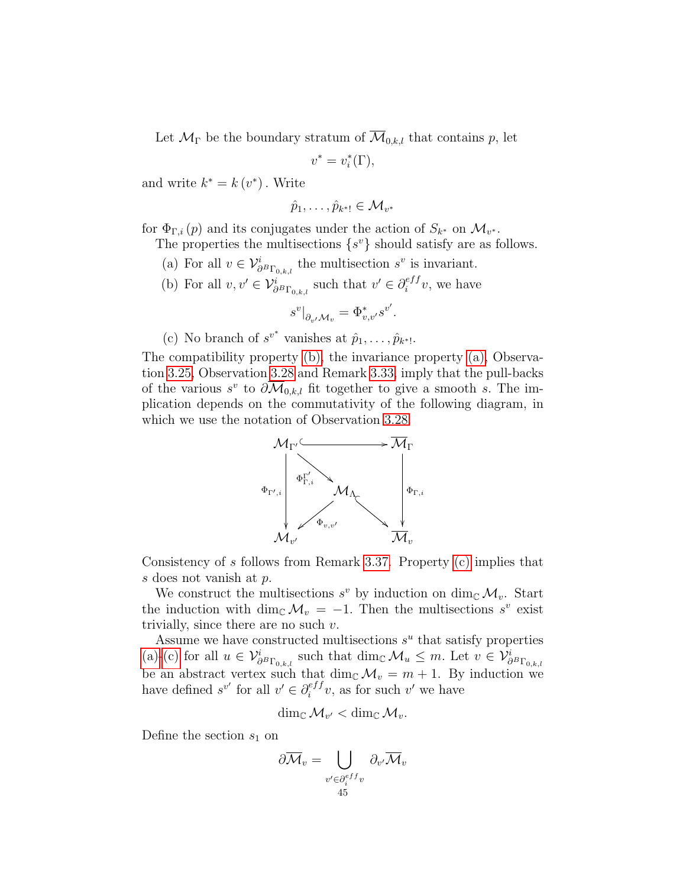Let  $\mathcal{M}_{\Gamma}$  be the boundary stratum of  $\mathcal{M}_{0,k,l}$  that contains p, let

$$
v^*=v_i^*(\Gamma),
$$

and write  $k^* = k(v^*)$ . Write

$$
\hat{p}_1,\ldots,\hat{p}_{k^*!}\in\mathcal{M}_{v^*}
$$

for  $\Phi_{\Gamma,i}(p)$  and its conjugates under the action of  $S_{k^*}$  on  $\mathcal{M}_{v^*}$ .

The properties the multisections  $\{s^v\}$  should satisfy are as follows.

- <span id="page-44-1"></span>(a) For all  $v \in V^i_{\partial^B \Gamma_{0,k,l}}$  the multisection  $s^v$  is invariant.
- <span id="page-44-0"></span>(b) For all  $v, v' \in \mathcal{V}_{\partial^B \Gamma_{0,k,l}}^i$  such that  $v' \in \partial_i^{eff}$  $e^{eff}_{i}v$ , we have

$$
s^v|_{\partial_{v'}\mathcal{M}_v} = \Phi_{v,v'}^* s^{v'}.
$$

<span id="page-44-2"></span>(c) No branch of  $s^{v^*}$  vanishes at  $\hat{p}_1, \ldots, \hat{p}_{k^*!}$ .

The compatibility property [\(b\),](#page-44-0) the invariance property [\(a\),](#page-44-1) Observation [3.25,](#page-35-0) Observation [3.28](#page-36-0) and Remark [3.33,](#page-39-0) imply that the pull-backs of the various  $s^v$  to  $\partial \overline{\mathcal{M}}_{0,k,l}$  fit together to give a smooth s. The implication depends on the commutativity of the following diagram, in which we use the notation of Observation [3.28.](#page-36-0)



Consistency of s follows from Remark [3.37.](#page-39-1) Property [\(c\)](#page-44-2) implies that s does not vanish at p.

We construct the multisections  $s^v$  by induction on dim<sub>C</sub>  $\mathcal{M}_v$ . Start the induction with dim<sub>C</sub>  $\mathcal{M}_v = -1$ . Then the multisections s<sup>v</sup> exist trivially, since there are no such  $v$ .

Assume we have constructed multisections  $s^u$  that satisfy properties [\(a\)-](#page-44-1)[\(c\)](#page-44-2) for all  $u \in \mathcal{V}_{\partial B_{\Gamma_{0,k,l}}}^i$  such that  $\dim_{\mathbb{C}} \mathcal{M}_u \leq m$ . Let  $v \in \mathcal{V}_{\partial B_{\Gamma_{0,k,l}}}^i$ be an abstract vertex such that  $\dim_{\mathbb{C}} \mathcal{M}_v = m + 1$ . By induction we have defined  $s^{v'}$  for all  $v' \in \partial_i^{eff}$  $e^{eff}_{i}v$ , as for such v' we have

$$
\dim_{\mathbb{C}}\mathcal{M}_{v'}<\dim_{\mathbb{C}}\mathcal{M}_v.
$$

Define the section  $s_1$  on

$$
\partial \overline{\mathcal{M}}_v = \bigcup_{\substack{v' \in \partial_i^{eff} v \\ 45}} \partial_{v'} \overline{\mathcal{M}}_v
$$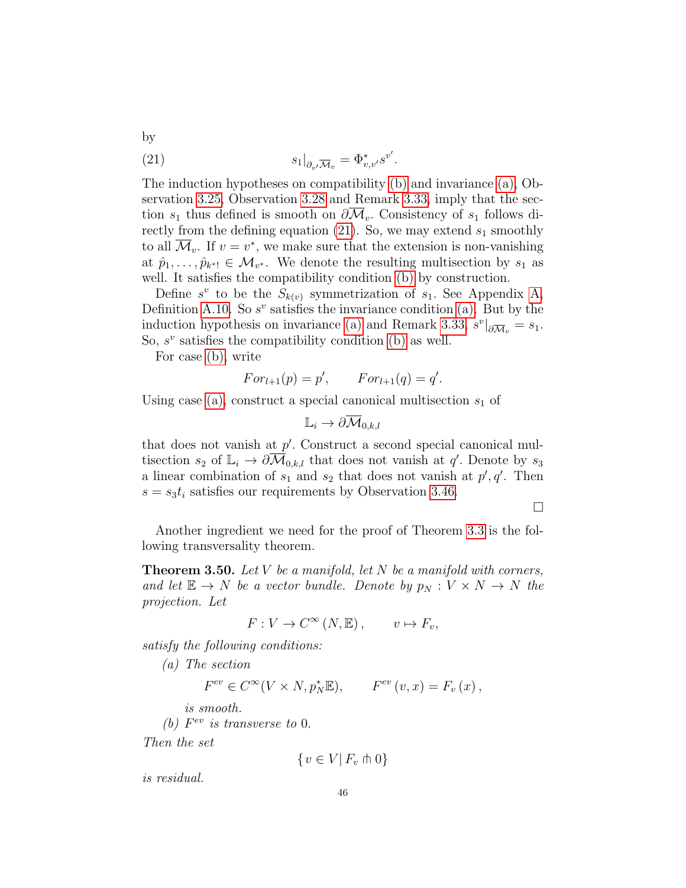<span id="page-45-0"></span>(21) 
$$
s_1|_{\partial_{v'}\overline{\mathcal{M}}_v} = \Phi_{v,v'}^*s^{v'}.
$$

The induction hypotheses on compatibility [\(b\)](#page-44-0) and invariance [\(a\),](#page-44-1) Observation [3.25,](#page-35-0) Observation [3.28](#page-36-0) and Remark [3.33,](#page-39-0) imply that the section  $s_1$  thus defined is smooth on  $\partial \mathcal{M}_{v}$ . Consistency of  $s_1$  follows di-rectly from the defining equation [\(21\)](#page-45-0). So, we may extend  $s_1$  smoothly to all  $\overline{\mathcal{M}}_v$ . If  $v = v^*$ , we make sure that the extension is non-vanishing at  $\hat{p}_1, \ldots, \hat{p}_{k^*} \in \mathcal{M}_{v^*}$ . We denote the resulting multisection by  $s_1$  as well. It satisfies the compatibility condition [\(b\)](#page-44-0) by construction.

Define  $s^v$  to be the  $S_{k(v)}$  symmetrization of  $s_1$ . See Appendix [A,](#page-77-0) Definition [A.10.](#page-82-0) So  $s^v$  satisfies the invariance condition [\(a\).](#page-44-1) But by the induction hypothesis on invariance [\(a\)](#page-44-1) and Remark [3.33,](#page-39-0)  $s^v|_{\partial \overline{M}_v} = s_1$ . So,  $s^v$  satisfies the compatibility condition [\(b\)](#page-44-0) as well.

For case [\(b\),](#page-43-1) write

by

$$
For_{l+1}(p) = p', \qquad For_{l+1}(q) = q'.
$$

Using case [\(a\),](#page-43-0) construct a special canonical multisection  $s_1$  of

$$
\mathbb{L}_i \to \partial \overline{\mathcal{M}}_{0,k,l}
$$

that does not vanish at  $p'$ . Construct a second special canonical multisection  $s_2$  of  $\mathbb{L}_i \to \partial \overline{\mathcal{M}}_{0,k,l}$  that does not vanish at q'. Denote by  $s_3$ a linear combination of  $s_1$  and  $s_2$  that does not vanish at  $p', q'$ . Then  $s = s_3 t_i$  satisfies our requirements by Observation [3.46.](#page-42-0)

 $\Box$ 

Another ingredient we need for the proof of Theorem [3.3](#page-27-0) is the following transversality theorem.

<span id="page-45-1"></span>**Theorem 3.50.** Let V be a manifold, let N be a manifold with corners, and let  $\mathbb{E} \to N$  be a vector bundle. Denote by  $p_N : V \times N \to N$  the projection. Let

$$
F: V \to C^{\infty}(N, \mathbb{E}), \qquad v \mapsto F_v,
$$

satisfy the following conditions:

(a) The section

$$
F^{ev} \in C^{\infty}(V \times N, p_N^* \mathbb{E}), \qquad F^{ev}(v, x) = F_v(x),
$$

is smooth.

(b)  $F^{ev}$  is transverse to 0.

Then the set

$$
\{v \in V | F_v \pitchfork 0\}
$$

is residual.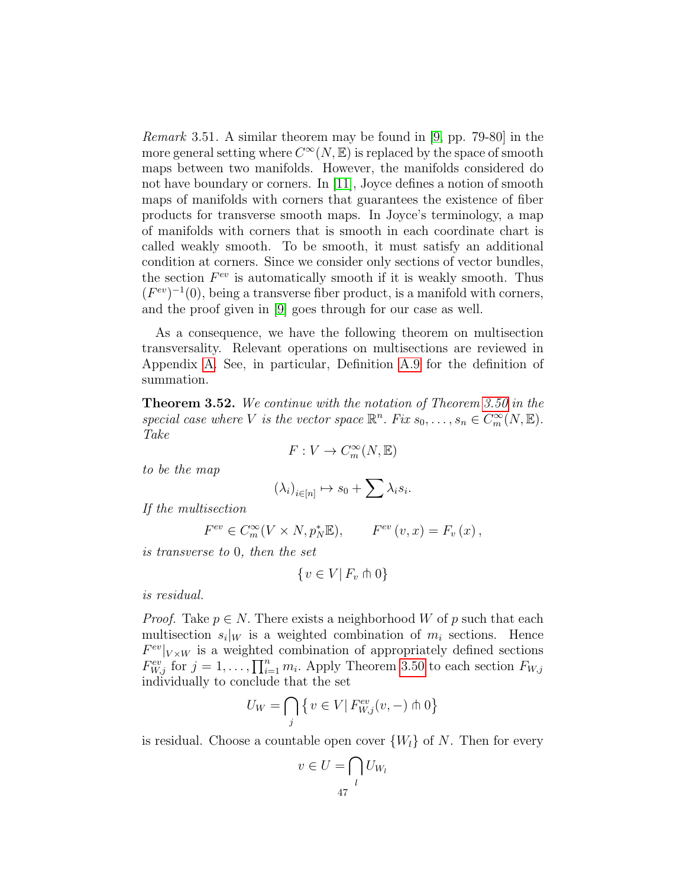Remark 3.51. A similar theorem may be found in [\[9,](#page-83-0) pp. 79-80] in the more general setting where  $C^{\infty}(N,\mathbb{E})$  is replaced by the space of smooth maps between two manifolds. However, the manifolds considered do not have boundary or corners. In [\[11\]](#page-83-1), Joyce defines a notion of smooth maps of manifolds with corners that guarantees the existence of fiber products for transverse smooth maps. In Joyce's terminology, a map of manifolds with corners that is smooth in each coordinate chart is called weakly smooth. To be smooth, it must satisfy an additional condition at corners. Since we consider only sections of vector bundles, the section  $F^{ev}$  is automatically smooth if it is weakly smooth. Thus  $(F^{ev})^{-1}(0)$ , being a transverse fiber product, is a manifold with corners, and the proof given in [\[9\]](#page-83-0) goes through for our case as well.

As a consequence, we have the following theorem on multisection transversality. Relevant operations on multisections are reviewed in Appendix [A.](#page-77-0) See, in particular, Definition [A.9](#page-81-0) for the definition of summation.

<span id="page-46-0"></span>Theorem 3.52. We continue with the notation of Theorem [3.50](#page-45-1) in the special case where V is the vector space  $\mathbb{R}^n$ . Fix  $s_0, \ldots, s_n \in C_m^{\infty}(N, \mathbb{E})$ . Take

$$
F:V\to C^\infty_m(N,{\mathbb E})
$$

to be the map

$$
(\lambda_i)_{i\in[n]} \mapsto s_0 + \sum \lambda_i s_i.
$$

If the multisection

$$
F^{ev} \in C_m^{\infty}(V \times N, p_N^* \mathbb{E}), \qquad F^{ev}(v, x) = F_v(x),
$$

is transverse to 0, then the set

$$
\{v \in V | F_v \pitchfork 0\}
$$

is residual.

*Proof.* Take  $p \in N$ . There exists a neighborhood W of p such that each multisection  $s_i|_W$  is a weighted combination of  $m_i$  sections. Hence  $F^{ev}|_{V\times W}$  is a weighted combination of appropriately defined sections  $F_{W,j}^{ev}$  for  $j = 1, \ldots, \prod_{i=1}^n m_i$ . Apply Theorem [3.50](#page-45-1) to each section  $F_{W,j}$ individually to conclude that the set

$$
U_W = \bigcap_j \left\{ v \in V \middle| F_{W,j}^{ev}(v, -) \pitchfork 0 \right\}
$$

is residual. Choose a countable open cover  $\{W_l\}$  of N. Then for every

$$
v \in U = \bigcap_{l} U_{W_l}
$$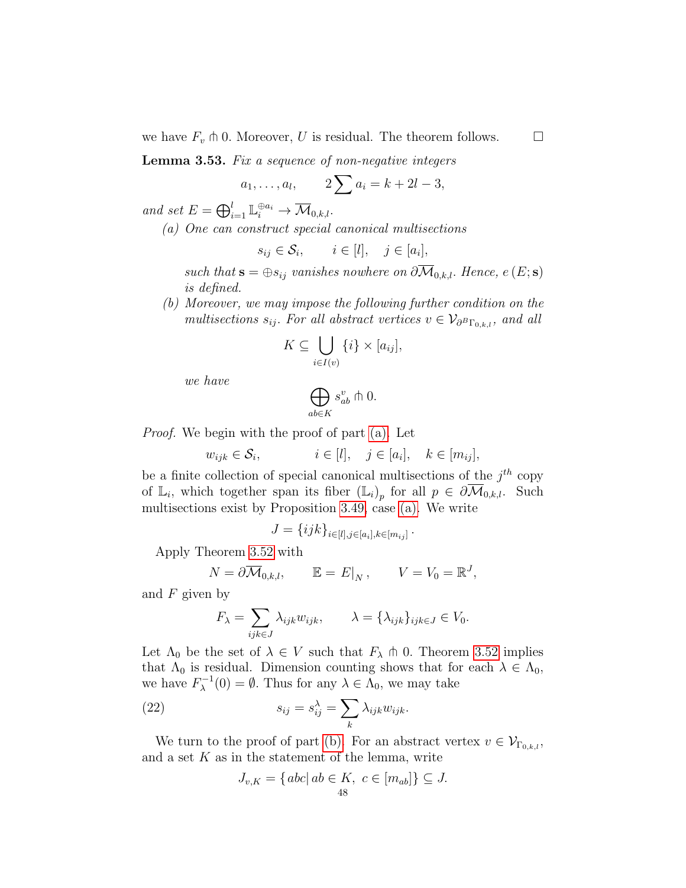we have  $F_v \pitchfork 0$ . Moreover, U is residual. The theorem follows.  $\square$ 

<span id="page-47-3"></span>Lemma 3.53. Fix a sequence of non-negative integers

$$
a_1, ..., a_l
$$
,  $2\sum a_i = k + 2l - 3$ ,

<span id="page-47-0"></span>and set  $E = \bigoplus_{i=1}^{l} \mathbb{L}_{i}^{\oplus a_{i}} \to \overline{\mathcal{M}}_{0,k,l}.$ 

(a) One can construct special canonical multisections

$$
s_{ij} \in \mathcal{S}_i, \qquad i \in [l], \quad j \in [a_i],
$$

such that  $\mathbf{s} = \bigoplus s_{ij}$  vanishes nowhere on  $\partial \overline{\mathcal{M}}_{0,k,l}$ . Hence,  $e(E; \mathbf{s})$ is defined.

<span id="page-47-1"></span>(b) Moreover, we may impose the following further condition on the multisections  $s_{ij}$ . For all abstract vertices  $v \in V_{\partial^B\Gamma_{0,k,l}}$ , and all

$$
K \subseteq \bigcup_{i \in I(v)} \{i\} \times [a_{ij}],
$$

we have

$$
\bigoplus_{ab \in K} s_{ab}^v \pitchfork 0.
$$

Proof. We begin with the proof of part [\(a\).](#page-47-0) Let

$$
w_{ijk} \in \mathcal{S}_i, \qquad i \in [l], \quad j \in [a_i], \quad k \in [m_{ij}],
$$

be a finite collection of special canonical multisections of the  $j<sup>th</sup>$  copy of  $\mathbb{L}_i$ , which together span its fiber  $(\mathbb{L}_i)_p$  for all  $p \in \partial \overline{\mathcal{M}}_{0,k,l}$ . Such multisections exist by Proposition [3.49,](#page-43-2) case [\(a\).](#page-43-0) We write

$$
J = \{ijk\}_{i \in [l], j \in [a_i], k \in [m_{ij}]}
$$

.

Apply Theorem [3.52](#page-46-0) with

$$
N = \partial \overline{\mathcal{M}}_{0,k,l}, \qquad \mathbb{E} = E|_N, \qquad V = V_0 = \mathbb{R}^J,
$$

and  $F$  given by

$$
F_{\lambda} = \sum_{ijk \in J} \lambda_{ijk} w_{ijk}, \qquad \lambda = \{\lambda_{ijk}\}_{ijk \in J} \in V_0.
$$

Let  $\Lambda_0$  be the set of  $\lambda \in V$  such that  $F_{\lambda} \pitchfork 0$ . Theorem [3.52](#page-46-0) implies that  $\Lambda_0$  is residual. Dimension counting shows that for each  $\lambda \in \Lambda_0$ , we have  $F_{\lambda}^{-1}$  $\lambda^{-1}(0) = \emptyset$ . Thus for any  $\lambda \in \Lambda_0$ , we may take

(22) 
$$
s_{ij} = s_{ij}^{\lambda} = \sum_{k} \lambda_{ijk} w_{ijk}.
$$

We turn to the proof of part [\(b\).](#page-47-1) For an abstract vertex  $v \in V_{\Gamma_{0,k,l}}$ , and a set  $K$  as in the statement of the lemma, write

<span id="page-47-2"></span>
$$
J_{v,K} = \{ abc | ab \in K, c \in [m_{ab}] \} \subseteq J.
$$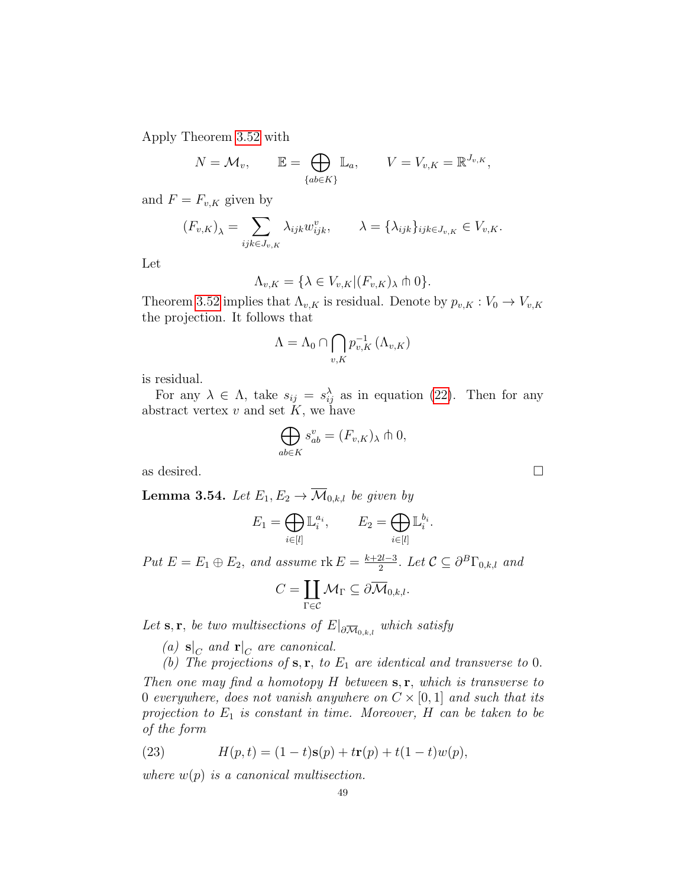Apply Theorem [3.52](#page-46-0) with

$$
N = \mathcal{M}_v, \qquad \mathbb{E} = \bigoplus_{\{ab \in K\}} \mathbb{L}_a, \qquad V = V_{v,K} = \mathbb{R}^{J_{v,K}},
$$

and  $F = F_{v,K}$  given by

$$
(F_{v,K})_{\lambda} = \sum_{ijk \in J_{v,K}} \lambda_{ijk} w_{ijk}^v, \qquad \lambda = \{\lambda_{ijk}\}_{ijk \in J_{v,K}} \in V_{v,K}.
$$

Let

$$
\Lambda_{v,K} = \{ \lambda \in V_{v,K} | (F_{v,K})_{\lambda} \pitchfork 0 \}.
$$

Theorem [3.52](#page-46-0) implies that  $\Lambda_{v,K}$  is residual. Denote by  $p_{v,K}: V_0 \to V_{v,K}$ the projection. It follows that

$$
\Lambda = \Lambda_0 \cap \bigcap_{v,K} p_{v,K}^{-1} (\Lambda_{v,K})
$$

is residual.

For any  $\lambda \in \Lambda$ , take  $s_{ij} = s_{ij}^{\lambda}$  as in equation [\(22\)](#page-47-2). Then for any abstract vertex  $v$  and set  $K$ , we have

$$
\bigoplus_{ab \in K} s_{ab}^v = (F_{v,K})_\lambda \pitchfork 0,
$$

as desired.  $\Box$ 

<span id="page-48-1"></span>**Lemma 3.54.** Let  $E_1, E_2 \rightarrow \overline{\mathcal{M}}_{0,k,l}$  be given by

$$
E_1 = \bigoplus_{i \in [l]} \mathbb{L}_i^{a_i}, \qquad E_2 = \bigoplus_{i \in [l]} \mathbb{L}_i^{b_i}.
$$

Put  $E = E_1 \oplus E_2$ , and assume  $\text{rk } E = \frac{k+2l-3}{2}$  $\frac{2l-3}{2}$ . Let  $\mathcal{C} \subseteq \partial^B \Gamma_{0,k,l}$  and

$$
C=\coprod_{\Gamma\in\mathcal{C}}\mathcal{M}_{\Gamma}\subseteq\partial\overline{\mathcal{M}}_{0,k,l}.
$$

Let  $\mathbf{s}, \mathbf{r}$ , be two multisections of  $E|_{\partial \overline{\mathcal{M}}_{0,k,l}}$  which satisfy

- (a)  $\mathbf{s}|_C$  and  $\mathbf{r}|_C$  are canonical.
- <span id="page-48-0"></span>(b) The projections of  $s, r, t$  to  $E_1$  are identical and transverse to 0.

Then one may find a homotopy  $H$  between  $s, r$ , which is transverse to 0 everywhere, does not vanish anywhere on  $C \times [0, 1]$  and such that its projection to  $E_1$  is constant in time. Moreover, H can be taken to be of the form

<span id="page-48-2"></span>(23) 
$$
H(p,t) = (1-t)\mathbf{s}(p) + t\mathbf{r}(p) + t(1-t)w(p),
$$

where  $w(p)$  is a canonical multisection.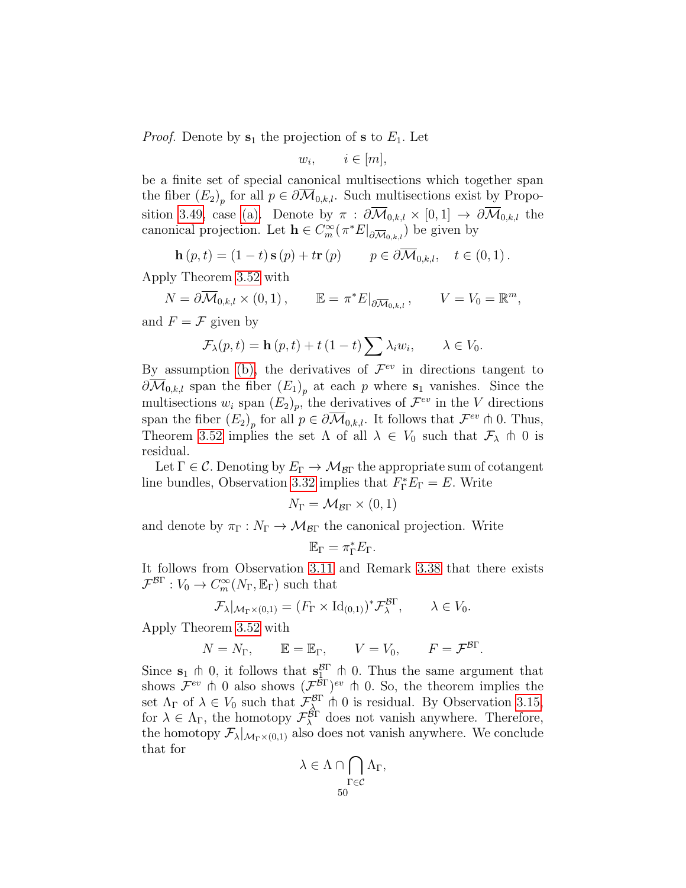*Proof.* Denote by  $s_1$  the projection of s to  $E_1$ . Let

$$
w_i, \qquad i \in [m],
$$

be a finite set of special canonical multisections which together span the fiber  $(E_2)_p$  for all  $p \in \partial \mathcal{M}_{0,k,l}$ . Such multisections exist by Propo-sition [3.49,](#page-43-2) case [\(a\).](#page-43-0) Denote by  $\pi : \partial \overline{\mathcal{M}}_{0,k,l} \times [0,1] \to \partial \overline{\mathcal{M}}_{0,k,l}$  the canonical projection. Let  $\mathbf{h} \in C_m^{\infty}(\pi^*E|_{\partial \overline{\mathcal{M}}_{0,k,l}})$  be given by

$$
\mathbf{h}(p,t) = (1-t)\,\mathbf{s}(p) + t\mathbf{r}(p) \qquad p \in \partial \overline{\mathcal{M}}_{0,k,l}, \quad t \in (0,1) \, .
$$

Apply Theorem [3.52](#page-46-0) with

$$
N = \partial \overline{\mathcal{M}}_{0,k,l} \times (0,1), \qquad \mathbb{E} = \pi^* E|_{\partial \overline{\mathcal{M}}_{0,k,l}}, \qquad V = V_0 = \mathbb{R}^m,
$$

and  $F = \mathcal{F}$  given by

$$
\mathcal{F}_{\lambda}(p,t) = \mathbf{h}(p,t) + t(1-t)\sum \lambda_i w_i, \qquad \lambda \in V_0.
$$

By assumption [\(b\),](#page-48-0) the derivatives of  $\mathcal{F}^{ev}$  in directions tangent to  $\partial \mathcal{M}_{0,k,l}$  span the fiber  $(E_1)_{p}$  at each p where  $s_1$  vanishes. Since the multisections  $w_i$  span  $(E_2)_p$ , the derivatives of  $\mathcal{F}^{ev}$  in the V directions span the fiber  $(E_2)_p$  for all  $p \in \partial \overline{\mathcal{M}}_{0,k,l}$ . It follows that  $\mathcal{F}^{ev} \pitchfork 0$ . Thus, Theorem [3.52](#page-46-0) implies the set  $\Lambda$  of all  $\lambda \in V_0$  such that  $\mathcal{F}_{\lambda} \uparrow 0$  is residual.

Let  $\Gamma \in \mathcal{C}$ . Denoting by  $E_{\Gamma} \to \mathcal{M}_{\mathcal{B}\Gamma}$  the appropriate sum of cotangent line bundles, Observation [3.32](#page-38-0) implies that  $F_{\Gamma}^*E_{\Gamma} = E$ . Write

$$
N_{\Gamma} = \mathcal{M}_{\mathcal{B}\Gamma} \times (0,1)
$$

and denote by  $\pi_{\Gamma}: N_{\Gamma} \to \mathcal{M}_{\mathcal{B}\Gamma}$  the canonical projection. Write

$$
\mathbb{E}_{\Gamma} = \pi_{\Gamma}^* E_{\Gamma}.
$$

It follows from Observation [3.11](#page-31-0) and Remark [3.38](#page-40-2) that there exists  $\mathcal{F}^{\mathcal{B}\Gamma}: V_0 \to C^\infty_m(N_\Gamma, \mathbb{E}_\Gamma)$  such that

$$
\mathcal{F}_{\lambda}|_{\mathcal{M}_{\Gamma}\times(0,1)}=(F_{\Gamma}\times\mathrm{Id}_{(0,1)})^*\mathcal{F}_{\lambda}^{\mathcal{B}\Gamma},\qquad\lambda\in V_0.
$$

Apply Theorem [3.52](#page-46-0) with

$$
N = N_{\Gamma}
$$
,  $\mathbb{E} = \mathbb{E}_{\Gamma}$ ,  $V = V_0$ ,  $F = \mathcal{F}^{\mathcal{B}\Gamma}$ .

Since  $s_1 \pitchfork 0$ , it follows that  $s_1^{\beta\Gamma} \pitchfork 0$ . Thus the same argument that shows  $\mathcal{F}^{ev}$  to 0 also shows  $(\mathcal{F}^{\dot{\beta}})$ <sup>ev</sup> to 0. So, the theorem implies the set  $\Lambda_{\Gamma}$  of  $\lambda \in V_0$  such that  $\mathcal{F}_{\lambda}^{\mathcal{B}\Gamma}$  in 0 is residual. By Observation [3.15,](#page-31-1) for  $\lambda \in \Lambda_{\Gamma}$ , the homotopy  $\mathcal{F}_{\lambda}^{\beta\Gamma}$  does not vanish anywhere. Therefore, the homotopy  $\mathcal{F}_{\lambda}|_{\mathcal{M}_{\Gamma}\times(0,1)}$  also does not vanish anywhere. We conclude that for

$$
\lambda\in\Lambda\cap\bigcap_{\Gamma\in\mathcal C}\Lambda_\Gamma,
$$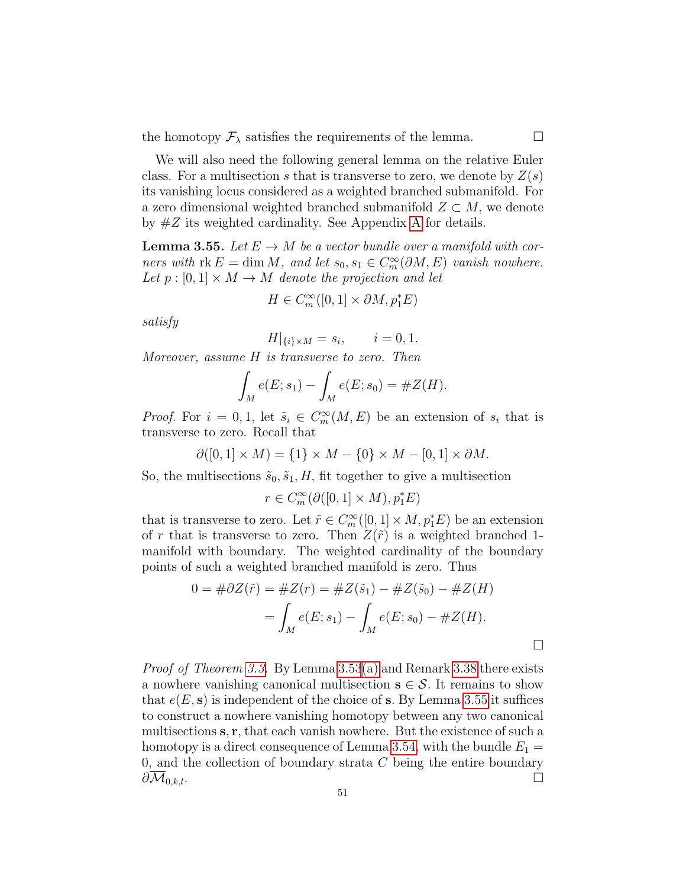the homotopy  $\mathcal{F}_{\lambda}$  satisfies the requirements of the lemma.

We will also need the following general lemma on the relative Euler class. For a multisection s that is transverse to zero, we denote by  $Z(s)$ its vanishing locus considered as a weighted branched submanifold. For a zero dimensional weighted branched submanifold  $Z \subset M$ , we denote by  $\#Z$  its weighted cardinality. See [A](#page-77-0)ppendix A for details.

<span id="page-50-0"></span>**Lemma 3.55.** Let  $E \to M$  be a vector bundle over a manifold with corners with  $rk E = \dim M$ , and let  $s_0, s_1 \in C_m^{\infty}(\partial M, E)$  vanish nowhere. Let  $p : [0,1] \times M \rightarrow M$  denote the projection and let

$$
H \in C^\infty_m([0,1] \times \partial M, p_1^*E)
$$

satisfy

$$
H|_{\{i\} \times M} = s_i, \qquad i = 0, 1.
$$

Moreover, assume H is transverse to zero. Then

$$
\int_M e(E; s_1) - \int_M e(E; s_0) = \#Z(H).
$$

*Proof.* For  $i = 0, 1$ , let  $\tilde{s}_i \in C_m^{\infty}(M, E)$  be an extension of  $s_i$  that is transverse to zero. Recall that

$$
\partial([0,1] \times M) = \{1\} \times M - \{0\} \times M - [0,1] \times \partial M.
$$

So, the multisections  $\tilde{s}_0, \tilde{s}_1, H$ , fit together to give a multisection

$$
r\in C^\infty_m(\partial([0,1]\times M),p_1^*E)
$$

that is transverse to zero. Let  $\tilde{r} \in C^{\infty}_m([0,1] \times M, p_1^*E)$  be an extension of r that is transverse to zero. Then  $Z(\tilde{r})$  is a weighted branched 1manifold with boundary. The weighted cardinality of the boundary points of such a weighted branched manifold is zero. Thus

$$
0 = #\partial Z(\tilde{r}) = #Z(r) = #Z(\tilde{s}_1) - #Z(\tilde{s}_0) - #Z(H)
$$
  
= 
$$
\int_M e(E; s_1) - \int_M e(E; s_0) - #Z(H).
$$

Proof of Theorem [3.3.](#page-27-0) By Lemma [3.53](#page-47-3)[\(a\)](#page-47-0) and Remark [3.38](#page-40-2) there exists a nowhere vanishing canonical multisection  $s \in S$ . It remains to show that  $e(E, s)$  is independent of the choice of s. By Lemma [3.55](#page-50-0) it suffices to construct a nowhere vanishing homotopy between any two canonical multisections s, r, that each vanish nowhere. But the existence of such a homotopy is a direct consequence of Lemma [3.54,](#page-48-1) with the bundle  $E_1 =$ 0, and the collection of boundary strata  $C$  being the entire boundary  $\partial \overline{\mathcal{M}}_{0,k,l}.$   $\Box$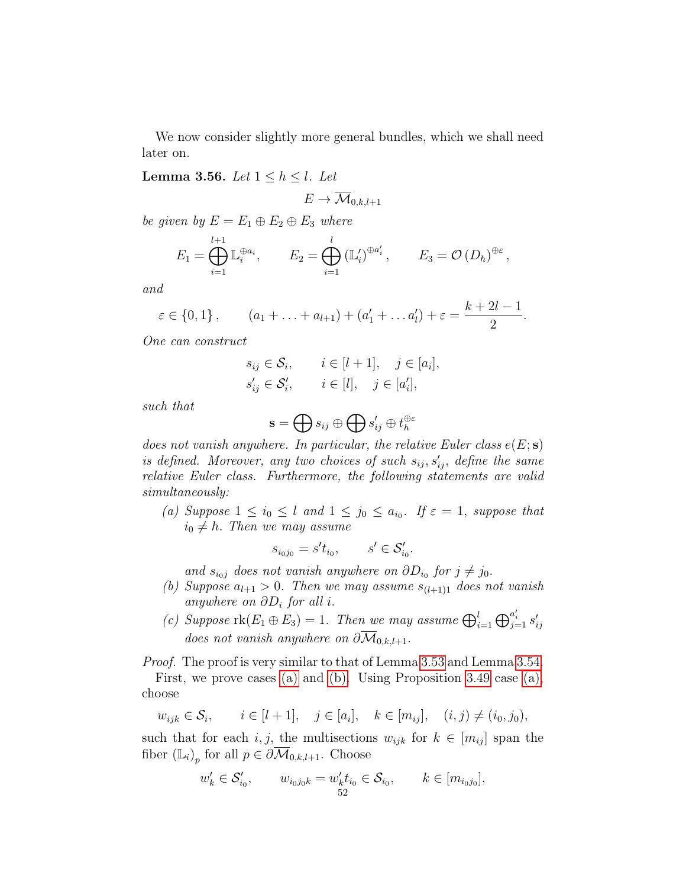We now consider slightly more general bundles, which we shall need later on.

<span id="page-51-3"></span>**Lemma 3.56.** Let  $1 \leq h \leq l$ . Let

$$
E \to \overline{\mathcal{M}}_{0,k,l+1}
$$

be given by  $E = E_1 \oplus E_2 \oplus E_3$  where

$$
E_1 = \bigoplus_{i=1}^{l+1} \mathbb{L}_i^{\oplus a_i}, \qquad E_2 = \bigoplus_{i=1}^l \left(\mathbb{L}'_i\right)^{\oplus a'_i}, \qquad E_3 = \mathcal{O}\left(D_h\right)^{\oplus \varepsilon},
$$

and

$$
\varepsilon \in \{0, 1\},
$$
  $(a_1 + \ldots + a_{l+1}) + (a'_1 + \ldots a'_l) + \varepsilon = \frac{k+2l-1}{2}.$ 

One can construct

$$
s_{ij} \in \mathcal{S}_i, \qquad i \in [l+1], \quad j \in [a_i],
$$
  

$$
s'_{ij} \in \mathcal{S}'_i, \qquad i \in [l], \quad j \in [a'_i],
$$

such that

$$
\mathbf{s} = \bigoplus s_{ij} \oplus \bigoplus s'_{ij} \oplus t_h^{\oplus \varepsilon}
$$

does not vanish anywhere. In particular, the relative Euler class  $e(E; s)$ is defined. Moreover, any two choices of such  $s_{ij}, s'_{ij}$ , define the same relative Euler class. Furthermore, the following statements are valid simultaneously:

<span id="page-51-0"></span>(a) Suppose  $1 \leq i_0 \leq l$  and  $1 \leq j_0 \leq a_{i_0}$ . If  $\varepsilon = 1$ , suppose that  $i_0 \neq h$ . Then we may assume

$$
s_{i_0j_0}=s't_{i_0},\qquad s'\in\mathcal{S}'_{i_0}.
$$

and  $s_{i_0j}$  does not vanish anywhere on  $\partial D_{i_0}$  for  $j \neq j_0$ .

- <span id="page-51-1"></span>(b) Suppose  $a_{l+1} > 0$ . Then we may assume  $s_{(l+1)1}$  does not vanish anywhere on  $\partial D_i$  for all i.
- <span id="page-51-2"></span>(c) Suppose  $\text{rk}(E_1 \oplus E_3) = 1$ . Then we may assume  $\bigoplus_{i=1}^{l} \bigoplus_{j=1}^{a'_i} s'_{ij}$ does not vanish anywhere on  $\partial \overline{\mathcal{M}}_{0,k,l+1}$ .

Proof. The proof is very similar to that of Lemma [3.53](#page-47-3) and Lemma [3.54.](#page-48-1)

First, we prove cases [\(a\)](#page-51-0) and [\(b\).](#page-51-1) Using Proposition [3.49](#page-43-2) case [\(a\),](#page-43-0) choose

$$
w_{ijk} \in S_i
$$
,  $i \in [l+1]$ ,  $j \in [a_i]$ ,  $k \in [m_{ij}]$ ,  $(i, j) \neq (i_0, j_0)$ ,

such that for each i, j, the multisections  $w_{ijk}$  for  $k \in [m_{ij}]$  span the fiber  $(\mathbb{L}_i)_p$  for all  $p \in \partial \overline{\mathcal{M}}_{0,k,l+1}$ . Choose

$$
w'_{k} \in \mathcal{S}'_{i_0}, \qquad w_{i_0 j_0 k} = w'_{k} t_{i_0} \in \mathcal{S}_{i_0}, \qquad k \in [m_{i_0 j_0}],
$$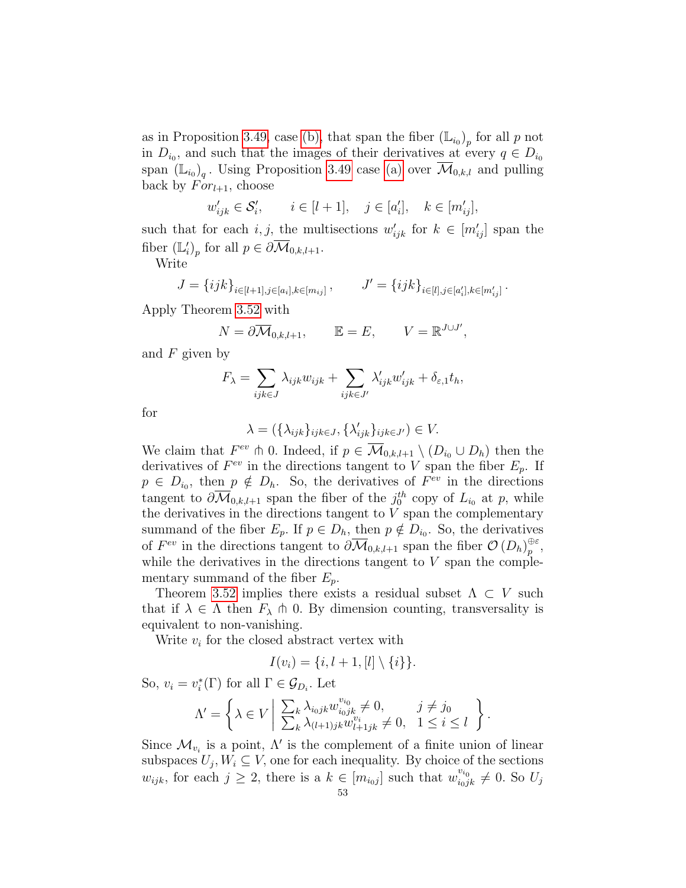as in Proposition [3.49,](#page-43-2) case [\(b\),](#page-43-1) that span the fiber  $(\mathbb{L}_{i_0})_p$  for all p not in  $D_{i_0}$ , and such that the images of their derivatives at every  $q \in D_{i_0}$ span  $(\mathbb{L}_{i_0})_q$ . Using Proposition [3.49](#page-43-2) case [\(a\)](#page-43-0) over  $\overline{\mathcal{M}}_{0,k,l}$  and pulling back by  $For_{l+1}$ , choose

$$
w'_{ijk} \in \mathcal{S}'_i, \qquad i \in [l+1], \quad j \in [a'_i], \quad k \in [m'_{ij}],
$$

such that for each i, j, the multisections  $w'_{ijk}$  for  $k \in [m'_{ij}]$  span the fiber  $(\mathbb{L}'_i)_p$  for all  $p \in \partial \overline{\mathcal{M}}_{0,k,l+1}$ .

Write

$$
J = \{ijk\}_{i \in [l+1], j \in [a_i], k \in [m_{ij}]}\,, \qquad J' = \{ijk\}_{i \in [l], j \in [a'_i], k \in [m'_{ij}]}\,.
$$

Apply Theorem [3.52](#page-46-0) with

$$
N = \partial \overline{\mathcal{M}}_{0,k,l+1}, \qquad \mathbb{E} = E, \qquad V = \mathbb{R}^{J \cup J'},
$$

and  $F$  given by

$$
F_{\lambda} = \sum_{ijk \in J} \lambda_{ijk} w_{ijk} + \sum_{ijk \in J'} \lambda'_{ijk} w'_{ijk} + \delta_{\varepsilon,1} t_h,
$$

for

$$
\lambda = (\{\lambda_{ijk}\}_{ijk\in J}, \{\lambda'_{ijk}\}_{ijk\in J'}) \in V.
$$

We claim that  $F^{ev} \uparrow 0$ . Indeed, if  $p \in \overline{\mathcal{M}}_{0,k,l+1} \setminus (D_{i_0} \cup D_h)$  then the derivatives of  $F^{ev}$  in the directions tangent to V span the fiber  $E_p$ . If  $p \in D_{i_0}$ , then  $p \notin D_h$ . So, the derivatives of  $F^{ev}$  in the directions tangent to  $\partial \overline{\mathcal{M}}_{0,k,l+1}$  span the fiber of the  $j_0^{th}$  copy of  $L_{i_0}$  at p, while the derivatives in the directions tangent to  $V$  span the complementary summand of the fiber  $E_p$ . If  $p \in D_h$ , then  $p \notin D_{i_0}$ . So, the derivatives of  $F^{ev}$  in the directions tangent to  $\partial \overline{\mathcal{M}}_{0,k,l+1}$  span the fiber  $\mathcal{O}(D_h)_{p}^{\oplus \varepsilon}$  $_{p}^{\oplus \varepsilon },$ while the derivatives in the directions tangent to  $V$  span the complementary summand of the fiber  $E_p$ .

Theorem [3.52](#page-46-0) implies there exists a residual subset  $\Lambda \subset V$  such that if  $\lambda \in \Lambda$  then  $F_{\lambda} \pitchfork 0$ . By dimension counting, transversality is equivalent to non-vanishing.

Write  $v_i$  for the closed abstract vertex with

$$
I(v_i) = \{i, l+1, [l] \setminus \{i\}\}.
$$

So,  $v_i = v_i^*(\Gamma)$  for all  $\Gamma \in \mathcal{G}_{D_i}$ . Let

$$
\Lambda' = \left\{ \lambda \in V \middle| \begin{array}{l} \sum_{k} \lambda_{i_0 j k} w_{i_0 j_k}^{v_{i_0}} \neq 0, & j \neq j_0 \\ \sum_{k} \lambda_{(l+1) j k} w_{l+1 j k}^{v_{i}} \neq 0, & 1 \leq i \leq l \end{array} \right\}.
$$

Since  $\mathcal{M}_{v_i}$  is a point,  $\Lambda'$  is the complement of a finite union of linear subspaces  $U_j, W_i \subseteq V$ , one for each inequality. By choice of the sections  $w_{ijk}$ , for each  $j \geq 2$ , there is a  $k \in [m_{i_0j}]$  such that  $w_{i_0jk}^{v_{i_0}} \neq 0$ . So  $U_j$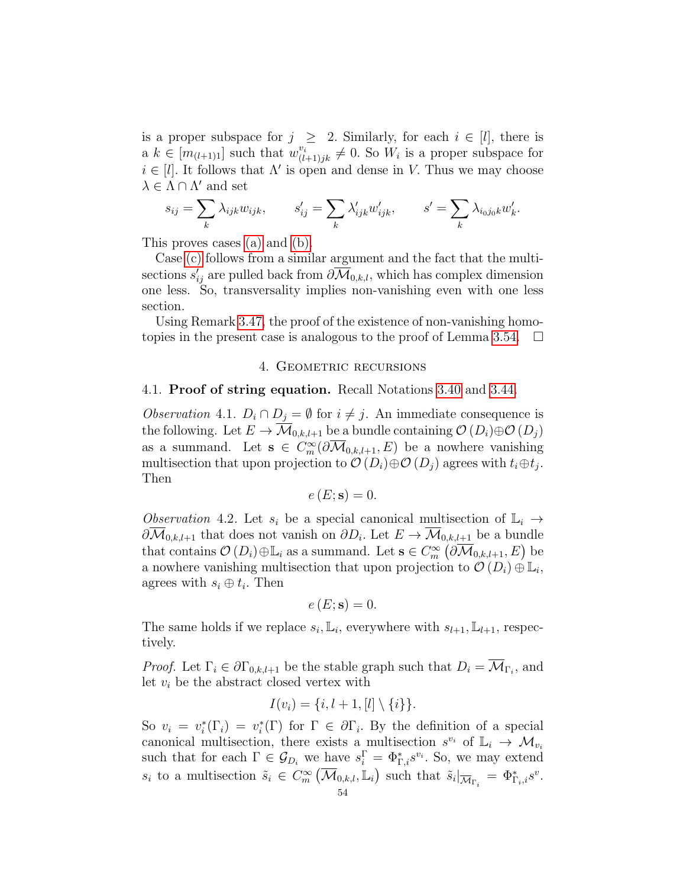is a proper subspace for  $j \geq 2$ . Similarly, for each  $i \in [l]$ , there is  $a \, k \in [m_{(l+1)1}]$  such that  $w_{(l+1)jk}^{v_i} \neq 0$ . So  $W_i$  is a proper subspace for  $i \in [l]$ . It follows that  $\Lambda'$  is open and dense in V. Thus we may choose  $\lambda \in \Lambda \cap \Lambda'$  and set

$$
s_{ij} = \sum_{k} \lambda_{ijk} w_{ijk}, \qquad s'_{ij} = \sum_{k} \lambda'_{ijk} w'_{ijk}, \qquad s' = \sum_{k} \lambda_{i_0 j_0 k} w'_{k}.
$$

This proves cases [\(a\)](#page-51-0) and [\(b\).](#page-51-1)

Case [\(c\)](#page-51-2) follows from a similar argument and the fact that the multisections  $s'_{ij}$  are pulled back from  $\partial \overline{\mathcal{M}}_{0,k,l}$ , which has complex dimension one less. So, transversality implies non-vanishing even with one less section.

Using Remark [3.47,](#page-43-3) the proof of the existence of non-vanishing homo-topies in the present case is analogous to the proof of Lemma [3.54.](#page-48-1)  $\Box$ 

#### 4. GEOMETRIC RECURSIONS

#### 4.1. Proof of string equation. Recall Notations [3.40](#page-40-3) and [3.44.](#page-42-1)

<span id="page-53-1"></span>*Observation* 4.1.  $D_i \cap D_j = \emptyset$  for  $i \neq j$ . An immediate consequence is the following. Let  $E \to \overline{\mathcal{M}}_{0,k,l+1}$  be a bundle containing  $\mathcal{O}(D_i) \oplus \mathcal{O}(D_j)$ as a summand. Let  $\mathbf{s} \in C_m^{\infty}(\partial \overline{\mathcal{M}}_{0,k,l+1}, E)$  be a nowhere vanishing multisection that upon projection to  $\mathcal{O}(D_i) \oplus \mathcal{O}(D_j)$  agrees with  $t_i \oplus t_j$ . Then

$$
e(E; \mathbf{s}) = 0.
$$

<span id="page-53-0"></span>Observation 4.2. Let  $s_i$  be a special canonical multisection of  $\mathbb{L}_i \to$  $\partial \overline{\mathcal{M}}_{0,k,l+1}$  that does not vanish on  $\partial D_i$ . Let  $E \to \overline{\mathcal{M}}_{0,k,l+1}$  be a bundle that contains  $\mathcal{O}(D_i) \oplus \mathbb{L}_i$  as a summand. Let  $\mathbf{s} \in C_m^{\infty}(\partial \overline{\mathcal{M}}_{0,k,l+1}, E)$  be a nowhere vanishing multisection that upon projection to  $\mathcal{O}(D_i) \oplus \mathbb{L}_i$ , agrees with  $s_i \oplus t_i$ . Then

$$
e(E; \mathbf{s}) = 0.
$$

The same holds if we replace  $s_i$ ,  $\mathbb{L}_i$ , everywhere with  $s_{l+1}$ ,  $\mathbb{L}_{l+1}$ , respectively.

*Proof.* Let  $\Gamma_i \in \partial \Gamma_{0,k,l+1}$  be the stable graph such that  $D_i = \mathcal{M}_{\Gamma_i}$ , and let  $v_i$  be the abstract closed vertex with

$$
I(v_i) = \{i, l+1, [l] \setminus \{i\}\}.
$$

So  $v_i = v_i^*(\Gamma_i) = v_i^*(\Gamma)$  for  $\Gamma \in \partial \Gamma_i$ . By the definition of a special canonical multisection, there exists a multisection  $s^{v_i}$  of  $\mathbb{L}_i \to \mathcal{M}_{v_i}$ such that for each  $\Gamma \in \mathcal{G}_{D_i}$  we have  $s_i^{\Gamma} = \Phi_{\Gamma,i}^* s^{v_i}$ . So, we may extend  $s_i$  to a multisection  $\tilde{s}_i \in C_m^{\infty}(\overline{\mathcal{M}}_{0,k,l}, \mathbb{L}_i)$  such that  $\tilde{s}_i|_{\overline{\mathcal{M}}_{\Gamma_i}} = \Phi_{\Gamma_i,i}^* s^v$ .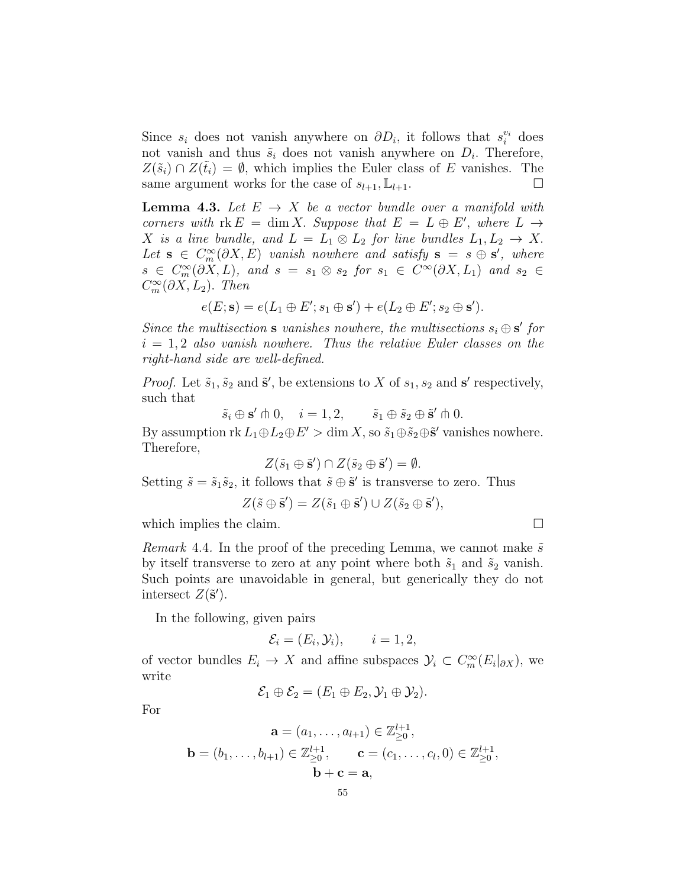Since  $s_i$  does not vanish anywhere on  $\partial D_i$ , it follows that  $s_i^{v_i}$  does not vanish and thus  $\tilde{s}_i$  does not vanish anywhere on  $D_i$ . Therefore,  $Z(\tilde{s}_i) \cap Z(\tilde{t}_i) = \emptyset$ , which implies the Euler class of E vanishes. The same argument works for the case of  $s_{l+1}, \mathbb{L}_{l+1}$ .

<span id="page-54-0"></span>**Lemma 4.3.** Let  $E \rightarrow X$  be a vector bundle over a manifold with corners with  $rk E = \dim X$ . Suppose that  $E = L \oplus E'$ , where  $L \rightarrow$ X is a line bundle, and  $L = L_1 \otimes L_2$  for line bundles  $L_1, L_2 \rightarrow X$ . Let  $\mathbf{s} \in C^{\infty}_m(\partial X, E)$  vanish nowhere and satisfy  $\mathbf{s} = s \oplus \mathbf{s}'$ , where  $s \in C^{\infty}_m(\partial X, L)$ , and  $s = s_1 \otimes s_2$  for  $s_1 \in C^{\infty}(\partial X, L_1)$  and  $s_2 \in$  $C_m^{\infty}(\partial X, L_2)$ . Then

$$
e(E; \mathbf{s}) = e(L_1 \oplus E'; s_1 \oplus \mathbf{s}') + e(L_2 \oplus E'; s_2 \oplus \mathbf{s}').
$$

Since the multisection **s** vanishes nowhere, the multisections  $s_i \oplus s'$  for  $i = 1, 2$  also vanish nowhere. Thus the relative Euler classes on the right-hand side are well-defined.

*Proof.* Let  $\tilde{s}_1$ ,  $\tilde{s}_2$  and  $\tilde{s}'$ , be extensions to X of  $s_1$ ,  $s_2$  and  $\tilde{s}'$  respectively, such that

 $\tilde{s}_i \oplus \mathbf{s}' \pitchfork 0, \quad i = 1, 2, \qquad \tilde{s}_1 \oplus \tilde{s}_2 \oplus \tilde{\mathbf{s}}' \pitchfork 0.$ 

By assumption  $\text{rk } L_1 \oplus L_2 \oplus E' > \dim X$ , so  $\tilde{s}_1 \oplus \tilde{s}_2 \oplus \tilde{s}'$  vanishes nowhere. Therefore,

$$
Z(\tilde{s}_1 \oplus \tilde{\mathbf{s}}') \cap Z(\tilde{s}_2 \oplus \tilde{\mathbf{s}}') = \emptyset.
$$

Setting  $\tilde{s} = \tilde{s}_1 \tilde{s}_2$ , it follows that  $\tilde{s} \oplus \tilde{s}'$  is transverse to zero. Thus

$$
Z(\tilde{s} \oplus \tilde{\mathbf{s}}') = Z(\tilde{s}_1 \oplus \tilde{\mathbf{s}}') \cup Z(\tilde{s}_2 \oplus \tilde{\mathbf{s}}'),
$$

which implies the claim.  $\square$ 

Remark 4.4. In the proof of the preceding Lemma, we cannot make  $\tilde{s}$ by itself transverse to zero at any point where both  $\tilde{s}_1$  and  $\tilde{s}_2$  vanish. Such points are unavoidable in general, but generically they do not intersect  $Z(\tilde{\mathbf{s}}')$ .

In the following, given pairs

$$
\mathcal{E}_i = (E_i, \mathcal{Y}_i), \qquad i = 1, 2,
$$

of vector bundles  $E_i \to X$  and affine subspaces  $\mathcal{Y}_i \subset C_m^{\infty}(E_i|_{\partial X})$ , we write

$$
\mathcal{E}_1 \oplus \mathcal{E}_2 = (E_1 \oplus E_2, \mathcal{Y}_1 \oplus \mathcal{Y}_2).
$$

For

$$
\mathbf{a} = (a_1, \dots, a_{l+1}) \in \mathbb{Z}_{\geq 0}^{l+1}, \n\mathbf{b} = (b_1, \dots, b_{l+1}) \in \mathbb{Z}_{\geq 0}^{l+1}, \qquad \mathbf{c} = (c_1, \dots, c_l, 0) \in \mathbb{Z}_{\geq 0}^{l+1}, \n\mathbf{b} + \mathbf{c} = \mathbf{a},
$$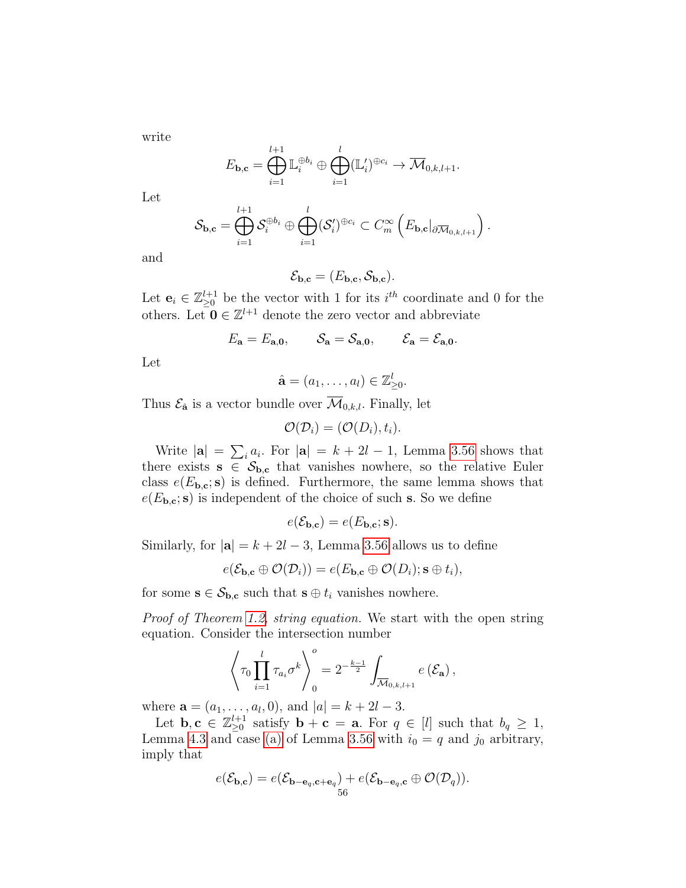write

$$
E_{\mathbf{b},\mathbf{c}} = \bigoplus_{i=1}^{l+1} \mathbb{L}_i^{\oplus b_i} \oplus \bigoplus_{i=1}^l (\mathbb{L}'_i)^{\oplus c_i} \to \overline{\mathcal{M}}_{0,k,l+1}.
$$

Let

$$
\mathcal{S}_{\mathbf{b},\mathbf{c}} = \bigoplus_{i=1}^{l+1} \mathcal{S}_i^{\oplus b_i} \oplus \bigoplus_{i=1}^{l} (\mathcal{S}'_i)^{\oplus c_i} \subset C_m^{\infty} \left( E_{\mathbf{b},\mathbf{c}} |_{\partial \overline{\mathcal{M}}_{0,k,l+1}} \right).
$$

and

$$
\mathcal{E}_{\mathbf{b},\mathbf{c}} = (E_{\mathbf{b},\mathbf{c}}, \mathcal{S}_{\mathbf{b},\mathbf{c}}).
$$

Let  $\mathbf{e}_i \in \mathbb{Z}_{\geq 0}^{l+1}$  be the vector with 1 for its  $i^{th}$  coordinate and 0 for the others. Let  $\mathbf{0} \in \mathbb{Z}^{l+1}$  denote the zero vector and abbreviate

$$
E_{\mathbf{a}} = E_{\mathbf{a},\mathbf{0}}, \qquad \mathcal{S}_{\mathbf{a}} = \mathcal{S}_{\mathbf{a},\mathbf{0}}, \qquad \mathcal{E}_{\mathbf{a}} = \mathcal{E}_{\mathbf{a},\mathbf{0}}.
$$

Let

$$
\hat{\mathbf{a}} = (a_1, \dots, a_l) \in \mathbb{Z}_{\geq 0}^l.
$$

Thus  $\mathcal{E}_{\hat{\mathbf{a}}}$  is a vector bundle over  $\overline{\mathcal{M}}_{0,k,l}$ . Finally, let

$$
\mathcal{O}(\mathcal{D}_i) = (\mathcal{O}(D_i), t_i).
$$

Write  $|\mathbf{a}| = \sum_i a_i$ . For  $|\mathbf{a}| = k + 2l - 1$ , Lemma [3.56](#page-51-3) shows that there exists  $s \in S_{b,c}$  that vanishes nowhere, so the relative Euler class  $e(E_{\mathbf{b},\mathbf{c}}; \mathbf{s})$  is defined. Furthermore, the same lemma shows that  $e(E_{\mathbf{b},\mathbf{c}}; \mathbf{s})$  is independent of the choice of such s. So we define

$$
e(\mathcal{E}_{\mathbf{b},\mathbf{c}}) = e(E_{\mathbf{b},\mathbf{c}};\mathbf{s}).
$$

Similarly, for  $|\mathbf{a}| = k + 2l - 3$ , Lemma [3.56](#page-51-3) allows us to define

$$
e(\mathcal{E}_{\mathbf{b},\mathbf{c}}\oplus \mathcal{O}(\mathcal{D}_i))=e(E_{\mathbf{b},\mathbf{c}}\oplus \mathcal{O}(D_i);\mathbf{s}\oplus t_i),
$$

for some  $\mathbf{s} \in \mathcal{S}_{\mathbf{b},\mathbf{c}}$  such that  $\mathbf{s} \oplus t_i$  vanishes nowhere.

Proof of Theorem [1.2,](#page-12-0) string equation. We start with the open string equation. Consider the intersection number

$$
\left\langle \tau_0 \prod_{i=1}^l \tau_{a_i} \sigma^k \right\rangle_0^o = 2^{-\frac{k-1}{2}} \int_{\overline{\mathcal{M}}_{0,k,l+1}} e\left(\mathcal{E}_{\mathbf{a}}\right),
$$

where  $\mathbf{a} = (a_1, \dots, a_l, 0)$ , and  $|a| = k + 2l - 3$ .

Let **b**,  $\mathbf{c} \in \mathbb{Z}_{\geq 0}^{l+1}$  satisfy  $\mathbf{b} + \mathbf{c} = \mathbf{a}$ . For  $q \in [l]$  such that  $b_q \geq 1$ , Lemma [4.3](#page-54-0) and case [\(a\)](#page-51-0) of Lemma [3.56](#page-51-3) with  $i_0 = q$  and  $j_0$  arbitrary, imply that

$$
e(\mathcal{E}_{\mathbf{b},\mathbf{c}}) = e(\mathcal{E}_{\mathbf{b}-\mathbf{e}_q,\mathbf{c}+\mathbf{e}_q}) + e(\mathcal{E}_{\mathbf{b}-\mathbf{e}_q,\mathbf{c}} \oplus \mathcal{O}(\mathcal{D}_q)).
$$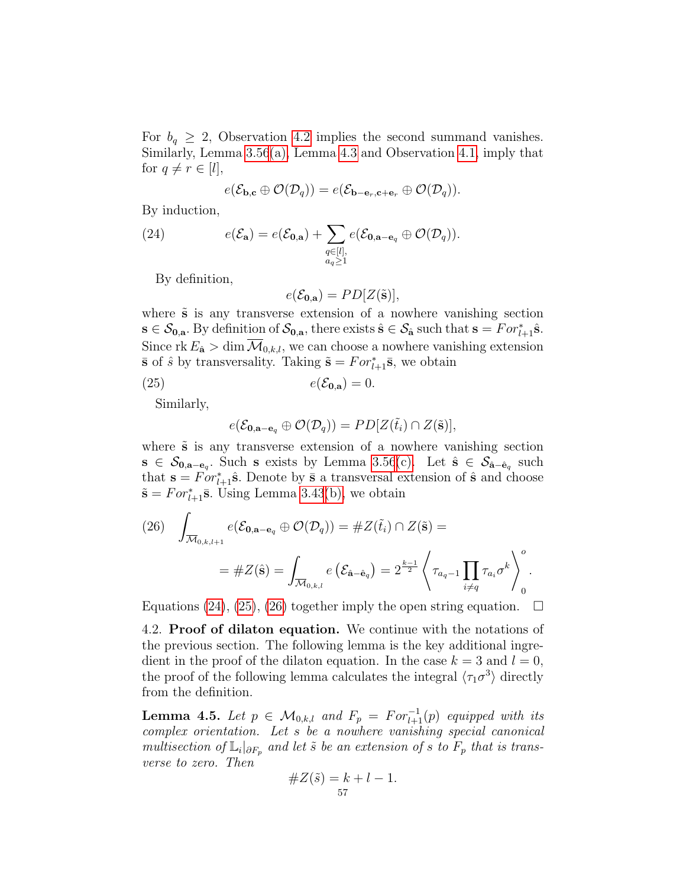For  $b_q \geq 2$ , Observation [4.2](#page-53-0) implies the second summand vanishes. Similarly, Lemma [3.56](#page-51-3)[\(a\),](#page-51-0) Lemma [4.3](#page-54-0) and Observation [4.1,](#page-53-1) imply that for  $q \neq r \in [l],$ 

<span id="page-56-0"></span>
$$
e(\mathcal{E}_{\mathbf{b},\mathbf{c}}\oplus \mathcal{O}(\mathcal{D}_q))=e(\mathcal{E}_{\mathbf{b}-\mathbf{e}_r,\mathbf{c}+\mathbf{e}_r}\oplus \mathcal{O}(\mathcal{D}_q)).
$$

By induction,

(24) 
$$
e(\mathcal{E}_{\mathbf{a}}) = e(\mathcal{E}_{\mathbf{0},\mathbf{a}}) + \sum_{\substack{q \in [l],\\ a_q \ge 1}} e(\mathcal{E}_{\mathbf{0},\mathbf{a}-\mathbf{e}_q} \oplus \mathcal{O}(\mathcal{D}_q)).
$$

By definition,

<span id="page-56-1"></span>
$$
e(\mathcal{E}_{0,\mathbf{a}}) = PD[Z(\tilde{\mathbf{s}})],
$$

where  $\tilde{s}$  is any transverse extension of a nowhere vanishing section  $\mathbf{s} \in \mathcal{S}_{0,\mathbf{a}}$ . By definition of  $\mathcal{S}_{0,\mathbf{a}}$ , there exists  $\hat{\mathbf{s}} \in \mathcal{S}_{\hat{\mathbf{a}}}$  such that  $\mathbf{s} = For_{l+1}^* \hat{\mathbf{s}}$ . Since rk  $E_{\hat{\mathbf{a}}} > \dim \mathcal{M}_{0,k,l}$ , we can choose a nowhere vanishing extension  $\bar{\mathbf{s}}$  of  $\hat{s}$  by transversality. Taking  $\tilde{\mathbf{s}} = For_{l+1}^* \bar{\mathbf{s}}$ , we obtain

$$
(25) \t\t e(\mathcal{E}_{0,\mathbf{a}}) = 0.
$$

Similarly,

$$
e(\mathcal{E}_{0,\mathbf{a}-\mathbf{e}_q}\oplus \mathcal{O}(\mathcal{D}_q))=PD[Z(\tilde{t}_i)\cap Z(\tilde{\mathbf{s}})],
$$

where  $\tilde{s}$  is any transverse extension of a nowhere vanishing section  $s \in \mathcal{S}_{0,a-e_q}$ . Such s exists by Lemma [3.56](#page-51-3)[\(c\).](#page-51-2) Let  $\hat{s} \in \mathcal{S}_{\hat{a}-\hat{e}_q}$  such that  $\mathbf{s} = For_{l+1}^* \hat{\mathbf{s}}$ . Denote by  $\bar{\mathbf{s}}$  a transversal extension of  $\hat{\mathbf{s}}$  and choose  $\tilde{\mathbf{s}} = For_{l+1}^*$  $\bar{\mathbf{s}}$ . Using Lemma [3.43](#page-41-4)[\(b\),](#page-41-1) we obtain

<span id="page-56-2"></span>(26) 
$$
\int_{\overline{\mathcal{M}}_{0,k,l+1}} e(\mathcal{E}_{0,\mathbf{a}-\mathbf{e}_q} \oplus \mathcal{O}(\mathcal{D}_q)) = \#Z(\tilde{t}_i) \cap Z(\tilde{\mathbf{s}}) =
$$

$$
= \#Z(\hat{\mathbf{s}}) = \int_{\overline{\mathcal{M}}_{0,k,l}} e(\mathcal{E}_{\hat{\mathbf{a}}-\hat{\mathbf{e}}_q}) = 2^{\frac{k-1}{2}} \left\langle \tau_{a_q-1} \prod_{i \neq q} \tau_{a_i} \sigma^k \right\rangle_0^o.
$$

Equations [\(24\)](#page-56-0), [\(25\)](#page-56-1), [\(26\)](#page-56-2) together imply the open string equation.  $\Box$ 

4.2. Proof of dilaton equation. We continue with the notations of the previous section. The following lemma is the key additional ingredient in the proof of the dilaton equation. In the case  $k = 3$  and  $l = 0$ , the proof of the following lemma calculates the integral  $\langle \tau_1 \sigma^3 \rangle$  directly from the definition.

<span id="page-56-3"></span>**Lemma 4.5.** Let  $p \in \mathcal{M}_{0,k,l}$  and  $F_p = For_{l+1}^{-1}(p)$  equipped with its complex orientation. Let s be a nowhere vanishing special canonical multisection of  $\mathbb{L}_i|_{\partial F_p}$  and let  $\tilde{s}$  be an extension of s to  $F_p$  that is transverse to zero. Then

#Z(˜s) = k + l − 1. 57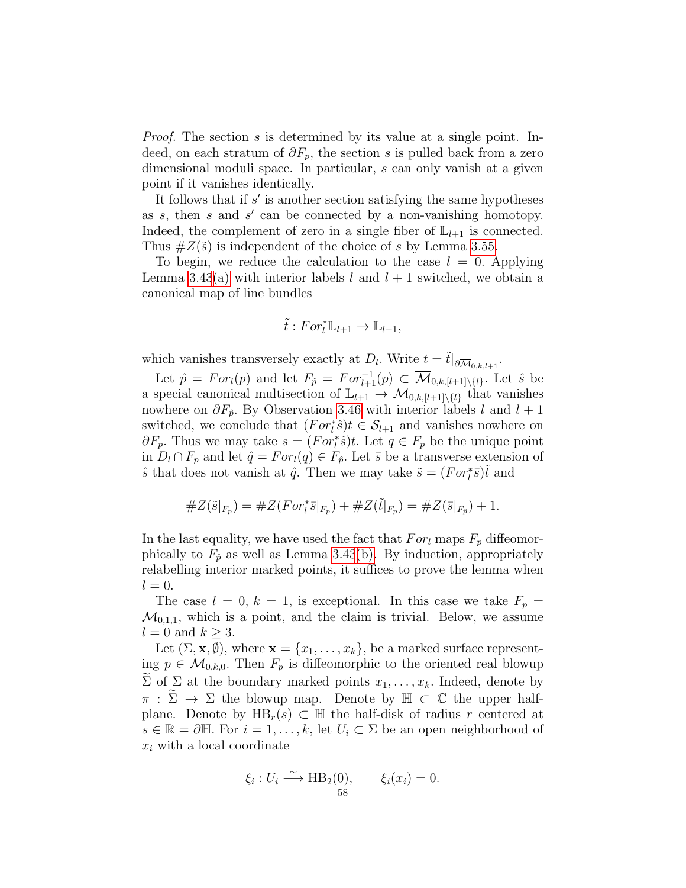*Proof.* The section s is determined by its value at a single point. Indeed, on each stratum of  $\partial F_p$ , the section s is pulled back from a zero dimensional moduli space. In particular, s can only vanish at a given point if it vanishes identically.

It follows that if  $s'$  is another section satisfying the same hypotheses as  $s$ , then  $s$  and  $s'$  can be connected by a non-vanishing homotopy. Indeed, the complement of zero in a single fiber of  $\mathbb{L}_{l+1}$  is connected. Thus  $\#Z(\tilde{s})$  is independent of the choice of s by Lemma [3.55.](#page-50-0)

To begin, we reduce the calculation to the case  $l = 0$ . Applying Lemma [3.43](#page-41-4)[\(a\)](#page-41-0) with interior labels l and  $l + 1$  switched, we obtain a canonical map of line bundles

$$
\tilde{t}: For_l^* \mathbb{L}_{l+1} \to \mathbb{L}_{l+1},
$$

which vanishes transversely exactly at  $D_l$ . Write  $t = \tilde{t}|_{\partial \overline{\mathcal{M}}_{0,k,l+1}}$ .

Let  $\hat{p} = For_l(p)$  and let  $F_{\hat{p}} = For_{l+1}^{-1}(p) \subset \overline{\mathcal{M}}_{0,k,[l+1]\setminus\{l\}}$ . Let  $\hat{s}$  be a special canonical multisection of  $\mathbb{L}_{l+1} \to \mathcal{M}_{0,k,[l+1]\setminus\{l\}}$  that vanishes nowhere on  $\partial F_{\hat{p}}$ . By Observation [3.46](#page-42-0) with interior labels l and  $l + 1$ switched, we conclude that  $(For_t^*\hat{s})t \in \mathcal{S}_{l+1}$  and vanishes nowhere on  $\partial F_p$ . Thus we may take  $s = (For \dagger \hat{s})t$ . Let  $q \in F_p$  be the unique point in  $D_l \cap F_p$  and let  $\hat{q} = For_l(q) \in F_{\hat{p}}$ . Let  $\bar{s}$  be a transverse extension of  $\hat{s}$  that does not vanish at  $\hat{q}$ . Then we may take  $\tilde{s} = (For \, i^* \bar{s})\tilde{t}$  and

#Z(˜s|<sup>F</sup><sup>p</sup> ) = #Z(F or<sup>∗</sup> l s¯|<sup>F</sup><sup>p</sup> ) + #Z(t˜|<sup>F</sup><sup>p</sup> ) = #Z(¯s|<sup>F</sup>p<sup>ˆ</sup> ) + 1.

In the last equality, we have used the fact that  $For_l$  maps  $F_p$  diffeomorphically to  $F_{\hat{p}}$  as well as Lemma [3.43](#page-41-4)[\(b\).](#page-41-1) By induction, appropriately relabelling interior marked points, it suffices to prove the lemma when  $l = 0$ .

The case  $l = 0, k = 1$ , is exceptional. In this case we take  $F_p =$  $\mathcal{M}_{0,1,1}$ , which is a point, and the claim is trivial. Below, we assume  $l = 0$  and  $k \geq 3$ .

Let  $(\Sigma, \mathbf{x}, \emptyset)$ , where  $\mathbf{x} = \{x_1, \ldots, x_k\}$ , be a marked surface representing  $p \in \mathcal{M}_{0,k,0}$ . Then  $F_p$  is diffeomorphic to the oriented real blowup  $\widetilde{\Sigma}$  of  $\Sigma$  at the boundary marked points  $x_1, \ldots, x_k$ . Indeed, denote by  $\pi : \widetilde{\Sigma} \to \Sigma$  the blowup map. Denote by  $\mathbb{H} \subset \mathbb{C}$  the upper halfplane. Denote by  $HB_r(s) \subset \mathbb{H}$  the half-disk of radius r centered at  $s \in \mathbb{R} = \partial \mathbb{H}$ . For  $i = 1, \ldots, k$ , let  $U_i \subset \Sigma$  be an open neighborhood of  $x_i$  with a local coordinate

$$
\xi_i: U_i \xrightarrow{\sim} \text{HB}_2(0), \qquad \xi_i(x_i) = 0.
$$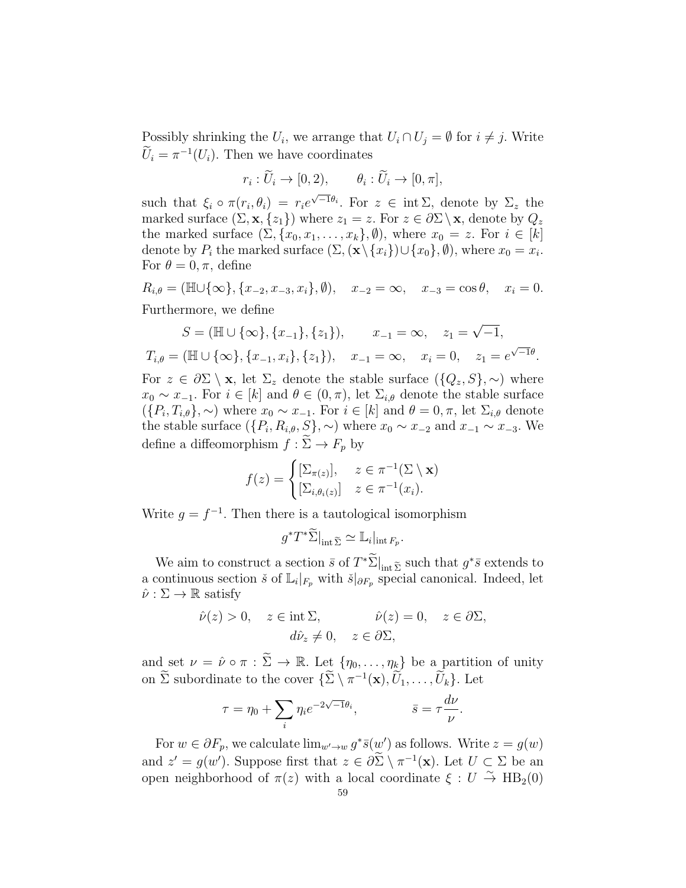Possibly shrinking the  $U_i$ , we arrange that  $U_i \cap U_j = \emptyset$  for  $i \neq j$ . Write  $\tilde{U}_i = \pi^{-1}(U_i)$ . Then we have coordinates

$$
r_i: \widetilde{U}_i \to [0,2), \qquad \theta_i: \widetilde{U}_i \to [0,\pi],
$$

such that  $\xi_i \circ \pi(r_i, \theta_i) = r_i e^{\sqrt{-1}\theta_i}$ . For  $z \in \text{int } \Sigma$ , denote by  $\Sigma_z$  the marked surface  $(\Sigma, \mathbf{x}, \{z_1\})$  where  $z_1 = z$ . For  $z \in \partial \Sigma \setminus \mathbf{x}$ , denote by  $Q_z$ the marked surface  $(\Sigma, \{x_0, x_1, \ldots, x_k\}, \emptyset)$ , where  $x_0 = z$ . For  $i \in [k]$ denote by  $P_i$  the marked surface  $(\Sigma, (\mathbf{x} \setminus \{x_i\}) \cup \{x_0\}, \emptyset)$ , where  $x_0 = x_i$ . For  $\theta = 0, \pi$ , define

 $R_{i,\theta} = (\mathbb{H} \cup {\infty}, {x_{-2}, x_{-3}, x_i}, \emptyset), \quad x_{-2} = \infty, \quad x_{-3} = \cos \theta, \quad x_i = 0.$ 

Furthermore, we define

$$
S = (\mathbb{H} \cup \{\infty\}, \{x_{-1}\}, \{z_1\}), \qquad x_{-1} = \infty, \quad z_1 = \sqrt{-1},
$$
  
\n
$$
T_{i,\theta} = (\mathbb{H} \cup \{\infty\}, \{x_{-1}, x_i\}, \{z_1\}), \quad x_{-1} = \infty, \quad x_i = 0, \quad z_1 = e^{\sqrt{-1}\theta}.
$$
  
\nFor  $z \in \partial \Sigma \setminus \mathbf{x}$ , let  $\Sigma_z$  denote the stable surface  $(\{Q_z, S\}, \sim)$  where  
\n $x_0 \sim x_{-1}$ . For  $i \in [k]$  and  $\theta \in (0, \pi)$ , let  $\Sigma_{i,\theta}$  denote the stable surface  
\n $(\{P_i, T_{i,\theta}\}, \sim)$  where  $x_0 \sim x_{-1}$ . For  $i \in [k]$  and  $\theta = 0, \pi$ , let  $\Sigma_{i,\theta}$  denote  
\nthe stable surface  $(\{P_i, R_{i,\theta}, S\}, \sim)$  where  $x_0 \sim x_{-2}$  and  $x_{-1} \sim x_{-3}$ . We  
\ndefine a diffeomorphism  $f : \widetilde{\Sigma} \to F_p$  by

$$
f(z) = \begin{cases} [\Sigma_{\pi(z)}], & z \in \pi^{-1}(\Sigma \setminus \mathbf{x}) \\ [\Sigma_{i,\theta_i(z)}] & z \in \pi^{-1}(x_i). \end{cases}
$$

Write  $g = f^{-1}$ . Then there is a tautological isomorphism

$$
g^*T^*\widetilde{\Sigma}\big|_{\text{int }\widetilde{\Sigma}} \simeq \mathbb{L}_i|_{\text{int }F_p}.
$$

We aim to construct a section  $\bar{s}$  of  $T^*\tilde{\Sigma}|_{\text{int }\tilde{\Sigma}}$  such that  $g^*\bar{s}$  extends to a continuous section  $\check{s}$  of  $\mathbb{L}_i|_{F_p}$  with  $\check{s}|_{\partial F_p}$  special canonical. Indeed, let  $\hat{\nu}: \Sigma \to \mathbb{R}$  satisfy

$$
\hat{\nu}(z) > 0, \quad z \in \text{int }\Sigma, \qquad \hat{\nu}(z) = 0, \quad z \in \partial \Sigma, \n d\hat{\nu}_z \neq 0, \quad z \in \partial \Sigma,
$$

and set  $\nu = \hat{\nu} \circ \pi : \tilde{\Sigma} \to \mathbb{R}$ . Let  $\{\eta_0, \ldots, \eta_k\}$  be a partition of unity on  $\tilde{\Sigma}$  subordinate to the cover  $\{\tilde{\Sigma} \setminus \pi^{-1}(\mathbf{x}), U_1, \ldots, U_k\}$ . Let

$$
\tau = \eta_0 + \sum_i \eta_i e^{-2\sqrt{-1}\theta_i}, \qquad \bar{s} = \tau \frac{d\nu}{\nu}.
$$

For  $w \in \partial F_p$ , we calculate  $\lim_{w' \to w} g^* \bar{s}(w')$  as follows. Write  $z = g(w)$ and  $z' = g(w')$ . Suppose first that  $z \in \partial \Sigma \setminus \pi^{-1}(\mathbf{x})$ . Let  $U \subset \Sigma$  be an open neighborhood of  $\pi(z)$  with a local coordinate  $\xi: U \overset{\sim}{\to} \text{HB}_2(0)$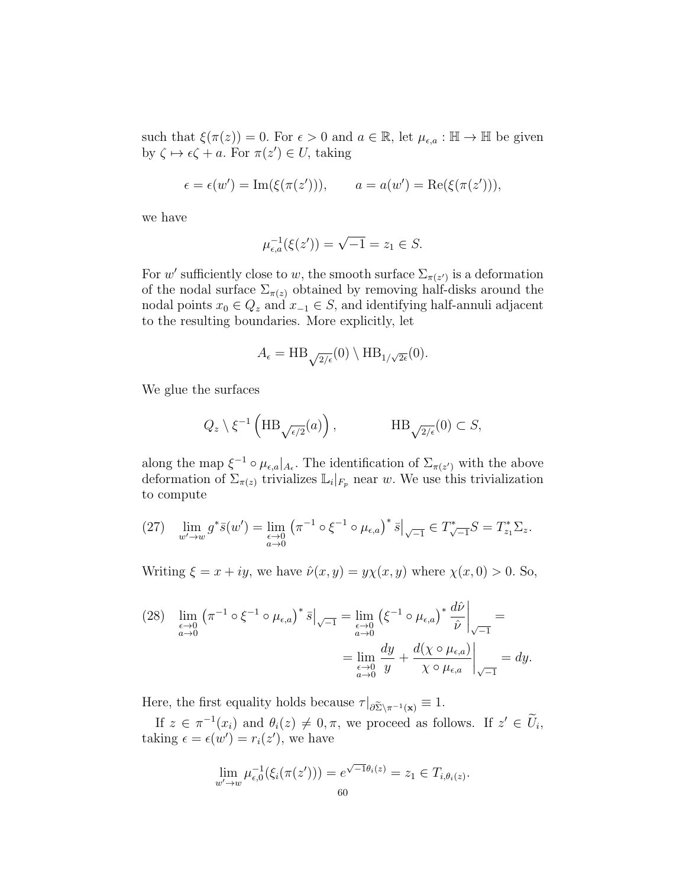such that  $\xi(\pi(z)) = 0$ . For  $\epsilon > 0$  and  $a \in \mathbb{R}$ , let  $\mu_{\epsilon,a} : \mathbb{H} \to \mathbb{H}$  be given by  $\zeta \mapsto \epsilon \zeta + a$ . For  $\pi(z') \in U$ , taking

$$
\epsilon = \epsilon(w') = \text{Im}(\xi(\pi(z'))), \qquad a = a(w') = \text{Re}(\xi(\pi(z'))),
$$

we have

$$
\mu_{\epsilon,a}^{-1}(\xi(z')) = \sqrt{-1} = z_1 \in S.
$$

For w' sufficiently close to w, the smooth surface  $\Sigma_{\pi(z')}$  is a deformation of the nodal surface  $\Sigma_{\pi(z)}$  obtained by removing half-disks around the nodal points  $x_0 \in Q_z$  and  $x_{-1} \in S$ , and identifying half-annuli adjacent to the resulting boundaries. More explicitly, let

$$
A_{\epsilon} = \mathrm{HB}_{\sqrt{2/\epsilon}}(0) \setminus \mathrm{HB}_{1/\sqrt{2\epsilon}}(0).
$$

We glue the surfaces

$$
Q_z \setminus \xi^{-1} \left( \text{HB}_{\sqrt{\epsilon/2}}(a) \right), \qquad \text{HB}_{\sqrt{2/\epsilon}}(0) \subset S,
$$

along the map  $\xi^{-1} \circ \mu_{\epsilon,a}|_{A_{\epsilon}}$ . The identification of  $\Sigma_{\pi(z')}$  with the above deformation of  $\Sigma_{\pi(z)}$  trivializes  $\mathbb{L}_i|_{F_p}$  near w. We use this trivialization to compute

<span id="page-59-0"></span>(27) 
$$
\lim_{w' \to w} g^* \bar{s}(w') = \lim_{\substack{\epsilon \to 0 \\ a \to 0}} \left( \pi^{-1} \circ \xi^{-1} \circ \mu_{\epsilon, a} \right)^* \bar{s} \Big|_{\sqrt{-1}} \in T^*_{\sqrt{-1}} S = T^*_{z_1} \Sigma_z.
$$

Writing  $\xi = x + iy$ , we have  $\hat{\nu}(x, y) = y\chi(x, y)$  where  $\chi(x, 0) > 0$ . So,

<span id="page-59-1"></span>
$$
(28) \quad \lim_{\substack{\epsilon \to 0 \\ a \to 0}} \left( \pi^{-1} \circ \xi^{-1} \circ \mu_{\epsilon, a} \right)^* \bar{s} \Big|_{\sqrt{-1}} = \lim_{\substack{\epsilon \to 0 \\ a \to 0}} \left( \xi^{-1} \circ \mu_{\epsilon, a} \right)^* \frac{d\hat{\nu}}{\hat{\nu}} \Big|_{\sqrt{-1}} =
$$

$$
= \lim_{\substack{\epsilon \to 0 \\ a \to 0}} \frac{dy}{y} + \frac{d(\chi \circ \mu_{\epsilon, a})}{\chi \circ \mu_{\epsilon, a}} \Big|_{\sqrt{-1}} = dy.
$$

Here, the first equality holds because  $\tau|_{\partial \widetilde{\Sigma} \setminus \pi^{-1}(\mathbf{x})} \equiv 1$ .

If  $z \in \pi^{-1}(x_i)$  and  $\theta_i(z) \neq 0, \pi$ , we proceed as follows. If  $z' \in \tilde{U}_i$ , taking  $\epsilon = \epsilon(w') = r_i(z')$ , we have

$$
\lim_{w' \to w} \mu_{\epsilon,0}^{-1}(\xi_i(\pi(z'))) = e^{\sqrt{-1}\theta_i(z)} = z_1 \in T_{i,\theta_i(z)}.
$$
60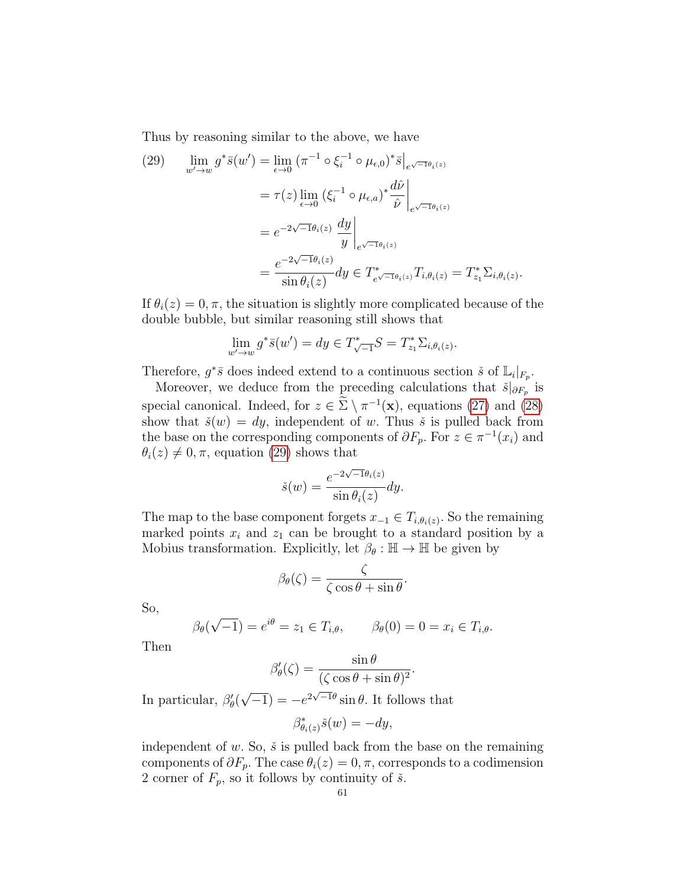Thus by reasoning similar to the above, we have

<span id="page-60-0"></span>(29) 
$$
\lim_{w' \to w} g^* \bar{s}(w') = \lim_{\epsilon \to 0} (\pi^{-1} \circ \xi_i^{-1} \circ \mu_{\epsilon,0})^* \bar{s}|_{e^{\sqrt{-1}\theta_i(z)}}
$$

$$
= \tau(z) \lim_{\epsilon \to 0} (\xi_i^{-1} \circ \mu_{\epsilon,a})^* \frac{d\hat{\nu}}{\hat{\nu}}|_{e^{\sqrt{-1}\theta_i(z)}}
$$

$$
= e^{-2\sqrt{-1}\theta_i(z)} \frac{dy}{y} \Big|_{e^{\sqrt{-1}\theta_i(z)}}
$$

$$
= \frac{e^{-2\sqrt{-1}\theta_i(z)}}{\sin \theta_i(z)} dy \in T^*_{e^{\sqrt{-1}\theta_i(z)}} T_{i,\theta_i(z)} = T^*_{z_1} \Sigma_{i,\theta_i(z)}.
$$

If  $\theta_i(z) = 0, \pi$ , the situation is slightly more complicated because of the double bubble, but similar reasoning still shows that

$$
\lim_{w' \to w} g^* \bar{s}(w') = dy \in T^*_{\sqrt{-1}} S = T^*_{z_1} \Sigma_{i, \theta_i(z)}.
$$

Therefore,  $g^*\bar{s}$  does indeed extend to a continuous section  $\check{s}$  of  $\mathbb{L}_i|_{F_p}$ .

Moreover, we deduce from the preceding calculations that  $\check{s}|_{\partial F_p}$  is special canonical. Indeed, for  $z \in \Sigma \setminus \pi^{-1}(\mathbf{x})$ , equations [\(27\)](#page-59-0) and [\(28\)](#page-59-1) show that  $\check{s}(w) = dy$ , independent of w. Thus  $\check{s}$  is pulled back from the base on the corresponding components of  $\partial F_p$ . For  $z \in \pi^{-1}(x_i)$  and  $\theta_i(z) \neq 0, \pi$ , equation [\(29\)](#page-60-0) shows that

$$
\check{s}(w) = \frac{e^{-2\sqrt{-1}\theta_i(z)}}{\sin \theta_i(z)} dy.
$$

The map to the base component forgets  $x_{-1} \in T_{i, \theta_i(z)}$ . So the remaining marked points  $x_i$  and  $z_1$  can be brought to a standard position by a Mobius transformation. Explicitly, let  $\beta_{\theta} : \mathbb{H} \to \mathbb{H}$  be given by

$$
\beta_{\theta}(\zeta) = \frac{\zeta}{\zeta \cos \theta + \sin \theta}
$$

.

.

So,

$$
\beta_{\theta}(\sqrt{-1}) = e^{i\theta} = z_1 \in T_{i,\theta}, \qquad \beta_{\theta}(0) = 0 = x_i \in T_{i,\theta}.
$$

Then

$$
\beta'_{\theta}(\zeta) = \frac{\sin \theta}{(\zeta \cos \theta + \sin \theta)^2}
$$

In particular,  $\beta'_{\theta}$ ( √  $\overline{-1}$ ) =  $-e^{2\sqrt{-1}\theta} \sin \theta$ . It follows that

$$
\beta^*_{\theta_i(z)}\check{s}(w) = -dy,
$$

independent of  $w$ . So,  $\check{s}$  is pulled back from the base on the remaining components of  $\partial F_p$ . The case  $\theta_i(z) = 0, \pi$ , corresponds to a codimension 2 corner of  $F_p$ , so it follows by continuity of  $\check{s}$ .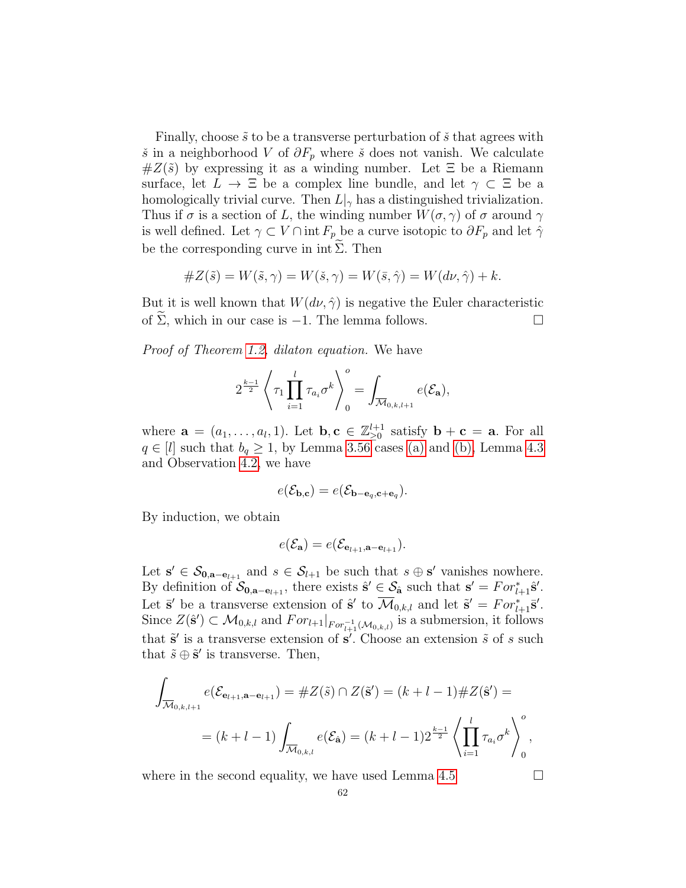Finally, choose  $\tilde{s}$  to be a transverse perturbation of  $\tilde{s}$  that agrees with š in a neighborhood V of  $\partial F_p$  where š does not vanish. We calculate  $\#Z(\tilde{s})$  by expressing it as a winding number. Let  $\Xi$  be a Riemann surface, let  $L \to \Xi$  be a complex line bundle, and let  $\gamma \subset \Xi$  be a homologically trivial curve. Then  $L|_{\gamma}$  has a distinguished trivialization. Thus if  $\sigma$  is a section of L, the winding number  $W(\sigma, \gamma)$  of  $\sigma$  around  $\gamma$ is well defined. Let  $\gamma \subset V \cap \text{int } F_p$  be a curve isotopic to  $\partial F_p$  and let  $\hat{\gamma}$ be the corresponding curve in int  $\Sigma$ . Then

#Z(˜s) = W(˜s, γ) = W(ˇs, γ) = W(¯s, γˆ) = W(dν, γˆ) + k.

But it is well known that  $W(d\nu, \hat{\gamma})$  is negative the Euler characteristic of  $\widetilde{\Sigma}$ , which in our case is −1. The lemma follows.  $\Box$ 

Proof of Theorem [1.2,](#page-12-0) dilaton equation. We have

$$
2^{\frac{k-1}{2}}\left\langle \tau_1\prod_{i=1}^l\tau_{a_i}\sigma^k\right\rangle_0^o=\int_{\overline{\mathcal{M}}_{0,k,l+1}}e(\mathcal{E}_{\mathbf{a}}),
$$

where  $\mathbf{a} = (a_1, \ldots, a_l, 1)$ . Let  $\mathbf{b}, \mathbf{c} \in \mathbb{Z}_{\geq 0}^{l+1}$  satisfy  $\mathbf{b} + \mathbf{c} = \mathbf{a}$ . For all  $q \in [l]$  such that  $b_q \geq 1$ , by Lemma [3.56](#page-51-3) cases [\(a\)](#page-51-0) and [\(b\),](#page-51-1) Lemma [4.3](#page-54-0) and Observation [4.2,](#page-53-0) we have

$$
e(\mathcal{E}_{\mathbf{b},\mathbf{c}}) = e(\mathcal{E}_{\mathbf{b}-\mathbf{e}_q,\mathbf{c}+\mathbf{e}_q}).
$$

By induction, we obtain

$$
e(\mathcal{E}_{\mathbf{a}}) = e(\mathcal{E}_{\mathbf{e}_{l+1}, \mathbf{a} - \mathbf{e}_{l+1}}).
$$

Let  $s' \in \mathcal{S}_{0, a-e_{l+1}}$  and  $s \in \mathcal{S}_{l+1}$  be such that  $s \oplus s'$  vanishes nowhere. By definition of  $\mathcal{S}_{0,\mathbf{a}-\mathbf{e}_{l+1}}$ , there exists  $\hat{\mathbf{s}}' \in \mathcal{S}_{\hat{\mathbf{a}}}$  such that  $\mathbf{s}' = For_{l+1}^*\hat{\mathbf{s}}'.$ Let  $\bar{\mathbf{s}}'$  be a transverse extension of  $\hat{\mathbf{s}}'$  to  $\overline{\mathcal{M}}_{0,k,l}$  and let  $\tilde{\mathbf{s}}' = For_{l+1}^* \bar{\mathbf{s}}'.$ Since  $Z(\hat{\mathbf{s}}') \subset \mathcal{M}_{0,k,l}$  and  $For_{l+1}|_{For_{l+1}^{-1}(\mathcal{M}_{0,k,l})}$  is a submersion, it follows that  $\tilde{s}'$  is a transverse extension of  $s'$ . Choose an extension  $\tilde{s}$  of s such that  $\tilde{s} \oplus \tilde{s}'$  is transverse. Then,

$$
\int_{\overline{\mathcal{M}}_{0,k,l+1}} e(\mathcal{E}_{\mathbf{e}_{l+1},\mathbf{a}-\mathbf{e}_{l+1}}) = \#Z(\tilde{s}) \cap Z(\tilde{\mathbf{s}}') = (k+l-1)\#Z(\hat{\mathbf{s}}') =
$$
\n
$$
= (k+l-1) \int_{\overline{\mathcal{M}}_{0,k,l}} e(\mathcal{E}_{\hat{\mathbf{a}}}) = (k+l-1)2^{\frac{k-1}{2}} \left\langle \prod_{i=1}^{l} \tau_{a_i} \sigma^k \right\rangle_0^o,
$$

where in the second equality, we have used Lemma [4.5](#page-56-3)  $\Box$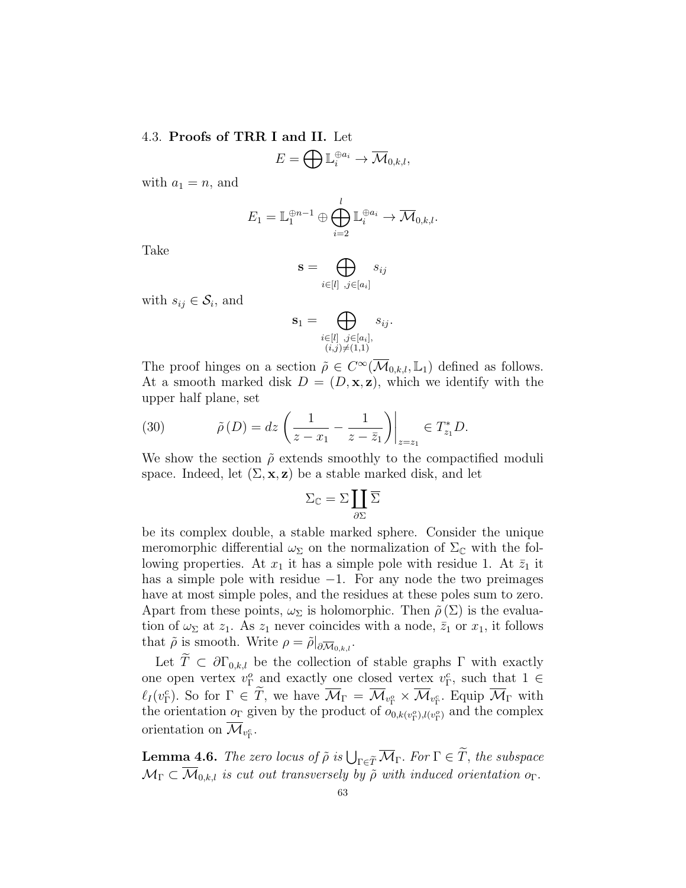#### 4.3. Proofs of TRR I and II. Let

$$
E=\bigoplus \mathbb{L}_i^{\oplus a_i}\to \overline{\mathcal{M}}_{0,k,l},
$$

with  $a_1 = n$ , and

$$
E_1 = \mathbb{L}_1^{\oplus n-1} \oplus \bigoplus_{i=2}^l \mathbb{L}_i^{\oplus a_i} \to \overline{\mathcal{M}}_{0,k,l}.
$$

Take

$$
\mathbf{s} = \bigoplus_{i \in [l] \; , j \in [a_i]} s_{ij}
$$

with  $s_{ij} \in \mathcal{S}_i$ , and

$$
\mathbf{s}_1 = \bigoplus_{\substack{i \in [l], j \in [a_i], \\ (i,j) \neq (1,1)}} s_{ij}.
$$

The proof hinges on a section  $\tilde{\rho} \in C^{\infty}(\overline{\mathcal{M}}_{0,k,l}, \mathbb{L}_1)$  defined as follows. At a smooth marked disk  $D = (D, \mathbf{x}, \mathbf{z})$ , which we identify with the upper half plane, set

(30) 
$$
\tilde{\rho}(D) = dz \left( \frac{1}{z - x_1} - \frac{1}{z - \bar{z}_1} \right) \Big|_{z = z_1} \in T_{z_1}^* D.
$$

We show the section  $\tilde{\rho}$  extends smoothly to the compactified moduli space. Indeed, let  $(\Sigma, \mathbf{x}, \mathbf{z})$  be a stable marked disk, and let

$$
\Sigma_{\mathbb{C}} = \Sigma \coprod_{\partial \Sigma} \overline{\Sigma}
$$

be its complex double, a stable marked sphere. Consider the unique meromorphic differential  $\omega_{\Sigma}$  on the normalization of  $\Sigma_{\mathbb{C}}$  with the following properties. At  $x_1$  it has a simple pole with residue 1. At  $\bar{z}_1$  it has a simple pole with residue −1. For any node the two preimages have at most simple poles, and the residues at these poles sum to zero. Apart from these points,  $\omega_{\Sigma}$  is holomorphic. Then  $\tilde{\rho}(\Sigma)$  is the evaluation of  $\omega_{\Sigma}$  at  $z_1$ . As  $z_1$  never coincides with a node,  $\bar{z}_1$  or  $x_1$ , it follows that  $\tilde{\rho}$  is smooth. Write  $\rho = \tilde{\rho}|_{\partial \overline{\mathcal{M}}_{0,k,l}}$ .

Let  $\widetilde{T} \subset \partial \Gamma_{0,k,l}$  be the collection of stable graphs  $\Gamma$  with exactly one open vertex  $v_{\Gamma}^o$  and exactly one closed vertex  $v_{\Gamma}^c$ , such that  $1 \in$  $\ell_I(v_{\Gamma}^c)$ . So for  $\Gamma \in \overline{T}$ , we have  $\overline{\mathcal{M}}_{\Gamma} = \overline{\mathcal{M}}_{v_{\Gamma}^c} \times \overline{\mathcal{M}}_{v_{\Gamma}^c}$ . Equip  $\overline{\mathcal{M}}_{\Gamma}$  with the orientation  $o_{\Gamma}$  given by the product of  $o_{0,k(v_{\Gamma}^o),l(v_{\Gamma}^o)}$  and the complex orientation on  $\mathcal{M}_{v_{\Gamma}^c}$ .

<span id="page-62-0"></span>**Lemma 4.6.** The zero locus of  $\tilde{\rho}$  is  $\bigcup_{\Gamma \in \tilde{T}} \overline{\mathcal{M}}_{\Gamma}$ . For  $\Gamma \in T$ , the subspace  $\mathcal{M}_{\Gamma} \subset \overline{\mathcal{M}}_{0,k,l}$  is cut out transversely by  $\tilde{\rho}$  with induced orientation o<sub>Γ</sub>.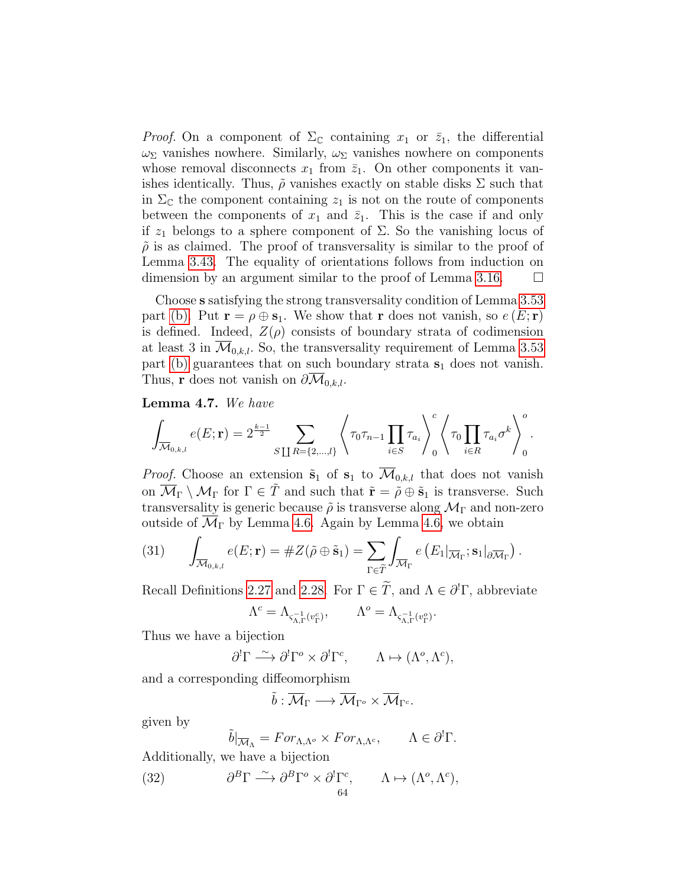*Proof.* On a component of  $\Sigma_{\mathbb{C}}$  containing  $x_1$  or  $\overline{z}_1$ , the differential  $\omega_{\Sigma}$  vanishes nowhere. Similarly,  $\omega_{\Sigma}$  vanishes nowhere on components whose removal disconnects  $x_1$  from  $\overline{z}_1$ . On other components it vanishes identically. Thus,  $\tilde{\rho}$  vanishes exactly on stable disks  $\Sigma$  such that in  $\Sigma_{\mathbb{C}}$  the component containing  $z_1$  is not on the route of components between the components of  $x_1$  and  $\bar{z}_1$ . This is the case if and only if  $z_1$  belongs to a sphere component of  $\Sigma$ . So the vanishing locus of  $\tilde{\rho}$  is as claimed. The proof of transversality is similar to the proof of Lemma [3.43.](#page-41-4) The equality of orientations follows from induction on dimension by an argument similar to the proof of Lemma [3.16.](#page-32-0)  $\Box$ 

Choose s satisfying the strong transversality condition of Lemma [3.53](#page-47-3) part [\(b\).](#page-47-1) Put  $\mathbf{r} = \rho \oplus \mathbf{s}_1$ . We show that r does not vanish, so  $e(E; \mathbf{r})$ is defined. Indeed,  $Z(\rho)$  consists of boundary strata of codimension at least 3 in  $\mathcal{M}_{0,k,l}$ . So, the transversality requirement of Lemma [3.53](#page-47-3) part [\(b\)](#page-47-1) guarantees that on such boundary strata  $s_1$  does not vanish. Thus, **r** does not vanish on  $\partial \mathcal{M}_{0,k,l}$ .

<span id="page-63-2"></span>Lemma 4.7. We have

$$
\int_{\overline{\mathcal{M}}_{0,k,l}} e(E; \mathbf{r}) = 2^{\frac{k-1}{2}} \sum_{S \coprod R = \{2,\ldots,l\}} \left\langle \tau_0 \tau_{n-1} \prod_{i \in S} \tau_{a_i} \right\rangle_0^c \left\langle \tau_0 \prod_{i \in R} \tau_{a_i} \sigma^k \right\rangle_0^o.
$$

*Proof.* Choose an extension  $\tilde{\mathbf{s}}_1$  of  $\mathbf{s}_1$  to  $\overline{\mathcal{M}}_{0,k,l}$  that does not vanish on  $\overline{\mathcal{M}}_{\Gamma} \setminus \mathcal{M}_{\Gamma}$  for  $\Gamma \in \tilde{T}$  and such that  $\tilde{\mathbf{r}} = \tilde{\rho} \oplus \tilde{\mathbf{s}}_1$  is transverse. Such transversality is generic because  $\tilde{\rho}$  is transverse along  $\mathcal{M}_{\Gamma}$  and non-zero outside of  $\overline{\mathcal{M}}_{\Gamma}$  by Lemma [4.6.](#page-62-0) Again by Lemma [4.6,](#page-62-0) we obtain

.

<span id="page-63-1"></span>(31) 
$$
\int_{\overline{\mathcal{M}}_{0,k,l}} e(E; \mathbf{r}) = \#Z(\tilde{\rho} \oplus \tilde{\mathbf{s}}_1) = \sum_{\Gamma \in \tilde{T}} \int_{\overline{\mathcal{M}}_{\Gamma}} e(E_1|_{\overline{\mathcal{M}}_{\Gamma}}; \mathbf{s}_1|_{\partial \overline{\mathcal{M}}_{\Gamma}})
$$

Recall Definitions [2.27](#page-23-0) and [2.28.](#page-24-0) For  $\Gamma \in \tilde{T}$ , and  $\Lambda \in \partial^1 \Gamma$ , abbreviate

$$
\Lambda^c=\Lambda_{\varsigma^{-1}_{\Lambda,\Gamma}(v_\Gamma^c)},\qquad \Lambda^o=\Lambda_{\varsigma^{-1}_{\Lambda,\Gamma}(v_\Gamma^o)}.
$$

Thus we have a bijection

$$
\partial^! \Gamma \xrightarrow{\sim} \partial^! \Gamma^o \times \partial^! \Gamma^c, \qquad \Lambda \mapsto (\Lambda^o, \Lambda^c),
$$

and a corresponding diffeomorphism

$$
\tilde{b}:\overline{\mathcal{M}}_{\Gamma}\longrightarrow\overline{\mathcal{M}}_{\Gamma^{o}}\times\overline{\mathcal{M}}_{\Gamma^{c}}.
$$

given by

<span id="page-63-0"></span>
$$
\tilde{b}|_{\overline{\mathcal{M}}_{\Lambda}} = For_{\Lambda, \Lambda^o} \times For_{\Lambda, \Lambda^c}, \qquad \Lambda \in \partial^!\Gamma.
$$

Additionally, we have a bijection

(32) 
$$
\partial^B \Gamma \xrightarrow{\sim} \partial^B \Gamma^o \times \partial^! \Gamma^c, \qquad \Lambda \mapsto (\Lambda^o, \Lambda^c),
$$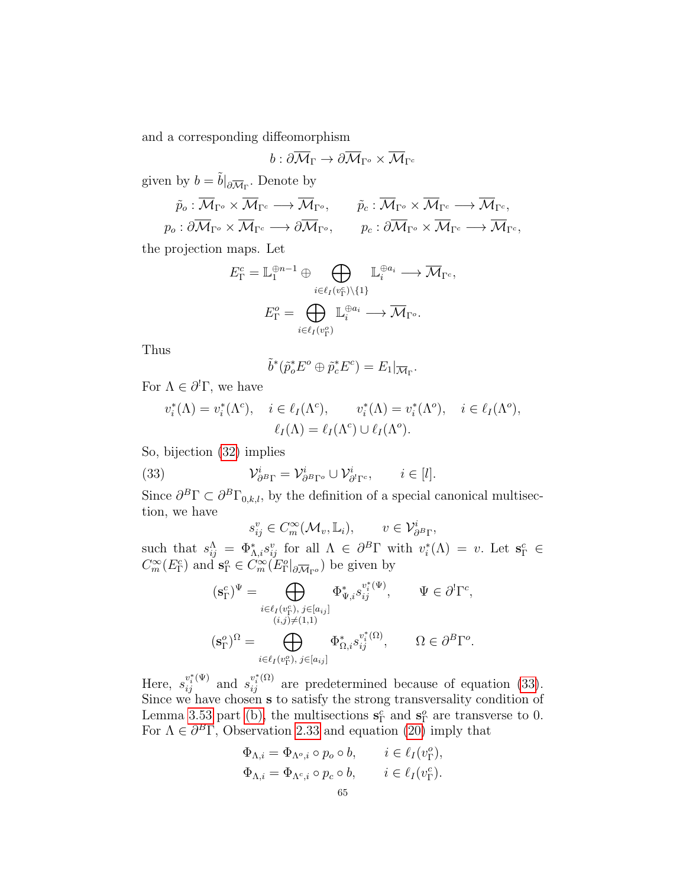and a corresponding diffeomorphism

$$
b:\partial\overline{\mathcal{M}}_\Gamma\to\partial\overline{\mathcal{M}}_{\Gamma^o}\times\overline{\mathcal{M}}_{\Gamma^c}
$$

given by  $b = \tilde{b}|_{\partial \overline{\mathcal{M}}_{\Gamma}}$ . Denote by

$$
\tilde{p}_o : \overline{\mathcal{M}}_{\Gamma^o} \times \overline{\mathcal{M}}_{\Gamma^c} \longrightarrow \overline{\mathcal{M}}_{\Gamma^o}, \qquad \tilde{p}_c : \overline{\mathcal{M}}_{\Gamma^o} \times \overline{\mathcal{M}}_{\Gamma^c} \longrightarrow \overline{\mathcal{M}}_{\Gamma^c}, \n p_o : \partial \overline{\mathcal{M}}_{\Gamma^o} \times \overline{\mathcal{M}}_{\Gamma^c} \longrightarrow \partial \overline{\mathcal{M}}_{\Gamma^o}, \qquad p_c : \partial \overline{\mathcal{M}}_{\Gamma^o} \times \overline{\mathcal{M}}_{\Gamma^c} \longrightarrow \overline{\mathcal{M}}_{\Gamma^c},
$$

the projection maps. Let

$$
E_{\Gamma}^{c} = \mathbb{L}_{1}^{\oplus n-1} \oplus \bigoplus_{i \in \ell_{I}(v_{\Gamma}^{c}) \setminus \{1\}} \mathbb{L}_{i}^{\oplus a_{i}} \longrightarrow \overline{\mathcal{M}}_{\Gamma^{c}},
$$

$$
E_{\Gamma}^{o} = \bigoplus_{i \in \ell_{I}(v_{\Gamma}^{o})} \mathbb{L}_{i}^{\oplus a_{i}} \longrightarrow \overline{\mathcal{M}}_{\Gamma^{o}}.
$$

Thus

$$
\tilde{b}^*(\tilde{p}_o^*E^o \oplus \tilde{p}_c^*E^c) = E_1|_{\overline{\mathcal{M}}_{\Gamma}}.
$$

For  $\Lambda \in \partial^! \Gamma$ , we have

$$
v_i^*(\Lambda) = v_i^*(\Lambda^c), \quad i \in \ell_I(\Lambda^c), \qquad v_i^*(\Lambda) = v_i^*(\Lambda^c), \quad i \in \ell_I(\Lambda^c),
$$

$$
\ell_I(\Lambda) = \ell_I(\Lambda^c) \cup \ell_I(\Lambda^c).
$$

So, bijection [\(32\)](#page-63-0) implies

(33) 
$$
\mathcal{V}_{\partial^{B}\Gamma}^{i} = \mathcal{V}_{\partial^{B}\Gamma^{o}}^{i} \cup \mathcal{V}_{\partial^{l}\Gamma^{c}}^{i}, \qquad i \in [l].
$$

Since  $\partial^B \Gamma \subset \partial^B \Gamma_{0,k,l}$ , by the definition of a special canonical multisection, we have

<span id="page-64-0"></span>
$$
s_{ij}^v \in C_m^{\infty}(\mathcal{M}_v, \mathbb{L}_i), \qquad v \in \mathcal{V}_{\partial^B \Gamma}^i,
$$

such that  $s_{ij}^{\Lambda} = \Phi_{\Lambda,i}^{*} s_{ij}^{v}$  for all  $\Lambda \in \partial^{B} \Gamma$  with  $v_{i}^{*}(\Lambda) = v$ . Let  $\mathbf{s}_{\Gamma}^{c} \in$  $C_m^{\infty}(E_{\Gamma}^c)$  and  $\mathbf{s}_{\Gamma}^o \in C_m^{\infty}(E_{\Gamma}^o|_{\partial \overline{\mathcal{M}}_{\Gamma}^o})$  be given by

$$
(\mathbf{s}_{\Gamma}^{c})^{\Psi} = \bigoplus_{i \in \ell_{I}(v_{\Gamma}^{c}), j \in [a_{ij}]} \Phi_{\Psi,i}^{*} s_{ij}^{v_{i}^{*}(\Psi)}, \qquad \Psi \in \partial^{!} \Gamma^{c},
$$

$$
(i,j) \neq (1,1)
$$

$$
(\mathbf{s}_{\Gamma}^{o})^{\Omega} = \bigoplus_{i \in \ell_{I}(v_{\Gamma}^{o}), j \in [a_{ij}]} \Phi_{\Omega,i}^{*} s_{ij}^{v_{i}^{*}(\Omega)}, \qquad \Omega \in \partial^{B} \Gamma^{o}.
$$

Here,  $s_{ij}^{v_i^*(\Psi)}$  and  $s_{ij}^{v_i^*(\Omega)}$  are predetermined because of equation [\(33\)](#page-64-0). Since we have chosen s to satisfy the strong transversality condition of Lemma [3.53](#page-47-3) part [\(b\),](#page-47-1) the multisections  $\mathbf{s}_{\Gamma}^{c}$  and  $\mathbf{s}_{\Gamma}^{o}$  are transverse to 0. For  $\Lambda \in \partial^B \Gamma$ , Observation [2.33](#page-25-0) and equation [\(20\)](#page-35-1) imply that

$$
\Phi_{\Lambda,i} = \Phi_{\Lambda^o,i} \circ p_o \circ b, \qquad i \in \ell_I(v_\Gamma^o),
$$
  

$$
\Phi_{\Lambda,i} = \Phi_{\Lambda^c,i} \circ p_c \circ b, \qquad i \in \ell_I(v_\Gamma^c).
$$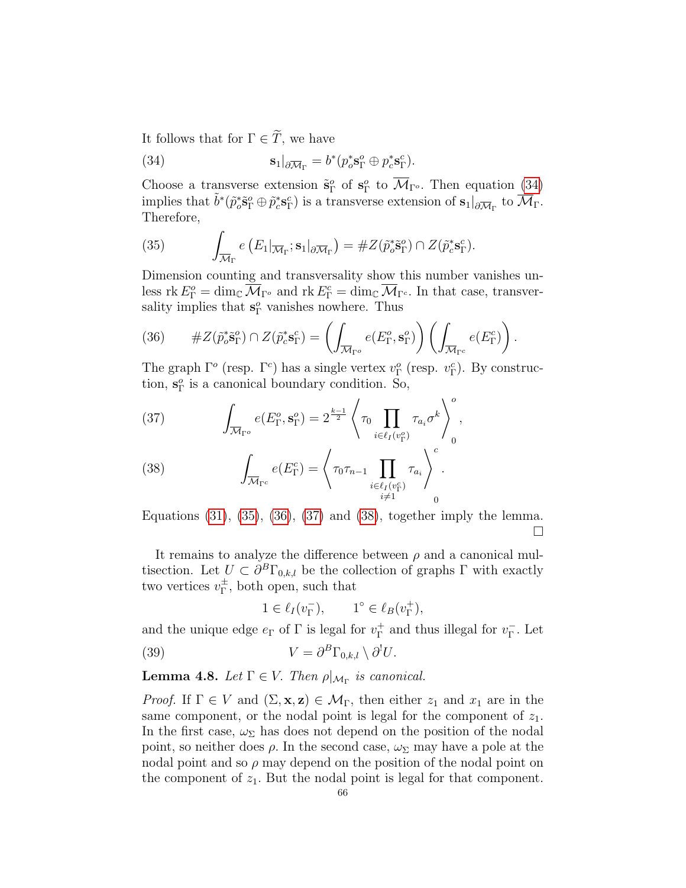It follows that for  $\Gamma \in \widetilde{T}$ , we have

<span id="page-65-0"></span>(34) 
$$
\mathbf{s}_1|_{\partial \overline{\mathcal{M}}_{\Gamma}} = b^*(p_o^* \mathbf{s}_{\Gamma}^o \oplus p_c^* \mathbf{s}_{\Gamma}^c).
$$

Choose a transverse extension  $\tilde{\mathbf{s}}_{\Gamma}^o$  of  $\mathbf{s}_{\Gamma}^o$  to  $\overline{\mathcal{M}}_{\Gamma^o}$ . Then equation [\(34\)](#page-65-0) implies that  $\tilde{b}^*(\tilde{p}_o^*\tilde{\mathbf{s}}_\Gamma^o \oplus \tilde{p}_c^*\mathbf{s}_\Gamma^c)$  is a transverse extension of  $\mathbf{s}_1|_{\partial \overline{\mathcal{M}}_\Gamma}$  to  $\overline{\mathcal{M}}_\Gamma$ . Therefore,

<span id="page-65-1"></span>(35) 
$$
\int_{\overline{\mathcal{M}}_{\Gamma}} e\left(E_1|_{\overline{\mathcal{M}}_{\Gamma}}; \mathbf{s}_1|_{\partial \overline{\mathcal{M}}_{\Gamma}}\right) = \#Z(\tilde{p}_o^* \tilde{\mathbf{s}}_{\Gamma}^o) \cap Z(\tilde{p}_c^* \mathbf{s}_{\Gamma}^c).
$$

Dimension counting and transversality show this number vanishes unless rk  $E_{\Gamma}^o = \dim_{\mathbb{C}} \overline{\mathcal{M}}_{\Gamma^o}$  and rk  $E_{\Gamma}^c = \dim_{\mathbb{C}} \overline{\mathcal{M}}_{\Gamma^c}$ . In that case, transversality implies that  $s_{\Gamma}^o$  vanishes nowhere. Thus

<span id="page-65-2"></span>(36) 
$$
\#Z(\tilde{p}_o^*\tilde{\mathbf{s}}_\Gamma^o) \cap Z(\tilde{p}_c^*\mathbf{s}_\Gamma^c) = \left(\int_{\overline{\mathcal{M}}_{\Gamma^o}} e(E_\Gamma^o, \mathbf{s}_\Gamma^o)\right) \left(\int_{\overline{\mathcal{M}}_{\Gamma^c}} e(E_\Gamma^c)\right).
$$

The graph  $\Gamma^o$  (resp.  $\Gamma^c$ ) has a single vertex  $v_{\Gamma}^o$  (resp.  $v_{\Gamma}^c$ ). By construction,  $s_{\Gamma}^o$  is a canonical boundary condition. So,

<span id="page-65-3"></span>(37) 
$$
\int_{\overline{\mathcal{M}}_{\Gamma^o}} e(E_{\Gamma}^o, \mathbf{s}_{\Gamma}^o) = 2^{\frac{k-1}{2}} \left\langle \tau_0 \prod_{i \in \ell_I(v_{\Gamma}^o)} \tau_{a_i} \sigma^k \right\rangle_0^o,
$$

<span id="page-65-4"></span>(38) 
$$
\int_{\overline{\mathcal{M}}_{\Gamma^c}} e(E_{\Gamma}^c) = \left\langle \tau_0 \tau_{n-1} \prod_{\substack{i \in \ell_I(v_{\Gamma}^c) \\ i \neq 1}} \tau_{a_i} \right\rangle_c^c.
$$

Equations  $(31)$ ,  $(35)$ ,  $(36)$ ,  $(37)$  and  $(38)$ , together imply the lemma.  $\Box$ 

It remains to analyze the difference between  $\rho$  and a canonical multisection. Let  $U \subset \partial^B \Gamma_{0,k,l}$  be the collection of graphs  $\Gamma$  with exactly two vertices  $v_{\Gamma}^{\pm}$  $_{\Gamma}^{\pm}$ , both open, such that

<span id="page-65-6"></span>
$$
1 \in \ell_I(v_\Gamma^-), \qquad 1^\circ \in \ell_B(v_\Gamma^+),
$$

and the unique edge  $e_{\Gamma}$  of  $\Gamma$  is legal for  $v_{\Gamma}^{+}$  $^+_{{\Gamma}}$  and thus illegal for  $v^-_{{\Gamma}}$ Γ . Let

(39) 
$$
V = \partial^B \Gamma_{0,k,l} \setminus \partial^! U.
$$

<span id="page-65-5"></span>**Lemma 4.8.** Let  $\Gamma \in V$ . Then  $\rho|_{\mathcal{M}_{\Gamma}}$  is canonical.

*Proof.* If  $\Gamma \in V$  and  $(\Sigma, \mathbf{x}, \mathbf{z}) \in \mathcal{M}_{\Gamma}$ , then either  $z_1$  and  $x_1$  are in the same component, or the nodal point is legal for the component of  $z_1$ . In the first case,  $\omega_{\Sigma}$  has does not depend on the position of the nodal point, so neither does  $\rho$ . In the second case,  $\omega_{\Sigma}$  may have a pole at the nodal point and so  $\rho$  may depend on the position of the nodal point on the component of  $z_1$ . But the nodal point is legal for that component.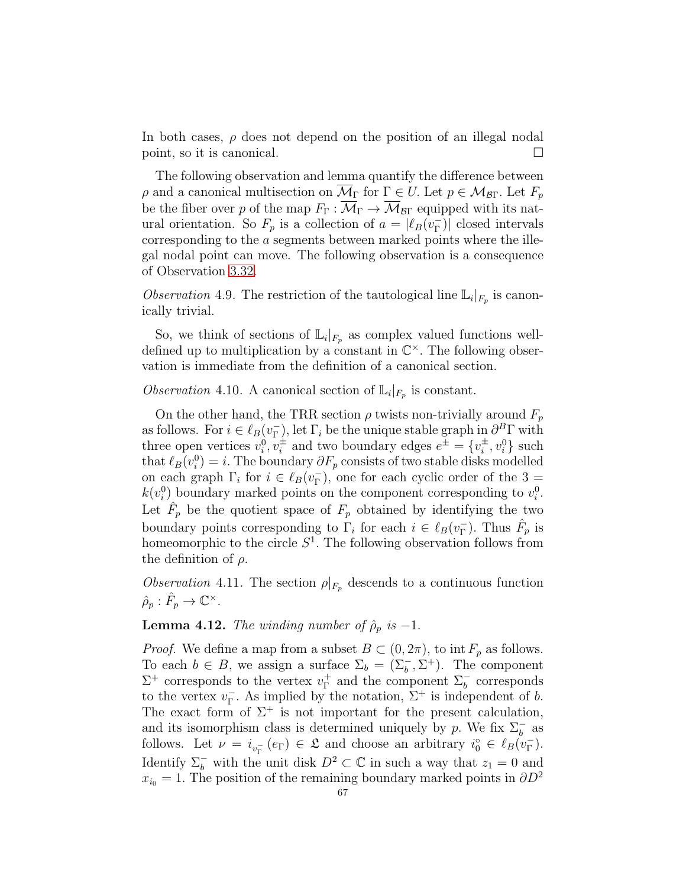In both cases,  $\rho$  does not depend on the position of an illegal nodal point, so it is canonical.

The following observation and lemma quantify the difference between ρ and a canonical multisection on  $\overline{\mathcal{M}}_\Gamma$  for  $\Gamma \in U$ . Let  $p \in \mathcal{M}_{\mathcal{B}\Gamma}$ . Let  $F_p$ be the fiber over p of the map  $F_{\Gamma}: \overline{\mathcal{M}}_{\Gamma} \to \overline{\mathcal{M}}_{\mathcal{B}\Gamma}$  equipped with its natural orientation. So  $F_p$  is a collection of  $a = |\ell_B(v_{\Gamma}^{-})|$ Γ )| closed intervals corresponding to the a segments between marked points where the illegal nodal point can move. The following observation is a consequence of Observation [3.32.](#page-38-0)

<span id="page-66-0"></span>Observation 4.9. The restriction of the tautological line  $\mathbb{L}_i|_{F_p}$  is canonically trivial.

So, we think of sections of  $\mathbb{L}_i|_{F_p}$  as complex valued functions welldefined up to multiplication by a constant in  $\mathbb{C}^{\times}$ . The following observation is immediate from the definition of a canonical section.

# <span id="page-66-1"></span>Observation 4.10. A canonical section of  $\mathbb{L}_i|_{F_p}$  is constant.

On the other hand, the TRR section  $\rho$  twists non-trivially around  $F_p$ as follows. For  $i \in \ell_B(v_{\Gamma}^-)$  $(\Gamma)$ , let  $\Gamma_i$  be the unique stable graph in  $\partial^B \Gamma$  with three open vertices  $v_i^0, v_i^{\pm}$  and two boundary edges  $e^{\pm} = \{v_i^{\pm}\}$  $\{\pm}_{i}$ ,  $v_{i}^{0}\}$  such that  $\ell_B(v_i^0) = i$ . The boundary  $\partial F_p$  consists of two stable disks modelled on each graph  $\Gamma_i$  for  $i \in \ell_B(v_{\Gamma}^-)$  $_{\Gamma}^{-}$ ), one for each cyclic order of the 3 =  $k(v_i^0)$  boundary marked points on the component corresponding to  $v_i^0$ . Let  $\hat{F}_p$  be the quotient space of  $F_p$  obtained by identifying the two boundary points corresponding to  $\Gamma_i$  for each  $i \in \ell_B(v_{\Gamma}^-)$  $_{\Gamma}^{-}$ ). Thus  $\hat{F}_p$  is homeomorphic to the circle  $S^1$ . The following observation follows from the definition of  $\rho$ .

<span id="page-66-2"></span>Observation 4.11. The section  $\rho|_{F_p}$  descends to a continuous function  $\hat{\rho}_p : \hat{F}_p \to \mathbb{C}^{\times}.$ 

## <span id="page-66-3"></span>**Lemma 4.12.** The winding number of  $\hat{\rho}_p$  is -1.

*Proof.* We define a map from a subset  $B \subset (0, 2\pi)$ , to int  $F_p$  as follows. To each  $b \in B$ , we assign a surface  $\Sigma_b = (\Sigma_b^- , \Sigma^+ )$ . The component  $\Sigma^+$  corresponds to the vertex  $v_{\Gamma}^+$  $\Gamma_{\Gamma}^{+}$  and the component  $\Sigma_{b}^{-}$  corresponds to the vertex  $v_{\Gamma}^ ^{-}_{\Gamma}$ . As implied by the notation,  $\Sigma^{+}$  is independent of b. The exact form of  $\Sigma^+$  is not important for the present calculation, and its isomorphism class is determined uniquely by p. We fix  $\Sigma_b^-$  as follows. Let  $\nu = i_{v_{\Gamma}^-}(e_{\Gamma}) \in \mathfrak{L}$  and choose an arbitrary  $i_0^{\circ} \in \ell_B(v_{\Gamma}^-)$  $_{\Gamma}^{-}$ ). Identify  $\Sigma_b^-$  with the unit disk  $D^2 \subset \mathbb{C}$  in such a way that  $z_1 = 0$  and  $x_{i0} = 1$ . The position of the remaining boundary marked points in  $\partial D^2$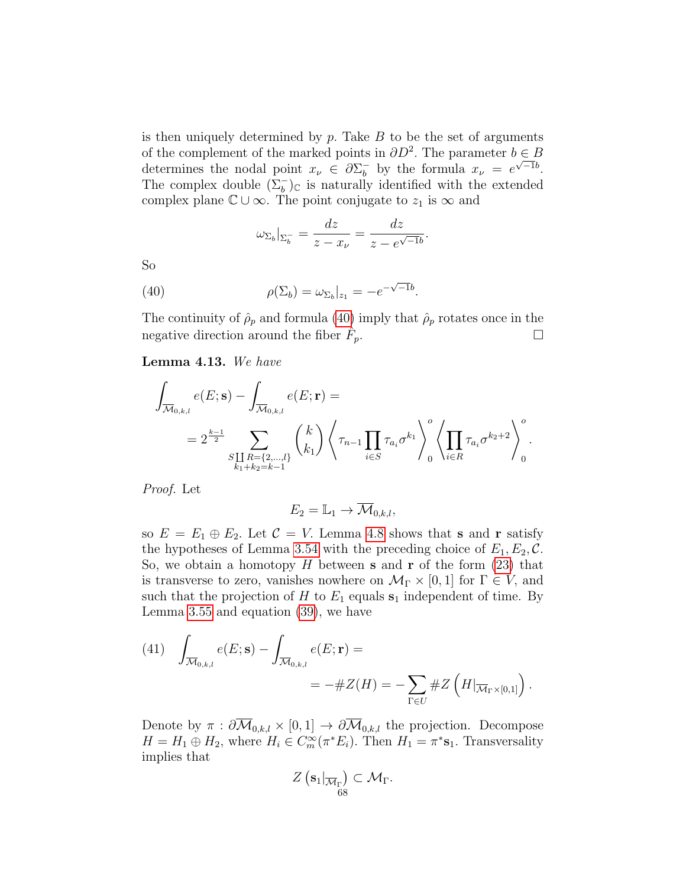is then uniquely determined by  $p$ . Take  $B$  to be the set of arguments of the complement of the marked points in  $\partial D^2$ . The parameter  $b \in B$ determines the nodal point  $x_{\nu} \in \partial \Sigma_{b}^{-1}$  $\bar{b}_b$  by the formula  $x_{\nu} = e^{\sqrt{-1}b}$ . The complex double  $(\Sigma_b^-)_{\mathbb{C}}$  is naturally identified with the extended complex plane  $\mathbb{C} \cup \infty$ . The point conjugate to  $z_1$  is  $\infty$  and

<span id="page-67-0"></span>
$$
\omega_{\Sigma_b}|_{\Sigma_b^-} = \frac{dz}{z - x_\nu} = \frac{dz}{z - e^{\sqrt{-1}b}}.
$$

So

(40) 
$$
\rho(\Sigma_b) = \omega_{\Sigma_b}|_{z_1} = -e^{-\sqrt{-1}b}.
$$

The continuity of  $\rho_p$  and formula [\(40\)](#page-67-0) imply that  $\rho_p$  rotates once in the negative direction around the fiber  $\hat{F}_p$ .  $\sum_{p}$ .

<span id="page-67-2"></span>Lemma 4.13. We have

$$
\int_{\overline{\mathcal{M}}_{0,k,l}} e(E; \mathbf{s}) - \int_{\overline{\mathcal{M}}_{0,k,l}} e(E; \mathbf{r}) =
$$
\n
$$
= 2^{\frac{k-1}{2}} \sum_{\substack{S \coprod R = \{2,\dots,l\} \\ k_1 + k_2 = k-1}} {k \choose k_1} \left\langle \tau_{n-1} \prod_{i \in S} \tau_{a_i} \sigma^{k_1} \right\rangle_0^o \left\langle \prod_{i \in R} \tau_{a_i} \sigma^{k_2+2} \right\rangle_0^o.
$$

Proof. Let

$$
E_2 = \mathbb{L}_1 \to \overline{\mathcal{M}}_{0,k,l},
$$

so  $E = E_1 \oplus E_2$ . Let  $C = V$ . Lemma [4.8](#page-65-5) shows that **s** and **r** satisfy the hypotheses of Lemma [3.54](#page-48-1) with the preceding choice of  $E_1, E_2, \mathcal{C}$ . So, we obtain a homotopy  $H$  between **s** and **r** of the form  $(23)$  that is transverse to zero, vanishes nowhere on  $\mathcal{M}_{\Gamma} \times [0, 1]$  for  $\Gamma \in V$ , and such that the projection of H to  $E_1$  equals  $s_1$  independent of time. By Lemma [3.55](#page-50-0) and equation [\(39\)](#page-65-6), we have

<span id="page-67-1"></span>(41) 
$$
\int_{\overline{\mathcal{M}}_{0,k,l}} e(E; \mathbf{s}) - \int_{\overline{\mathcal{M}}_{0,k,l}} e(E; \mathbf{r}) =
$$
  
= 
$$
-\#Z(H) = -\sum_{\Gamma \in U} \#Z\left(H|_{\overline{\mathcal{M}}_{\Gamma} \times [0,1]}\right).
$$

Denote by  $\pi : \partial \overline{\mathcal{M}}_{0,k,l} \times [0,1] \to \partial \overline{\mathcal{M}}_{0,k,l}$  the projection. Decompose  $H = H_1 \oplus H_2$ , where  $H_i \in C_m^{\infty}(\pi^* E_i)$ . Then  $H_1 = \pi^* s_1$ . Transversality implies that

$$
Z\left(\mathbf{s}_1|_{\overline{\mathcal{M}}_{\Gamma}}\right)\subset \mathcal{M}_{\Gamma}.
$$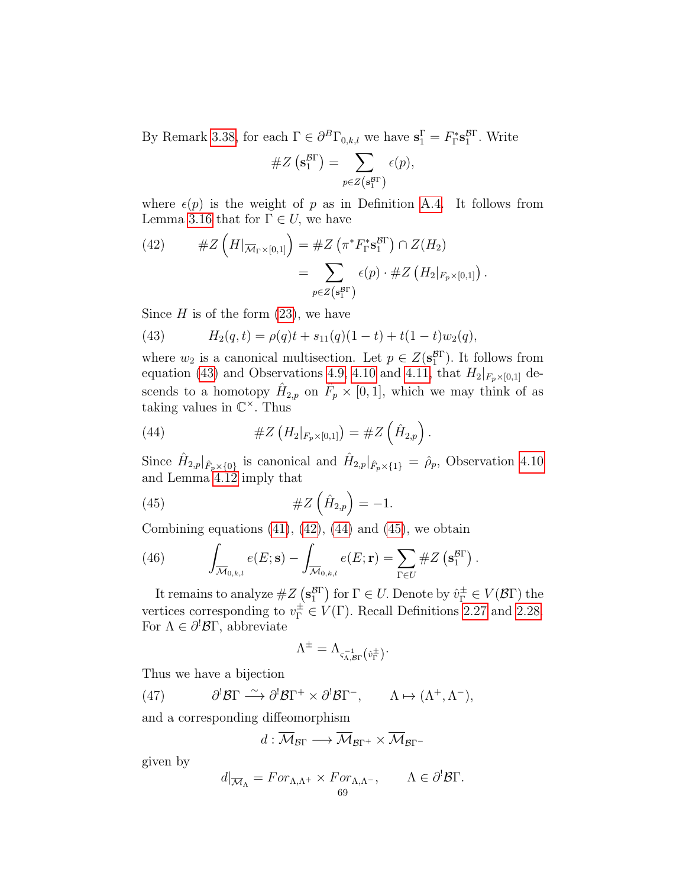By Remark [3.38,](#page-40-2) for each  $\Gamma \in \partial^B \Gamma_{0,k,l}$  we have  $\mathbf{s}_1^{\Gamma} = F_{\Gamma}^* \mathbf{s}_1^{\mathcal{B}\Gamma}$ . Write

#Z s BΓ 1 = X <sup>p</sup>∈Z(<sup>s</sup> BΓ <sup>1</sup> ) (p),

where  $\epsilon(p)$  is the weight of p as in Definition [A.4.](#page-78-0) It follows from Lemma [3.16](#page-32-0) that for  $\Gamma \in U$ , we have

<span id="page-68-1"></span>(42) 
$$
\#Z\left(H|_{\overline{\mathcal{M}}_{\Gamma}\times[0,1]}\right)=\#Z\left(\pi^*F_{\Gamma}^*s_{1}^{B\Gamma}\right)\cap Z(H_2)
$$

$$
=\sum_{p\in Z\left(s_{1}^{B\Gamma}\right)}\epsilon(p)\cdot\#Z\left(H_{2}|_{F_{p}\times[0,1]}\right).
$$

Since  $H$  is of the form  $(23)$ , we have

<span id="page-68-0"></span>(43) 
$$
H_2(q,t) = \rho(q)t + s_{11}(q)(1-t) + t(1-t)w_2(q),
$$

where  $w_2$  is a canonical multisection. Let  $p \in Z(\mathbf{s}_1^{\text{gr}})$ . It follows from equation [\(43\)](#page-68-0) and Observations [4.9,](#page-66-0) [4.10](#page-66-1) and [4.11,](#page-66-2) that  $H_2|_{F_p\times[0,1]}$  descends to a homotopy  $\hat{H}_{2,p}$  on  $\hat{F}_p \times [0,1]$ , which we may think of as taking values in  $\mathbb{C}^{\times}$ . Thus

<span id="page-68-2"></span>(44) 
$$
\#Z\left(H_2|_{F_p\times[0,1]}\right)=\#Z\left(\hat{H}_{2,p}\right).
$$

Since  $\hat{H}_{2,p}|_{\hat{F}_p\times\{0\}}$  is canonical and  $\hat{H}_{2,p}|_{\hat{F}_p\times\{1\}}=\hat{\rho}_p$ , Observation [4.10](#page-66-1) and Lemma [4.12](#page-66-3) imply that

$$
\#Z\left(\hat{H}_{2,p}\right)=-1.
$$

Combining equations  $(41)$ ,  $(42)$ ,  $(44)$  and  $(45)$ , we obtain

<span id="page-68-5"></span>(46) 
$$
\int_{\overline{\mathcal{M}}_{0,k,l}} e(E; \mathbf{s}) - \int_{\overline{\mathcal{M}}_{0,k,l}} e(E; \mathbf{r}) = \sum_{\Gamma \in U} \# Z\left(\mathbf{s}_1^{\mathcal{B}\Gamma}\right).
$$

It remains to analyze  $\#Z\left(\mathbf{s}_1^{\mathcal{B}\Gamma}\right)$  for  $\Gamma \in U$ . Denote by  $\hat{v}_\Gamma^{\pm} \in V(\mathcal{B}\Gamma)$  the vertices corresponding to  $v_{\Gamma}^{\pm} \in V(\Gamma)$ . Recall Definitions [2.27](#page-23-0) and [2.28.](#page-24-0) For  $\Lambda \in \partial^! \mathcal{B} \Gamma$ , abbreviate

<span id="page-68-3"></span>
$$
\Lambda^{\pm}=\Lambda_{\varsigma_{\Lambda,\mathcal{B}\Gamma}^{-1}\left(\hat{v}_\Gamma^{\pm}\right)}.
$$

Thus we have a bijection

(47) 
$$
\partial^1 \mathcal{B} \Gamma \xrightarrow{\sim} \partial^1 \mathcal{B} \Gamma^+ \times \partial^1 \mathcal{B} \Gamma^-, \qquad \Lambda \mapsto (\Lambda^+, \Lambda^-),
$$

and a corresponding diffeomorphism

<span id="page-68-4"></span>
$$
d:\overline{\mathcal{M}}_{\mathcal{B}\Gamma}\longrightarrow\overline{\mathcal{M}}_{\mathcal{B}\Gamma^+}\times\overline{\mathcal{M}}_{\mathcal{B}\Gamma^-}
$$

given by

$$
d|_{\overline{\mathcal{M}}_{\Lambda}} = For_{\Lambda, \Lambda^{+}} \times For_{\Lambda, \Lambda^{-}}, \qquad \Lambda \in \partial^{!} \mathcal{B} \Gamma.
$$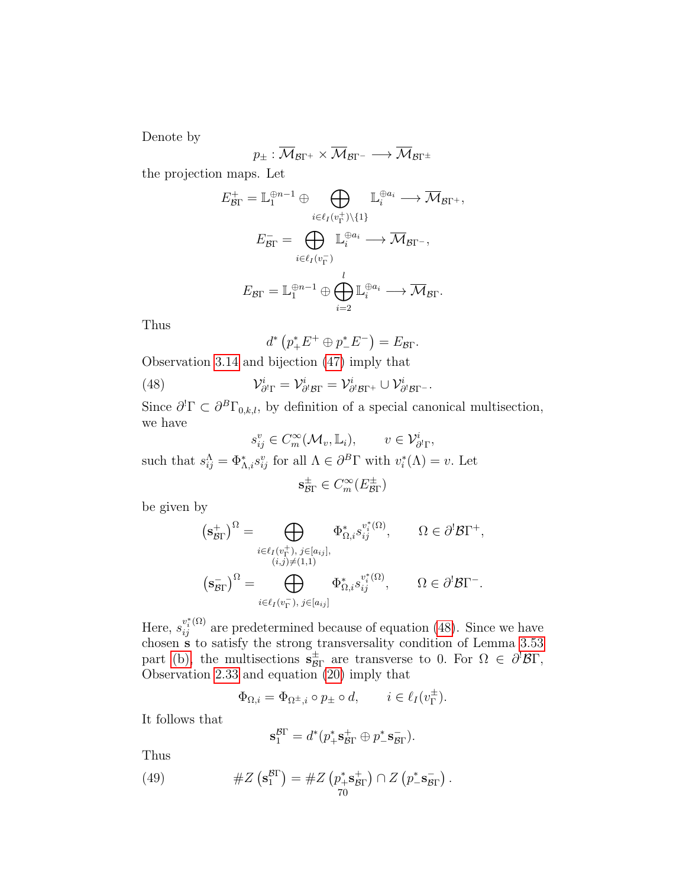Denote by

$$
p_{\pm} : \overline{\mathcal{M}}_{\mathcal{B}\Gamma^{+}} \times \overline{\mathcal{M}}_{\mathcal{B}\Gamma^{-}} \longrightarrow \overline{\mathcal{M}}_{\mathcal{B}\Gamma^{\pm}}
$$

the projection maps. Let

$$
E_{\mathcal{B}\Gamma}^+ = \mathbb{L}_1^{\oplus n-1} \oplus \bigoplus_{i \in \ell_I(v_{\Gamma}^+) \setminus \{1\}} \mathbb{L}_i^{\oplus a_i} \longrightarrow \overline{\mathcal{M}}_{\mathcal{B}\Gamma^+},
$$

$$
E_{\mathcal{B}\Gamma}^- = \bigoplus_{i \in \ell_I(v_{\Gamma}^-)} \mathbb{L}_i^{\oplus a_i} \longrightarrow \overline{\mathcal{M}}_{\mathcal{B}\Gamma^-},
$$

$$
E_{\mathcal{B}\Gamma} = \mathbb{L}_1^{\oplus n-1} \oplus \bigoplus_{i=2}^l \mathbb{L}_i^{\oplus a_i} \longrightarrow \overline{\mathcal{M}}_{\mathcal{B}\Gamma}.
$$

Thus

<span id="page-69-0"></span>
$$
d^* \left( p_+^* E^+ \oplus p_-^* E^- \right) = E_{\mathcal{B}\Gamma}.
$$

Observation [3.14](#page-31-2) and bijection [\(47\)](#page-68-4) imply that

(48) 
$$
\mathcal{V}_{\partial^!\Gamma}^i = \mathcal{V}_{\partial^!\mathcal{B}\Gamma}^i = \mathcal{V}_{\partial^!\mathcal{B}\Gamma^+}^i \cup \mathcal{V}_{\partial^!\mathcal{B}\Gamma^-}^i.
$$

Since  $\partial^l \Gamma \subset \partial^B \Gamma_{0,k,l}$ , by definition of a special canonical multisection, we have

$$
s_{ij}^v \in C_m^{\infty}(\mathcal{M}_v, \mathbb{L}_i), \qquad v \in \mathcal{V}_{\partial^l\Gamma}^i,
$$
  
such that  $s_{ij}^{\Lambda} = \Phi_{\Lambda,i}^* s_{ij}^v$  for all  $\Lambda \in \partial^B\Gamma$  with  $v_i^*(\Lambda) = v$ . Let

$$
\mathbf{s}_{\mathcal{B}\Gamma}^{\pm} \in C_m^{\infty}(E_{\mathcal{B}\Gamma}^{\pm})
$$

be given by

$$
\begin{aligned} \left(\mathbf{s}_{\mathcal{B}\Gamma}^{+}\right)^{\Omega} &= \bigoplus_{i \in \ell_{I}(v_{\Gamma}^{+}),\; j \in [a_{ij}],} \Phi_{\Omega,i}^{*}\mathbf{s}_{ij}^{v_{i}^{*}(\Omega)}, \qquad \Omega \in \partial^{!}\mathcal{B}\Gamma^{+}, \\ &\qquad \qquad (i,j) \neq (1,1) \\ \left(\mathbf{s}_{\mathcal{B}\Gamma}^{-}\right)^{\Omega} &= \bigoplus_{i \in \ell_{I}(v_{\Gamma}^{-}),\; j \in [a_{ij}] } \Phi_{\Omega,i}^{*}\mathbf{s}_{ij}^{v_{i}^{*}(\Omega)}, \qquad \Omega \in \partial^{!}\mathcal{B}\Gamma^{-}. \end{aligned}
$$

Here,  $s_{ij}^{v_i^*(\Omega)}$  are predetermined because of equation [\(48\)](#page-69-0). Since we have chosen s to satisfy the strong transversality condition of Lemma [3.53](#page-47-3) part [\(b\),](#page-47-1) the multisections  $s_{\beta}^{\pm}$  $\frac{1}{\beta\Gamma}$  are transverse to 0. For  $\Omega \in \partial^{\prime} \mathcal{B} \Gamma$ , Observation [2.33](#page-25-0) and equation [\(20\)](#page-35-1) imply that

$$
\Phi_{\Omega,i} = \Phi_{\Omega^{\pm},i} \circ p_{\pm} \circ d, \qquad i \in \ell_I(v_{\Gamma}^{\pm}).
$$

It follows that

<span id="page-69-1"></span>
$$
\mathbf{s}_1^{\mathcal{B}\Gamma}=d^*(p_+^*\mathbf{s}_{\mathcal{B}\Gamma}^+\oplus p_-^*\mathbf{s}_{\mathcal{B}\Gamma}^-).
$$

Thus

(49) 
$$
\#Z\left(\mathbf{s}_1^{\mathcal{B}\Gamma}\right) = \#Z\left(p_+^*\mathbf{s}_{\mathcal{B}\Gamma}^+\right) \cap Z\left(p_-^*\mathbf{s}_{\mathcal{B}\Gamma}^-\right).
$$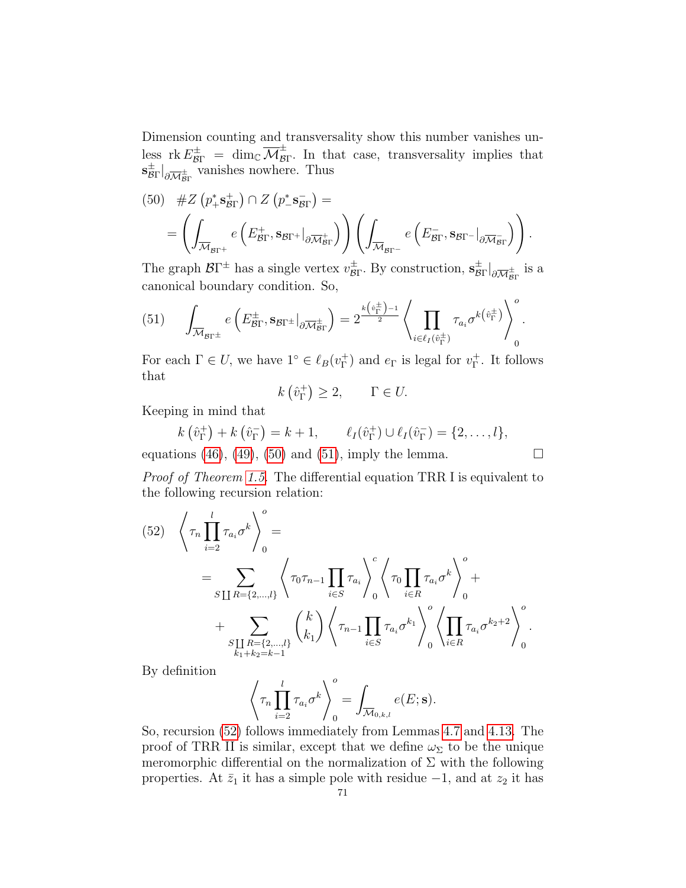Dimension counting and transversality show this number vanishes unless  $\operatorname{rk} E^{\pm}_{\mathcal{B}\Gamma} = \dim_{\mathbb{C}} \overline{\mathcal{M}}^{\pm}_{\mathcal{B}}$  $\overline{B}_{\text{F}}$ . In that case, transversality implies that  $\mathrm{s}_\mathcal{B}^\pm$  $\frac{1}{\mathcal{B}\Gamma}\big|_{\partial\overline{\mathcal{M}}_{\mathcal{B}\Gamma}^{\pm}}$  vanishes nowhere. Thus

<span id="page-70-0"></span>(50) 
$$
\#Z \left( p_+^* \mathbf{s}_{\text{BT}}^+ \right) \cap Z \left( p_-^* \mathbf{s}_{\text{BT}}^- \right) = \\ = \left( \int_{\overline{\mathcal{M}}_{\text{BT}^+}} e \left( E_{\text{BT}}^+ , \mathbf{s}_{\text{BT}^+} \Big|_{\partial \overline{\mathcal{M}}_{\text{BT}}^+} \right) \right) \left( \int_{\overline{\mathcal{M}}_{\text{BT}^-}} e \left( E_{\text{BT}}^- , \mathbf{s}_{\text{BT}^-} \Big|_{\partial \overline{\mathcal{M}}_{\text{BT}}^-} \right) \right).
$$

The graph  $\mathcal{B}\Gamma^{\pm}$  has a single vertex  $v_{\mathcal{B}}^{\pm}$  $\frac{\pm}{\mathcal{B}\Gamma}$ . By construction,  $\mathbf{s}_{\mathcal{B}}^{\pm}$  $\frac{1}{\mathcal{B}\Gamma}\big|_{\partial\overline{\mathcal{M}}_{\mathcal{B}\Gamma}}$  is a canonical boundary condition. So,

<span id="page-70-1"></span>(51) 
$$
\int_{\overline{\mathcal{M}}_{\mathcal{B}\Gamma^{\pm}}} e\left(E_{\mathcal{B}\Gamma}^{\pm}, \mathbf{s}_{\mathcal{B}\Gamma^{\pm}}|_{\partial \overline{\mathcal{M}}_{\mathcal{B}\Gamma}^{\pm}}\right) = 2 \frac{\lambda(\hat{v}_{\Gamma}^{\pm})^{-1}}{2} \left\langle \prod_{i \in \ell_{I}(\hat{v}_{\Gamma}^{\pm})} \tau_{a_{i}} \sigma^{k(\hat{v}_{\Gamma}^{\pm})} \right\rangle_{0}^{o}.
$$

For each  $\Gamma \in U$ , we have  $1^{\circ} \in \ell_B(v_{\Gamma}^+)$ <sup>+</sup>) and  $e_{\Gamma}$  is legal for  $v_{\Gamma}^+$  $_{\Gamma}^+$ . It follows that

$$
k\left(\hat{v}_{\Gamma}^{+}\right) \geq 2, \qquad \Gamma \in U.
$$

Keeping in mind that

$$
k\left(\hat{v}_{\Gamma}^{+}\right) + k\left(\hat{v}_{\Gamma}^{-}\right) = k + 1, \qquad \ell_{I}(\hat{v}_{\Gamma}^{+}) \cup \ell_{I}(\hat{v}_{\Gamma}^{-}) = \{2, \ldots, l\},
$$
\n
$$
\ldots \qquad (40)
$$

equations [\(46\)](#page-68-5), [\(49\)](#page-69-1), [\(50\)](#page-70-0) and [\(51\)](#page-70-1), imply the lemma.  $\Box$ 

Proof of Theorem [1.5.](#page-14-0) The differential equation TRR I is equivalent to the following recursion relation:

<span id="page-70-2"></span>(52) 
$$
\left\langle \tau_{n} \prod_{i=2}^{l} \tau_{a_{i}} \sigma^{k} \right\rangle_{0}^{o} = \sum_{\substack{S \coprod R = \{2,\ldots,l\} \\ k_{1} + k_{2} = k-1}} \left\langle \tau_{0} \tau_{n-1} \prod_{i \in S} \tau_{a_{i}} \right\rangle_{0}^{c} \left\langle \tau_{0} \prod_{i \in R} \tau_{a_{i}} \sigma^{k} \right\rangle_{0}^{o} + \sum_{\substack{S \coprod R = \{2,\ldots,l\} \\ k_{1} + k_{2} = k-1}} \left( \frac{k}{k_{1}} \right) \left\langle \tau_{n-1} \prod_{i \in S} \tau_{a_{i}} \sigma^{k_{1}} \right\rangle_{0}^{o} \left\langle \prod_{i \in R} \tau_{a_{i}} \sigma^{k_{2}+2} \right\rangle_{0}^{o}.
$$

By definition

$$
\left\langle \tau_n \prod_{i=2}^l \tau_{a_i} \sigma^k \right\rangle_0^o = \int_{\overline{\mathcal{M}}_{0,k,l}} e(E; \mathbf{s}).
$$

So, recursion [\(52\)](#page-70-2) follows immediately from Lemmas [4.7](#page-63-2) and [4.13.](#page-67-2) The proof of TRR II is similar, except that we define  $\omega_{\Sigma}$  to be the unique meromorphic differential on the normalization of  $\Sigma$  with the following properties. At  $\bar{z}_1$  it has a simple pole with residue  $-1$ , and at  $z_2$  it has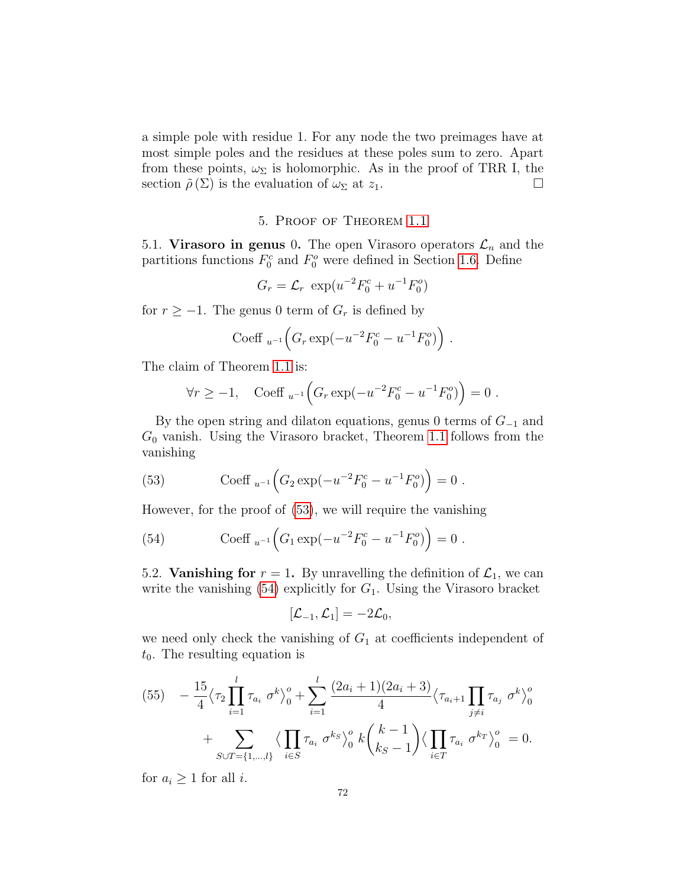a simple pole with residue 1. For any node the two preimages have at most simple poles and the residues at these poles sum to zero. Apart from these points,  $\omega_{\Sigma}$  is holomorphic. As in the proof of TRR I, the section  $\tilde{\rho}(\Sigma)$  is the evaluation of  $\omega_{\Sigma}$  at  $z_1$ .

### 5. Proof of Theorem [1.1](#page-12-1)

5.1. Virasoro in genus 0. The open Virasoro operators  $\mathcal{L}_n$  and the partitions functions  $F_0^c$  and  $F_0^o$  were defined in Section [1.6.](#page-10-0) Define

$$
G_r = \mathcal{L}_r \exp(u^{-2}F_0^c + u^{-1}F_0^o)
$$

for  $r \ge -1$ . The genus 0 term of  $G_r$  is defined by

Coeff 
$$
_{u^{-1}}\left(G_r \exp(-u^{-2}F_0^c - u^{-1}F_0^o)\right)
$$
.

The claim of Theorem [1.1](#page-12-1) is:

$$
\forall r \ge -1, \quad \text{Coeff}_{u^{-1}}\Big(G_r \exp(-u^{-2}F_0^c - u^{-1}F_0^o)\Big) = 0 \; .
$$

By the open string and dilaton equations, genus 0 terms of  $G_{-1}$  and  $G_0$  vanish. Using the Virasoro bracket, Theorem [1.1](#page-12-1) follows from the vanishing

<span id="page-71-0"></span>(53) Coeff 
$$
_{u^{-1}}(G_2 \exp(-u^{-2}F_0^c - u^{-1}F_0^o)) = 0
$$
.

However, for the proof of [\(53\)](#page-71-0), we will require the vanishing

<span id="page-71-1"></span>(54) Coeff 
$$
_{u^{-1}}(G_1 \exp(-u^{-2}F_0^c - u^{-1}F_0^o)) = 0
$$
.

5.2. **Vanishing for**  $r = 1$ . By unravelling the definition of  $\mathcal{L}_1$ , we can write the vanishing  $(54)$  explicitly for  $G_1$ . Using the Virasoro bracket

$$
[\mathcal{L}_{-1}, \mathcal{L}_1] = -2\mathcal{L}_0,
$$

we need only check the vanishing of  $G_1$  at coefficients independent of  $t_0$ . The resulting equation is

$$
(55) \quad -\frac{15}{4} \langle \tau_2 \prod_{i=1}^l \tau_{a_i} \sigma^k \rangle_0^o + \sum_{i=1}^l \frac{(2a_i + 1)(2a_i + 3)}{4} \langle \tau_{a_i+1} \prod_{j \neq i} \tau_{a_j} \sigma^k \rangle_0^o
$$

$$
+ \sum_{S \cup T = \{1, \dots, l\}} \langle \prod_{i \in S} \tau_{a_i} \sigma^{ks} \rangle_0^o \, k \binom{k-1}{k_S - 1} \langle \prod_{i \in T} \tau_{a_i} \sigma^{kr} \rangle_0^o = 0.
$$

for  $a_i \geq 1$  for all *i*.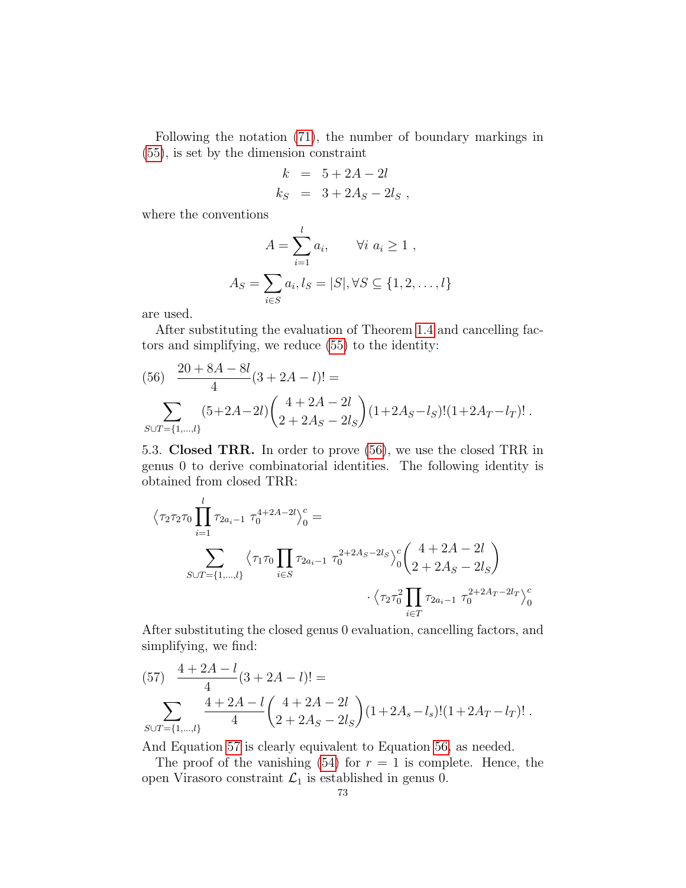Following the notation [\(71\)](#page-77-0), the number of boundary markings in [\(55\)](#page-71-0), is set by the dimension constraint

$$
k = 5 + 2A - 2l
$$
  

$$
k_S = 3 + 2A_S - 2l_S,
$$

where the conventions

$$
A = \sum_{i=1}^{l} a_i, \qquad \forall i \ a_i \ge 1 ,
$$
  

$$
A_S = \sum_{i \in S} a_i, l_S = |S|, \forall S \subseteq \{1, 2, ..., l\}
$$

are used.

After substituting the evaluation of Theorem [1.4](#page-14-0) and cancelling factors and simplifying, we reduce [\(55\)](#page-71-0) to the identity:

<span id="page-72-0"></span>(56) 
$$
\frac{20+8A-8l}{4}(3+2A-l)! =
$$

$$
\sum_{S\cup T=\{1,\dots,l\}} (5+2A-2l) \binom{4+2A-2l}{2+2A_S-2l_S} (1+2A_S-l_S)!(1+2A_T-l_T)!.
$$

5.3. Closed TRR. In order to prove [\(56\)](#page-72-0), we use the closed TRR in genus 0 to derive combinatorial identities. The following identity is obtained from closed TRR:

$$
\langle \tau_2 \tau_2 \tau_0 \prod_{i=1}^l \tau_{2a_i-1} \tau_0^{4+2A-2l} \rangle_0^c =
$$
  

$$
\sum_{S \cup T = \{1, \dots, l\}} \langle \tau_1 \tau_0 \prod_{i \in S} \tau_{2a_i-1} \tau_0^{2+2A_S-2l_S} \rangle_0^c \left( \frac{4+2A-2l}{2+2A_S-2l_S} \right)
$$
  

$$
\cdot \langle \tau_2 \tau_0^2 \prod_{i \in T} \tau_{2a_i-1} \tau_0^{2+2A_T-2l_T} \rangle_0^c
$$

After substituting the closed genus 0 evaluation, cancelling factors, and simplifying, we find:

<span id="page-72-1"></span>(57) 
$$
\frac{4+2A-l}{4}(3+2A-l)! =
$$
  

$$
\sum_{S\cup T=\{1,\dots,l\}} \frac{4+2A-l}{4} \left(\frac{4+2A-2l}{2+2A_S-2l_S}\right) (1+2A_s-l_s)!(1+2A_T-l_T)!.
$$

And Equation [57](#page-72-1) is clearly equivalent to Equation [56,](#page-72-0) as needed.

The proof of the vanishing  $(54)$  for  $r = 1$  is complete. Hence, the open Virasoro constraint  $\mathcal{L}_1$  is established in genus 0.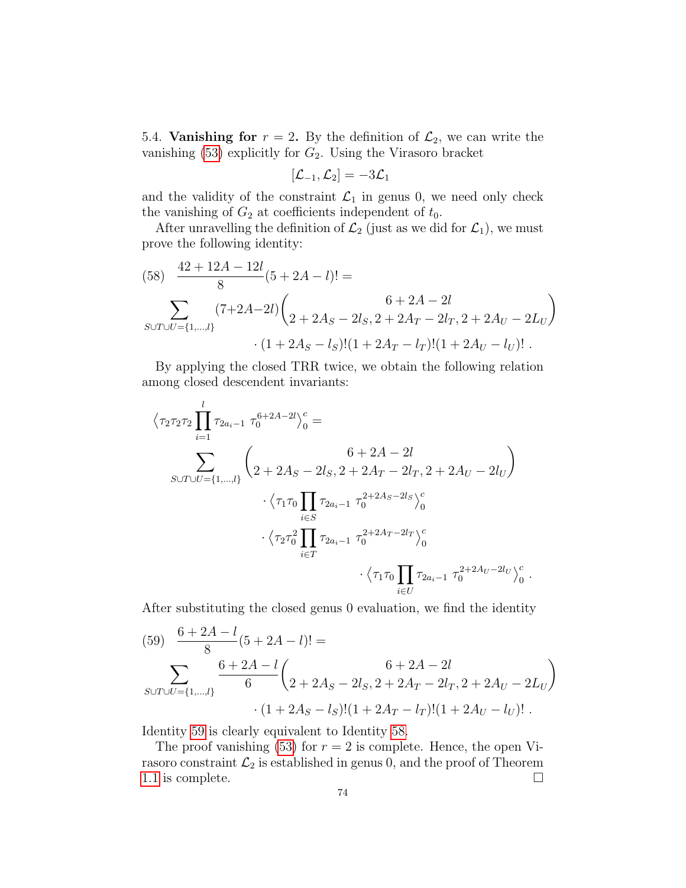5.4. **Vanishing for**  $r = 2$ . By the definition of  $\mathcal{L}_2$ , we can write the vanishing  $(53)$  explicitly for  $G_2$ . Using the Virasoro bracket

$$
[\mathcal{L}_{-1}, \mathcal{L}_2] = -3\mathcal{L}_1
$$

and the validity of the constraint  $\mathcal{L}_1$  in genus 0, we need only check the vanishing of  $G_2$  at coefficients independent of  $t_0$ .

After unravelling the definition of  $\mathcal{L}_2$  (just as we did for  $\mathcal{L}_1$ ), we must prove the following identity:

<span id="page-73-1"></span>(58) 
$$
\frac{42 + 12A - 12l}{8}(5 + 2A - l)! =
$$

$$
\sum_{S \cup T \cup U = \{1, \dots, l\}} (7 + 2A - 2l) \binom{6 + 2A - 2l}{2 + 2A_S - 2l_S, 2 + 2A_T - 2l_T, 2 + 2A_U - 2L_U}
$$

$$
\cdot (1 + 2A_S - l_S)!(1 + 2A_T - l_T)!(1 + 2A_U - l_U)! .
$$

By applying the closed TRR twice, we obtain the following relation among closed descendent invariants:

$$
\langle \tau_2 \tau_2 \tau_2 \prod_{i=1}^l \tau_{2a_i-1} \ \tau_0^{6+2A-2l} \rangle_0^c =
$$
\n
$$
\sum_{S \cup T \cup U = \{1, \dots, l\}} \left( 2 + 2A_S - 2I_S, 2 + 2A_T - 2I_T, 2 + 2A_U - 2I_U \right)
$$
\n
$$
\cdot \langle \tau_1 \tau_0 \prod_{i \in S} \tau_{2a_i-1} \ \tau_0^{2+2A_S-2I_S} \rangle_0^c
$$
\n
$$
\cdot \langle \tau_2 \tau_0^2 \prod_{i \in T} \tau_{2a_i-1} \ \tau_0^{2+2A_T-2I_T} \rangle_0^c
$$
\n
$$
\cdot \langle \tau_1 \tau_0 \prod_{i \in U} \tau_{2a_i-1} \ \tau_0^{2+2A_U-2I_U} \rangle_0^c.
$$

After substituting the closed genus 0 evaluation, we find the identity

<span id="page-73-0"></span>(59) 
$$
\frac{6+2A-l}{8}(5+2A-l)! =
$$

$$
\sum_{S\cup T\cup U=\{1,\dots,l\}} \frac{6+2A-l}{6} \left(2+2A_S-2I_S, 2+2A_T-2I_T, 2+2A_U-2I_U\right)
$$

$$
\cdot (1+2A_S-I_S)!(1+2A_T-I_T)!(1+2A_U-I_U)!.
$$

Identity [59](#page-73-0) is clearly equivalent to Identity [58.](#page-73-1)

The proof vanishing [\(53\)](#page-71-2) for  $r = 2$  is complete. Hence, the open Virasoro constraint  $\mathcal{L}_2$  is established in genus 0, and the proof of Theorem [1.1](#page-12-0) is complete.  $\Box$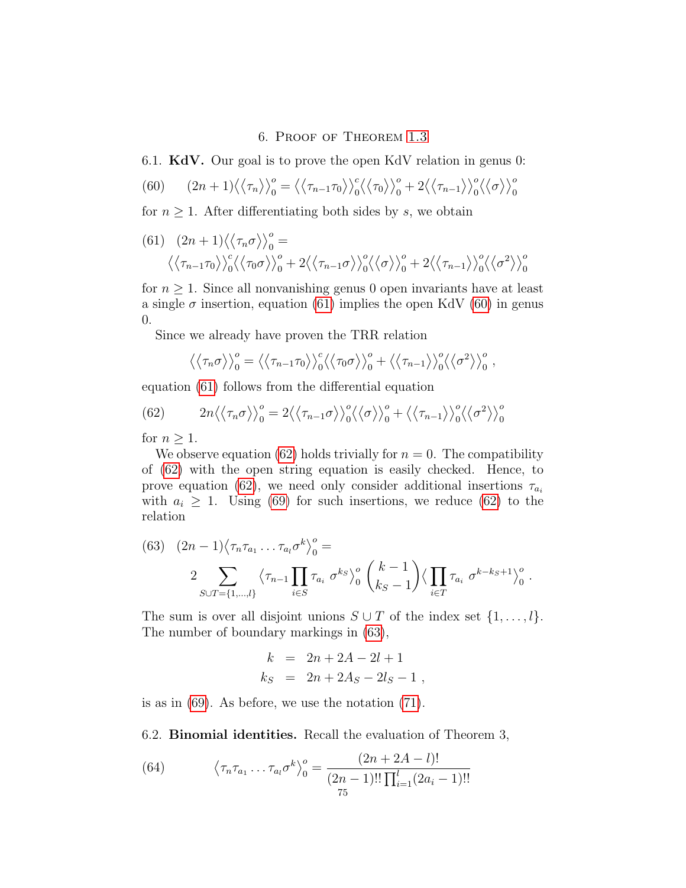## 6. Proof of Theorem [1.3](#page-13-0)

6.1. KdV. Our goal is to prove the open KdV relation in genus 0:

<span id="page-74-1"></span>(60) 
$$
(2n+1)\langle\langle\tau_n\rangle\rangle_0^o = \langle\langle\tau_{n-1}\tau_0\rangle\rangle_0^c \langle\langle\tau_0\rangle\rangle_0^o + 2\langle\langle\tau_{n-1}\rangle\rangle_0^o \langle\langle\sigma\rangle\rangle_0^o
$$

for  $n \geq 1$ . After differentiating both sides by s, we obtain

<span id="page-74-0"></span>(61) 
$$
(2n+1)\langle\langle\tau_n\sigma\rangle\rangle_0^o = \langle\langle\tau_{n-1}\tau_0\rangle\rangle_0^c \langle\langle\tau_0\sigma\rangle\rangle_0^o + 2\langle\langle\tau_{n-1}\sigma\rangle\rangle_0^c \langle\langle\sigma\rangle\rangle_0^o + 2\langle\langle\tau_{n-1}\rangle\rangle_0^c \langle\langle\sigma^2\rangle\rangle_0^o
$$

for  $n \geq 1$ . Since all nonvanishing genus 0 open invariants have at least a single  $\sigma$  insertion, equation [\(61\)](#page-74-0) implies the open KdV [\(60\)](#page-74-1) in genus 0.

Since we already have proven the TRR relation

<span id="page-74-2"></span>
$$
\langle \langle \tau_n \sigma \rangle \rangle_0^o = \langle \langle \tau_{n-1} \tau_0 \rangle \rangle_0^c \langle \langle \tau_0 \sigma \rangle_0^o + \langle \langle \tau_{n-1} \rangle \rangle_0^o \langle \langle \sigma^2 \rangle \rangle_0^o,
$$

equation [\(61\)](#page-74-0) follows from the differential equation

(62) 
$$
2n\langle\langle\tau_n\sigma\rangle\rangle_0^o = 2\langle\langle\tau_{n-1}\sigma\rangle\rangle_0^o \langle\langle\sigma\rangle\rangle_0^o + \langle\langle\tau_{n-1}\rangle\rangle_0^o \langle\langle\sigma^2\rangle\rangle_0^o
$$

for  $n > 1$ .

We observe equation [\(62\)](#page-74-2) holds trivially for  $n = 0$ . The compatibility of [\(62\)](#page-74-2) with the open string equation is easily checked. Hence, to prove equation [\(62\)](#page-74-2), we need only consider additional insertions  $\tau_{a_i}$ with  $a_i \geq 1$ . Using [\(69\)](#page-76-0) for such insertions, we reduce [\(62\)](#page-74-2) to the relation

<span id="page-74-3"></span>(63) 
$$
(2n - 1)\langle \tau_n \tau_{a_1} \dots \tau_{a_l} \sigma^k \rangle_0^o =
$$
  
 
$$
2 \sum_{S \cup T = \{1, \dots, l\}} \langle \tau_{n-1} \prod_{i \in S} \tau_{a_i} \sigma^{k s} \rangle_0^o \binom{k-1}{k_S - 1} \langle \prod_{i \in T} \tau_{a_i} \sigma^{k-k_S + 1} \rangle_0^o.
$$

The sum is over all disjoint unions  $S \cup T$  of the index set  $\{1, \ldots, l\}$ . The number of boundary markings in [\(63\)](#page-74-3),

$$
k = 2n + 2A - 2l + 1
$$
  
\n
$$
k_S = 2n + 2A_S - 2l_S - 1
$$

is as in  $(69)$ . As before, we use the notation  $(71)$ .

6.2. Binomial identities. Recall the evaluation of Theorem 3,

<span id="page-74-4"></span>(64) 
$$
\left\langle \tau_n \tau_{a_1} \dots \tau_{a_l} \sigma^k \right\rangle_0^o = \frac{(2n+2A-l)!}{(2n-1)!! \prod_{i=1}^l (2a_i-1)!!}
$$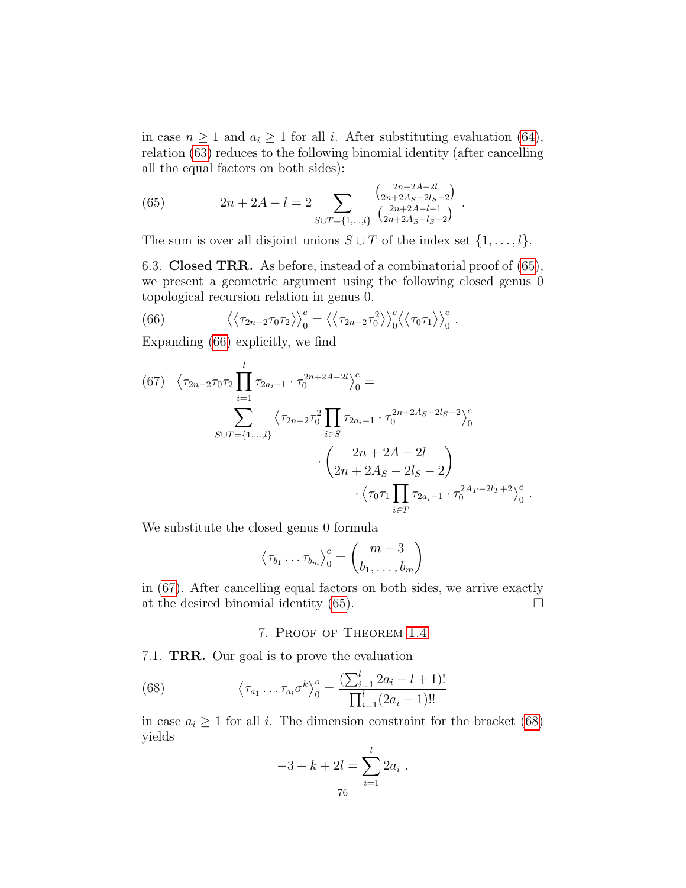in case  $n \geq 1$  and  $a_i \geq 1$  for all i. After substituting evaluation [\(64\)](#page-74-4), relation [\(63\)](#page-74-3) reduces to the following binomial identity (after cancelling all the equal factors on both sides):

<span id="page-75-0"></span>(65) 
$$
2n + 2A - l = 2 \sum_{S \cup T = \{1, \dots, l\}} \frac{\binom{2n + 2A - 2l}{2n + 2A_S - 2l_S - 2}}{\binom{2n + 2A - 2l}{2n + 2A_S - l_S - 2}}.
$$

The sum is over all disjoint unions  $S \cup T$  of the index set  $\{1, \ldots, l\}$ .

6.3. Closed TRR. As before, instead of a combinatorial proof of [\(65\)](#page-75-0), we present a geometric argument using the following closed genus 0 topological recursion relation in genus 0,

<span id="page-75-1"></span>(66) 
$$
\langle \langle \tau_{2n-2} \tau_0 \tau_2 \rangle \rangle_0^c = \langle \langle \tau_{2n-2} \tau_0^2 \rangle \rangle_0^c \langle \langle \tau_0 \tau_1 \rangle \rangle_0^c.
$$

Expanding [\(66\)](#page-75-1) explicitly, we find

<span id="page-75-2"></span>(67) 
$$
\langle \tau_{2n-2}\tau_0\tau_2 \prod_{i=1}^l \tau_{2a_i-1} \cdot \tau_0^{2n+2A-2l} \rangle_0^c =
$$
  
\n
$$
\sum_{S \cup T = \{1,\dots,l\}} \langle \tau_{2n-2}\tau_0^2 \prod_{i \in S} \tau_{2a_i-1} \cdot \tau_0^{2n+2A_S-2l_S-2} \rangle_0^c
$$
\n
$$
\cdot \left( \begin{array}{c} 2n+2A-2l \\ 2n+2A_S-2l_S-2 \end{array} \right) \cdot \langle \tau_0\tau_1 \prod_{i \in T} \tau_{2a_i-1} \cdot \tau_0^{2A_T-2l_T+2} \rangle_0^c.
$$

We substitute the closed genus 0 formula

$$
\left\langle \tau_{b_1} \dots \tau_{b_m} \right\rangle_0^c = \binom{m-3}{b_1, \dots, b_m}
$$

in [\(67\)](#page-75-2). After cancelling equal factors on both sides, we arrive exactly at the desired binomial identity [\(65\)](#page-75-0).  $\Box$ 

## <span id="page-75-3"></span>7. Proof of Theorem [1.4](#page-14-0)

7.1. TRR. Our goal is to prove the evaluation

(68) 
$$
\left\langle \tau_{a_1} \dots \tau_{a_l} \sigma^k \right\rangle_0^o = \frac{\left( \sum_{i=1}^l 2a_i - l + 1 \right)!}{\prod_{i=1}^l (2a_i - 1)!!}
$$

in case  $a_i \geq 1$  for all i. The dimension constraint for the bracket [\(68\)](#page-75-3) yields

$$
-3 + k + 2l = \sum_{i=1}^{l} 2a_i.
$$
  
76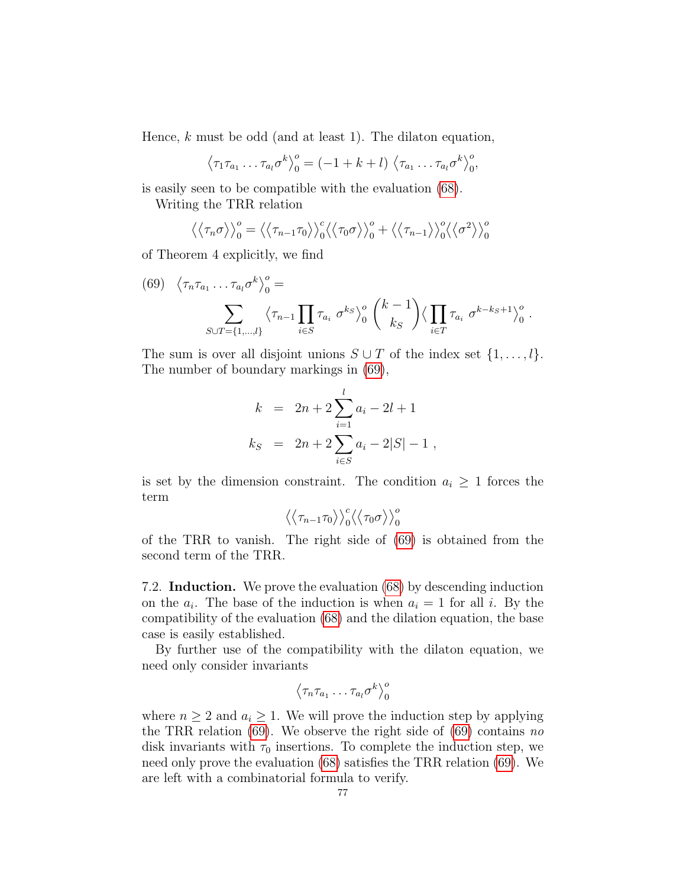Hence,  $k$  must be odd (and at least 1). The dilaton equation,

$$
\left\langle \tau_1 \tau_{a_1} \ldots \tau_{a_l} \sigma^k \right\rangle_0^o = (-1 + k + l) \left\langle \tau_{a_1} \ldots \tau_{a_l} \sigma^k \right\rangle_0^o,
$$

is easily seen to be compatible with the evaluation [\(68\)](#page-75-3).

Writing the TRR relation

$$
\langle \langle \tau_n \sigma \rangle \rangle_0^o = \langle \langle \tau_{n-1} \tau_0 \rangle \rangle_0^c \langle \langle \tau_0 \sigma \rangle \rangle_0^o + \langle \langle \tau_{n-1} \rangle \rangle_0^o \langle \langle \sigma^2 \rangle \rangle_0^o
$$

of Theorem 4 explicitly, we find

<span id="page-76-0"></span>(69) 
$$
\langle \tau_n \tau_{a_1} \dots \tau_{a_l} \sigma^k \rangle_0^o =
$$
  

$$
\sum_{S \cup T = \{1, \dots, l\}} \langle \tau_{n-1} \prod_{i \in S} \tau_{a_i} \sigma^{k_S} \rangle_0^o \binom{k-1}{k_S} \langle \prod_{i \in T} \tau_{a_i} \sigma^{k-k_S+1} \rangle_0^o.
$$

The sum is over all disjoint unions  $S \cup T$  of the index set  $\{1, \ldots, l\}$ . The number of boundary markings in [\(69\)](#page-76-0),

$$
k = 2n + 2 \sum_{i=1}^{l} a_i - 2l + 1
$$
  
\n
$$
k_S = 2n + 2 \sum_{i \in S} a_i - 2|S| - 1,
$$

is set by the dimension constraint. The condition  $a_i \geq 1$  forces the term

$$
\left\langle \left\langle \tau_{n-1}\tau_0 \right\rangle \right\rangle_0^c \!\!\left\langle \left\langle \tau_0\sigma \right\rangle \right\rangle_0^o
$$

of the TRR to vanish. The right side of [\(69\)](#page-76-0) is obtained from the second term of the TRR.

7.2. Induction. We prove the evaluation [\(68\)](#page-75-3) by descending induction on the  $a_i$ . The base of the induction is when  $a_i = 1$  for all i. By the compatibility of the evaluation [\(68\)](#page-75-3) and the dilation equation, the base case is easily established.

By further use of the compatibility with the dilaton equation, we need only consider invariants

$$
\left\langle \tau_n \tau_{a_1} \dots \tau_{a_l} \sigma^k \right\rangle_0^o
$$

where  $n \geq 2$  and  $a_i \geq 1$ . We will prove the induction step by applying the TRR relation  $(69)$ . We observe the right side of  $(69)$  contains no disk invariants with  $\tau_0$  insertions. To complete the induction step, we need only prove the evaluation [\(68\)](#page-75-3) satisfies the TRR relation [\(69\)](#page-76-0). We are left with a combinatorial formula to verify.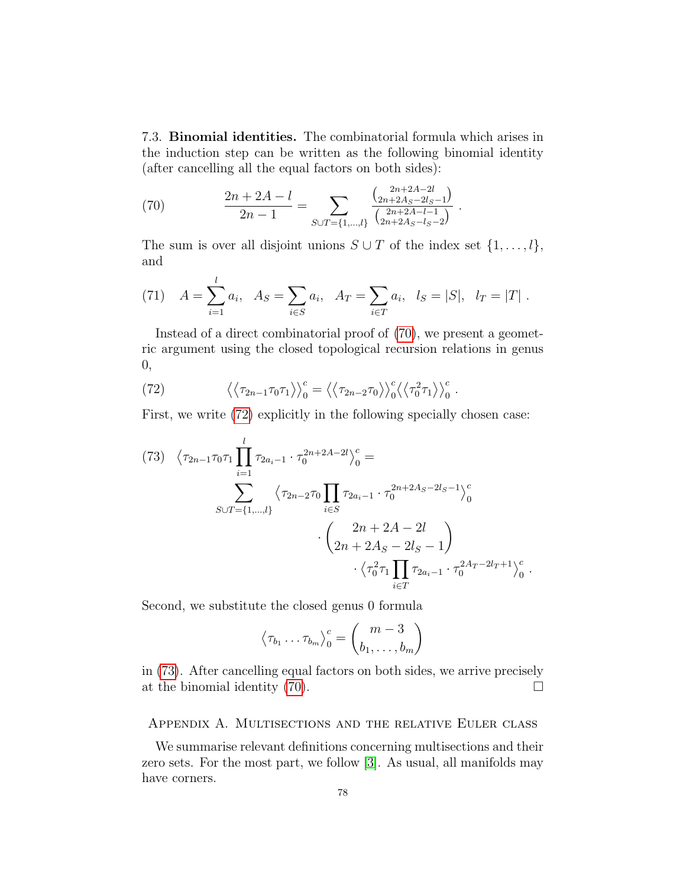7.3. Binomial identities. The combinatorial formula which arises in the induction step can be written as the following binomial identity (after cancelling all the equal factors on both sides):

<span id="page-77-1"></span>(70) 
$$
\frac{2n+2A-l}{2n-1} = \sum_{S\cup T=\{1,\dots,l\}} \frac{\binom{2n+2A-2l}{2n+2A_S-2l_S-1}}{\binom{2n+2A-l-1}{2n+2A_S-l_S-2}}.
$$

The sum is over all disjoint unions  $S \cup T$  of the index set  $\{1, \ldots, l\}$ , and

<span id="page-77-0"></span>(71) 
$$
A = \sum_{i=1}^{l} a_i
$$
,  $A_S = \sum_{i \in S} a_i$ ,  $A_T = \sum_{i \in T} a_i$ ,  $l_S = |S|$ ,  $l_T = |T|$ .

Instead of a direct combinatorial proof of [\(70\)](#page-77-1), we present a geometric argument using the closed topological recursion relations in genus 0,

<span id="page-77-2"></span>(72) 
$$
\langle \langle \tau_{2n-1} \tau_0 \tau_1 \rangle \rangle_0^c = \langle \langle \tau_{2n-2} \tau_0 \rangle \rangle_0^c \langle \langle \tau_0^2 \tau_1 \rangle \rangle_0^c.
$$

First, we write [\(72\)](#page-77-2) explicitly in the following specially chosen case:

<span id="page-77-3"></span>
$$
(73) \quad \langle \tau_{2n-1}\tau_0\tau_1 \prod_{i=1}^l \tau_{2a_i-1} \cdot \tau_0^{2n+2A-2l} \rangle_0^c =
$$
\n
$$
\sum_{S \cup T = \{1, \dots, l\}} \langle \tau_{2n-2}\tau_0 \prod_{i \in S} \tau_{2a_i-1} \cdot \tau_0^{2n+2A_S-2l_S-1} \rangle_0^c
$$
\n
$$
\cdot \left( \frac{2n+2A-2l}{2n+2A_S-2l_S-1} \right) \cdot \langle \tau_0^2 \tau_1 \prod_{i \in T} \tau_{2a_i-1} \cdot \tau_0^{2A_T-2l_T+1} \rangle_0^c.
$$

Second, we substitute the closed genus 0 formula

$$
\left\langle \tau_{b_1} \dots \tau_{b_m} \right\rangle_0^c = \binom{m-3}{b_1, \dots, b_m}
$$

in [\(73\)](#page-77-3). After cancelling equal factors on both sides, we arrive precisely at the binomial identity  $(70)$ .

## Appendix A. Multisections and the relative Euler class

We summarise relevant definitions concerning multisections and their zero sets. For the most part, we follow [\[3\]](#page-83-0). As usual, all manifolds may have corners.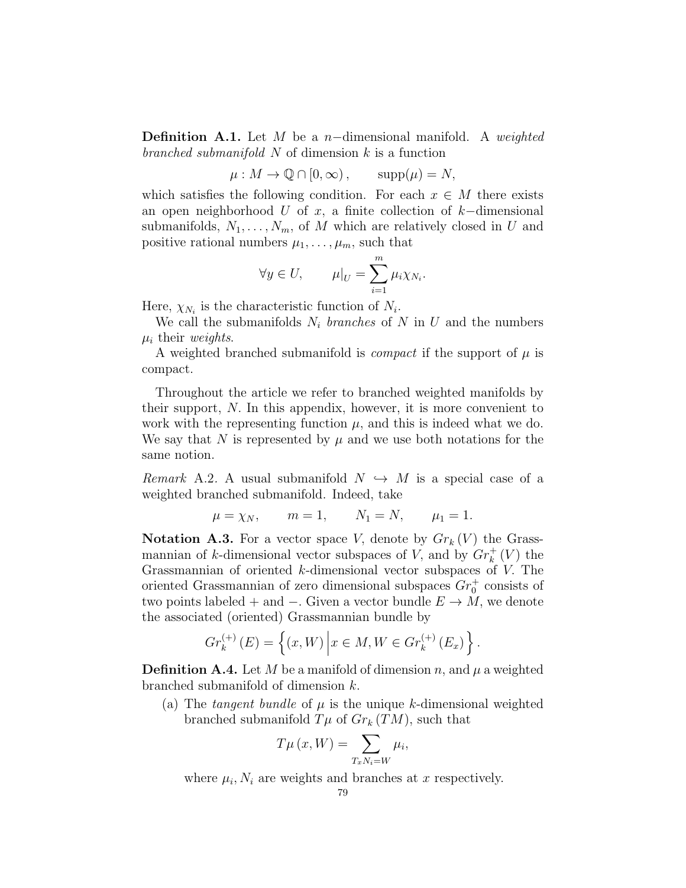**Definition A.1.** Let M be a n-dimensional manifold. A weighted branched submanifold  $N$  of dimension  $k$  is a function

$$
\mu: M \to \mathbb{Q} \cap [0, \infty), \qquad \text{supp}(\mu) = N,
$$

which satisfies the following condition. For each  $x \in M$  there exists an open neighborhood U of x, a finite collection of  $k$ −dimensional submanifolds,  $N_1, \ldots, N_m$ , of M which are relatively closed in U and positive rational numbers  $\mu_1, \ldots, \mu_m$ , such that

$$
\forall y \in U, \qquad \mu|_{U} = \sum_{i=1}^{m} \mu_{i} \chi_{N_{i}}.
$$

Here,  $\chi_{N_i}$  is the characteristic function of  $N_i$ .

We call the submanifolds  $N_i$  branches of N in U and the numbers  $\mu_i$  their weights.

A weighted branched submanifold is *compact* if the support of  $\mu$  is compact.

Throughout the article we refer to branched weighted manifolds by their support,  $N$ . In this appendix, however, it is more convenient to work with the representing function  $\mu$ , and this is indeed what we do. We say that N is represented by  $\mu$  and we use both notations for the same notion.

<span id="page-78-0"></span>Remark A.2. A usual submanifold  $N \leftrightarrow M$  is a special case of a weighted branched submanifold. Indeed, take

$$
\mu = \chi_N
$$
,  $m = 1$ ,  $N_1 = N$ ,  $\mu_1 = 1$ .

**Notation A.3.** For a vector space V, denote by  $Gr_k(V)$  the Grassmannian of k-dimensional vector subspaces of V, and by  $Gr_k^+(V)$  the Grassmannian of oriented k-dimensional vector subspaces of V. The oriented Grassmannian of zero dimensional subspaces  $Gr_0^+$  consists of two points labeled + and  $-$ . Given a vector bundle  $E \to M$ , we denote the associated (oriented) Grassmannian bundle by

$$
Gr_k^{(+)}(E) = \left\{ (x, W) \middle| x \in M, W \in Gr_k^{(+)}(E_x) \right\}.
$$

**Definition A.4.** Let M be a manifold of dimension n, and  $\mu$  a weighted branched submanifold of dimension k.

(a) The tangent bundle of  $\mu$  is the unique k-dimensional weighted branched submanifold  $T\mu$  of  $Gr_k(TM)$ , such that

$$
T\mu\left(x,W\right) = \sum_{T_x N_i = W} \mu_i,
$$

where  $\mu_i$ ,  $N_i$  are weights and branches at x respectively.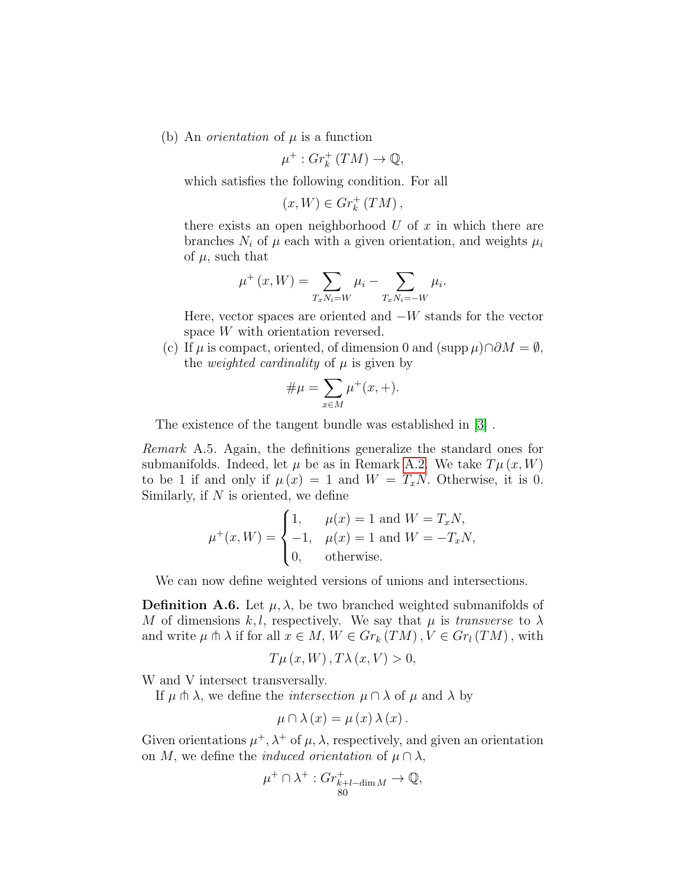(b) An *orientation* of  $\mu$  is a function

$$
\mu^+ : Gr_k^+ (TM) \to \mathbb{Q},
$$

which satisfies the following condition. For all

$$
(x,W)\in Gr_k^+\left(TM\right),
$$

there exists an open neighborhood  $U$  of  $x$  in which there are branches  $N_i$  of  $\mu$  each with a given orientation, and weights  $\mu_i$ of  $\mu$ , such that

$$
\mu^{+}(x, W) = \sum_{T_x N_i = W} \mu_i - \sum_{T_x N_i = -W} \mu_i.
$$

Here, vector spaces are oriented and  $-W$  stands for the vector space W with orientation reversed.

(c) If  $\mu$  is compact, oriented, of dimension 0 and (supp  $\mu$ )∩∂ $M = \emptyset$ , the *weighted cardinality* of  $\mu$  is given by

$$
\# \mu = \sum_{x \in M} \mu^+(x, +).
$$

The existence of the tangent bundle was established in [\[3\]](#page-83-0) .

Remark A.5. Again, the definitions generalize the standard ones for submanifolds. Indeed, let  $\mu$  be as in Remark [A.2.](#page-78-0) We take  $T\mu(x, W)$ to be 1 if and only if  $\mu(x) = 1$  and  $W = T_xN$ . Otherwise, it is 0. Similarly, if  $N$  is oriented, we define

$$
\mu^+(x,W) = \begin{cases} 1, & \mu(x) = 1 \text{ and } W = T_xN, \\ -1, & \mu(x) = 1 \text{ and } W = -T_xN, \\ 0, & \text{otherwise.} \end{cases}
$$

We can now define weighted versions of unions and intersections.

**Definition A.6.** Let  $\mu$ ,  $\lambda$ , be two branched weighted submanifolds of M of dimensions k, l, respectively. We say that  $\mu$  is transverse to  $\lambda$ and write  $\mu \pitchfork \lambda$  if for all  $x \in M$ ,  $W \in Gr_k(TM)$ ,  $V \in Gr_l(TM)$ , with

$$
T\mu(x,W), T\lambda(x,V) > 0,
$$

W and V intersect transversally.

If  $\mu \pitchfork \lambda$ , we define the *intersection*  $\mu \cap \lambda$  of  $\mu$  and  $\lambda$  by

$$
\mu \cap \lambda (x) = \mu (x) \lambda (x).
$$

Given orientations  $\mu^+$ ,  $\lambda^+$  of  $\mu$ ,  $\lambda$ , respectively, and given an orientation on M, we define the *induced orientation* of  $\mu \cap \lambda$ ,

$$
\mu^+ \cap \lambda^+ : Gr_{k+l-\dim M}^+ \to \mathbb{Q},
$$
  
<sub>80</sub>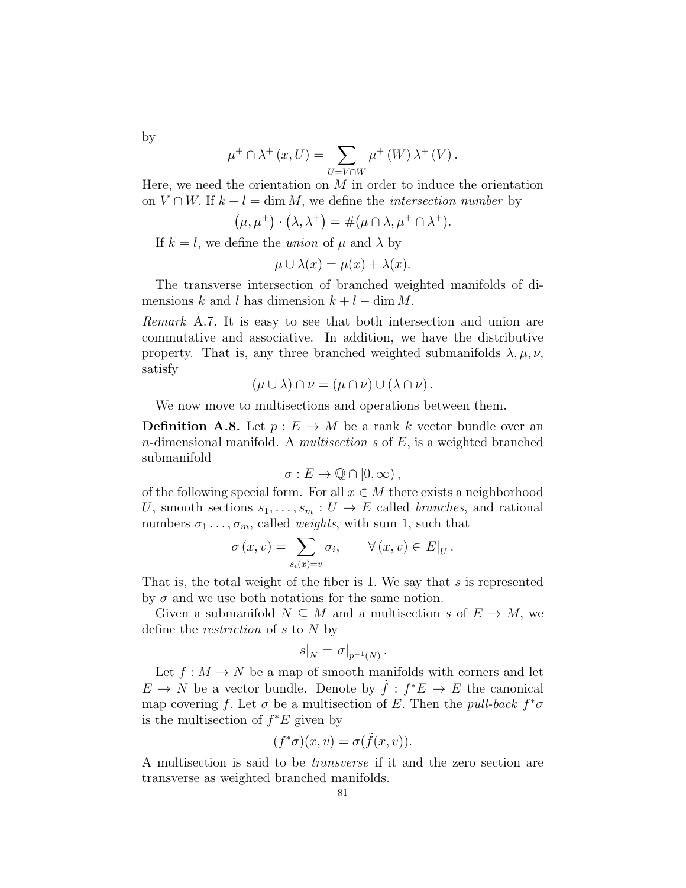by

$$
\mu^+ \cap \lambda^+ (x, U) = \sum_{U=V \cap W} \mu^+ (W) \lambda^+ (V) .
$$

Here, we need the orientation on  $M$  in order to induce the orientation on  $V \cap W$ . If  $k + l = \dim M$ , we define the *intersection number* by

$$
(\mu, \mu^+) \cdot (\lambda, \lambda^+) = \#(\mu \cap \lambda, \mu^+ \cap \lambda^+).
$$

If  $k = l$ , we define the *union* of  $\mu$  and  $\lambda$  by

$$
\mu \cup \lambda(x) = \mu(x) + \lambda(x).
$$

The transverse intersection of branched weighted manifolds of dimensions k and l has dimension  $k + l - \dim M$ .

Remark A.7. It is easy to see that both intersection and union are commutative and associative. In addition, we have the distributive property. That is, any three branched weighted submanifolds  $\lambda, \mu, \nu$ , satisfy

$$
(\mu \cup \lambda) \cap \nu = (\mu \cap \nu) \cup (\lambda \cap \nu).
$$

We now move to multisections and operations between them.

**Definition A.8.** Let  $p: E \to M$  be a rank k vector bundle over an n-dimensional manifold. A *multisection s* of  $E$ , is a weighted branched submanifold

$$
\sigma: E \to \mathbb{Q} \cap [0, \infty),
$$

of the following special form. For all  $x \in M$  there exists a neighborhood U, smooth sections  $s_1, \ldots, s_m : U \to E$  called branches, and rational numbers  $\sigma_1 \ldots, \sigma_m$ , called *weights*, with sum 1, such that

$$
\sigma(x,v) = \sum_{s_i(x)=v} \sigma_i, \qquad \forall (x,v) \in E|_U.
$$

That is, the total weight of the fiber is 1. We say that  $s$  is represented by  $\sigma$  and we use both notations for the same notion.

Given a submanifold  $N \subseteq M$  and a multisection s of  $E \to M$ , we define the restriction of s to N by

$$
s|_N = \sigma|_{p^{-1}(N)}.
$$

Let  $f: M \to N$  be a map of smooth manifolds with corners and let  $E \to N$  be a vector bundle. Denote by  $\tilde{f}: f^*E \to E$  the canonical map covering f. Let  $\sigma$  be a multisection of E. Then the *pull-back*  $f^*\sigma$ is the multisection of  $f^*E$  given by

$$
(f^*\sigma)(x,v) = \sigma(\tilde{f}(x,v)).
$$

A multisection is said to be transverse if it and the zero section are transverse as weighted branched manifolds.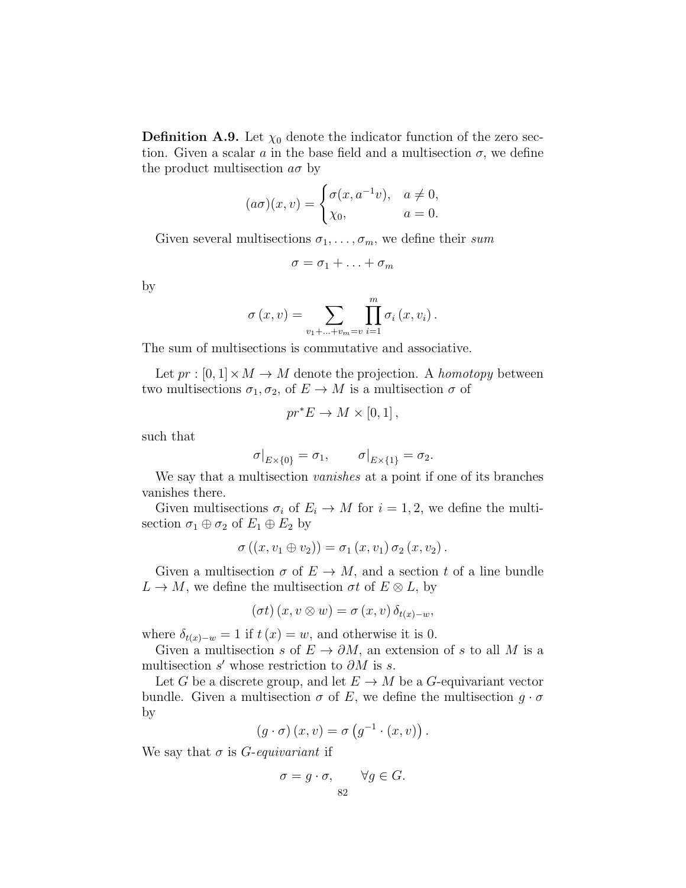**Definition A.9.** Let  $\chi_0$  denote the indicator function of the zero section. Given a scalar a in the base field and a multisection  $\sigma$ , we define the product multisection  $a\sigma$  by

$$
(a\sigma)(x,v) = \begin{cases} \sigma(x, a^{-1}v), & a \neq 0, \\ \chi_0, & a = 0. \end{cases}
$$

Given several multisections  $\sigma_1, \ldots, \sigma_m$ , we define their sum

$$
\sigma = \sigma_1 + \ldots + \sigma_m
$$

by

$$
\sigma(x, v) = \sum_{v_1 + ... + v_m = v} \prod_{i=1}^m \sigma_i(x, v_i).
$$

The sum of multisections is commutative and associative.

Let  $pr : [0,1] \times M \rightarrow M$  denote the projection. A homotopy between two multisections  $\sigma_1, \sigma_2$ , of  $E \to M$  is a multisection  $\sigma$  of

$$
pr^*E \to M \times [0,1],
$$

such that

$$
\sigma|_{E\times\{0\}} = \sigma_1, \qquad \sigma|_{E\times\{1\}} = \sigma_2.
$$

We say that a multisection *vanishes* at a point if one of its branches vanishes there.

Given multisections  $\sigma_i$  of  $E_i \to M$  for  $i = 1, 2$ , we define the multisection  $\sigma_1 \oplus \sigma_2$  of  $E_1 \oplus E_2$  by

$$
\sigma ((x, v_1 \oplus v_2)) = \sigma_1 (x, v_1) \sigma_2 (x, v_2).
$$

Given a multisection  $\sigma$  of  $E \to M$ , and a section t of a line bundle  $L \to M$ , we define the multisection  $\sigma t$  of  $E \otimes L$ , by

$$
(\sigma t) (x, v \otimes w) = \sigma (x, v) \, \delta_{t(x)-w},
$$

where  $\delta_{t(x)-w} = 1$  if  $t(x) = w$ , and otherwise it is 0.

Given a multisection s of  $E \to \partial M$ , an extension of s to all M is a multisection  $s'$  whose restriction to  $\partial M$  is  $s$ .

Let G be a discrete group, and let  $E \to M$  be a G-equivariant vector bundle. Given a multisection  $\sigma$  of E, we define the multisection  $g \cdot \sigma$ by

$$
(g \cdot \sigma) (x, v) = \sigma (g^{-1} \cdot (x, v)).
$$

We say that  $\sigma$  is *G*-equivariant if

$$
\sigma = g \cdot \sigma, \qquad \forall g \in G.
$$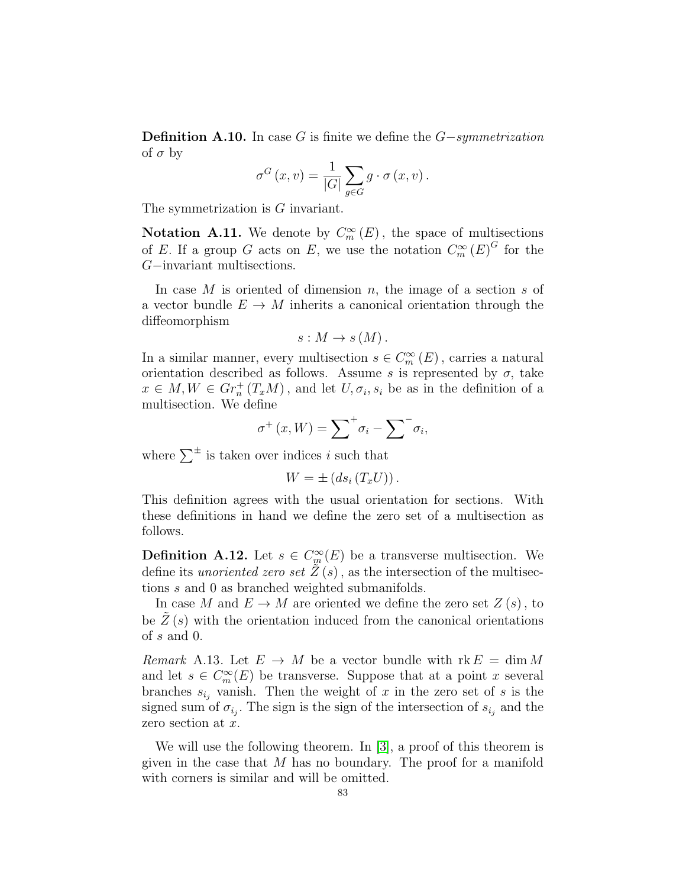**Definition A.10.** In case G is finite we define the  $G-symmetrication$ of  $\sigma$  by

$$
\sigma^G(x,v) = \frac{1}{|G|} \sum_{g \in G} g \cdot \sigma(x,v).
$$

The symmetrization is G invariant.

**Notation A.11.** We denote by  $C_m^{\infty}(E)$ , the space of multisections of E. If a group G acts on E, we use the notation  $C_m^{\infty}(E)^G$  for the G−invariant multisections.

In case  $M$  is oriented of dimension  $n$ , the image of a section  $s$  of a vector bundle  $E \to M$  inherits a canonical orientation through the diffeomorphism

$$
s: M \to s(M).
$$

In a similar manner, every multisection  $s \in C_m^{\infty}(E)$ , carries a natural orientation described as follows. Assume s is represented by  $\sigma$ , take  $x \in M, W \in Gr_n^+(T_xM)$ , and let  $U, \sigma_i, s_i$  be as in the definition of a multisection. We define

$$
\sigma^+(x,W) = \sum^+ \sigma_i - \sum^- \sigma_i,
$$

where  $\sum^{\pm}$  is taken over indices i such that

 $W = \pm (ds_i(T_xU)).$ 

This definition agrees with the usual orientation for sections. With these definitions in hand we define the zero set of a multisection as follows.

**Definition A.12.** Let  $s \in C^{\infty}_m(E)$  be a transverse multisection. We define its *unoriented zero set*  $Z(s)$ , as the intersection of the multisections s and 0 as branched weighted submanifolds.

In case M and  $E \to M$  are oriented we define the zero set  $Z(s)$ , to be  $Z(s)$  with the orientation induced from the canonical orientations of s and 0.

*Remark* A.13. Let  $E \to M$  be a vector bundle with  $rk E = \dim M$ and let  $s \in C_m^{\infty}(E)$  be transverse. Suppose that at a point x several branches  $s_{i_j}$  vanish. Then the weight of x in the zero set of s is the signed sum of  $\sigma_{i_j}$ . The sign is the sign of the intersection of  $s_{i_j}$  and the zero section at x.

We will use the following theorem. In [\[3\]](#page-83-0), a proof of this theorem is given in the case that  $M$  has no boundary. The proof for a manifold with corners is similar and will be omitted.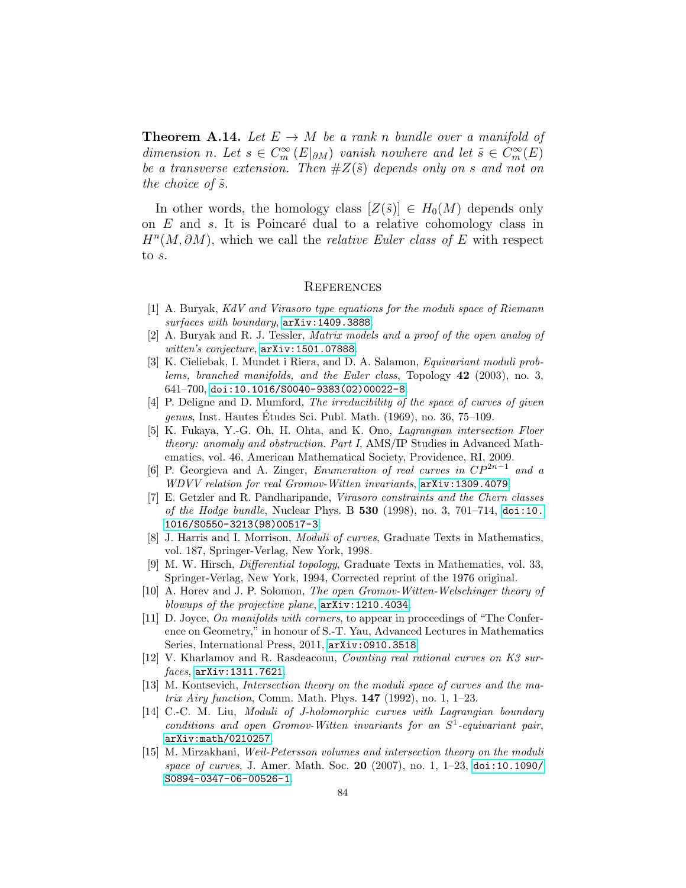**Theorem A.14.** Let  $E \to M$  be a rank n bundle over a manifold of dimension n. Let  $s \in C_m^{\infty}(E|_{\partial M})$  vanish nowhere and let  $\tilde{s} \in C_m^{\infty}(E)$ be a transverse extension. Then  $#Z(\tilde{s})$  depends only on s and not on the choice of  $\tilde{s}$ .

In other words, the homology class  $[Z(\tilde{s})] \in H_0(M)$  depends only on  $E$  and  $s$ . It is Poincaré dual to a relative cohomology class in  $H<sup>n</sup>(M, \partial M)$ , which we call the *relative Euler class of E* with respect to s.

## **REFERENCES**

- [1] A. Buryak, KdV and Virasoro type equations for the moduli space of Riemann surfaces with boundary, [arXiv:1409.3888](http://arxiv.org/abs/1409.3888).
- [2] A. Buryak and R. J. Tessler, Matrix models and a proof of the open analog of witten's conjecture, [arXiv:1501.07888](http://arxiv.org/abs/1501.07888).
- <span id="page-83-0"></span>[3] K. Cieliebak, I. Mundet i Riera, and D. A. Salamon, Equivariant moduli problems, branched manifolds, and the Euler class, Topology 42 (2003), no. 3, 641–700, [doi:10.1016/S0040-9383\(02\)00022-8](http://dx.doi.org/10.1016/S0040-9383(02)00022-8).
- [4] P. Deligne and D. Mumford, The irreducibility of the space of curves of given genus, Inst. Hautes Etudes Sci. Publ. Math.  $(1969)$ , no. 36, 75–109.
- [5] K. Fukaya, Y.-G. Oh, H. Ohta, and K. Ono, Lagrangian intersection Floer theory: anomaly and obstruction. Part I, AMS/IP Studies in Advanced Mathematics, vol. 46, American Mathematical Society, Providence, RI, 2009.
- [6] P. Georgieva and A. Zinger, Enumeration of real curves in  $\mathbb{CP}^{2n-1}$ and a WDVV relation for real Gromov-Witten invariants, [arXiv:1309.4079](http://arxiv.org/abs/1309.4079).
- [7] E. Getzler and R. Pandharipande, Virasoro constraints and the Chern classes of the Hodge bundle, Nuclear Phys. B  $530$  (1998), no. 3, 701–714, [doi:10.](http://dx.doi.org/10.1016/S0550-3213(98)00517-3) [1016/S0550-3213\(98\)00517-3](http://dx.doi.org/10.1016/S0550-3213(98)00517-3).
- [8] J. Harris and I. Morrison, Moduli of curves, Graduate Texts in Mathematics, vol. 187, Springer-Verlag, New York, 1998.
- [9] M. W. Hirsch, Differential topology, Graduate Texts in Mathematics, vol. 33, Springer-Verlag, New York, 1994, Corrected reprint of the 1976 original.
- [10] A. Horev and J. P. Solomon, The open Gromov-Witten-Welschinger theory of blowups of the projective plane, [arXiv:1210.4034](http://arxiv.org/abs/1210.4034).
- [11] D. Joyce, On manifolds with corners, to appear in proceedings of "The Conference on Geometry," in honour of S.-T. Yau, Advanced Lectures in Mathematics Series, International Press, 2011, [arXiv:0910.3518](http://arxiv.org/abs/0910.3518).
- [12] V. Kharlamov and R. Rasdeaconu, Counting real rational curves on K3 surfaces, [arXiv:1311.7621](http://arxiv.org/abs/1311.7621).
- [13] M. Kontsevich, Intersection theory on the moduli space of curves and the matrix Airy function, Comm. Math. Phys.  $147$  (1992), no. 1, 1–23.
- [14] C.-C. M. Liu, Moduli of J-holomorphic curves with Lagrangian boundary  $conditions$  and open Gromov-Witten invariants for an  $S<sup>1</sup>$ -equivariant pair, [arXiv:math/0210257](http://arxiv.org/abs/math/0210257).
- [15] M. Mirzakhani, Weil-Petersson volumes and intersection theory on the moduli space of curves, J. Amer. Math. Soc. 20 (2007), no. 1, 1–23, [doi:10.1090/](http://dx.doi.org/10.1090/S0894-0347-06-00526-1) [S0894-0347-06-00526-1](http://dx.doi.org/10.1090/S0894-0347-06-00526-1).